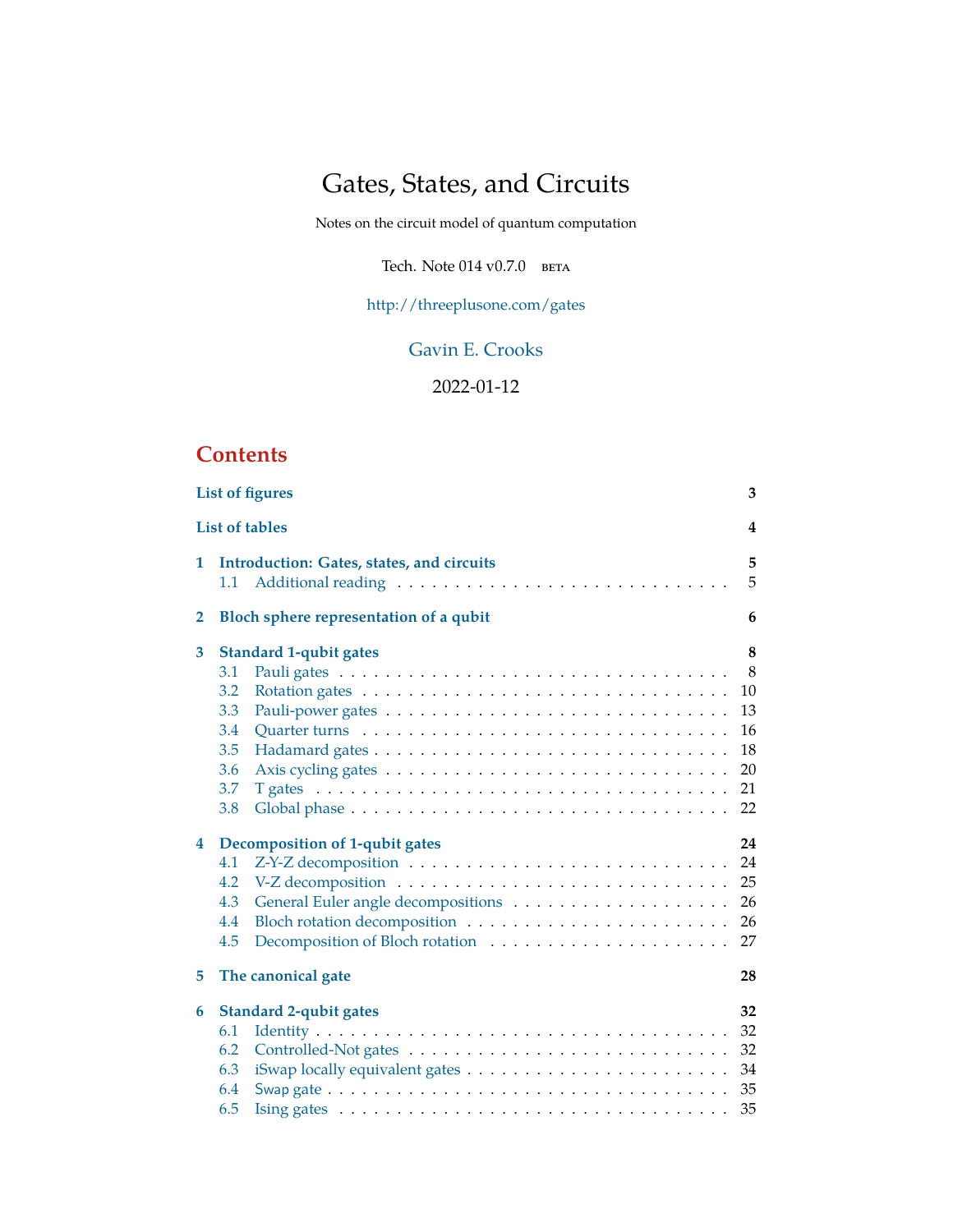# Gates, States, and Circuits

Notes on the circuit model of quantum computation

Tech. Note  $014$  v $0.7.0$  beta

[http://threeplusone.com/gates](https://threeplusone.com/gates)

# [Gavin E. Crooks](http://threeplusone.com/)

# 2022-01-12

# **Contents**

|                       | <b>List of figures</b><br>3                                                                                                                                                                                                     |                                                        |  |  |  |  |
|-----------------------|---------------------------------------------------------------------------------------------------------------------------------------------------------------------------------------------------------------------------------|--------------------------------------------------------|--|--|--|--|
| <b>List of tables</b> |                                                                                                                                                                                                                                 |                                                        |  |  |  |  |
| 1                     | Introduction: Gates, states, and circuits<br>1.1                                                                                                                                                                                | 5<br>5                                                 |  |  |  |  |
| $\mathbf{2}$          | Bloch sphere representation of a qubit                                                                                                                                                                                          | 6                                                      |  |  |  |  |
| 3<br>4                | <b>Standard 1-qubit gates</b><br>3.1<br>3.2<br>3.3<br>3.4<br>3.5<br>3.6<br>3.7<br>T gates $\ldots \ldots \ldots \ldots \ldots \ldots \ldots \ldots \ldots \ldots \ldots \ldots \ldots$<br>3.8<br>Decomposition of 1-qubit gates | 8<br>8<br>10<br>13<br>16<br>18<br>20<br>21<br>22<br>24 |  |  |  |  |
| 5                     | 4.1<br>4.2<br>4.3<br>4.4<br>4.5<br>The canonical gate                                                                                                                                                                           | 24<br>25<br>26<br>26<br>27<br>28                       |  |  |  |  |
|                       |                                                                                                                                                                                                                                 |                                                        |  |  |  |  |
| 6                     | <b>Standard 2-qubit gates</b><br>6.1<br>6.2<br>6.3<br>6.4<br>6.5<br>Ising gates $\ldots \ldots \ldots \ldots \ldots \ldots \ldots \ldots \ldots \ldots \ldots \ldots$                                                           | 32<br>32<br>32<br>34<br>35<br>35                       |  |  |  |  |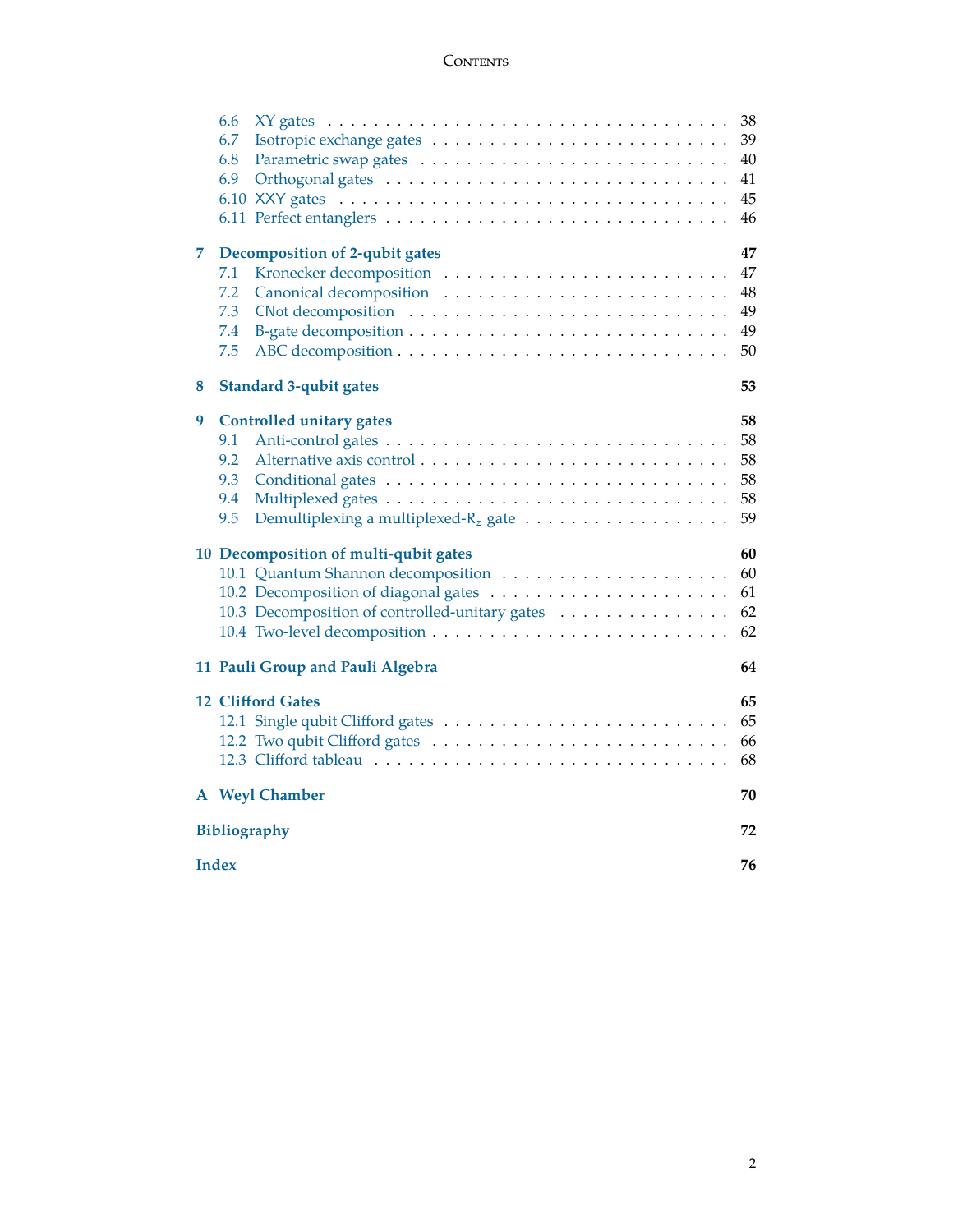## **CONTENTS**

|                                  | 6.6                                                                                         | 38 |  |  |  |
|----------------------------------|---------------------------------------------------------------------------------------------|----|--|--|--|
|                                  | 6.7                                                                                         | 39 |  |  |  |
|                                  | 6.8                                                                                         | 40 |  |  |  |
|                                  | 6.9                                                                                         | 41 |  |  |  |
|                                  |                                                                                             | 45 |  |  |  |
|                                  |                                                                                             | 46 |  |  |  |
| 7                                | Decomposition of 2-qubit gates                                                              | 47 |  |  |  |
|                                  | 7.1                                                                                         | 47 |  |  |  |
|                                  | 7.2                                                                                         | 48 |  |  |  |
|                                  | 7.3                                                                                         | 49 |  |  |  |
|                                  | 7.4                                                                                         | 49 |  |  |  |
|                                  | 7.5                                                                                         | 50 |  |  |  |
| 8                                | <b>Standard 3-qubit gates</b>                                                               | 53 |  |  |  |
| 9                                | <b>Controlled unitary gates</b>                                                             | 58 |  |  |  |
|                                  | 9.1                                                                                         | 58 |  |  |  |
|                                  | 9.2                                                                                         | 58 |  |  |  |
|                                  | 9.3                                                                                         | 58 |  |  |  |
|                                  | 9.4                                                                                         | 58 |  |  |  |
|                                  | 9.5<br>Demultiplexing a multiplexed- $R_z$ gate $\ldots \ldots \ldots \ldots \ldots \ldots$ | 59 |  |  |  |
|                                  | 10 Decomposition of multi-qubit gates                                                       | 60 |  |  |  |
|                                  |                                                                                             | 60 |  |  |  |
|                                  |                                                                                             | 61 |  |  |  |
|                                  | 10.3 Decomposition of controlled-unitary gates                                              | 62 |  |  |  |
|                                  |                                                                                             | 62 |  |  |  |
| 11 Pauli Group and Pauli Algebra |                                                                                             |    |  |  |  |
|                                  | <b>12 Clifford Gates</b>                                                                    | 65 |  |  |  |
|                                  |                                                                                             | 65 |  |  |  |
|                                  |                                                                                             | 66 |  |  |  |
|                                  |                                                                                             | 68 |  |  |  |
|                                  | A Weyl Chamber                                                                              | 70 |  |  |  |
|                                  | Bibliography                                                                                |    |  |  |  |
|                                  | <b>Index</b>                                                                                |    |  |  |  |
|                                  |                                                                                             |    |  |  |  |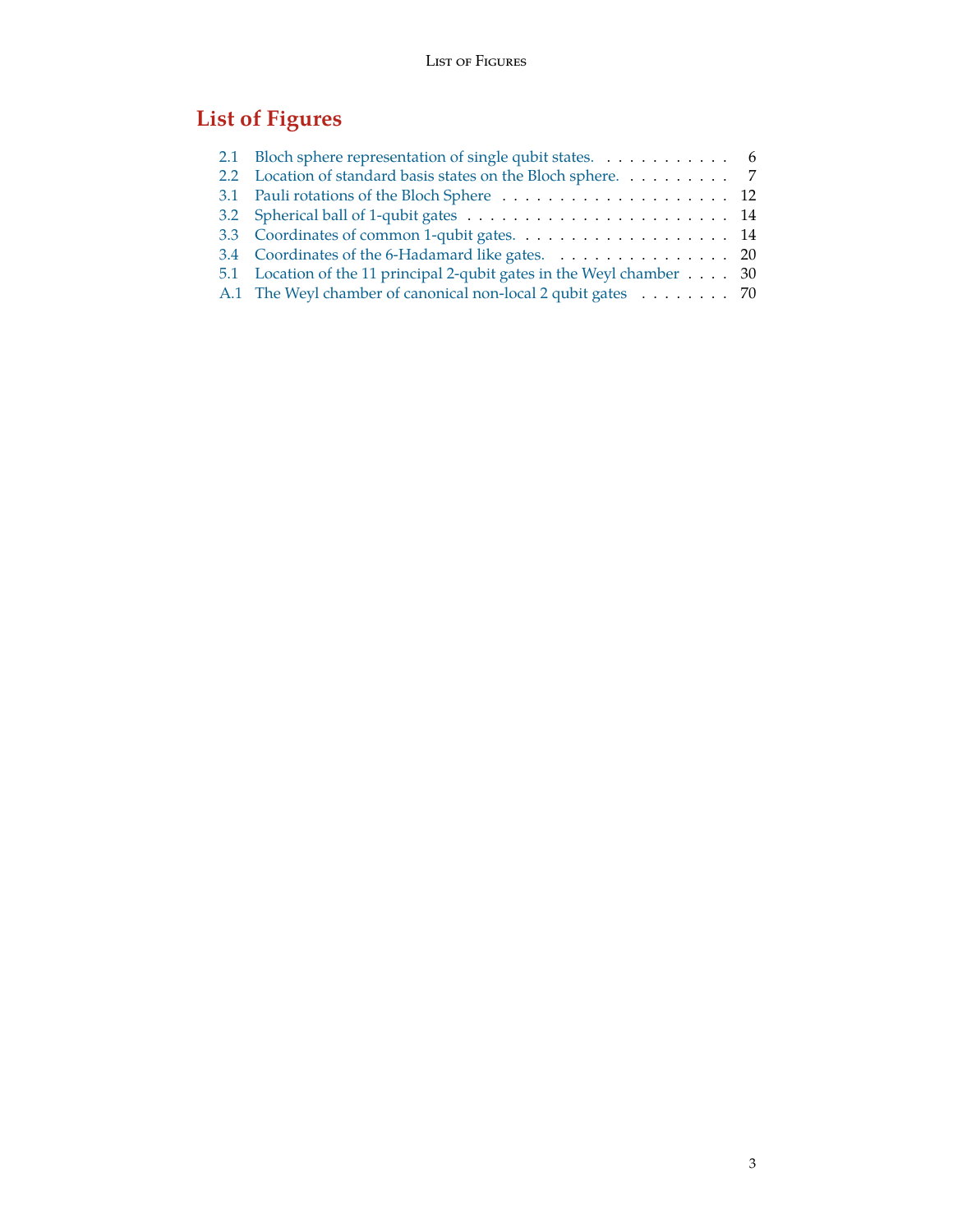# **List of Figures**

<span id="page-2-0"></span>

| 2.1 Bloch sphere representation of single qubit states. 6             |  |
|-----------------------------------------------------------------------|--|
| 2.2 Location of standard basis states on the Bloch sphere. 7          |  |
|                                                                       |  |
|                                                                       |  |
|                                                                       |  |
| 3.4 Coordinates of the 6-Hadamard like gates. 20                      |  |
| 5.1 Location of the 11 principal 2-qubit gates in the Weyl chamber 30 |  |
| A.1 The Weyl chamber of canonical non-local 2 qubit gates 70          |  |
|                                                                       |  |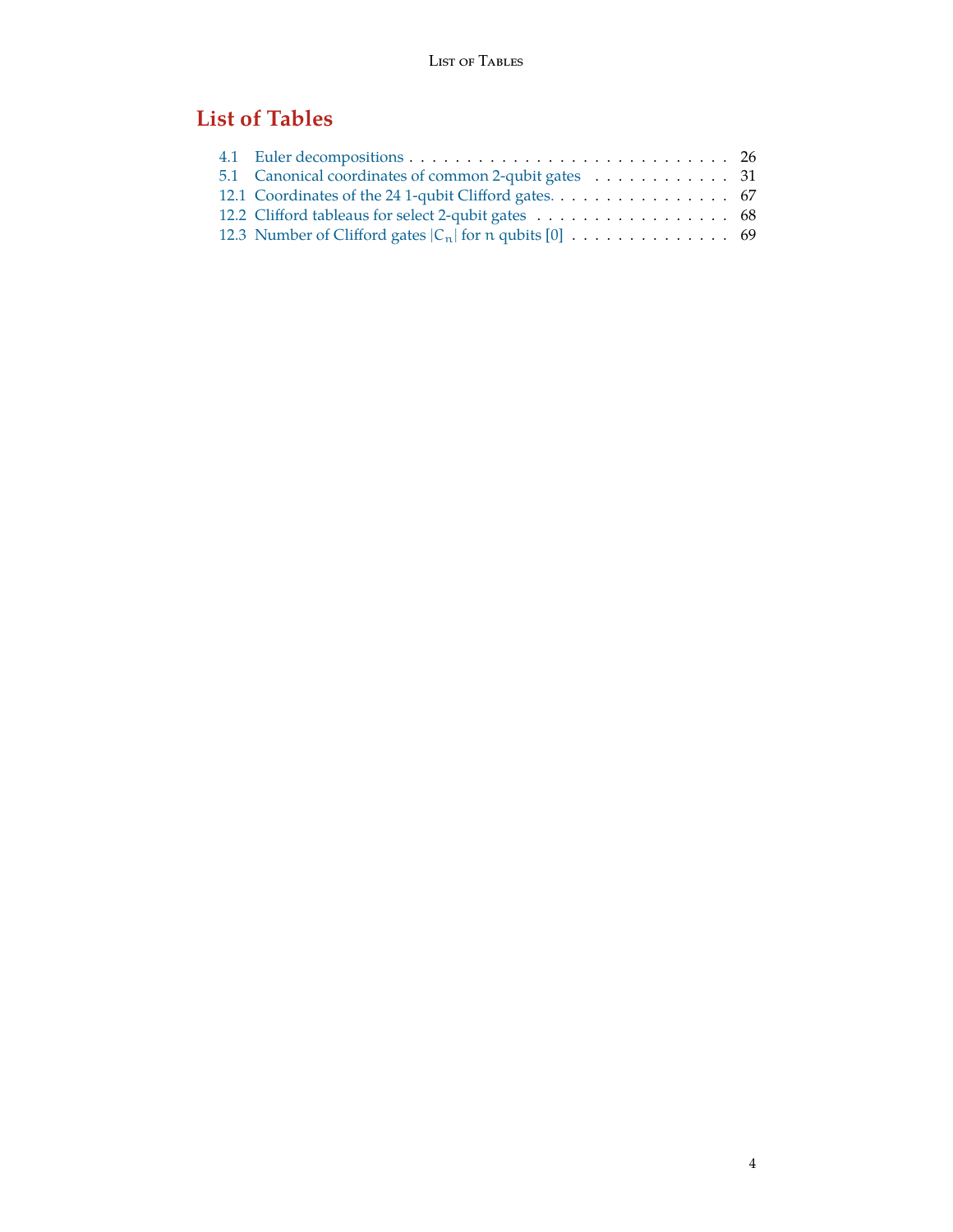# <span id="page-3-0"></span>**List of Tables**

| 5.1 Canonical coordinates of common 2-qubit gates 31 |  |
|------------------------------------------------------|--|
|                                                      |  |
| 12.2 Clifford tableaus for select 2-qubit gates 68   |  |
|                                                      |  |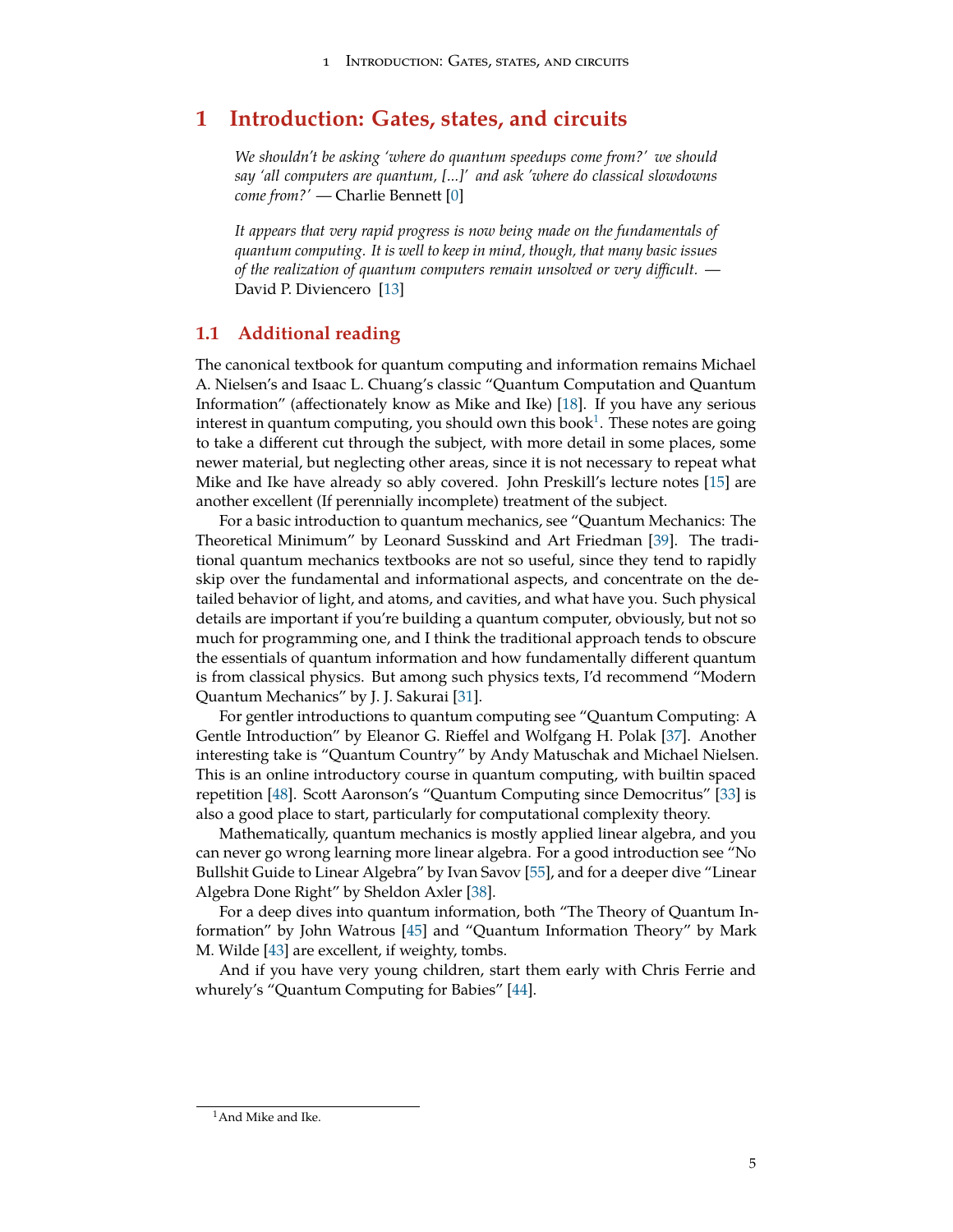# <span id="page-4-0"></span>**1 Introduction: Gates, states, and circuits**

*We shouldn't be asking 'where do quantum speedups come from?' we should say 'all computers are quantum, [...]' and ask 'where do classical slowdowns come from?'* — Charlie Bennett [[0\]](#page-71-1)

*It appears that very rapid progress is now being made on the fundamentals of quantum computing. It is well to keep in mind, though, that many basic issues of the realization of quantum computers remain unsolved or very difficult.* — David P. Diviencero [[13\]](#page-71-2)

## <span id="page-4-1"></span>**1.1 Additional reading**

The canonical textbook for quantum computing and information remains Michael A. Nielsen's and Isaac L. Chuang's classic "Quantum Computation and Quantum Information" (affectionately know as Mike and Ike) [\[18](#page-72-0)]. If you have any serious interest in quantum computing, you should own this book $^1$  $^1$ . These notes are going to take a different cut through the subject, with more detail in some places, some newer material, but neglecting other areas, since it is not necessary to repeat what Mike and Ike have already so ably covered. John Preskill's lecture notes [[15\]](#page-71-3) are another excellent (If perennially incomplete) treatment of the subject.

For a basic introduction to quantum mechanics, see "Quantum Mechanics: The Theoretical Minimum" by Leonard Susskind and Art Friedman [\[39](#page-73-0)]. The traditional quantum mechanics textbooks are not so useful, since they tend to rapidly skip over the fundamental and informational aspects, and concentrate on the detailed behavior of light, and atoms, and cavities, and what have you. Such physical details are important if you're building a quantum computer, obviously, but not so much for programming one, and I think the traditional approach tends to obscure the essentials of quantum information and how fundamentally different quantum is from classical physics. But among such physics texts, I'd recommend "Modern Quantum Mechanics" by J. J. Sakurai [\[31](#page-72-1)].

For gentler introductions to quantum computing see "Quantum Computing: A Gentle Introduction" by Eleanor G. Rieffel and Wolfgang H. Polak [\[37](#page-73-1)]. Another interesting take is "Quantum Country" by Andy Matuschak and Michael Nielsen. This is an online introductory course in quantum computing, with builtin spaced repetition [\[48](#page-73-2)]. Scott Aaronson's "Quantum Computing since Democritus" [[33\]](#page-72-2) is also a good place to start, particularly for computational complexity theory.

Mathematically, quantum mechanics is mostly applied linear algebra, and you can never go wrong learning more linear algebra. For a good introduction see "No Bullshit Guide to Linear Algebra" by Ivan Savov [[55](#page-74-0)], and for a deeper dive "Linear Algebra Done Right" by Sheldon Axler [\[38\]](#page-73-3).

For a deep dives into quantum information, both "The Theory of Quantum Information" by John Watrous [\[45](#page-73-4)] and "Quantum Information Theory" by Mark M. Wilde [[43\]](#page-73-5) are excellent, if weighty, tombs.

And if you have very young children, start them early with Chris Ferrie and whurely's "Quantum Computing for Babies" [\[44](#page-73-6)].

<span id="page-4-2"></span><sup>&</sup>lt;sup>1</sup>And Mike and Ike.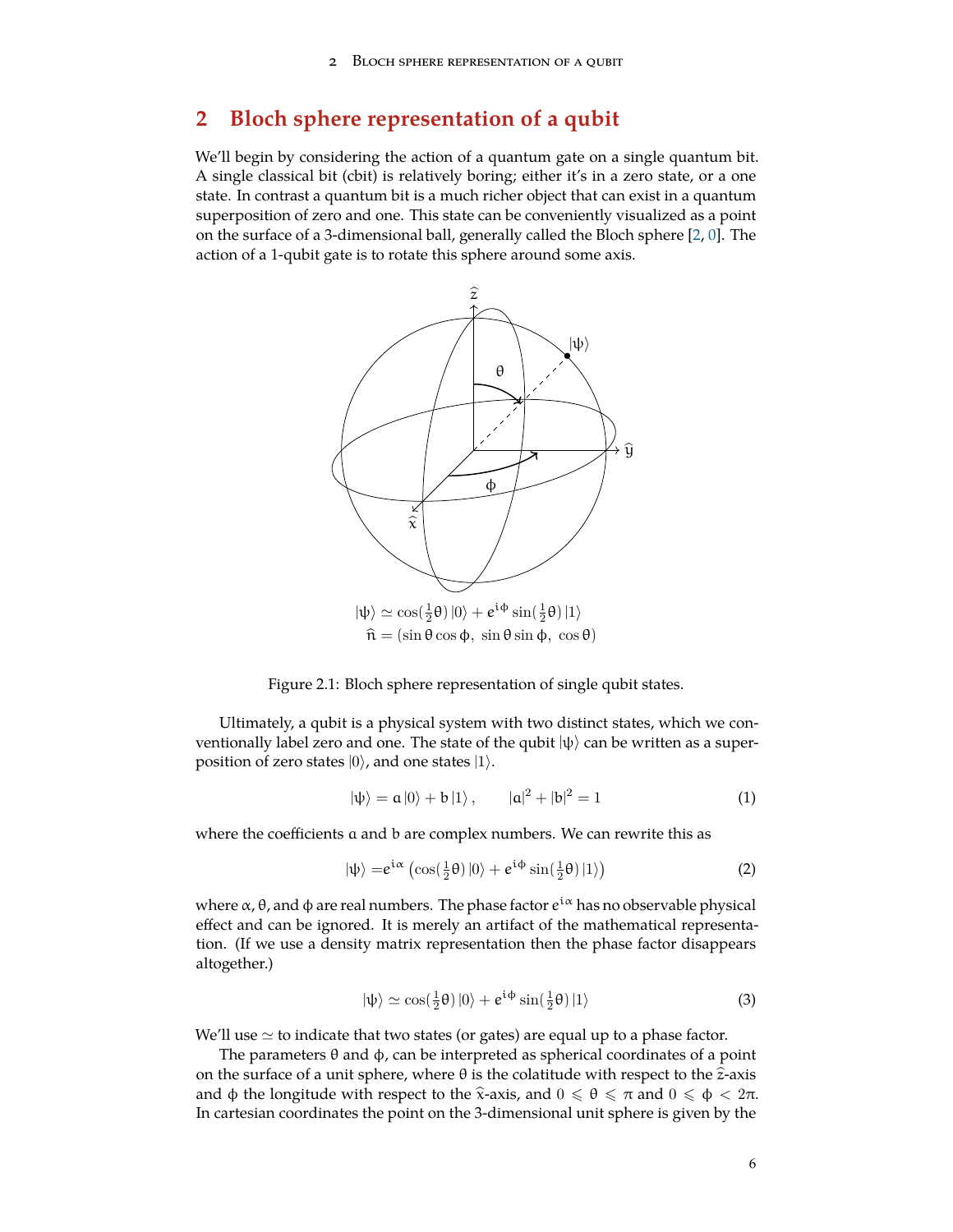# <span id="page-5-0"></span>**2 Bloch sphere representation of a qubit**

We'll begin by considering the action of a quantum gate on a single quantum bit. A single classical bit (cbit) is relatively boring; either it's in a zero state, or a one state. In contrast a quantum bit is a much richer object that can exist in a quantum superposition of zero and one. This state can be conveniently visualized as a point on the surface of a 3-dimensional ball, generally called the Bloch sphere [\[2](#page-71-4), [0](#page-71-1)]. The action of a 1-qubit gate is to rotate this sphere around some axis.



<span id="page-5-1"></span>Figure 2.1: Bloch sphere representation of single qubit states.

Ultimately, a qubit is a physical system with two distinct states, which we conventionally label zero and one. The state of the qubit  $|\psi\rangle$  can be written as a superposition of zero states |0*⟩*, and one states |1*⟩*.

$$
|\psi\rangle = \mathfrak{a}|0\rangle + \mathfrak{b}|1\rangle, \qquad |\mathfrak{a}|^2 + |\mathfrak{b}|^2 = 1 \tag{1}
$$

where the coefficients a and b are complex numbers. We can rewrite this as

$$
|\psi\rangle = e^{i\alpha} \left( \cos(\frac{1}{2}\theta) |0\rangle + e^{i\phi} \sin(\frac{1}{2}\theta) |1\rangle \right)
$$
 (2)

where α, θ, and φ are real numbers. The phase factor  $e^{i\alpha}$  has no observable physical effect and can be ignored. It is merely an artifact of the mathematical representation. (If we use a density matrix representation then the phase factor disappears altogether.)

$$
|\psi\rangle \simeq \cos(\frac{1}{2}\theta)|0\rangle + e^{i\phi}\sin(\frac{1}{2}\theta)|1\rangle \tag{3}
$$

We'll use *≃* to indicate that two states (or gates) are equal up to a phase factor.

The parameters θ and ϕ, can be interpreted as spherical coordinates of a point on the surface of a unit sphere, where  $\theta$  is the colatitude with respect to the  $\hat{z}$ -axis and  $\phi$  the longitude with respect to the  $\hat{x}$ -axis, and  $0 \le \theta \le \pi$  and  $0 \le \phi < 2\pi$ . In cartesian coordinates the point on the 3-dimensional unit sphere is given by the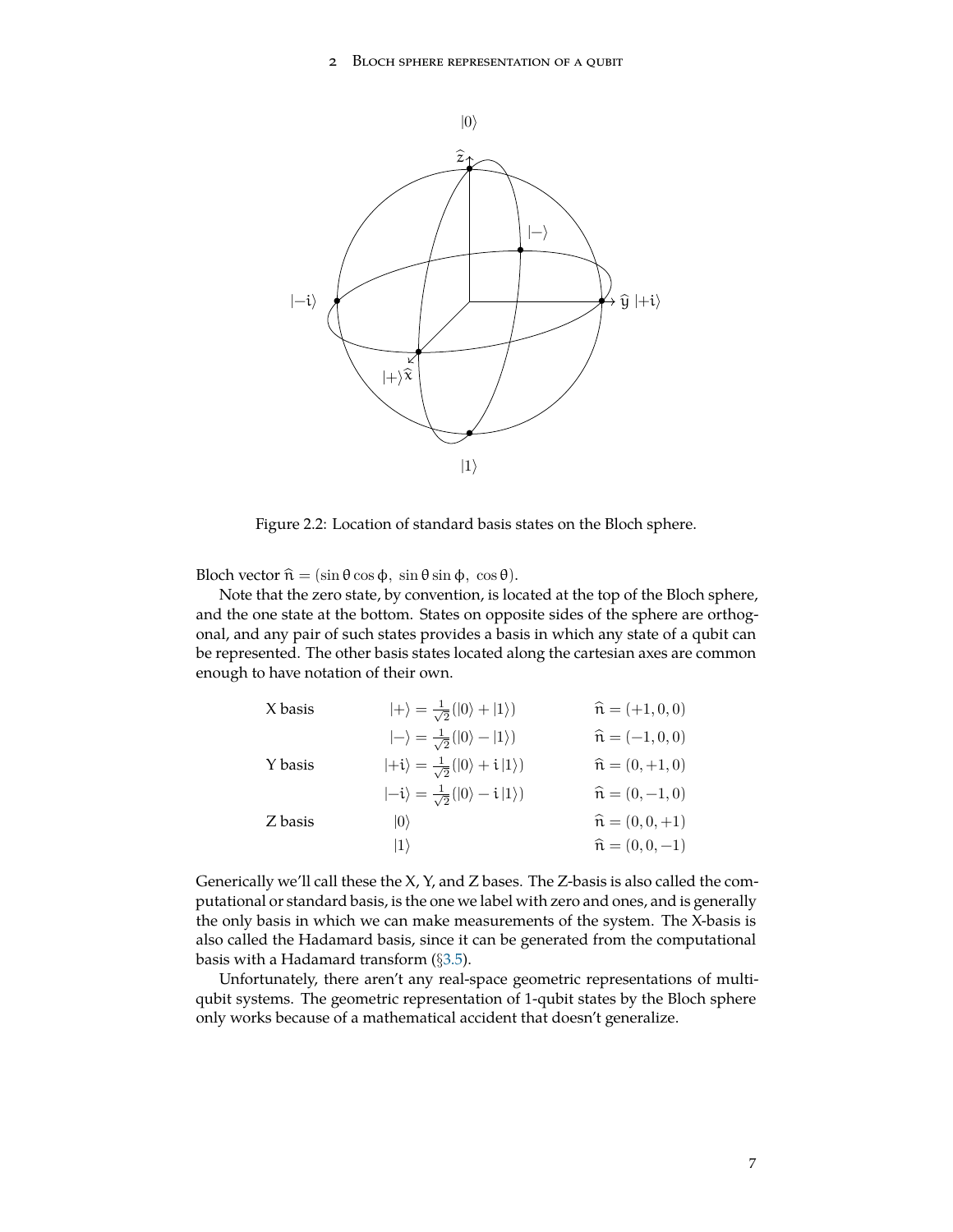

<span id="page-6-0"></span>Figure 2.2: Location of standard basis states on the Bloch sphere.

Bloch vector  $\hat{\mathfrak{n}} = (\sin \theta \cos \phi, \sin \theta \sin \phi, \cos \theta).$ 

Note that the zero state, by convention, is located at the top of the Bloch sphere, and the one state at the bottom. States on opposite sides of the sphere are orthogonal, and any pair of such states provides a basis in which any state of a qubit can be represented. The other basis states located along the cartesian axes are common enough to have notation of their own.

| X basis | $ +\rangle = \frac{1}{\sqrt{2}}( 0\rangle +  1\rangle)$   | $\hat{\mathfrak{n}} = (+1, 0, 0)$ |
|---------|-----------------------------------------------------------|-----------------------------------|
|         | $ -\rangle = \frac{1}{\sqrt{2}}( 0\rangle -  1\rangle)$   | $\hat{\mathfrak{n}} = (-1, 0, 0)$ |
| Y basis | $ +i\rangle = \frac{1}{\sqrt{2}}( 0\rangle + i 1\rangle)$ | $\hat{\mathfrak{n}} = (0, +1, 0)$ |
|         | $\ket{-i} = \frac{1}{\sqrt{2}} (\ket{0} - i \ket{1})$     | $\hat{\mathfrak{n}} = (0, -1, 0)$ |
| Z basis | $ 0\rangle$                                               | $\hat{\mathfrak{n}} = (0, 0, +1)$ |
|         | $ 1\rangle$                                               | $\hat{\mathfrak{n}} = (0, 0, -1)$ |
|         |                                                           |                                   |

Generically we'll call these the X, Y, and Z bases. The Z-basis is also called the computational or standard basis, is the one we label with zero and ones, and is generally the only basis in which we can make measurements of the system. The X-basis is also called the Hadamard basis, since it can be generated from the computational basis with a Hadamard transform (*§*[3.5](#page-17-0)).

Unfortunately, there aren't any real-space geometric representations of multiqubit systems. The geometric representation of 1-qubit states by the Bloch sphere only works because of a mathematical accident that doesn't generalize.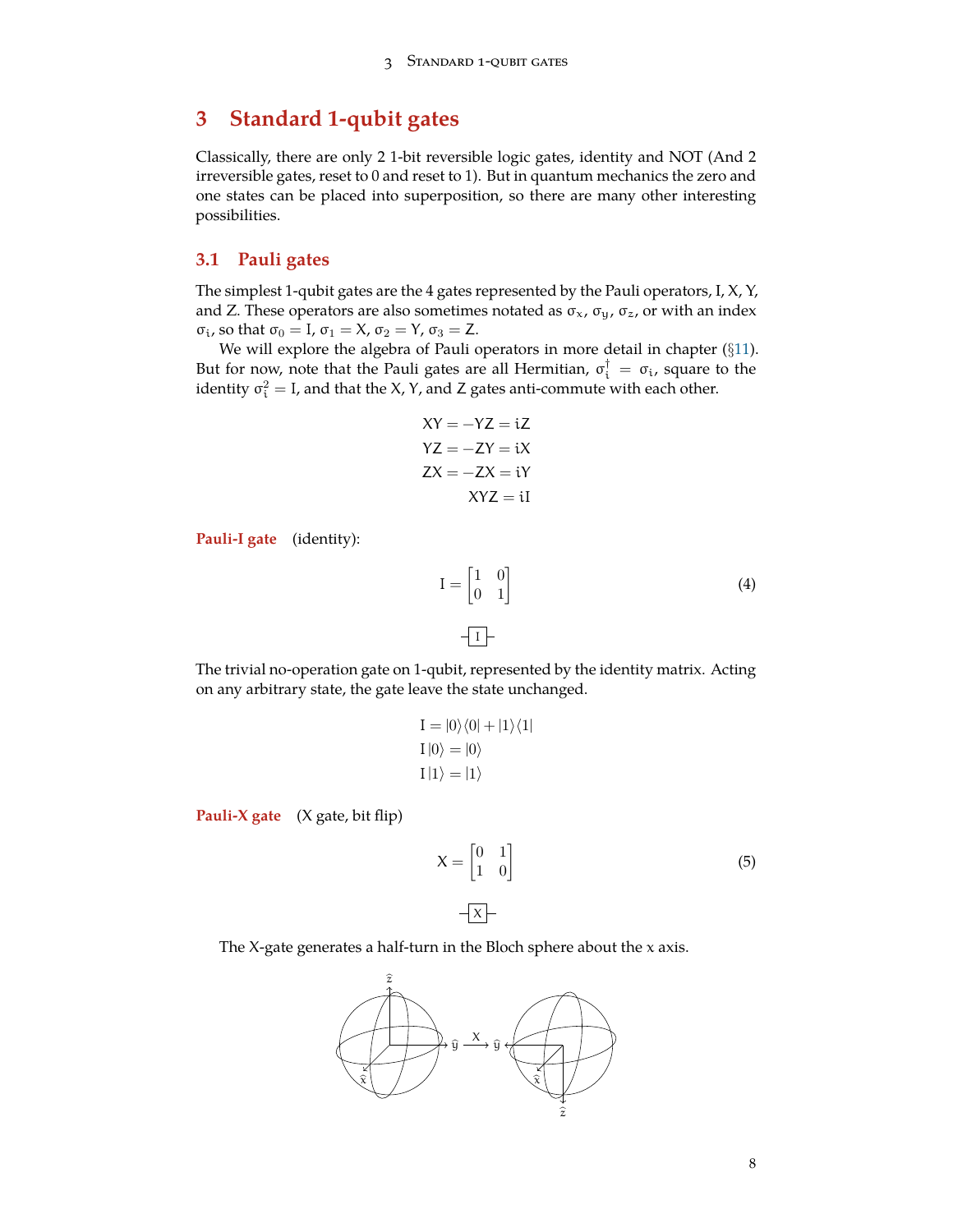# <span id="page-7-0"></span>**3 Standard 1-qubit gates**

Classically, there are only 2 1-bit reversible logic gates, identity and NOT (And 2 irreversible gates, reset to 0 and reset to 1). But in quantum mechanics the zero and one states can be placed into superposition, so there are many other interesting possibilities.

#### <span id="page-7-1"></span>**3.1 Pauli gates**

The simplest 1-qubit gates are the 4 gates represented by the Pauli operators, I, X, Y, and Z. These operators are also sometimes notated as  $\sigma_x$ ,  $\sigma_y$ ,  $\sigma_z$ , or with an index  $\sigma_i$ , so that  $\sigma_0 = I$ ,  $\sigma_1 = X$ ,  $\sigma_2 = Y$ ,  $\sigma_3 = Z$ .

We will explore the algebra of Pauli operators in more detail in chapter (*§*[11\)](#page-63-0). But for now, note that the Pauli gates are all Hermitian,  $\sigma_i^{\dagger} = \sigma_i$ , square to the identity  $\sigma_i^2 = I$ , and that the X, Y, and Z gates anti-commute with each other.

$$
XY = -YZ = iZ
$$

$$
YZ = -ZY = iX
$$

$$
ZX = -ZX = iY
$$

$$
XYZ = iI
$$

**Pauli-I gate** (identity):

$$
I = \begin{bmatrix} 1 & 0 \\ 0 & 1 \end{bmatrix}
$$
 (4)

The trivial no-operation gate on 1-qubit, represented by the identity matrix. Acting on any arbitrary state, the gate leave the state unchanged.

$$
I = |0\rangle\langle 0| + |1\rangle\langle 1|
$$
  
\n
$$
I |0\rangle = |0\rangle
$$
  
\n
$$
I |1\rangle = |1\rangle
$$

**Pauli-X gate** (X gate, bit flip)

$$
X = \begin{bmatrix} 0 & 1 \\ 1 & 0 \end{bmatrix}
$$
 (5)

The  $X$ -gate generates a half-turn in the Bloch sphere about the  $x$  axis.

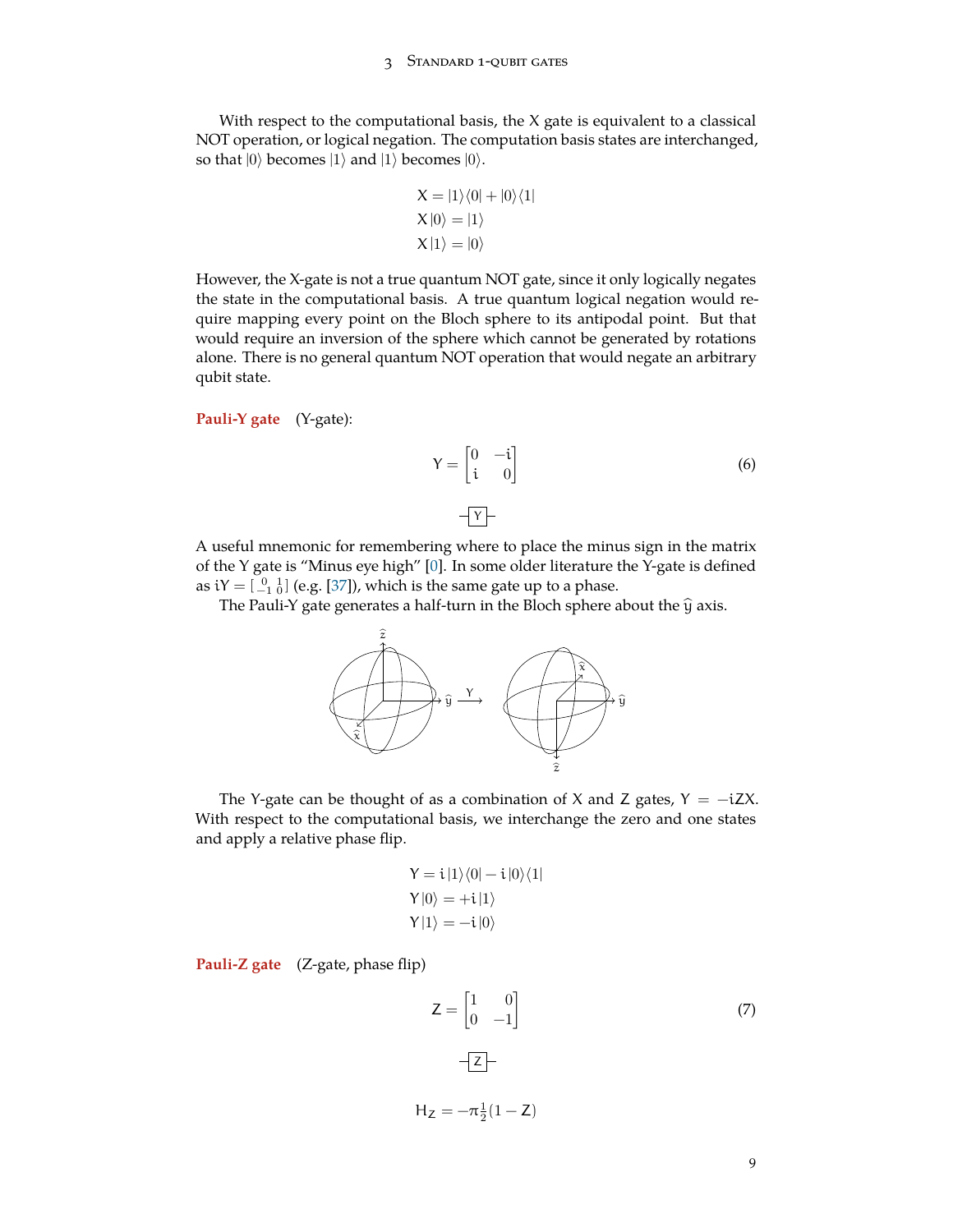#### 3 Standard 1-qubit gates

With respect to the computational basis, the X gate is equivalent to a classical NOT operation, or logical negation. The computation basis states are interchanged, so that  $|0\rangle$  becomes  $|1\rangle$  and  $|1\rangle$  becomes  $|0\rangle$ .

$$
X = |1\rangle\langle 0| + |0\rangle\langle 1|
$$
  
\n
$$
X |0\rangle = |1\rangle
$$
  
\n
$$
X |1\rangle = |0\rangle
$$

However, the X-gate is not a true quantum NOT gate, since it only logically negates the state in the computational basis. A true quantum logical negation would require mapping every point on the Bloch sphere to its antipodal point. But that would require an inversion of the sphere which cannot be generated by rotations alone. There is no general quantum NOT operation that would negate an arbitrary qubit state.

**Pauli-Y gate** (Y-gate):

$$
Y = \begin{bmatrix} 0 & -i \\ i & 0 \end{bmatrix} \tag{6}
$$

$$
-\boxed{\mathbf{Y}}
$$

A useful mnemonic for remembering where to place the minus sign in the matrix of the Y gate is "Minus eye high" [\[0](#page-71-1)]. In some older literature the Y-gate is defined as i $Y=[\begin{smallmatrix} 0 & 1\ -1 & 0 \end{smallmatrix}]$  (e.g. [\[37\]](#page-73-1)), which is the same gate up to a phase.

The Pauli-Y gate generates a half-turn in the Bloch sphere about the  $\hat{y}$  axis.



The Y-gate can be thought of as a combination of X and Z gates,  $Y = -iZX$ . With respect to the computational basis, we interchange the zero and one states and apply a relative phase flip.

$$
Y = i |1\rangle\langle 0| - i |0\rangle\langle 1|
$$
  
\n
$$
Y |0\rangle = +i |1\rangle
$$
  
\n
$$
Y |1\rangle = -i |0\rangle
$$

**Pauli-Z gate** (Z-gate, phase flip)

$$
Z = \begin{bmatrix} 1 & 0 \\ 0 & -1 \end{bmatrix}
$$
\n
$$
-\overline{Z}
$$
\n
$$
H_Z = -\pi \frac{1}{2} (1 - Z)
$$
\n(7)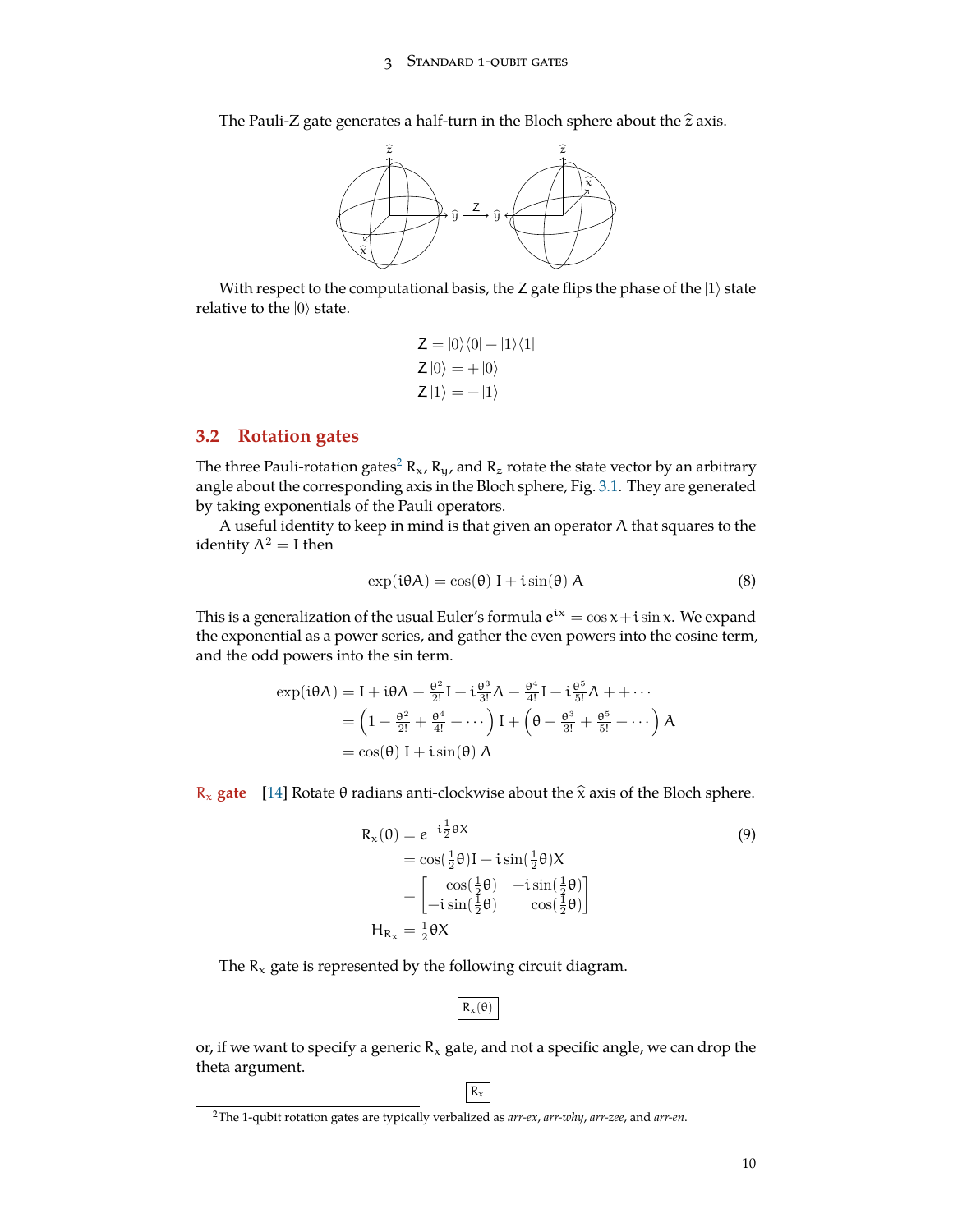The Pauli-Z gate generates a half-turn in the Bloch sphere about the  $\hat{z}$  axis.



With respect to the computational basis, the Z gate flips the phase of the |1*⟩* state relative to the |0*⟩* state.

$$
Z = |0\rangle\langle 0| - |1\rangle\langle 1|
$$
  
\n
$$
Z |0\rangle = + |0\rangle
$$
  
\n
$$
Z |1\rangle = - |1\rangle
$$

### <span id="page-9-0"></span>**3.2 Rotation gates**

The three Pauli-rotation gates<sup>[2](#page-9-1)</sup> R<sub>x</sub>, R<sub>y</sub>, and R<sub>z</sub> rotate the state vector by an arbitrary angle about the corresponding axis in the Bloch sphere, Fig. [3.1](#page-11-0). They are generated by taking exponentials of the Pauli operators.

A useful identity to keep in mind is that given an operator A that squares to the identity  $A^2 = I$  then

$$
\exp(i\theta A) = \cos(\theta) I + i\sin(\theta) A \tag{8}
$$

This is a generalization of the usual Euler's formula  $e^{i\chi}=\cos x + i\sin x$ . We expand the exponential as a power series, and gather the even powers into the cosine term, and the odd powers into the sin term.

$$
\exp(\mathbf{i}\theta A) = \mathbf{I} + \mathbf{i}\theta A - \frac{\theta^2}{2!} \mathbf{I} - \mathbf{i}\frac{\theta^3}{3!} A - \frac{\theta^4}{4!} \mathbf{I} - \mathbf{i}\frac{\theta^5}{5!} A + \cdots
$$

$$
= \left(1 - \frac{\theta^2}{2!} + \frac{\theta^4}{4!} - \cdots\right) \mathbf{I} + \left(\theta - \frac{\theta^3}{3!} + \frac{\theta^5}{5!} - \cdots\right) A
$$

$$
= \cos(\theta) \mathbf{I} + \mathbf{i}\sin(\theta) A
$$

R<sub>x</sub> gate [[14\]](#page-71-5) Rotate θ radians anti-clockwise about the  $\hat{\mathbf{x}}$  axis of the Bloch sphere.

$$
R_{x}(\theta) = e^{-i\frac{1}{2}\theta X}
$$
\n
$$
= \cos(\frac{1}{2}\theta)I - i\sin(\frac{1}{2}\theta)X
$$
\n
$$
= \begin{bmatrix} \cos(\frac{1}{2}\theta) & -i\sin(\frac{1}{2}\theta) \\ -i\sin(\frac{1}{2}\theta) & \cos(\frac{1}{2}\theta) \end{bmatrix}
$$
\n
$$
H_{R_{x}} = \frac{1}{2}\theta X
$$
\n(9)

The  $R_x$  gate is represented by the following circuit diagram.

$$
-\boxed{R_{\rm x}(\theta)}-
$$

or, if we want to specify a generic  $R_x$  gate, and not a specific angle, we can drop the theta argument.

 $-$  R<sub>x</sub>  $-$ 

<span id="page-9-1"></span><sup>2</sup>The 1-qubit rotation gates are typically verbalized as *arr-ex*, *arr-why*, *arr-zee*, and *arr-en*.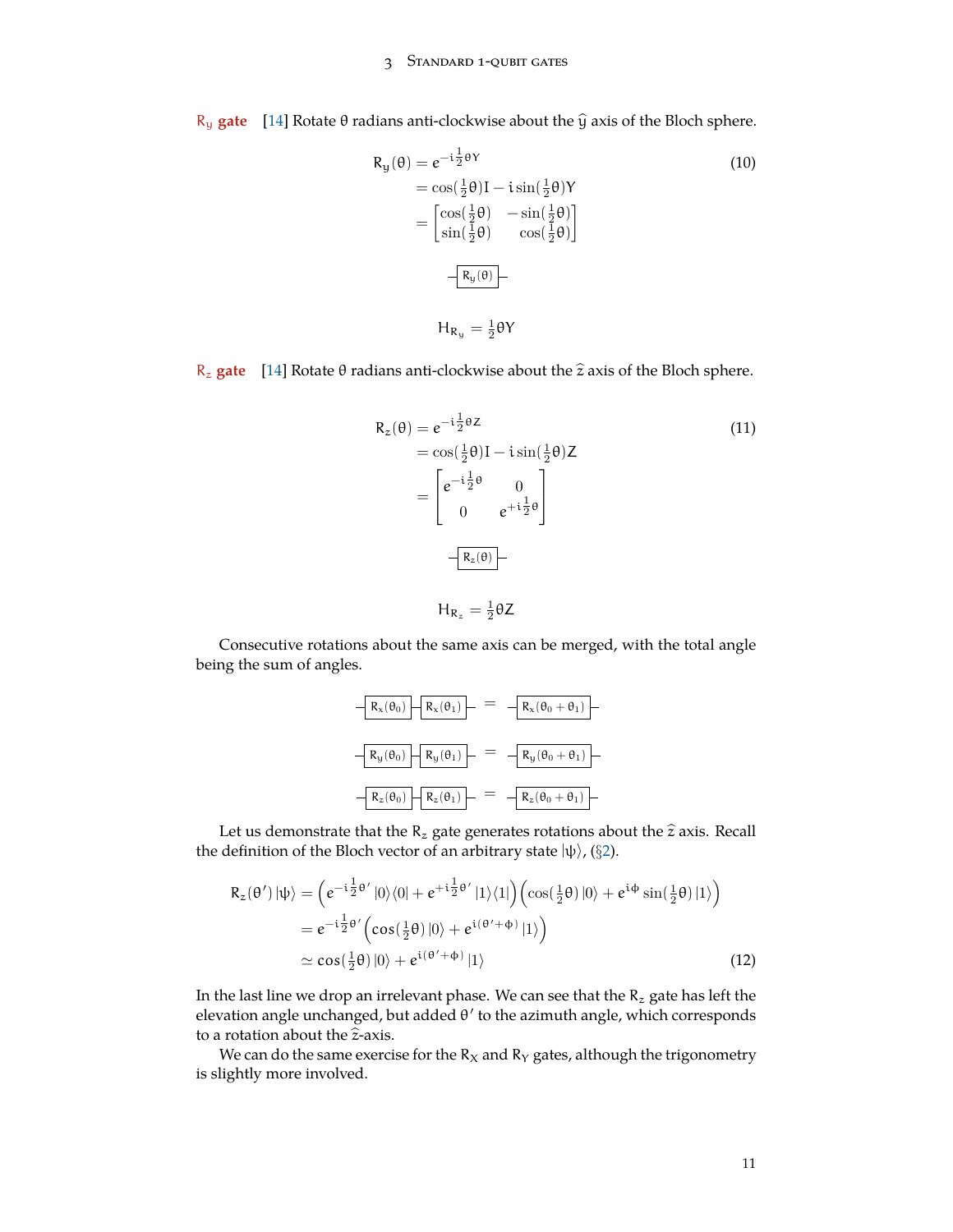#### 3 Standard 1-qubit gates

R<sub>u</sub> gate [\[14](#page-71-5)] Rotate θ radians anti-clockwise about the  $\hat{y}$  axis of the Bloch sphere.

$$
R_{y}(\theta) = e^{-i\frac{1}{2}\theta Y}
$$
\n
$$
= \cos(\frac{1}{2}\theta)I - i\sin(\frac{1}{2}\theta)Y
$$
\n
$$
= \begin{bmatrix} \cos(\frac{1}{2}\theta) & -\sin(\frac{1}{2}\theta) \\ \sin(\frac{1}{2}\theta) & \cos(\frac{1}{2}\theta) \end{bmatrix}
$$
\n
$$
- \frac{R_{y}(\theta)}{R_{y}(\theta)}
$$
\n
$$
H_{R_{y}} = \frac{1}{2}\theta Y
$$
\n(10)

R<sub>z</sub> gate [\[14](#page-71-5)] Rotate θ radians anti-clockwise about the  $\hat{z}$  axis of the Bloch sphere.

$$
R_z(\theta) = e^{-i\frac{1}{2}\theta Z}
$$
  
\n
$$
= \cos(\frac{1}{2}\theta)I - i\sin(\frac{1}{2}\theta)Z
$$
  
\n
$$
= \begin{bmatrix} e^{-i\frac{1}{2}\theta} & 0\\ 0 & e^{+i\frac{1}{2}\theta} \end{bmatrix}
$$
  
\n
$$
- \frac{R_z(\theta)}{R_z} - \frac{1}{2}\theta Z
$$
  
\n(11)

Consecutive rotations about the same axis can be merged, with the total angle being the sum of angles.

$$
-R_x(\theta_0) - R_x(\theta_1) - = -R_x(\theta_0 + \theta_1)
$$
  

$$
R_y(\theta_0) - R_y(\theta_1) - = -R_y(\theta_0 + \theta_1)
$$
  

$$
-R_z(\theta_0) - R_z(\theta_1) - = -R_z(\theta_0 + \theta_1)
$$

Let us demonstrate that the  $R_z$  gate generates rotations about the  $\hat{z}$  axis. Recall the definition of the Bloch vector of an arbitrary state |ψ*⟩*, (*§*[2](#page-5-0)).

$$
R_z(\theta') |\psi\rangle = \left( e^{-i\frac{1}{2}\theta'} |0\rangle\langle 0| + e^{+i\frac{1}{2}\theta'} |1\rangle\langle 1| \right) \left( \cos(\frac{1}{2}\theta) |0\rangle + e^{i\phi} \sin(\frac{1}{2}\theta) |1\rangle \right)
$$
  
\n
$$
= e^{-i\frac{1}{2}\theta'} \left( \cos(\frac{1}{2}\theta) |0\rangle + e^{i(\theta' + \phi)} |1\rangle \right)
$$
  
\n
$$
\simeq \cos(\frac{1}{2}\theta) |0\rangle + e^{i(\theta' + \phi)} |1\rangle
$$
\n(12)

In the last line we drop an irrelevant phase. We can see that the  $R_z$  gate has left the elevation angle unchanged, but added θ *′* to the azimuth angle, which corresponds to a rotation about the  $\hat{z}$ -axis.

We can do the same exercise for the  $R_X$  and  $R_Y$  gates, although the trigonometry is slightly more involved.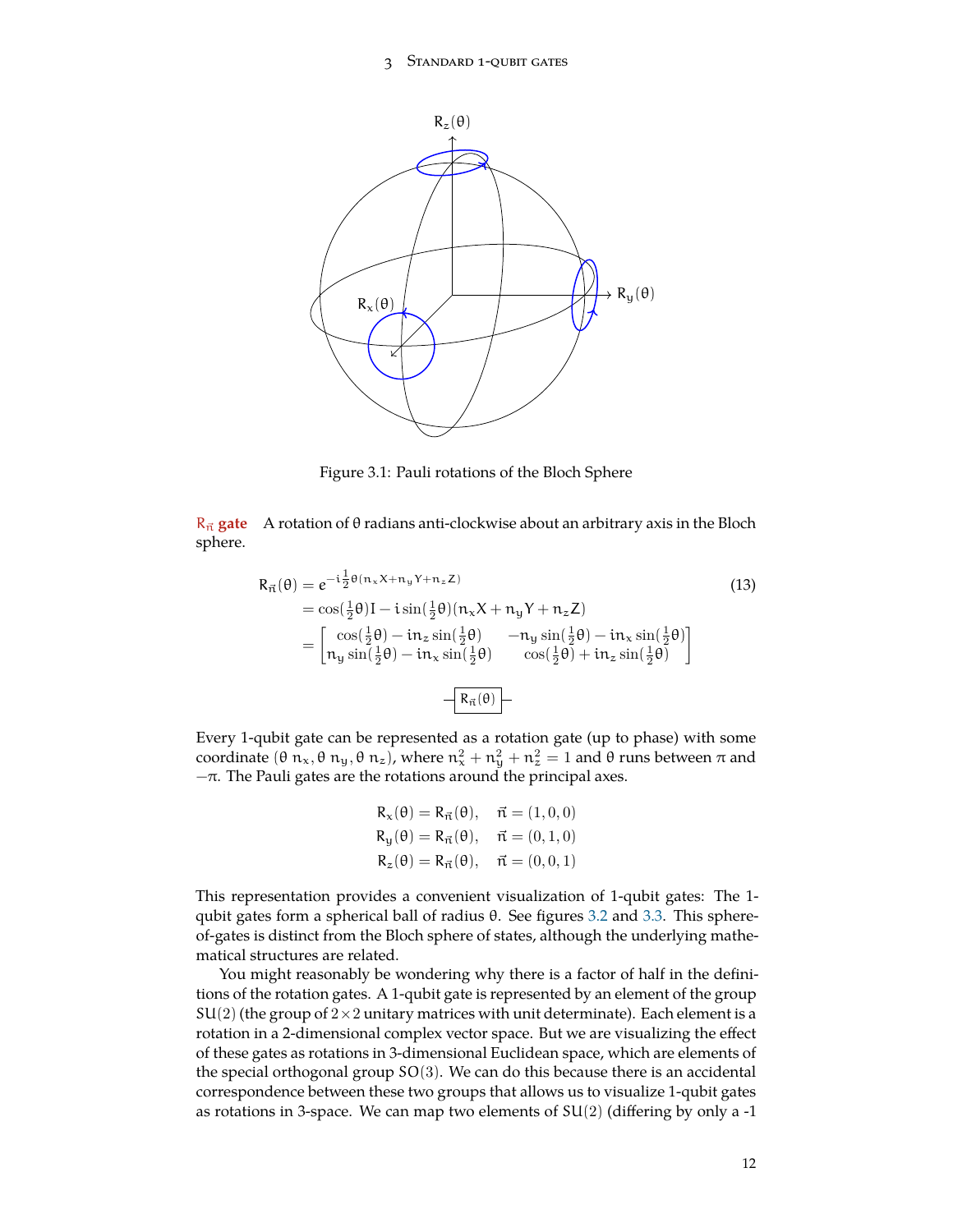#### 3 Standard 1-qubit gates



<span id="page-11-1"></span><span id="page-11-0"></span>Figure 3.1: Pauli rotations of the Bloch Sphere

 $R_{\vec{n}}$  gate A rotation of  $\theta$  radians anti-clockwise about an arbitrary axis in the Bloch sphere.

$$
R_{\vec{n}}(\theta) = e^{-i\frac{1}{2}\theta(n_x X + n_y Y + n_z Z)}
$$
(13)  
=  $\cos(\frac{1}{2}\theta)I - i\sin(\frac{1}{2}\theta)(n_x X + n_y Y + n_z Z)$   
=  $\begin{bmatrix} \cos(\frac{1}{2}\theta) - i n_z \sin(\frac{1}{2}\theta) & -n_y \sin(\frac{1}{2}\theta) - i n_x \sin(\frac{1}{2}\theta) \\ n_y \sin(\frac{1}{2}\theta) - i n_x \sin(\frac{1}{2}\theta) & \cos(\frac{1}{2}\theta) + i n_z \sin(\frac{1}{2}\theta) \end{bmatrix}$   
=  $\begin{bmatrix} R_{\vec{n}}(\theta) \end{bmatrix}$ 

Every 1-qubit gate can be represented as a rotation gate (up to phase) with some coordinate  $(θ \n_ x, θ \n_ y, θ \n_ z)$ , where  $n_x^2 + n_y^2 + n_z^2 = 1$  and  $θ$  runs between  $π$  and  $-\pi$ . The Pauli gates are the rotations around the principal axes.

$$
R_{x}(\theta) = R_{\vec{n}}(\theta), \quad \vec{n} = (1, 0, 0)
$$
  
\n
$$
R_{y}(\theta) = R_{\vec{n}}(\theta), \quad \vec{n} = (0, 1, 0)
$$
  
\n
$$
R_{z}(\theta) = R_{\vec{n}}(\theta), \quad \vec{n} = (0, 0, 1)
$$

This representation provides a convenient visualization of 1-qubit gates: The 1- qubit gates form a spherical ball of radius θ. See figures [3.2](#page-13-0) and [3.3.](#page-13-1) This sphereof-gates is distinct from the Bloch sphere of states, although the underlying mathematical structures are related.

You might reasonably be wondering why there is a factor of half in the definitions of the rotation gates. A 1-qubit gate is represented by an element of the group  $SU(2)$  (the group of  $2\times 2$  unitary matrices with unit determinate). Each element is a rotation in a 2-dimensional complex vector space. But we are visualizing the effect of these gates as rotations in 3-dimensional Euclidean space, which are elements of the special orthogonal group  $SO(3)$ . We can do this because there is an accidental correspondence between these two groups that allows us to visualize 1-qubit gates as rotations in 3-space. We can map two elements of  $SU(2)$  (differing by only a -1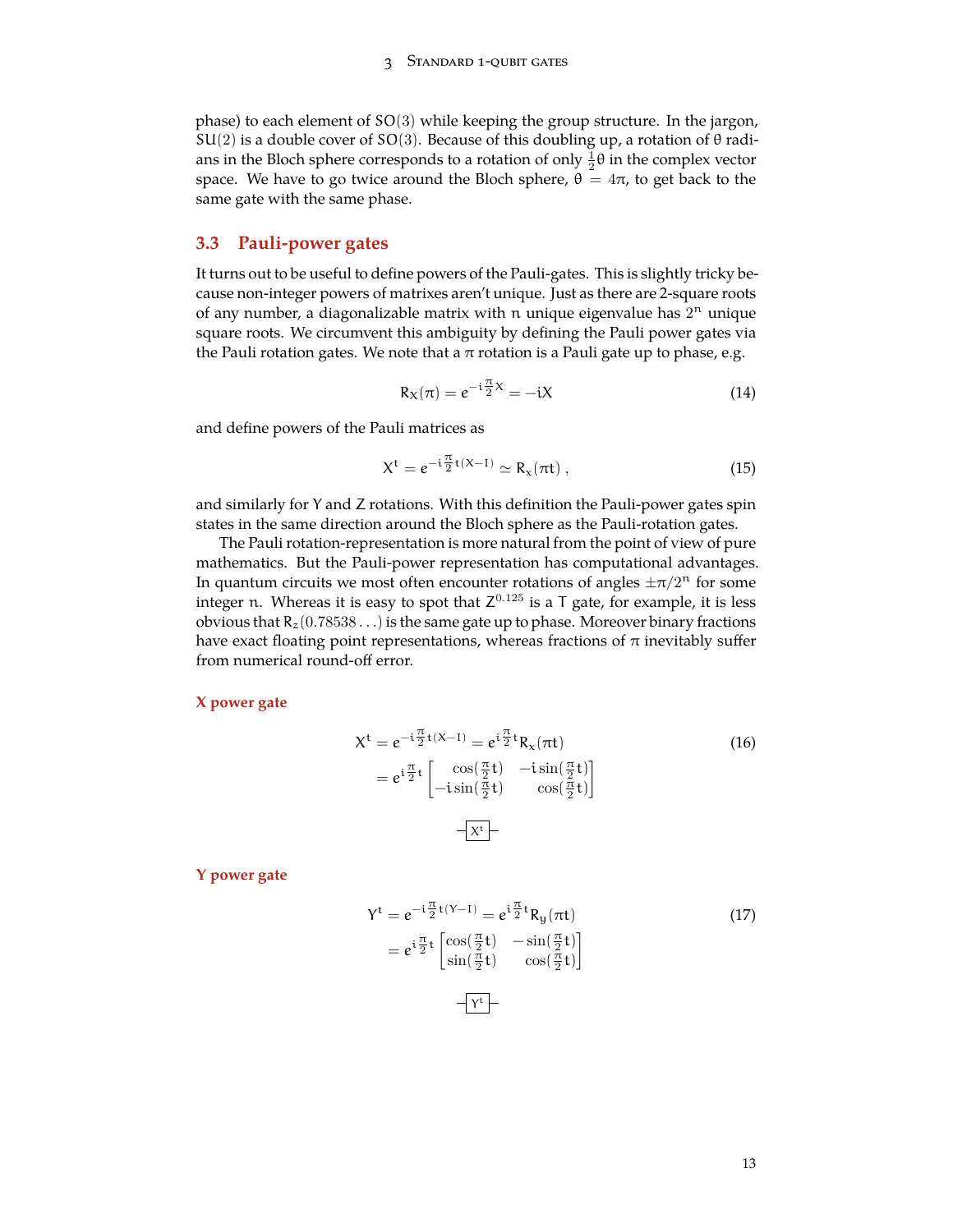phase) to each element of SO(3) while keeping the group structure. In the jargon,  $SU(2)$  is a double cover of SO(3). Because of this doubling up, a rotation of  $\theta$  radians in the Bloch sphere corresponds to a rotation of only  $\frac{1}{2}\theta$  in the complex vector space. We have to go twice around the Bloch sphere,  $\theta = 4\pi$ , to get back to the same gate with the same phase.

## <span id="page-12-0"></span>**3.3 Pauli-power gates**

It turns out to be useful to define powers of the Pauli-gates. This is slightly tricky because non-integer powers of matrixes aren't unique. Just as there are 2-square roots of any number, a diagonalizable matrix with n unique eigenvalue has  $2<sup>n</sup>$  unique square roots. We circumvent this ambiguity by defining the Pauli power gates via the Pauli rotation gates. We note that a  $\pi$  rotation is a Pauli gate up to phase, e.g.

$$
R_X(\pi) = e^{-i\frac{\pi}{2}X} = -iX\tag{14}
$$

and define powers of the Pauli matrices as

$$
X^{t} = e^{-i\frac{\pi}{2}t(X-1)} \simeq R_{x}(\pi t) , \qquad (15)
$$

and similarly for Y and Z rotations. With this definition the Pauli-power gates spin states in the same direction around the Bloch sphere as the Pauli-rotation gates.

The Pauli rotation-representation is more natural from the point of view of pure mathematics. But the Pauli-power representation has computational advantages. In quantum circuits we most often encounter rotations of angles  $\pm \pi/2^{n}$  for some integer n. Whereas it is easy to spot that  $Z^{0.125}$  is a T gate, for example, it is less obvious that  $R_z(0.78538...)$  is the same gate up to phase. Moreover binary fractions have exact floating point representations, whereas fractions of  $\pi$  inevitably suffer from numerical round-off error.

### **X power gate**

$$
X^{t} = e^{-i\frac{\pi}{2}t(X-1)} = e^{i\frac{\pi}{2}t} R_{x}(\pi t)
$$
  
\n
$$
= e^{i\frac{\pi}{2}t} \begin{bmatrix} \cos(\frac{\pi}{2}t) & -i\sin(\frac{\pi}{2}t) \\ -i\sin(\frac{\pi}{2}t) & \cos(\frac{\pi}{2}t) \end{bmatrix}
$$
\n
$$
X^{t}
$$

**Y power gate**

$$
Y^{t} = e^{-i\frac{\pi}{2}t(Y-1)} = e^{i\frac{\pi}{2}t} R_{y}(\pi t)
$$
  
\n
$$
= e^{i\frac{\pi}{2}t} \begin{bmatrix} \cos(\frac{\pi}{2}t) & -\sin(\frac{\pi}{2}t) \\ \sin(\frac{\pi}{2}t) & \cos(\frac{\pi}{2}t) \end{bmatrix}
$$
\n
$$
-Y^{t}
$$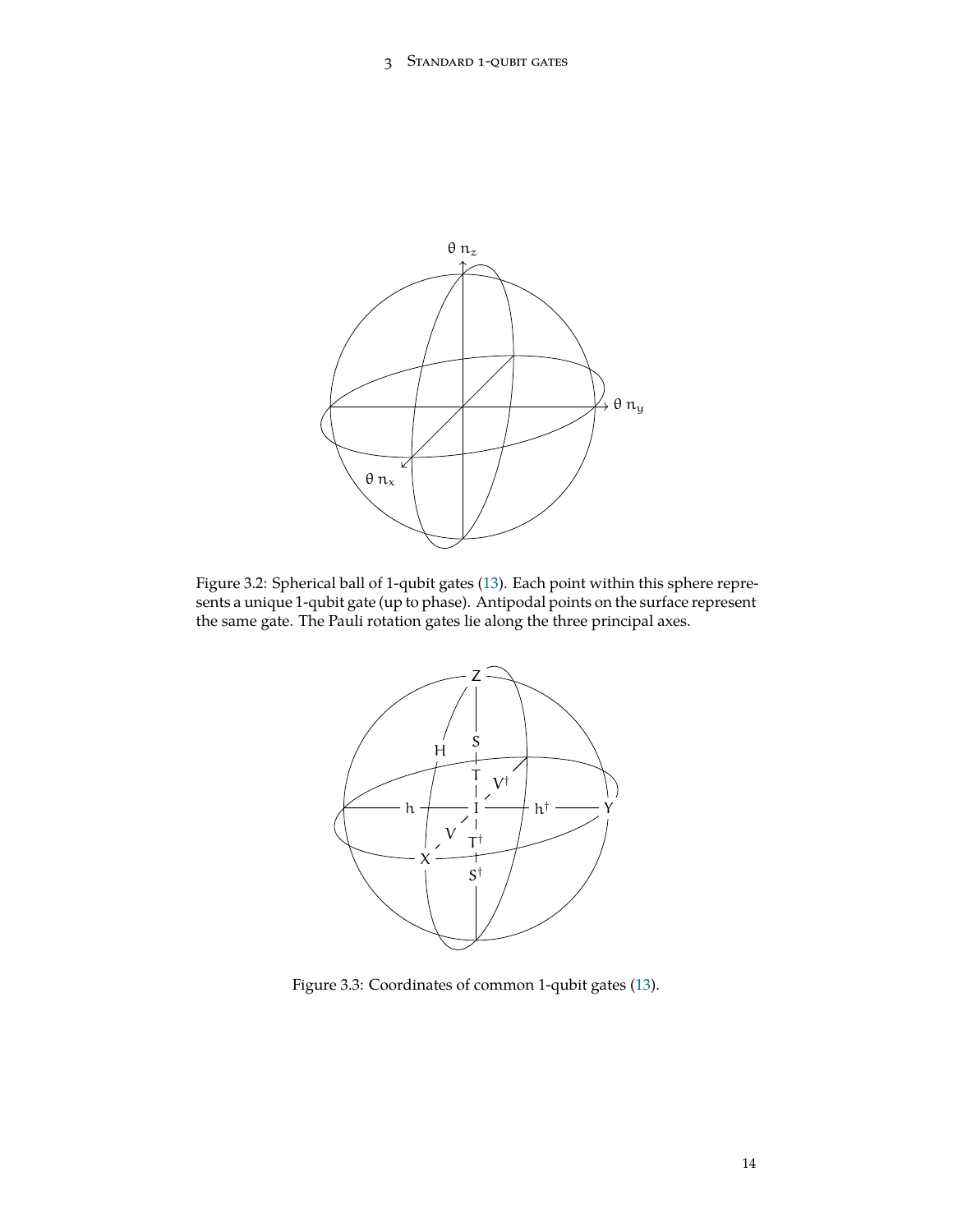

<span id="page-13-0"></span>Figure 3.2: Spherical ball of 1-qubit gates [\(13](#page-11-1)). Each point within this sphere represents a unique 1-qubit gate (up to phase). Antipodal points on the surface represent the same gate. The Pauli rotation gates lie along the three principal axes.



<span id="page-13-1"></span>Figure 3.3: Coordinates of common 1-qubit gates [\(13](#page-11-1)).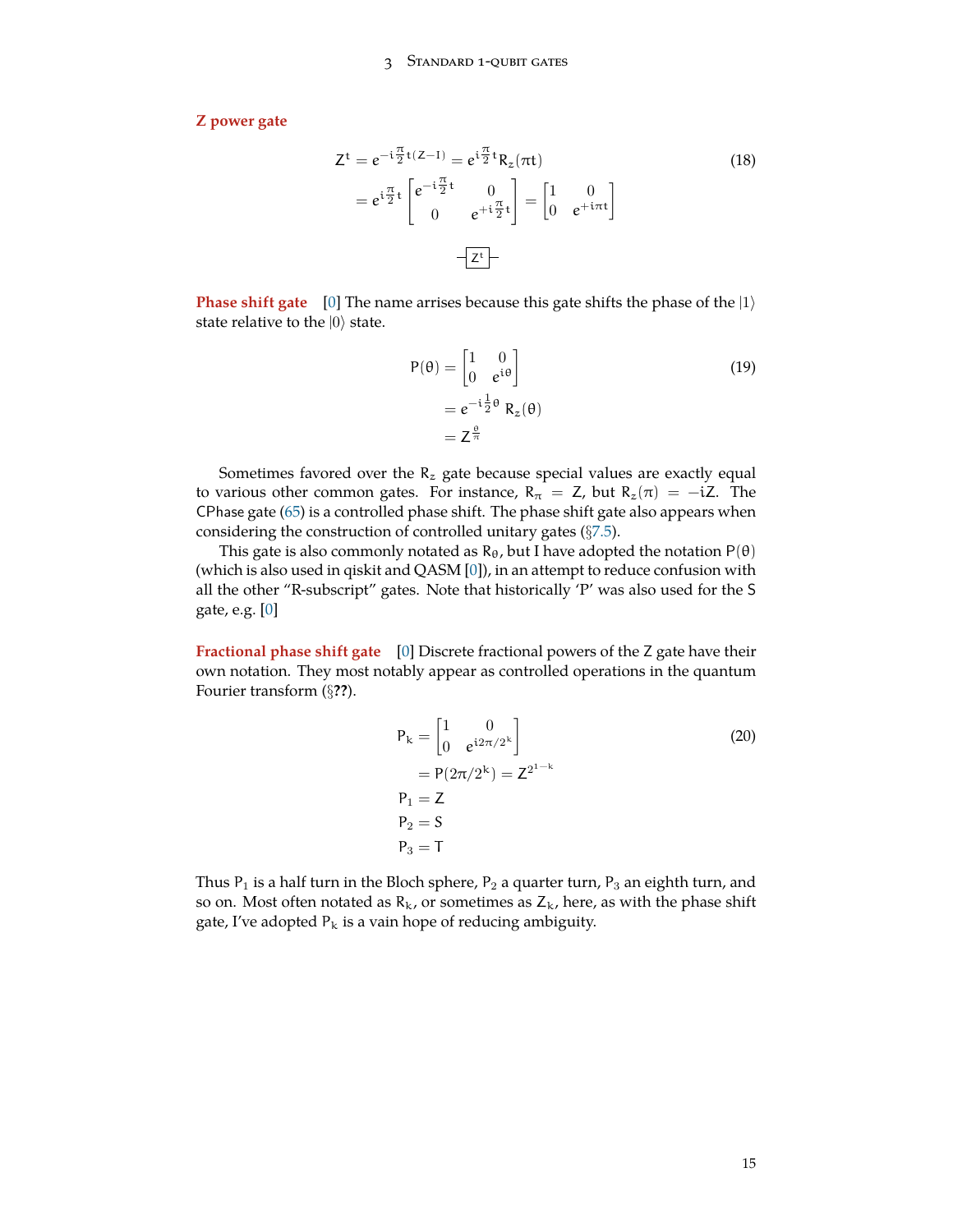**Z power gate**

$$
Z^{t} = e^{-i\frac{\pi}{2}t(Z-1)} = e^{i\frac{\pi}{2}t} R_{z}(\pi t)
$$
  
\n
$$
= e^{i\frac{\pi}{2}t} \begin{bmatrix} e^{-i\frac{\pi}{2}t} & 0\\ 0 & e^{+i\frac{\pi}{2}t} \end{bmatrix} = \begin{bmatrix} 1 & 0\\ 0 & e^{+i\pi t} \end{bmatrix}
$$
  
\n
$$
Z^{t}
$$

**Phase shift gate** [[0\]](#page-71-1) The name arrises because this gate shifts the phase of the |1*⟩* state relative to the |0*⟩* state.

<span id="page-14-1"></span>
$$
P(\theta) = \begin{bmatrix} 1 & 0 \\ 0 & e^{i\theta} \end{bmatrix}
$$
  
=  $e^{-i\frac{1}{2}\theta} R_z(\theta)$   
=  $Z^{\frac{\theta}{\pi}}$  (19)

Sometimes favored over the  $R_z$  gate because special values are exactly equal to various other common gates. For instance,  $R_{\pi} = Z$ , but  $R_{z}(\pi) = -iZ$ . The CPhase gate ([65\)](#page-36-0) is a controlled phase shift. The phase shift gate also appears when considering the construction of controlled unitary gates (*§*[7.5](#page-49-0)).

This gate is also commonly notated as  $R_{\theta}$ , but I have adopted the notation  $P(\theta)$ (which is also used in qiskit and QASM [[0\]](#page-71-1)), in an attempt to reduce confusion with all the other "R-subscript" gates. Note that historically 'P' was also used for the S gate, e.g. [\[0](#page-71-1)]

**Fractional phase shift gate** [\[0](#page-71-1)] Discrete fractional powers of the Z gate have their own notation. They most notably appear as controlled operations in the quantum Fourier transform (*§***??**).

$$
P_{k} = \begin{bmatrix} 1 & 0 \\ 0 & e^{i2\pi/2^{k}} \end{bmatrix}
$$
  
= P(2\pi/2^{k}) = Z<sup>2<sup>1-k</sup></sup>  
P<sub>1</sub> = Z  
P<sub>2</sub> = S  
P<sub>3</sub> = T

<span id="page-14-0"></span>Thus  $P_1$  is a half turn in the Bloch sphere,  $P_2$  a quarter turn,  $P_3$  an eighth turn, and so on. Most often notated as  $R_k$ , or sometimes as  $Z_k$ , here, as with the phase shift gate, I've adopted  $P_k$  is a vain hope of reducing ambiguity.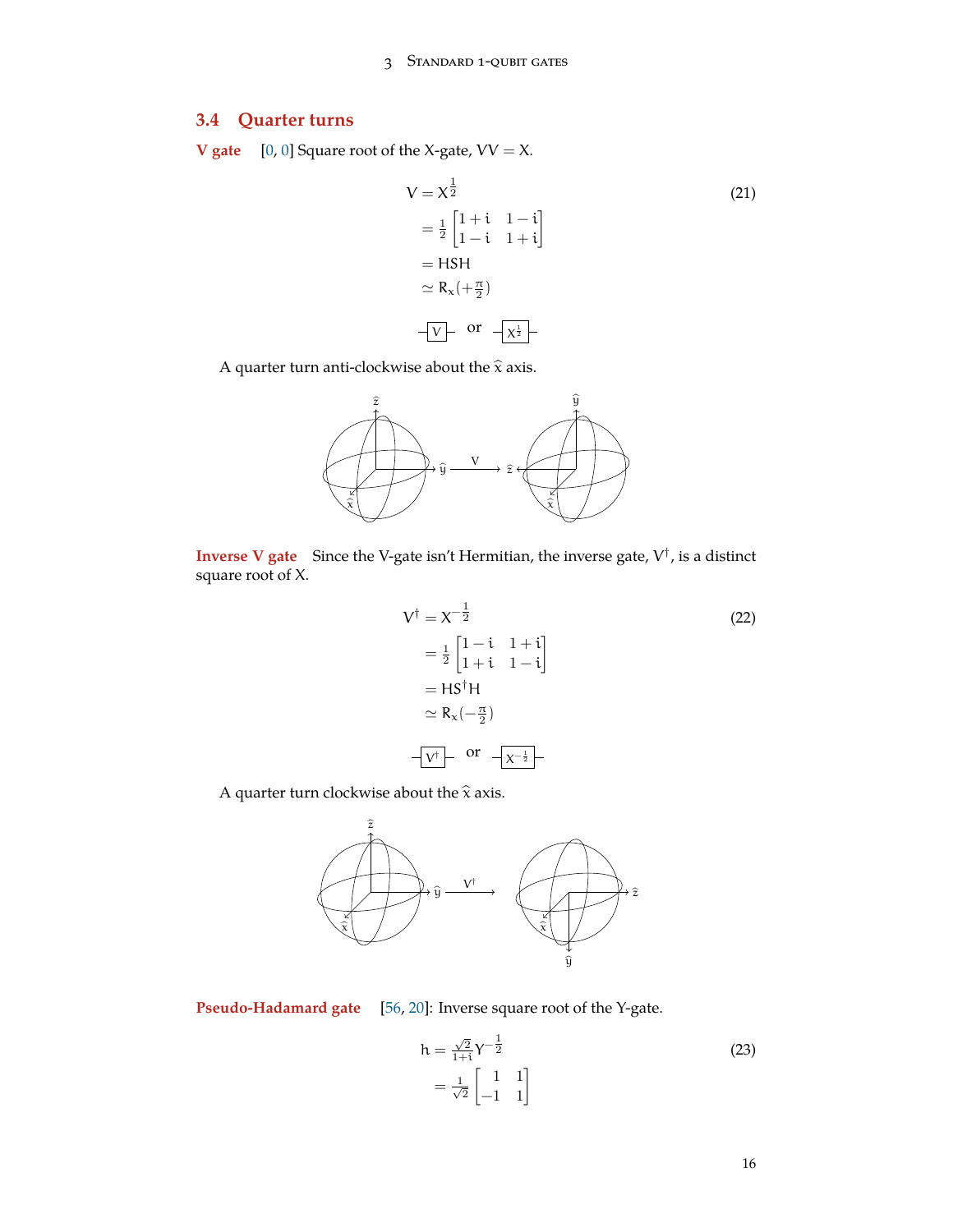# **3.4 Quarter turns**

**V** gate  $[0, 0]$  $[0, 0]$  $[0, 0]$  $[0, 0]$  Square root of the X-gate,  $VV = X$ .

$$
V = X^{\frac{1}{2}}
$$
\n
$$
= \frac{1}{2} \begin{bmatrix} 1 + i & 1 - i \\ 1 - i & 1 + i \end{bmatrix}
$$
\n
$$
= HSH
$$
\n
$$
\simeq R_{x} (+ \frac{\pi}{2})
$$
\n
$$
\overline{V} \begin{bmatrix} \text{or} \\ \overline{X}^{\frac{1}{2}} \end{bmatrix}
$$
\n(21)

A quarter turn anti-clockwise about the  $\hat{x}$  axis.



**Inverse V gate** Since the V-gate isn't Hermitian, the inverse gate, V *†* , is a distinct square root of X.

<span id="page-15-0"></span>
$$
V^{\dagger} = X^{-\frac{1}{2}}
$$
  
\n
$$
= \frac{1}{2} \begin{bmatrix} 1 - i & 1 + i \\ 1 + i & 1 - i \end{bmatrix}
$$
  
\n
$$
= H S^{\dagger} H
$$
  
\n
$$
\simeq R_{x}(-\frac{\pi}{2})
$$
  
\n
$$
-V^{\dagger} \begin{bmatrix} \text{or} \\ \frac{1}{2} \end{bmatrix}
$$

A quarter turn clockwise about the  $\hat{x}$  axis.



**Pseudo-Hadamard gate** [[56,](#page-74-1) [20\]](#page-72-3): Inverse square root of the Y-gate.

$$
h = \frac{\sqrt{2}}{1+i} \gamma^{-\frac{1}{2}}
$$
  
=  $\frac{1}{\sqrt{2}} \begin{bmatrix} 1 & 1 \\ -1 & 1 \end{bmatrix}$  (23)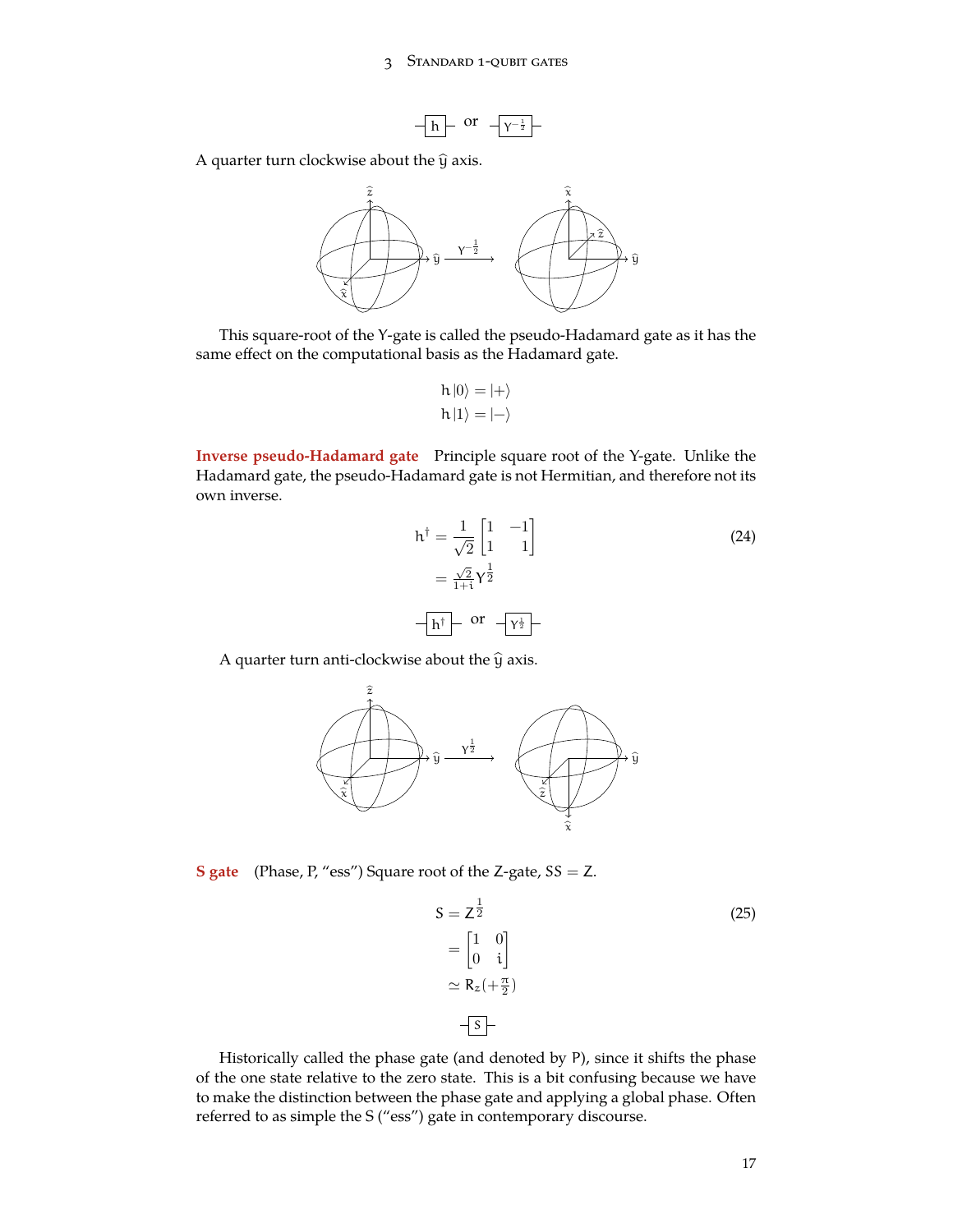

A quarter turn clockwise about the  $\hat{y}$  axis.



This square-root of the Y-gate is called the pseudo-Hadamard gate as it has the same effect on the computational basis as the Hadamard gate.

$$
h|0\rangle = |+\rangle
$$
  

$$
h|1\rangle = |-\rangle
$$

**Inverse pseudo-Hadamard gate** Principle square root of the Y-gate. Unlike the Hadamard gate, the pseudo-Hadamard gate is not Hermitian, and therefore not its own inverse.

$$
h^{\dagger} = \frac{1}{\sqrt{2}} \begin{bmatrix} 1 & -1 \\ 1 & 1 \end{bmatrix}
$$
  
=  $\frac{\sqrt{2}}{1+1} \gamma^{\frac{1}{2}}$   

$$
-\boxed{h^{\dagger}} - \text{ or } -\boxed{\gamma^{\frac{1}{2}}} -
$$
 (24)

A quarter turn anti-clockwise about the  $\hat{y}$  axis.



**S** gate (Phase, P, "ess") Square root of the Z-gate,  $SS = Z$ .

$$
S = Z^{\frac{1}{2}}
$$
  
=  $\begin{bmatrix} 1 & 0 \\ 0 & i \end{bmatrix}$   

$$
\simeq R_z(+\frac{\pi}{2})
$$
  
-S-

Historically called the phase gate (and denoted by P), since it shifts the phase of the one state relative to the zero state. This is a bit confusing because we have to make the distinction between the phase gate and applying a global phase. Often referred to as simple the S ("ess") gate in contemporary discourse.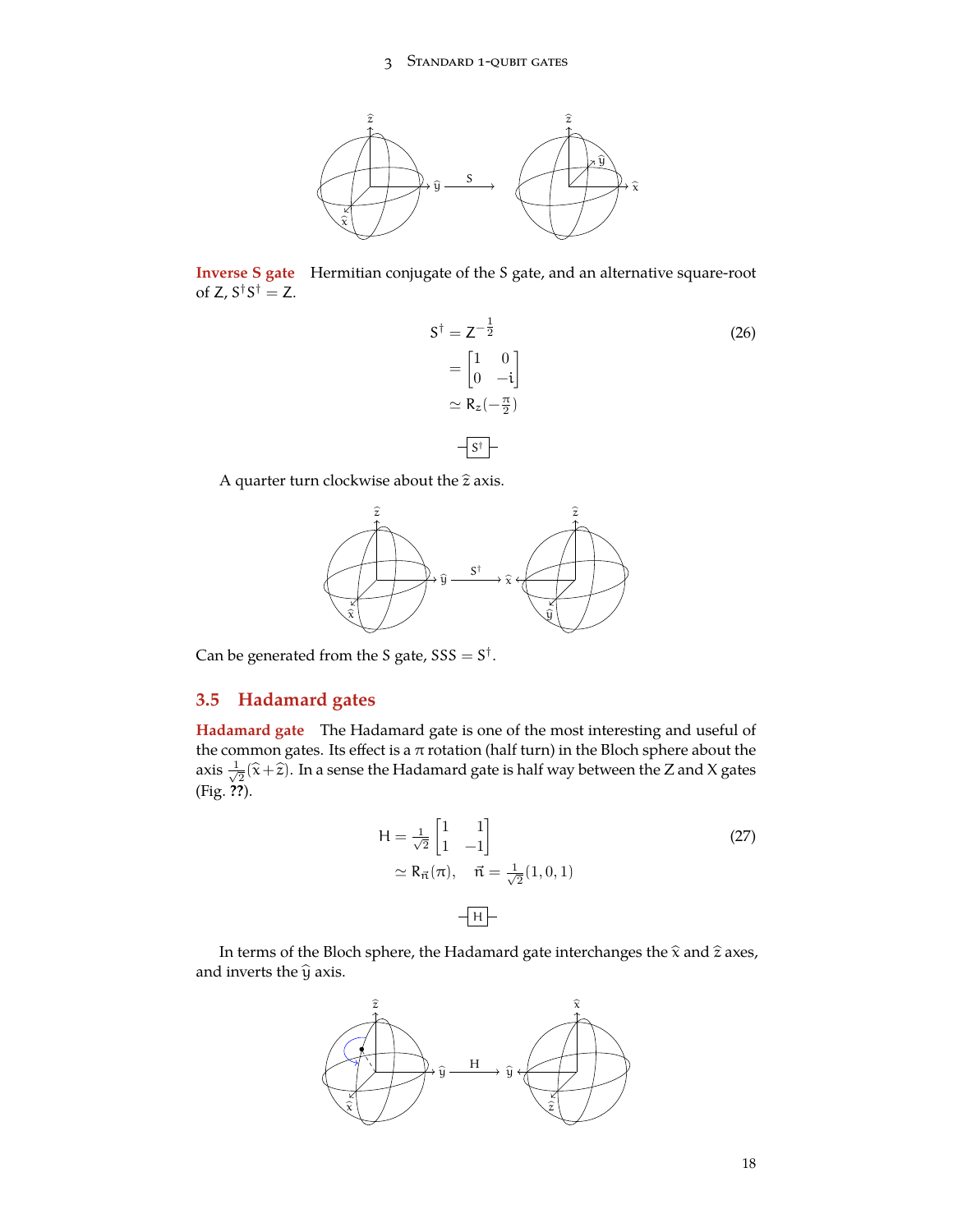

**Inverse S gate** Hermitian conjugate of the S gate, and an alternative square-root of  $Z$ ,  $S^{\dagger}S^{\dagger} = Z$ .

$$
S^{\dagger} = Z^{-\frac{1}{2}}
$$
  
=  $\begin{bmatrix} 1 & 0 \\ 0 & -i \end{bmatrix}$   

$$
\simeq R_{z}(-\frac{\pi}{2})
$$
  

$$
\qquad \qquad -S^{\dagger}
$$

A quarter turn clockwise about the  $\hat{z}$  axis.



Can be generated from the S gate, SSS = S *†* .

# <span id="page-17-0"></span>**3.5 Hadamard gates**

**Hadamard gate** The Hadamard gate is one of the most interesting and useful of the common gates. Its effect is a  $\pi$  rotation (half turn) in the Bloch sphere about the axis *<sup>√</sup>* 1  $\frac{1}{2}(\widehat{\mathsf{x}}+\widehat{\mathsf{z}}).$  In a sense the Hadamard gate is half way between the Z and X gates (Fig. **??**).

$$
H = \frac{1}{\sqrt{2}} \begin{bmatrix} 1 & 1 \\ 1 & -1 \end{bmatrix}
$$
  
\n
$$
\simeq R_{\vec{n}}(\pi), \quad \vec{n} = \frac{1}{\sqrt{2}}(1, 0, 1)
$$
  
\n
$$
-\boxed{H}
$$
 (27)

In terms of the Bloch sphere, the Hadamard gate interchanges the  $\hat{x}$  and  $\hat{z}$  axes, and inverts the  $\widehat{y}$  axis.

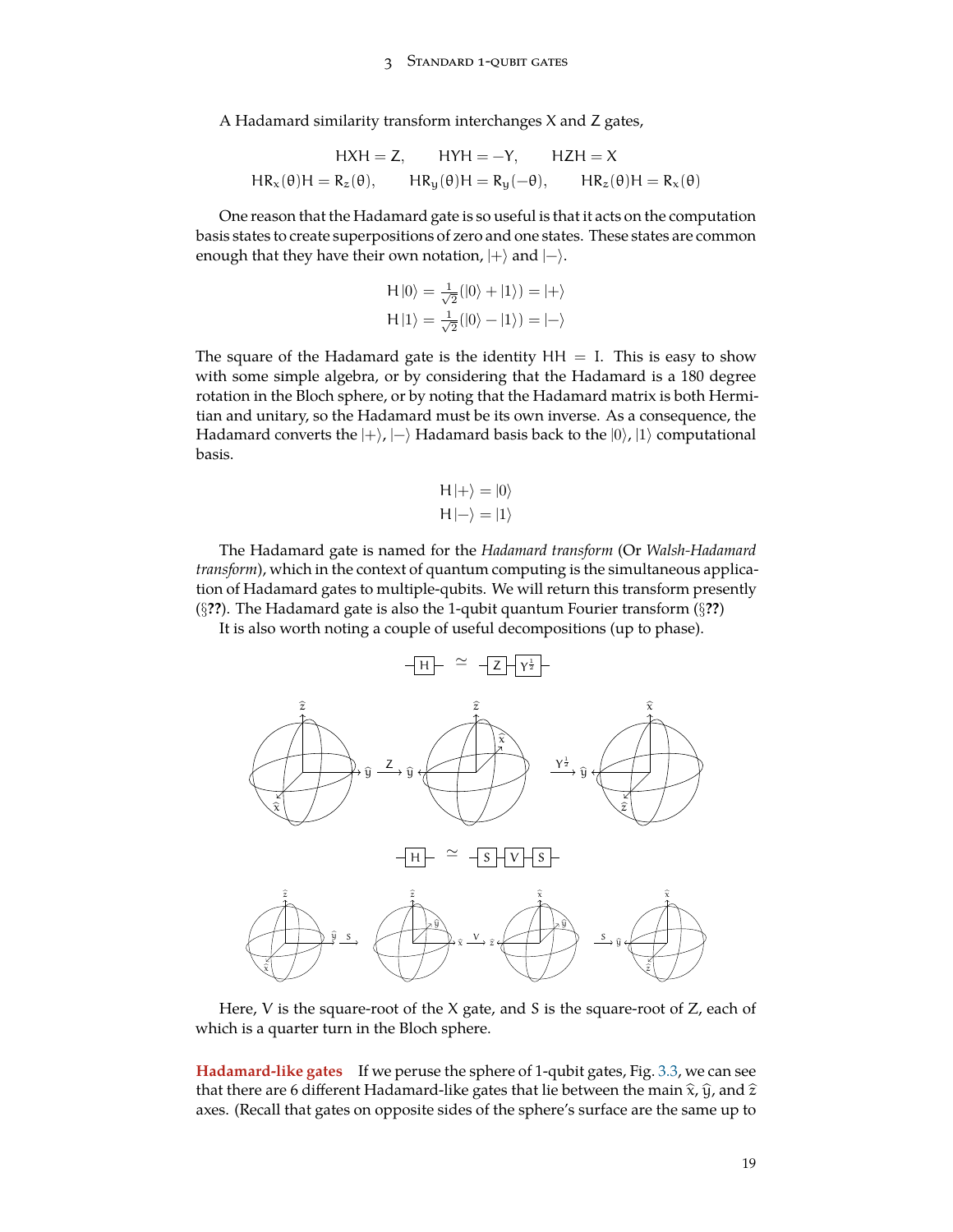A Hadamard similarity transform interchanges X and Z gates,

$$
\begin{aligned} H X H &= Z, \qquad H Y H = -Y, \qquad H Z H = X \\ H R_x(\theta) H &= R_z(\theta), \qquad H R_y(\theta) H = R_y(-\theta), \qquad H R_z(\theta) H = R_x(\theta) \end{aligned}
$$

One reason that the Hadamard gate is so useful is that it acts on the computation basis states to create superpositions of zero and one states. These states are common enough that they have their own notation, |+*⟩* and |−*⟩*.

$$
H|0\rangle = \frac{1}{\sqrt{2}}(|0\rangle + |1\rangle) = |+\rangle
$$
  
\n
$$
H|1\rangle = \frac{1}{\sqrt{2}}(|0\rangle - |1\rangle) = |-\rangle
$$

The square of the Hadamard gate is the identity  $HH = I$ . This is easy to show with some simple algebra, or by considering that the Hadamard is a 180 degree rotation in the Bloch sphere, or by noting that the Hadamard matrix is both Hermitian and unitary, so the Hadamard must be its own inverse. As a consequence, the Hadamard converts the |+*⟩*, |−*⟩* Hadamard basis back to the |0*⟩*, |1*⟩* computational basis.

$$
H \left| + \right\rangle = \left| 0 \right\rangle
$$
  

$$
H \left| - \right\rangle = \left| 1 \right\rangle
$$

The Hadamard gate is named for the *Hadamard transform* (Or *Walsh-Hadamard transform*), which in the context of quantum computing is the simultaneous application of Hadamard gates to multiple-qubits. We will return this transform presently (*§***??**). The Hadamard gate is also the 1-qubit quantum Fourier transform (*§***??**)

It is also worth noting a couple of useful decompositions (up to phase).



Here, V is the square-root of the X gate, and S is the square-root of Z, each of which is a quarter turn in the Bloch sphere.

<span id="page-18-0"></span>**Hadamard-like gates** If we peruse the sphere of 1-qubit gates, Fig. [3.3,](#page-13-1) we can see that there are 6 different Hadamard-like gates that lie between the main  $\hat{x}$ ,  $\hat{y}$ , and  $\hat{z}$ axes. (Recall that gates on opposite sides of the sphere's surface are the same up to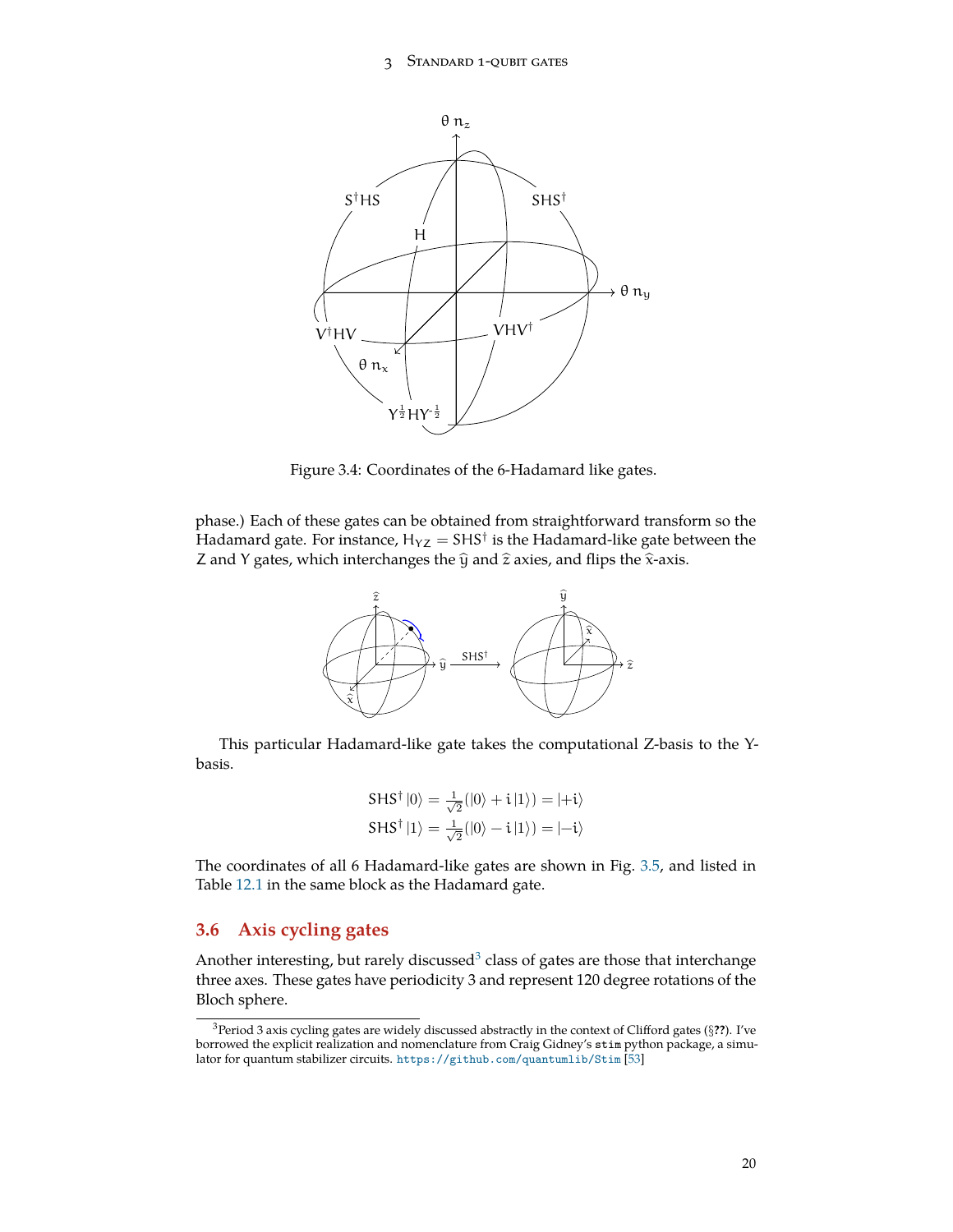

<span id="page-19-1"></span>Figure 3.4: Coordinates of the 6-Hadamard like gates.

phase.) Each of these gates can be obtained from straightforward transform so the Hadamard gate. For instance,  $\mathsf{H}_{\mathsf{YZ}} = {\mathsf{SHS}}^{\dagger}$  is the Hadamard-like gate between the Z and Y gates, which interchanges the  $\hat{y}$  and  $\hat{z}$  axies, and flips the  $\hat{x}$ -axis.



This particular Hadamard-like gate takes the computational Z-basis to the Ybasis.

$$
SHS^{\dagger} |0\rangle = \frac{1}{\sqrt{2}} (|0\rangle + i|1\rangle) = |+i\rangle
$$
  

$$
SHS^{\dagger} |1\rangle = \frac{1}{\sqrt{2}} (|0\rangle - i|1\rangle) = |-i\rangle
$$

The coordinates of all 6 Hadamard-like gates are shown in Fig. [3.5](#page-18-0), and listed in Table [12.1](#page-66-0) in the same block as the Hadamard gate.

## <span id="page-19-0"></span>**3.6 Axis cycling gates**

Another interesting, but rarely discussed<sup>[3](#page-19-2)</sup> class of gates are those that interchange three axes. These gates have periodicity 3 and represent 120 degree rotations of the Bloch sphere.

<span id="page-19-2"></span><sup>3</sup>Period 3 axis cycling gates are widely discussed abstractly in the context of Clifford gates (*§***??**). I've borrowed the explicit realization and nomenclature from Craig Gidney's stim python package, a simulator for quantum stabilizer circuits. <https://github.com/quantumlib/Stim> [[53\]](#page-74-2)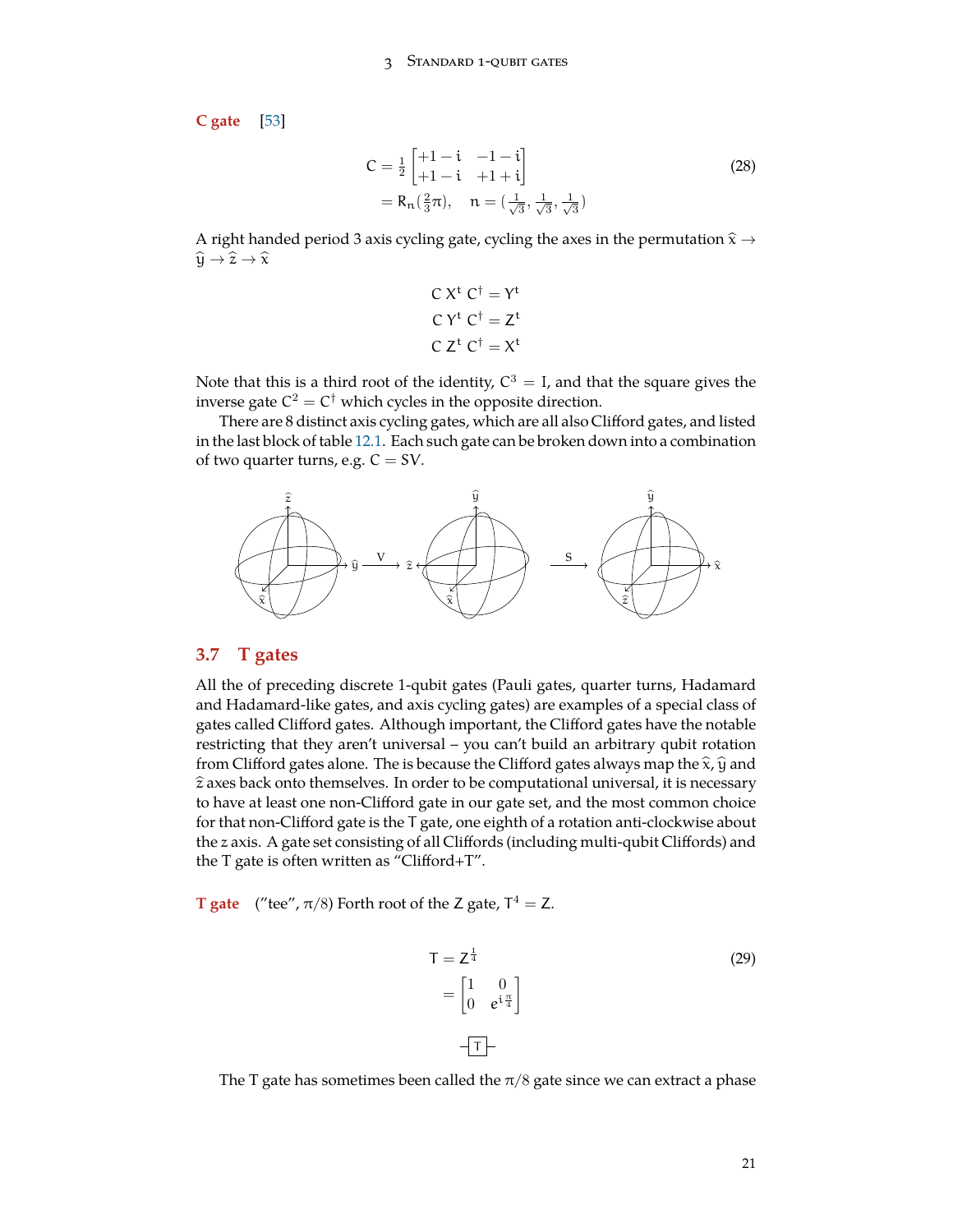**C gate** [\[53](#page-74-2)]

$$
C = \frac{1}{2} \begin{bmatrix} +1 - i & -1 - i \\ +1 - i & +1 + i \end{bmatrix}
$$
  
= R<sub>n</sub>( $\frac{2}{3}$ π), n = ( $\frac{1}{\sqrt{3}}, \frac{1}{\sqrt{3}}, \frac{1}{\sqrt{3}}$ ) (28)

A right handed period 3 axis cycling gate, cycling the axes in the permutation <sup>b</sup><sup>x</sup> *<sup>→</sup>*  $\hat{\mathfrak{y}} \to \hat{\mathfrak{x}} \to \hat{\mathfrak{x}}$ 

$$
C Xt C\dagger = Yt
$$

$$
C Yt C\dagger = Zt
$$

$$
C Zt C\dagger = Xt
$$

Note that this is a third root of the identity,  $C^3 = I$ , and that the square gives the inverse gate  $C^2 = C^\dagger$  which cycles in the opposite direction.

There are 8 distinct axis cycling gates, which are all also Clifford gates, and listed in the last block of table [12.1.](#page-66-0) Each such gate can be broken down into a combination of two quarter turns, e.g.  $C = SV$ .



### <span id="page-20-0"></span>**3.7 T gates**

All the of preceding discrete 1-qubit gates (Pauli gates, quarter turns, Hadamard and Hadamard-like gates, and axis cycling gates) are examples of a special class of gates called Clifford gates. Although important, the Clifford gates have the notable restricting that they aren't universal – you can't build an arbitrary qubit rotation from Clifford gates alone. The is because the Clifford gates always map the  $\hat{x}$ ,  $\hat{y}$  and  $\hat{z}$  axes back onto themselves. In order to be computational universal, it is necessary to have at least one non-Clifford gate in our gate set, and the most common choice for that non-Clifford gate is the T gate, one eighth of a rotation anti-clockwise about the z axis. A gate set consisting of all Cliffords (including multi-qubit Cliffords) and the T gate is often written as "Clifford+T".

**T** gate ("tee",  $\pi/8$ ) Forth root of the Z gate,  $T^4 = Z$ .

$$
T = Z^{\frac{1}{4}}
$$
\n
$$
= \begin{bmatrix} 1 & 0 \\ 0 & e^{i\frac{\pi}{4}} \end{bmatrix}
$$
\n
$$
\begin{aligned} \boxed{1} \end{aligned}
$$
\n
$$
\boxed{1}
$$
\n
$$
\boxed{1}
$$
\n
$$
\boxed{1}
$$
\n
$$
\boxed{1}
$$
\n
$$
\boxed{1}
$$
\n
$$
\boxed{1}
$$
\n
$$
\boxed{29}
$$

The T gate has sometimes been called the  $\pi/8$  gate since we can extract a phase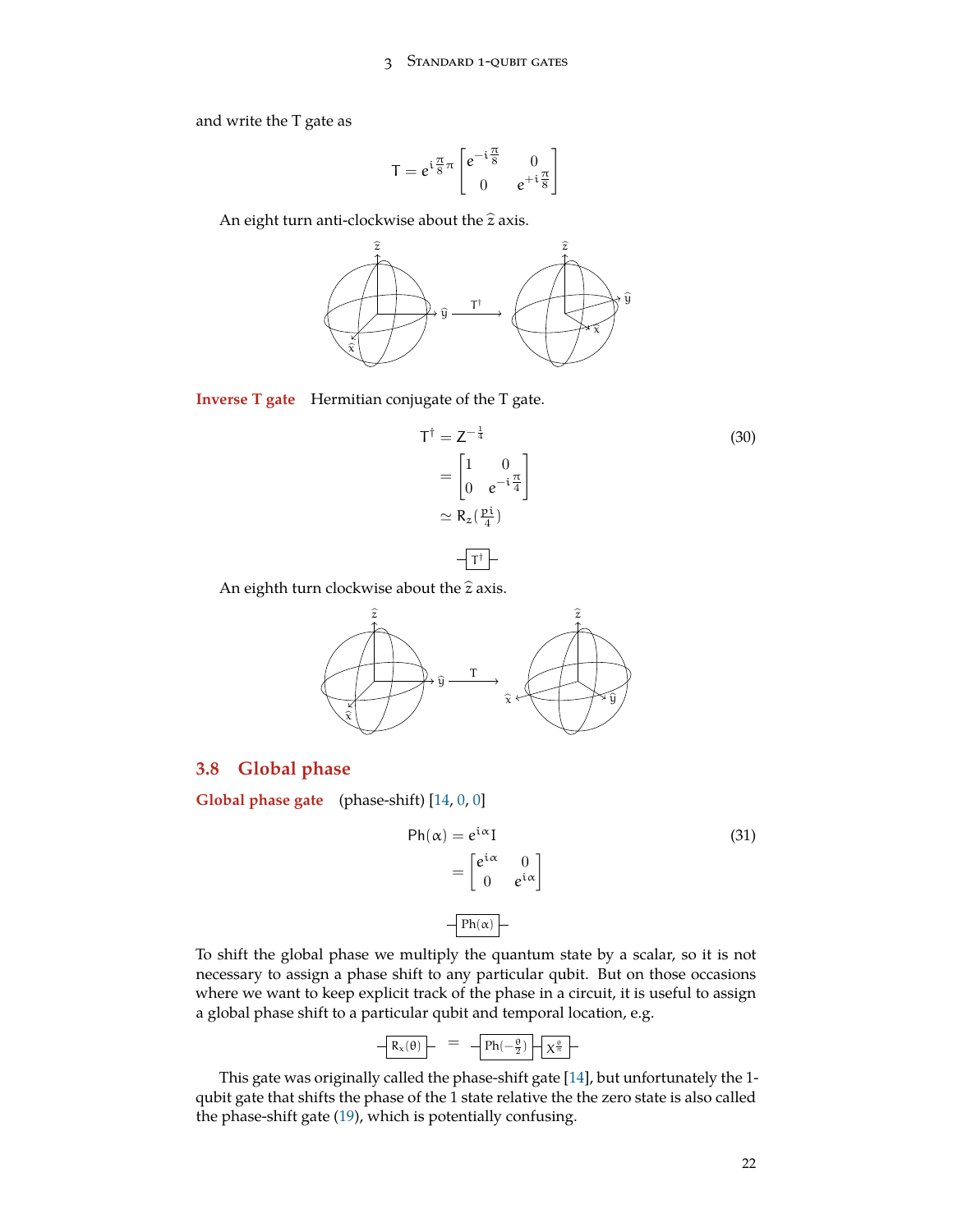and write the T gate as

$$
T=e^{i\frac{\pi}{8}\pi}\begin{bmatrix}e^{-i\frac{\pi}{8}}&0\\0&e^{+i\frac{\pi}{8}}\end{bmatrix}
$$

An eight turn anti-clockwise about the  $\hat{z}$  axis.



**Inverse T gate** Hermitian conjugate of the T gate.

$$
T^{\dagger} = Z^{-\frac{1}{4}}
$$
\n
$$
= \begin{bmatrix} 1 & 0 \\ 0 & e^{-i\frac{\pi}{4}} \end{bmatrix}
$$
\n
$$
\simeq R_z(\frac{pi}{4})
$$
\n
$$
\overline{T^{\dagger}}
$$
\n(30)

An eighth turn clockwise about the  $\hat{z}$  axis.



### <span id="page-21-0"></span>**3.8 Global phase**

**Global phase gate** (phase-shift) [[14,](#page-71-5) [0,](#page-71-1) [0\]](#page-71-1)



To shift the global phase we multiply the quantum state by a scalar, so it is not necessary to assign a phase shift to any particular qubit. But on those occasions where we want to keep explicit track of the phase in a circuit, it is useful to assign a global phase shift to a particular qubit and temporal location, e.g.

$$
\boxed{R_x(\theta)}{\qquad \qquad }=\quad \boxed{Ph(-\frac{\theta}{2})\left.\bigg\vert \sqrt{\chi^{\frac{\theta}{\pi}}}\, \right.} \, \, \, \quad
$$

This gate was originally called the phase-shift gate [[14\]](#page-71-5), but unfortunately the 1 qubit gate that shifts the phase of the 1 state relative the the zero state is also called the phase-shift gate ([19\)](#page-14-1), which is potentially confusing.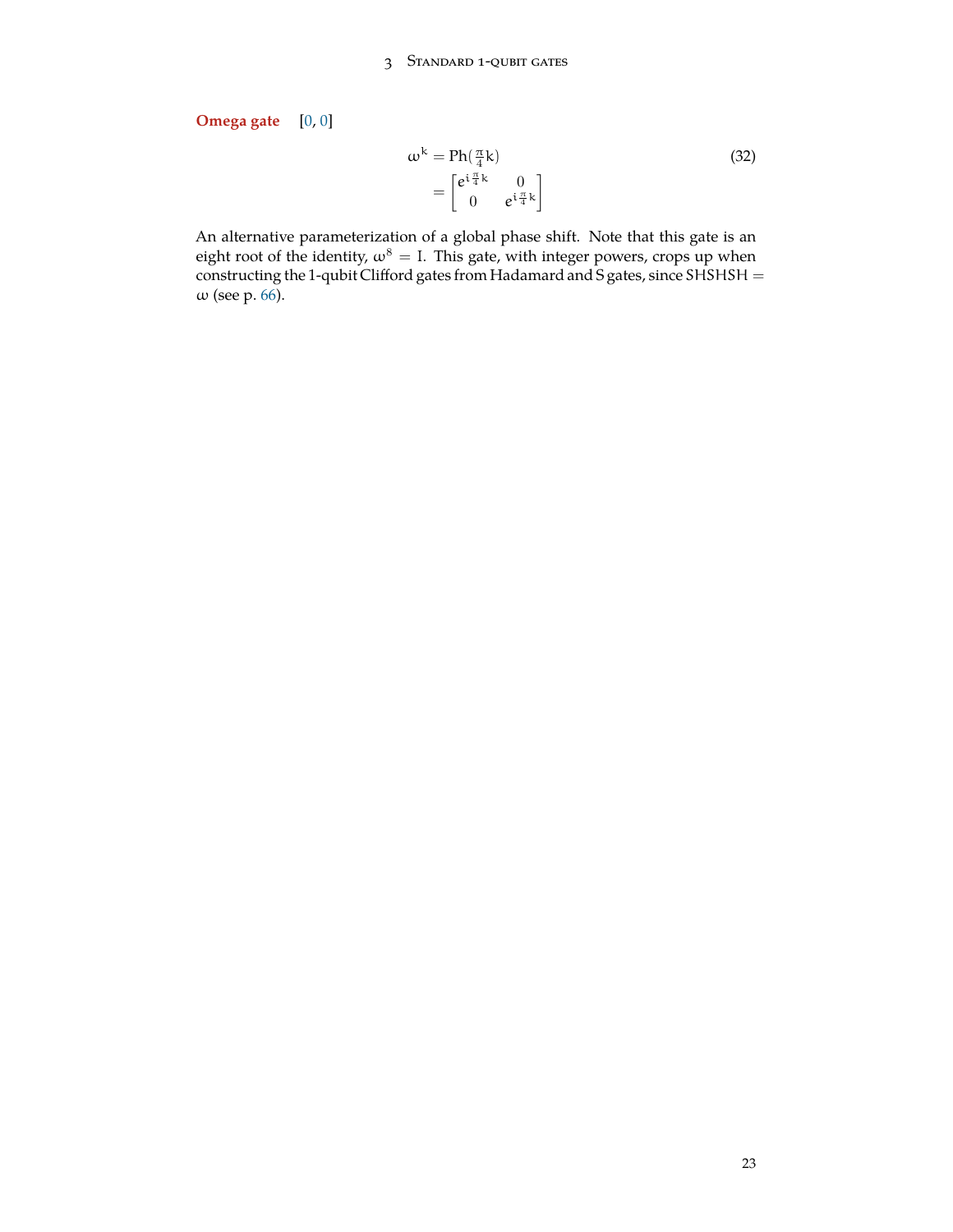**Omega gate** [[0,](#page-71-1) [0\]](#page-71-1)

$$
\omega^{k} = \text{Ph}(\frac{\pi}{4}k)
$$
  
= 
$$
\begin{bmatrix} e^{i\frac{\pi}{4}k} & 0\\ 0 & e^{i\frac{\pi}{4}k} \end{bmatrix}
$$
 (32)

An alternative parameterization of a global phase shift. Note that this gate is an eight root of the identity,  $\omega^8 = I$ . This gate, with integer powers, crops up when constructing the 1-qubit Clifford gates from Hadamard and S gates, since SHSHSH = ω (see p. [66](#page-64-1)).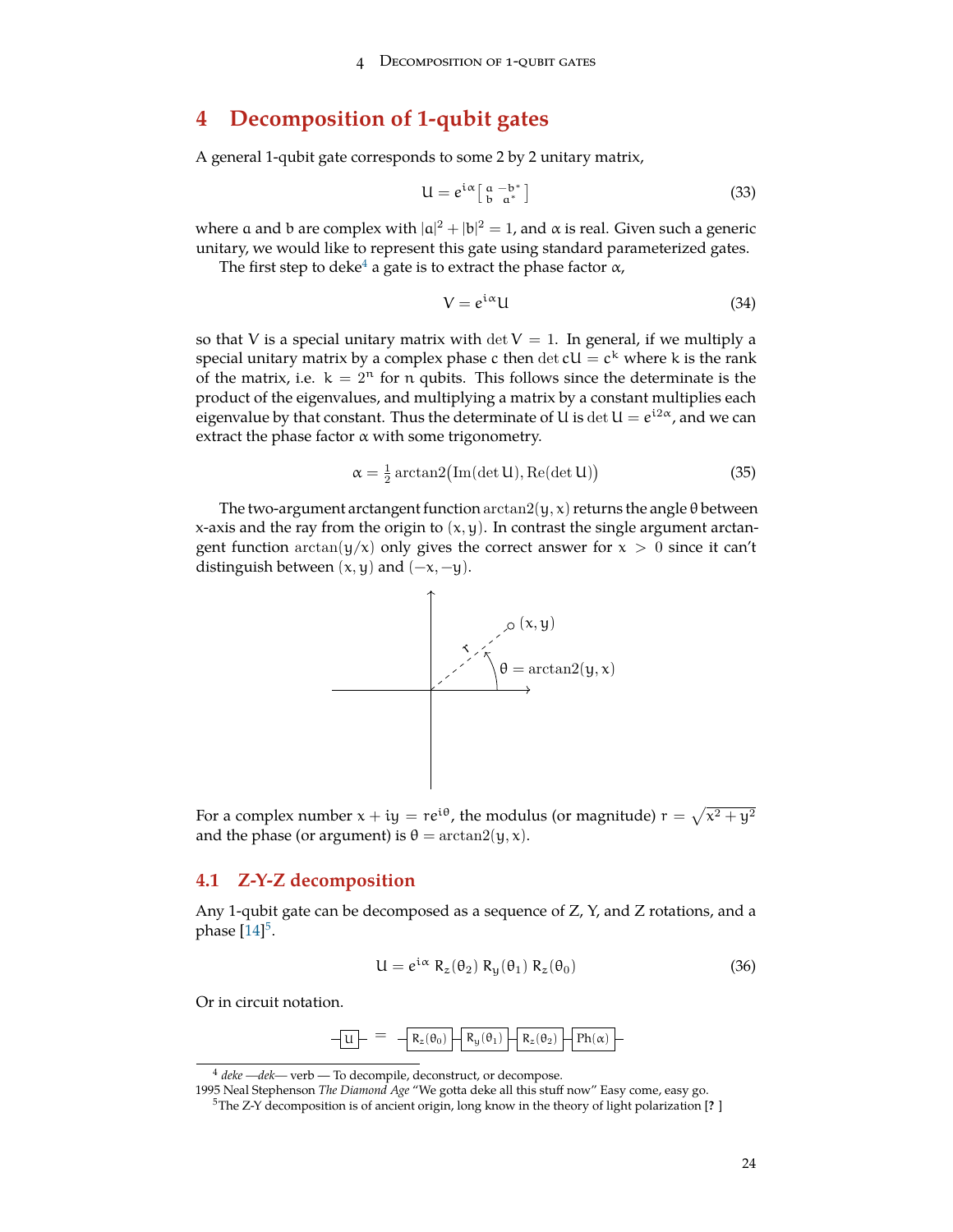# <span id="page-23-0"></span>**4 Decomposition of 1-qubit gates**

A general 1-qubit gate corresponds to some 2 by 2 unitary matrix,

$$
U = e^{i\alpha} \left[ \begin{array}{cc} a & -b^* \\ b & a^* \end{array} \right] \tag{33}
$$

where a and b are complex with  $|a|^2 + |b|^2 = 1$ , and  $\alpha$  is real. Given such a generic unitary, we would like to represent this gate using standard parameterized gates.

The first step to deke<sup>[4](#page-23-2)</sup> a gate is to extract the phase factor  $\alpha$ ,

<span id="page-23-4"></span>
$$
V = e^{i\alpha}U\tag{34}
$$

so that V is a special unitary matrix with det  $V = 1$ . In general, if we multiply a special unitary matrix by a complex phase  $c$  then  $\det cU = c^k$  where k is the rank of the matrix, i.e.  $k = 2<sup>n</sup>$  for n qubits. This follows since the determinate is the product of the eigenvalues, and multiplying a matrix by a constant multiplies each eigenvalue by that constant. Thus the determinate of U is  $\det U = e^{i2\alpha}$ , and we can extract the phase factor  $\alpha$  with some trigonometry.

$$
\alpha = \frac{1}{2}\arctan 2(\text{Im}(\det U), \text{Re}(\det U))
$$
\n(35)

The two-argument arctangent function  $arctan2(y, x)$  returns the angle θ between x-axis and the ray from the origin to  $(x, y)$ . In contrast the single argument arctangent function  $arctan(y/x)$  only gives the correct answer for  $x > 0$  since it can't distinguish between  $(x, y)$  and  $(-x, -y)$ .



For a complex number  $\mathrm{\mathsf{x}}+\mathrm{\mathsf{i}}\mathrm{\mathsf{y}}=\mathrm{\mathsf{r}}\mathrm{e}^{\mathrm{\mathsf{i}}\theta}$ , the modulus (or magnitude)  $\mathrm{\mathsf{r}}=\sqrt{\mathrm{\mathsf{x}}^2+\mathrm{\mathsf{y}}^2}$ and the phase (or argument) is  $\theta = \arctan 2(y, x)$ .

### <span id="page-23-1"></span>**4.1 Z-Y-Z decomposition**

Any 1-qubit gate can be decomposed as a sequence of  $Z$ ,  $Y$ , and  $Z$  rotations, and a phase  $[14]^5$  $[14]^5$  $[14]^5$ .

$$
U = e^{i\alpha} R_z(\theta_2) R_y(\theta_1) R_z(\theta_0)
$$
 (36)

Or in circuit notation.

$$
\boxed{u} = -R_z(\theta_0) - R_y(\theta_1) - R_z(\theta_2) - Ph(\alpha)
$$

<span id="page-23-2"></span><sup>4</sup> *deke —dek—* verb — To decompile, deconstruct, or decompose.

<sup>1995</sup> Neal Stephenson *The Diamond Age* "We gotta deke all this stuff now" Easy come, easy go.

<span id="page-23-3"></span><sup>5</sup>The Z-Y decomposition is of ancient origin, long know in the theory of light polarization [**?** ]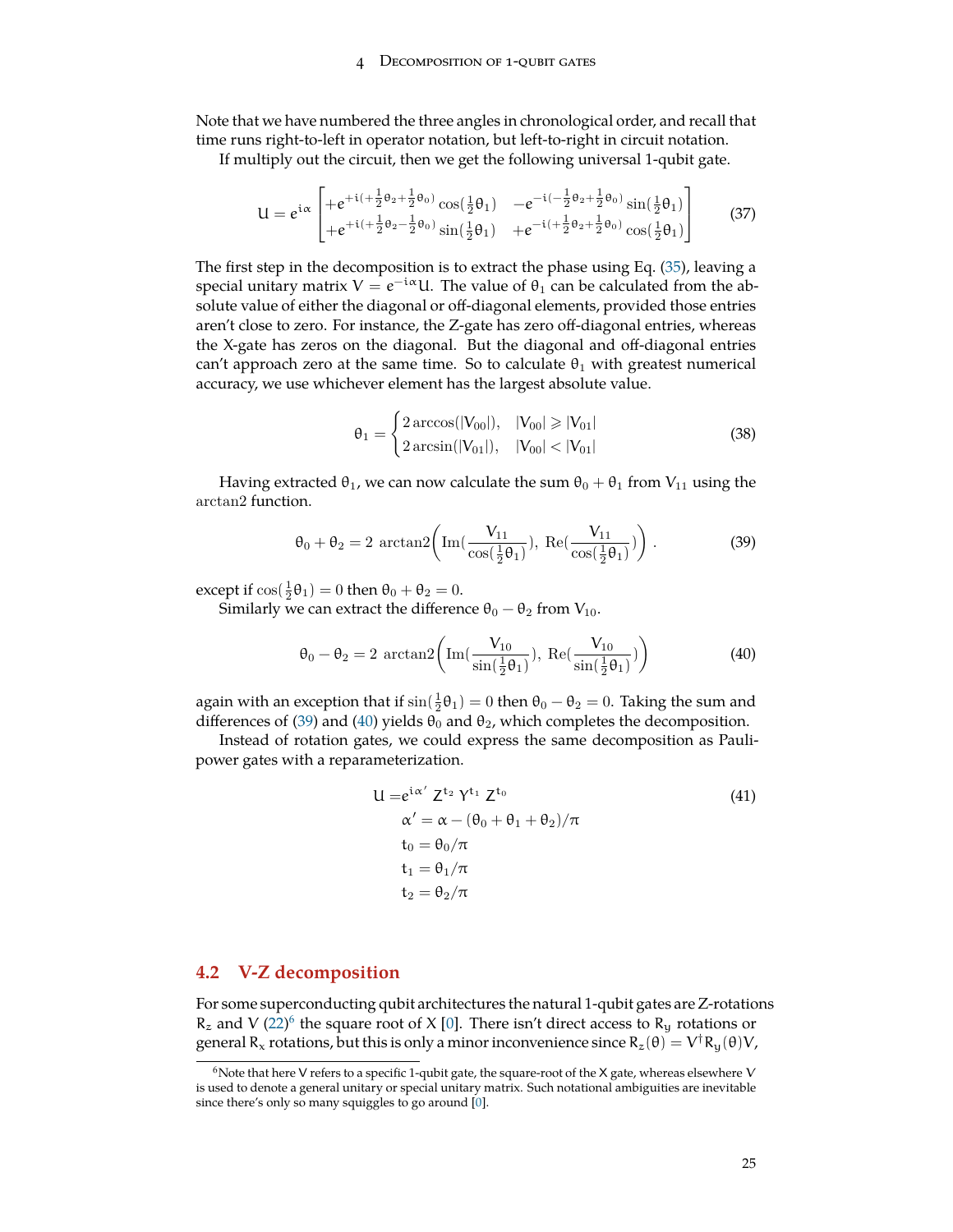#### DECOMPOSITION OF 1-QUBIT GATES

Note that we have numbered the three angles in chronological order, and recall that time runs right-to-left in operator notation, but left-to-right in circuit notation.

If multiply out the circuit, then we get the following universal 1-qubit gate.

$$
U = e^{i\alpha} \begin{bmatrix} +e^{+i(+\frac{1}{2}\theta_2 + \frac{1}{2}\theta_0)}\cos(\frac{1}{2}\theta_1) & -e^{-i(-\frac{1}{2}\theta_2 + \frac{1}{2}\theta_0)}\sin(\frac{1}{2}\theta_1) \\ +e^{+i(+\frac{1}{2}\theta_2 - \frac{1}{2}\theta_0)}\sin(\frac{1}{2}\theta_1) & +e^{-i(+\frac{1}{2}\theta_2 + \frac{1}{2}\theta_0)}\cos(\frac{1}{2}\theta_1) \end{bmatrix}
$$
(37)

The first step in the decomposition is to extract the phase using Eq. ([35\)](#page-23-4), leaving a special unitary matrix  $V = e^{-i\alpha}U$ . The value of  $\theta_1$  can be calculated from the absolute value of either the diagonal or off-diagonal elements, provided those entries aren't close to zero. For instance, the Z-gate has zero off-diagonal entries, whereas the X-gate has zeros on the diagonal. But the diagonal and off-diagonal entries can't approach zero at the same time. So to calculate  $\theta_1$  with greatest numerical accuracy, we use whichever element has the largest absolute value.

<span id="page-24-1"></span>
$$
\theta_1 = \begin{cases} 2 \arccos(|V_{00}|), & |V_{00}| \ge |V_{01}| \\ 2 \arcsin(|V_{01}|), & |V_{00}| < |V_{01}| \end{cases}
$$
(38)

Having extracted  $\theta_1$ , we can now calculate the sum  $\theta_0 + \theta_1$  from  $V_{11}$  using the arctan2 function.

$$
\theta_0 + \theta_2 = 2 \arctan 2 \left( \operatorname{Im}(\frac{V_{11}}{\cos(\frac{1}{2}\theta_1)}), \operatorname{Re}(\frac{V_{11}}{\cos(\frac{1}{2}\theta_1)}) \right). \tag{39}
$$

except if  $\cos(\frac{1}{2}\theta_1) = 0$  then  $\theta_0 + \theta_2 = 0$ .

Similarly we can extract the difference  $\theta_0 - \theta_2$  from  $V_{10}$ .

$$
\theta_0 - \theta_2 = 2 \arctan 2 \left( \operatorname{Im}(\frac{V_{10}}{\sin(\frac{1}{2}\theta_1)}), \operatorname{Re}(\frac{V_{10}}{\sin(\frac{1}{2}\theta_1)}) \right)
$$
(40)

again with an exception that if  $\sin(\frac{1}{2}\theta_1)=0$  then  $\theta_0-\theta_2=0$ . Taking the sum and differences of [\(39](#page-24-1)) and ([40\)](#page-24-2) yields  $\theta_0$  and  $\theta_2$ , which completes the decomposition.

Instead of rotation gates, we could express the same decomposition as Paulipower gates with a reparameterization.

<span id="page-24-2"></span>
$$
U = e^{i\alpha'} Z^{t_2} Y^{t_1} Z^{t_0}
$$
  
\n
$$
\alpha' = \alpha - (\theta_0 + \theta_1 + \theta_2) / \pi
$$
  
\n
$$
t_0 = \theta_0 / \pi
$$
  
\n
$$
t_1 = \theta_1 / \pi
$$
  
\n
$$
t_2 = \theta_2 / \pi
$$
\n(41)

#### <span id="page-24-0"></span>**4.2 V-Z decomposition**

For some superconducting qubit architectures the natural 1-qubit gates are Z-rotations  $R_z$  and V ([22\)](#page-15-0)<sup>[6](#page-24-3)</sup> the square root of X [[0\]](#page-71-1). There isn't direct access to  $R_y$  rotations or general R<sub>x</sub> rotations, but this is only a minor inconvenience since  $R_z(\theta)=V^\dagger R_y(\theta)V$ ,

<span id="page-24-3"></span><sup>&</sup>lt;sup>6</sup>Note that here V refers to a specific 1-qubit gate, the square-root of the X gate, whereas elsewhere V is used to denote a general unitary or special unitary matrix. Such notational ambiguities are inevitable since there's only so many squiggles to go around [[0\]](#page-71-1).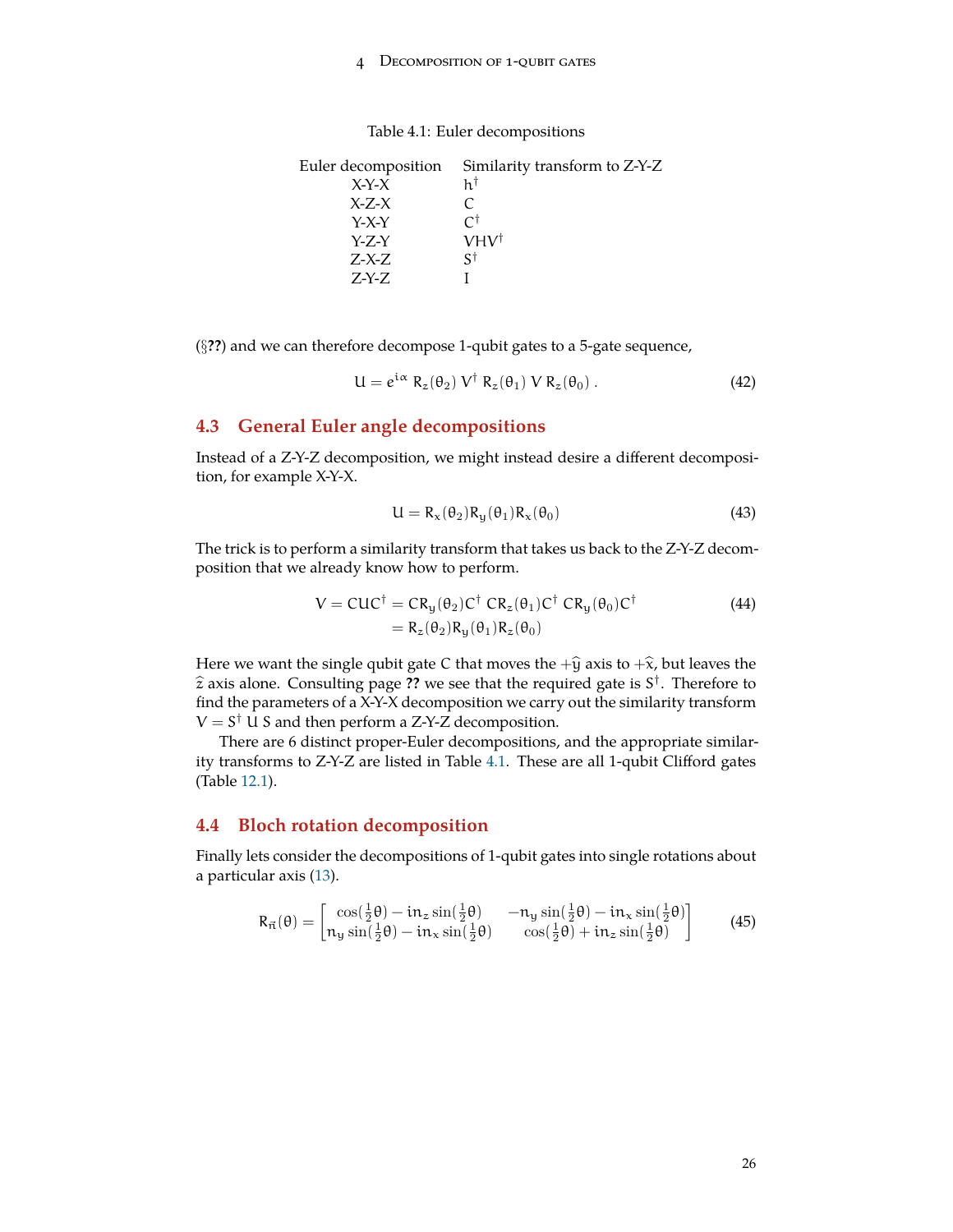#### 4 Decomposition of 1-qubit gates

| Similarity transform to Z-Y-Z |
|-------------------------------|
| h†                            |
| C                             |
| Γt                            |
| $VHV^{\dagger}$               |
| ۲¢                            |
|                               |
|                               |

<span id="page-25-2"></span>Table 4.1: Euler decompositions

(*§***??**) and we can therefore decompose 1-qubit gates to a 5-gate sequence,

$$
U = e^{i\alpha} R_z(\theta_2) V^{\dagger} R_z(\theta_1) V R_z(\theta_0).
$$
 (42)

### <span id="page-25-0"></span>**4.3 General Euler angle decompositions**

Instead of a Z-Y-Z decomposition, we might instead desire a different decomposition, for example X-Y-X.

$$
U = R_x(\theta_2) R_y(\theta_1) R_x(\theta_0)
$$
\n(43)

The trick is to perform a similarity transform that takes us back to the Z-Y-Z decomposition that we already know how to perform.

$$
V = CUC^{\dagger} = CR_y(\theta_2)C^{\dagger} CR_z(\theta_1)C^{\dagger} CR_y(\theta_0)C^{\dagger}
$$
  
= R\_z(\theta\_2)R\_y(\theta\_1)R\_z(\theta\_0) (44)

Here we want the single qubit gate C that moves the  $+\hat{y}$  axis to  $+\hat{x}$ , but leaves the  $\hat{z}$  axis alone. Consulting page ?? we see that the required gate is  $S^{\dagger}$ . Therefore to  $f_{\text{ind}}$  the parameters of a  $\Delta$   $\Sigma$   $\Sigma$  decomposition we canny out the similarity transform find the parameters of a X-Y-X decomposition we carry out the similarity transform V = S *†* U S and then perform a Z-Y-Z decomposition.

There are 6 distinct proper-Euler decompositions, and the appropriate similarity transforms to Z-Y-Z are listed in Table [4.1](#page-25-2). These are all 1-qubit Clifford gates (Table [12.1](#page-66-0)).

#### <span id="page-25-1"></span>**4.4 Bloch rotation decomposition**

Finally lets consider the decompositions of 1-qubit gates into single rotations about a particular axis [\(13](#page-11-1)).

$$
R_{\vec{n}}(\theta) = \begin{bmatrix} \cos(\frac{1}{2}\theta) - i n_z \sin(\frac{1}{2}\theta) & -n_y \sin(\frac{1}{2}\theta) - i n_x \sin(\frac{1}{2}\theta) \\ n_y \sin(\frac{1}{2}\theta) - i n_x \sin(\frac{1}{2}\theta) & \cos(\frac{1}{2}\theta) + i n_z \sin(\frac{1}{2}\theta) \end{bmatrix}
$$
(45)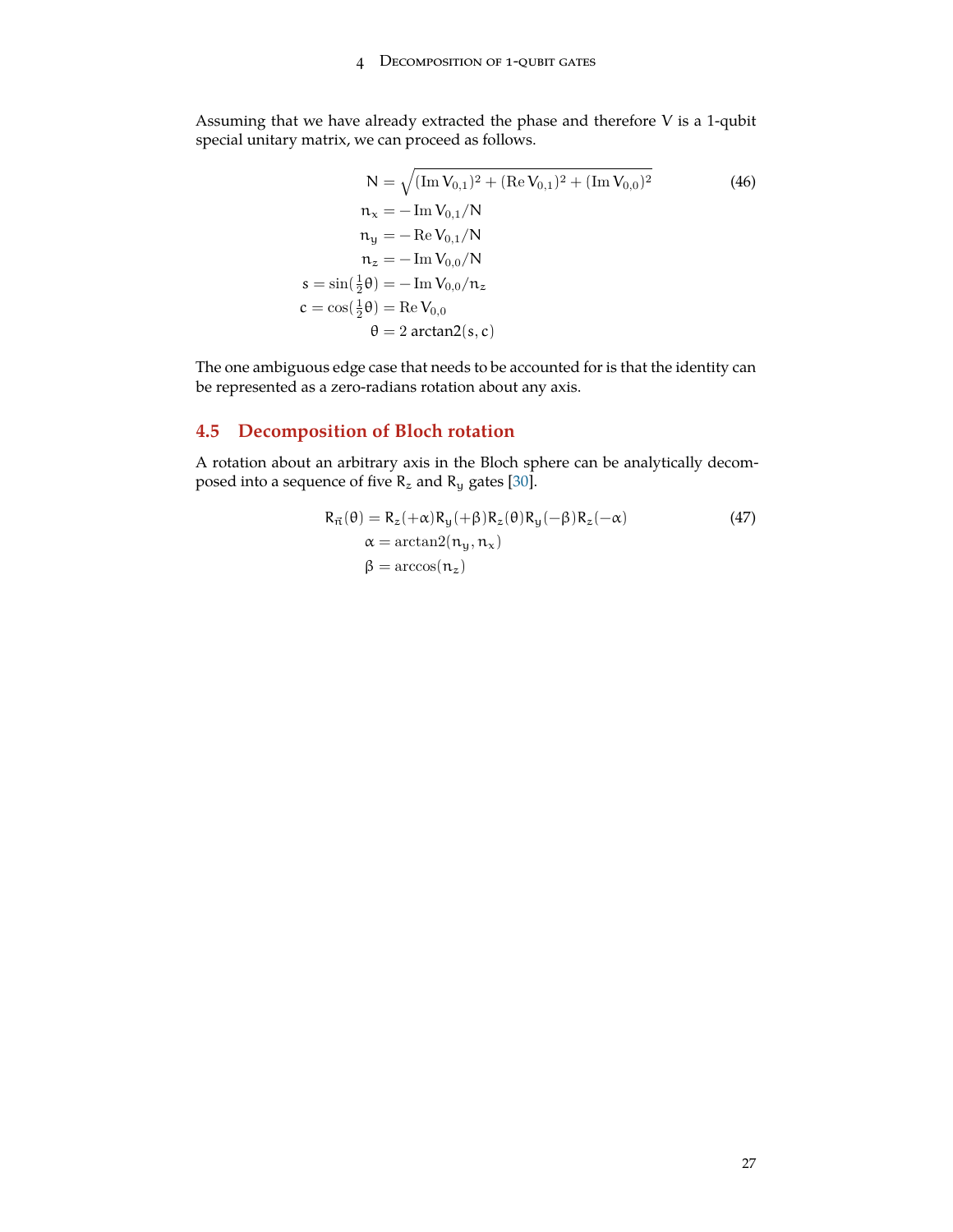Assuming that we have already extracted the phase and therefore V is a 1-qubit special unitary matrix, we can proceed as follows.

$$
N = \sqrt{(\text{Im } V_{0,1})^2 + (\text{Re } V_{0,1})^2 + (\text{Im } V_{0,0})^2}
$$
\n
$$
n_x = -\text{Im } V_{0,1}/N
$$
\n
$$
n_y = -\text{Re } V_{0,1}/N
$$
\n
$$
n_z = -\text{Im } V_{0,0}/N
$$
\n
$$
s = \sin(\frac{1}{2}\theta) = -\text{Im } V_{0,0}/n_z
$$
\n
$$
c = \cos(\frac{1}{2}\theta) = \text{Re } V_{0,0}
$$
\n
$$
\theta = 2 \arctan(2(s, c))
$$
\n(46)

The one ambiguous edge case that needs to be accounted for is that the identity can be represented as a zero-radians rotation about any axis.

# <span id="page-26-0"></span>**4.5 Decomposition of Bloch rotation**

A rotation about an arbitrary axis in the Bloch sphere can be analytically decomposed into a sequence of five  $R_z$  and  $R_y$  gates [[30\]](#page-72-4).

$$
R_{\vec{n}}(\theta) = R_z(+\alpha)R_y(+\beta)R_z(\theta)R_y(-\beta)R_z(-\alpha)
$$
  
\n
$$
\alpha = \arctan(2(n_y, n_x))
$$
  
\n
$$
\beta = \arccos(n_z)
$$
\n(47)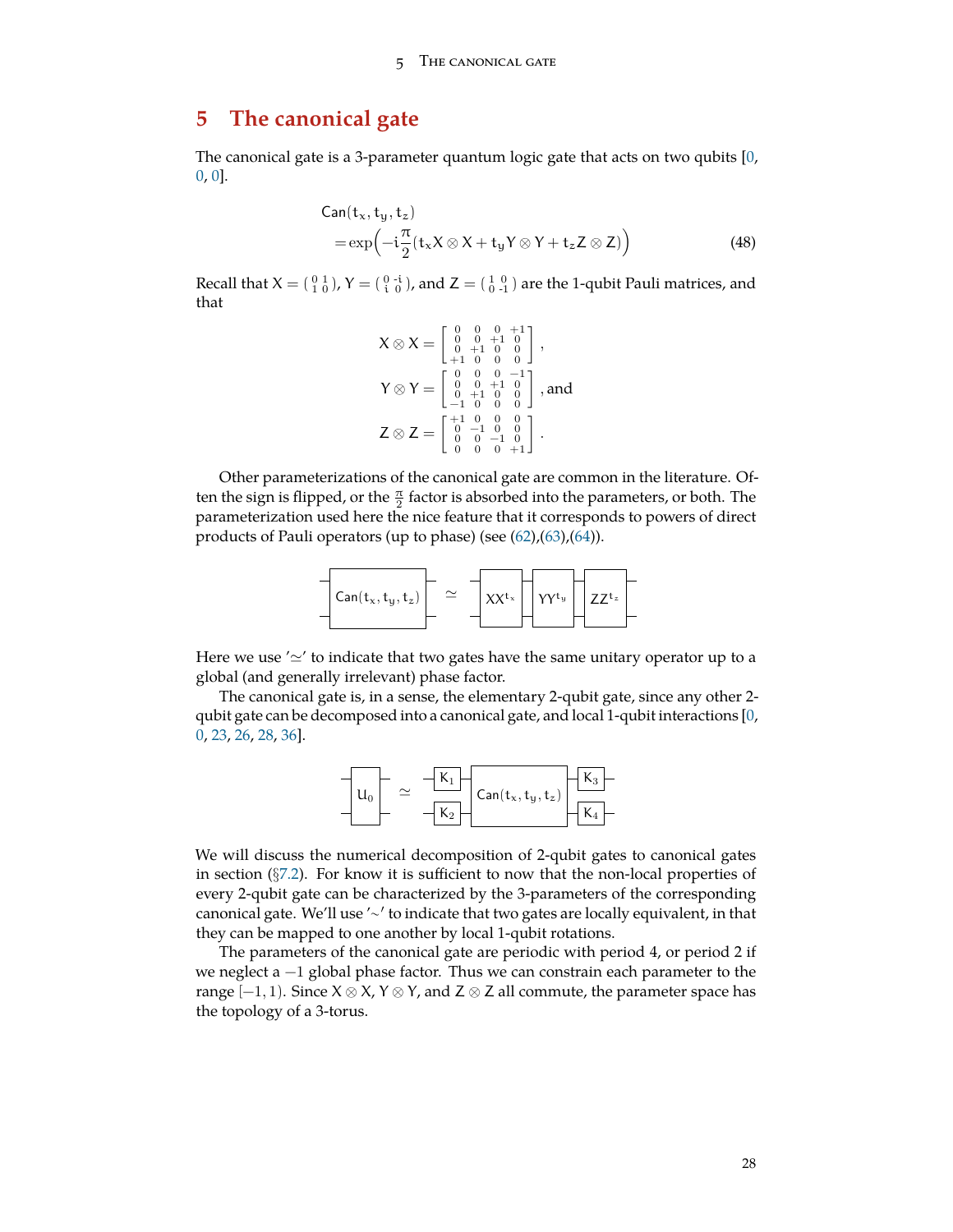#### 5 The canonical gate

# <span id="page-27-0"></span>**5 The canonical gate**

The canonical gate is a 3-parameter quantum logic gate that acts on two qubits [[0,](#page-71-1) [0,](#page-71-1) [0\]](#page-71-1).

$$
Can(tx, ty, tz)
$$
  
=  $exp(-i\frac{\pi}{2}(t_x X \otimes X + t_y Y \otimes Y + t_z Z \otimes Z))$  (48)

Recall that  $X = \begin{pmatrix} 0 & 1 \ 1 & 0 \end{pmatrix}$ ,  $Y = \begin{pmatrix} 0 & -i \ i & 0 \end{pmatrix}$ , and  $Z = \begin{pmatrix} 1 & 0 \ 0 & -1 \end{pmatrix}$  are the 1-qubit Pauli matrices, and that

$$
X \otimes X = \begin{bmatrix} 0 & 0 & 0 & +1 \\ 0 & 0 & +1 & 0 \\ 0 & +1 & 0 & 0 \\ +1 & 0 & 0 & 0 \end{bmatrix},
$$
  
\n
$$
Y \otimes Y = \begin{bmatrix} 0 & 0 & 0 & -1 \\ 0 & 0 & +1 & 0 \\ 0 & +1 & 0 & 0 \\ -1 & 0 & 0 & 0 \end{bmatrix},
$$
 and  
\n
$$
Z \otimes Z = \begin{bmatrix} +1 & 0 & 0 & 0 \\ 0 & -1 & 0 & 0 \\ 0 & 0 & 0 & +1 \end{bmatrix}.
$$

Other parameterizations of the canonical gate are common in the literature. Often the sign is flipped, or the  $\frac{\pi}{2}$  factor is absorbed into the parameters, or both. The parameterization used here the nice feature that it corresponds to powers of direct products of Pauli operators (up to phase) (see [\(62](#page-35-0)),[\(63](#page-35-1)),[\(64](#page-35-2))).



Here we use '*≃*' to indicate that two gates have the same unitary operator up to a global (and generally irrelevant) phase factor.

The canonical gate is, in a sense, the elementary 2-qubit gate, since any other 2 qubit gate can be decomposed into a canonical gate, and local 1-qubit interactions [[0,](#page-71-1) [0,](#page-71-1) [23,](#page-72-5) [26,](#page-72-6) [28,](#page-72-7) [36\]](#page-73-7).



We will discuss the numerical decomposition of 2-qubit gates to canonical gates in section (*§*[7.2](#page-47-0)). For know it is sufficient to now that the non-local properties of every 2-qubit gate can be characterized by the 3-parameters of the corresponding canonical gate. We'll use '∼ *′* to indicate that two gates are locally equivalent, in that they can be mapped to one another by local 1-qubit rotations.

The parameters of the canonical gate are periodic with period 4, or period 2 if we neglect a −1 global phase factor. Thus we can constrain each parameter to the range [−1, 1). Since X *⊗* X, Y *⊗* Y, and Z *⊗* Z all commute, the parameter space has the topology of a 3-torus.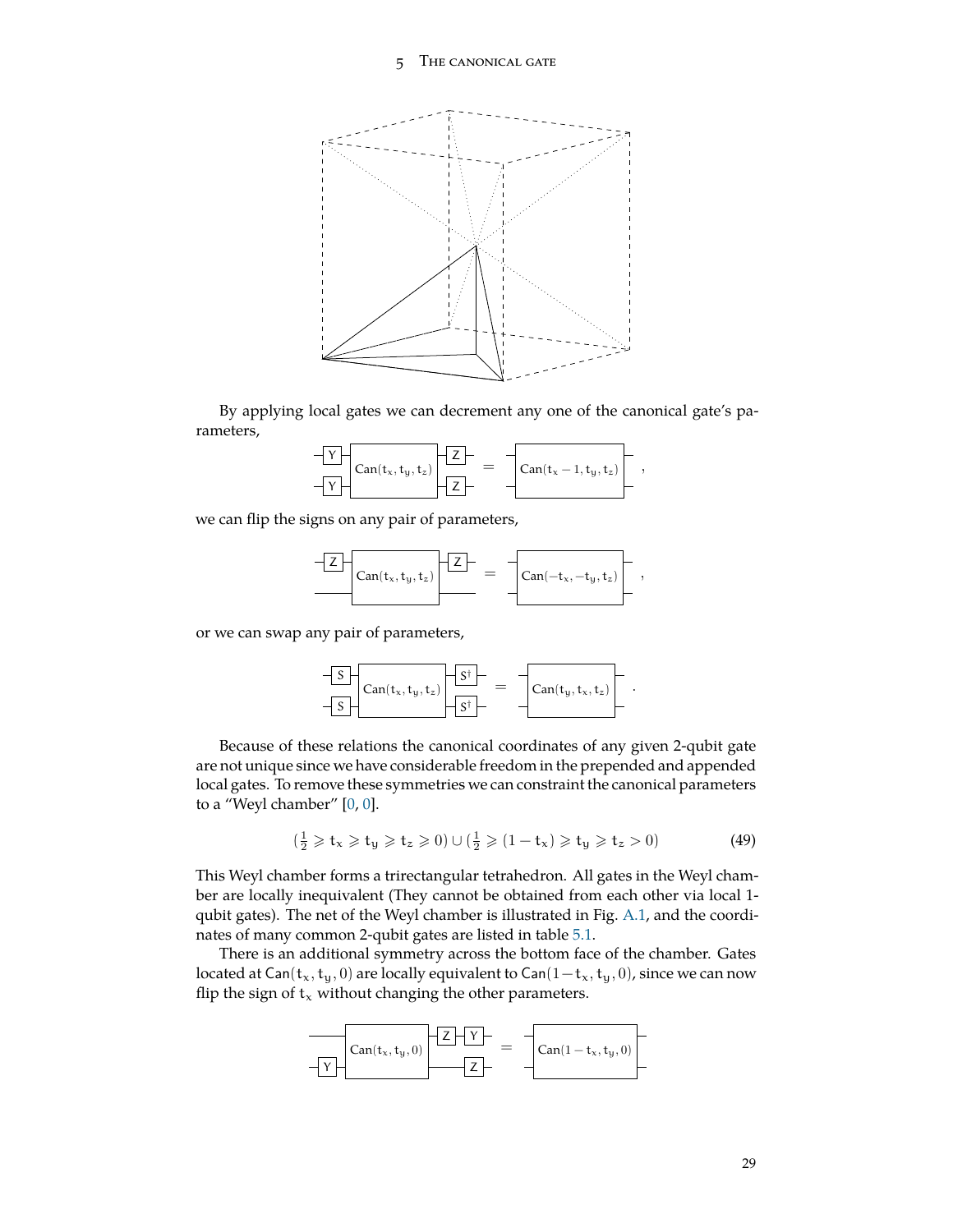

By applying local gates we can decrement any one of the canonical gate's parameters,

| $Can(t_x,t_y,t_z)$ | $_{1}$ Can( $t_{x}$ – 1, $t_{y}$ , $t_{z}$ )' |  |
|--------------------|-----------------------------------------------|--|
|--------------------|-----------------------------------------------|--|

we can flip the signs on any pair of parameters,

$$
\underbrace{-Z}_{\text{Can}(t_x,t_y,t_z)}\underbrace{-Z}_{\text{Can}(-t_x,-t_y,t_z)}\Bigg[~,
$$

or we can swap any pair of parameters,

$$
\begin{array}{|c|c|c|c|c|}\hline S&\text{Can}(t_x,t_y,t_z)&\overline{S^{\dagger}}&=&\hline \text{Can}(t_y,t_x,t_z)&\\ \hline S&\overline{S^{\dagger}}&=&\hline \end{array}.
$$

Because of these relations the canonical coordinates of any given 2-qubit gate are not unique since we have considerable freedom in the prepended and appended local gates. To remove these symmetries we can constraint the canonical parameters to a "Weyl chamber" [\[0](#page-71-1), [0](#page-71-1)].

$$
(\frac{1}{2} \geqslant t_x \geqslant t_y \geqslant t_z \geqslant 0) \cup (\frac{1}{2} \geqslant (1 - t_x) \geqslant t_y \geqslant t_z > 0) \tag{49}
$$

This Weyl chamber forms a trirectangular tetrahedron. All gates in the Weyl chamber are locally inequivalent (They cannot be obtained from each other via local 1 qubit gates). The net of the Weyl chamber is illustrated in Fig. [A.1](#page-69-1), and the coordinates of many common 2-qubit gates are listed in table [5.1.](#page-30-0)

There is an additional symmetry across the bottom face of the chamber. Gates located at Can( $t_x, t_y, 0$ ) are locally equivalent to Can( $1-t_x, t_y, 0$ ), since we can now flip the sign of  $t_x$  without changing the other parameters.

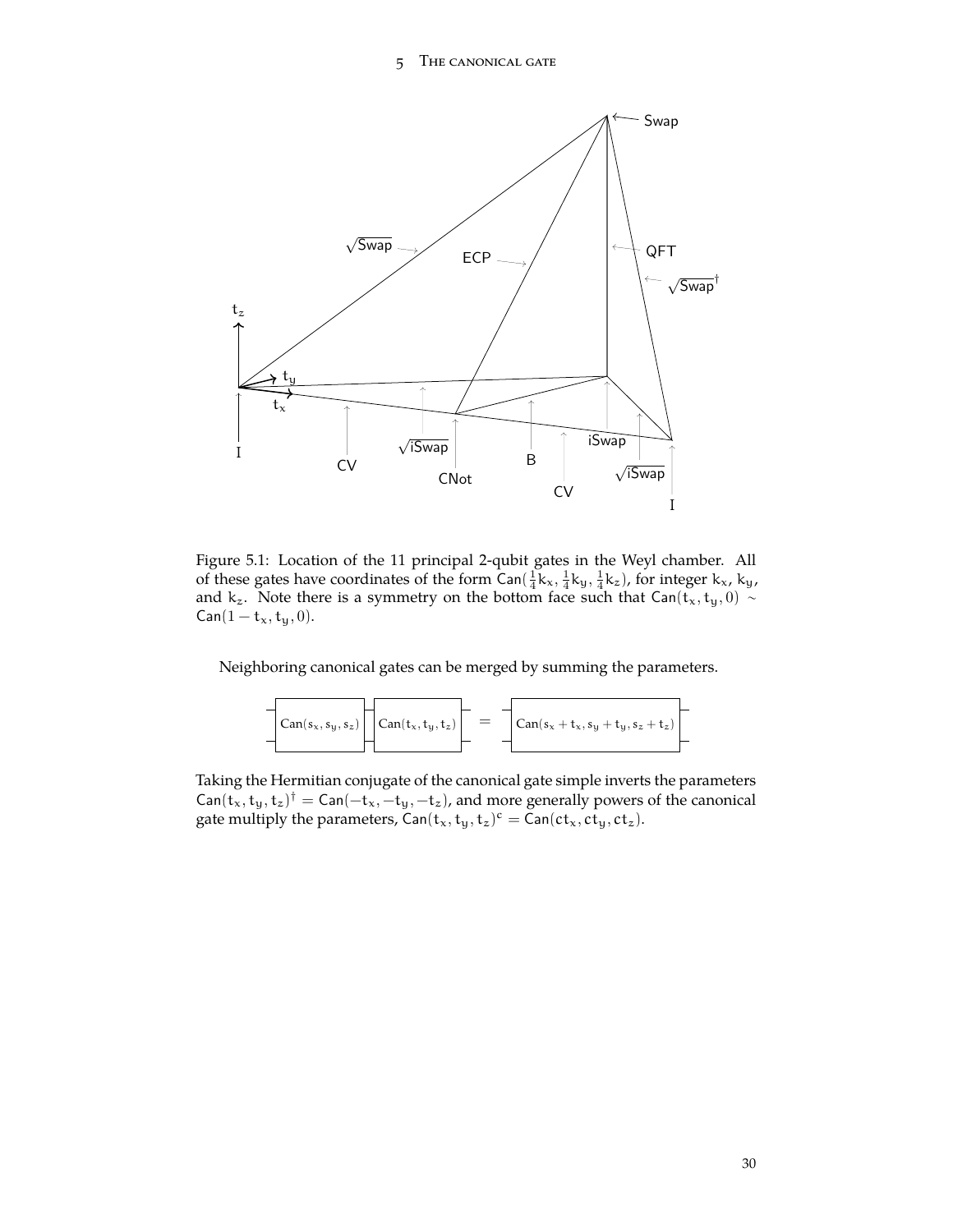#### 5 The canonical gate



<span id="page-29-0"></span>Figure 5.1: Location of the 11 principal 2-qubit gates in the Weyl chamber. All of these gates have coordinates of the form  $Can(\frac{1}{4}k_x, \frac{1}{4}k_y, \frac{1}{4}k_z)$ , for integer  $k_x$ ,  $k_y$ , and k<sub>z</sub>. Note there is a symmetry on the bottom face such that Can(t<sub>x</sub>, t<sub>y</sub>, 0) ∼  $\textsf{Can}(1 - t_x, t_y, 0).$ 

Neighboring canonical gates can be merged by summing the parameters.

$$
\boxed{\text{Can}(s_x, s_y, s_z)} \boxed{\text{Can}(t_x, t_y, t_z)} = \boxed{\text{Can}(s_x + t_x, s_y + t_y, s_z + t_z)}
$$

Taking the Hermitian conjugate of the canonical gate simple inverts the parameters  $\mathsf{Can}(t_x,t_y,t_z)^\dagger = \mathsf{Can}(-t_x,-t_y,-t_z)$ , and more generally powers of the canonical gate multiply the parameters,  $\textsf{Can}(\mathsf{t}_x, \mathsf{t}_y, \mathsf{t}_z)^\mathsf{c} = \textsf{Can}(\mathsf{ct}_x, \mathsf{ct}_y, \mathsf{ct}_z)$ .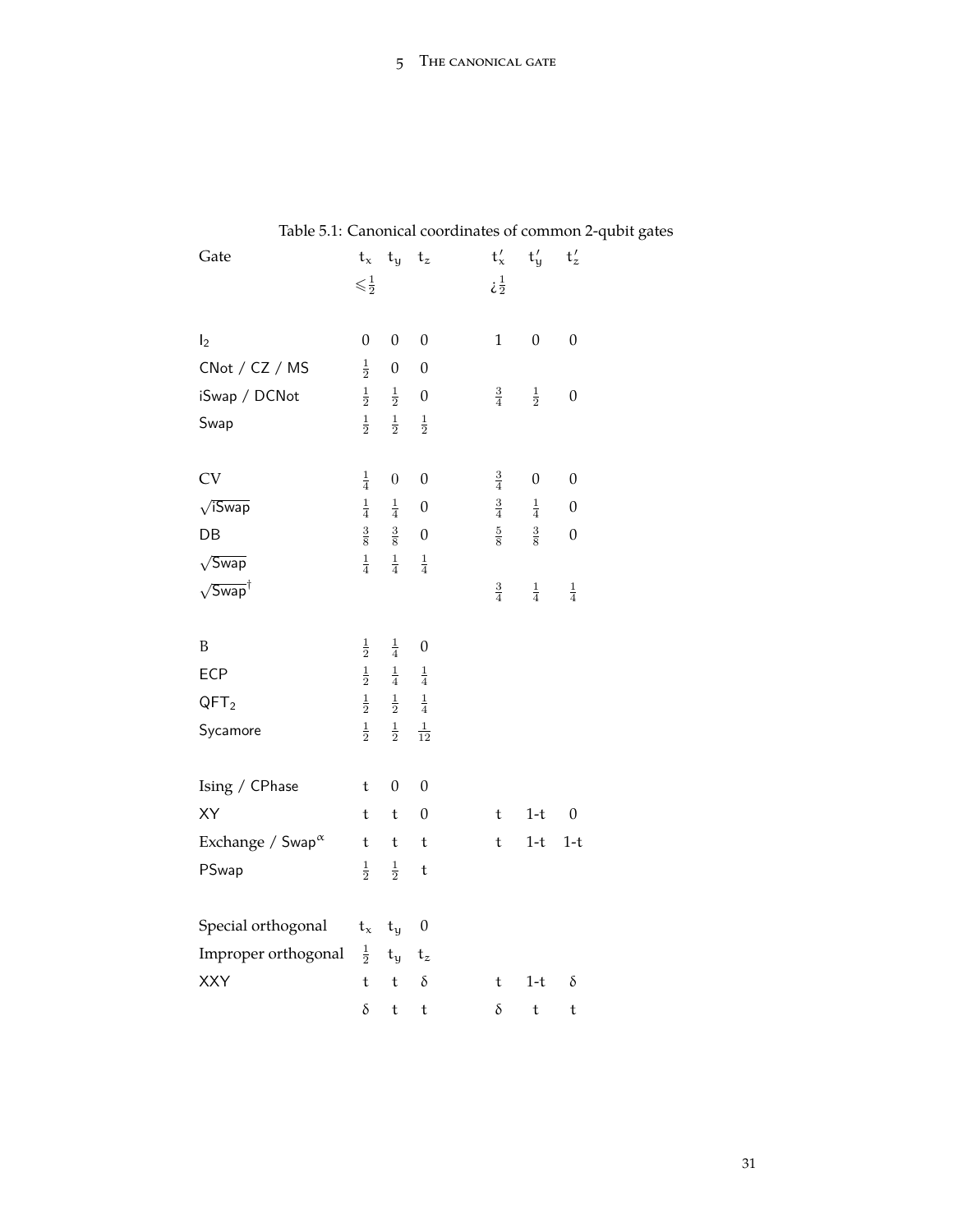| Table 5.1: Canonical coordinates of common 2-q |                           |                         |                  |               |                           |                  |  |
|------------------------------------------------|---------------------------|-------------------------|------------------|---------------|---------------------------|------------------|--|
| Gate                                           | $t_{x}$                   | $t_{y}$                 | $\mathsf{t}_z$   | $t'_{x}$      | $t'_y$                    | $t'_z$           |  |
|                                                | $\leqslant$ $\frac{1}{2}$ |                         |                  | $\frac{1}{2}$ |                           |                  |  |
|                                                |                           |                         |                  |               |                           |                  |  |
| I <sub>2</sub>                                 | $\boldsymbol{0}$          | $\boldsymbol{0}$        | $\boldsymbol{0}$ | $\mathbf{1}$  | $\boldsymbol{0}$          | $\boldsymbol{0}$ |  |
| CNot / CZ / MS                                 | $\frac{1}{2}$             | $\boldsymbol{0}$        | $\boldsymbol{0}$ |               |                           |                  |  |
| iSwap / DCNot                                  | $\frac{1}{2}$             | $\frac{1}{2}$           | $\boldsymbol{0}$ | $\frac{3}{4}$ | $\frac{1}{2}$             | $\boldsymbol{0}$ |  |
| Swap                                           | $\frac{1}{2}$             | $\frac{1}{2}$           | $\frac{1}{2}$    |               |                           |                  |  |
|                                                |                           |                         |                  |               |                           |                  |  |
| <b>CV</b>                                      | $\frac{1}{4}$             | $\boldsymbol{0}$        | $\boldsymbol{0}$ | $\frac{3}{4}$ | $\boldsymbol{0}$          | $\boldsymbol{0}$ |  |
| $\sqrt{3}$ wap                                 | $\frac{1}{4}$             | $\frac{1}{4}$           | $\boldsymbol{0}$ | $\frac{3}{4}$ | $\frac{1}{4}$             | $\boldsymbol{0}$ |  |
| DB                                             | $\frac{3}{8}$             | $\frac{3}{8}$           | $\boldsymbol{0}$ | $\frac{5}{8}$ | $\frac{3}{8}$             | $\boldsymbol{0}$ |  |
| $\sqrt{Swa}p$                                  | $\frac{1}{4}$             | $\frac{1}{4}$           | $\frac{1}{4}$    |               |                           |                  |  |
| $\sqrt{\mathsf{Swap}}^\dagger$                 |                           |                         |                  | $\frac{3}{4}$ | $\frac{1}{4}$             | $\frac{1}{4}$    |  |
|                                                |                           |                         |                  |               |                           |                  |  |
| B                                              | $\frac{1}{2}$             | $\frac{1}{4}$           | $\boldsymbol{0}$ |               |                           |                  |  |
| ECP                                            | $\frac{1}{2}$             | $\frac{1}{4}$           | $\frac{1}{4}$    |               |                           |                  |  |
| QFT <sub>2</sub>                               | $\frac{1}{2}$             | $\frac{1}{2}$           | $\frac{1}{4}$    |               |                           |                  |  |
| Sycamore                                       | $\frac{1}{2}$             | $\frac{1}{2}$           | $\frac{1}{12}$   |               |                           |                  |  |
|                                                |                           |                         |                  |               |                           |                  |  |
| Ising / CPhase                                 | t                         | $\boldsymbol{0}$        | $\boldsymbol{0}$ |               |                           |                  |  |
| XY                                             | t                         | t                       | $\boldsymbol{0}$ | t             | $1-t$                     | $\boldsymbol{0}$ |  |
| Exchange / $Swap^{\alpha}$                     | $\mathfrak t$             | $\mathsf t$             | $\mathsf t$      | $\mathsf t$   | $1-t$                     | $1-t$            |  |
| PSwap                                          | $\frac{1}{2}$             | $\frac{1}{2}$           | $\mathsf t$      |               |                           |                  |  |
|                                                |                           |                         |                  |               |                           |                  |  |
| Special orthogonal                             | $t_x$                     | $\mathbf{t}_\mathbf{y}$ | $\boldsymbol{0}$ |               |                           |                  |  |
| Improper orthogonal                            | $\frac{1}{2}$             | $t_{y}$                 | $t_z$            |               |                           |                  |  |
| XXY                                            | t                         | $\mathsf t$             | $\delta$         | t             | $1-t$                     | $\delta$         |  |
|                                                | $\delta$                  | $\mathsf t$             | $\mathsf t$      | $\delta$      | $\ensuremath{\mathbf{t}}$ | $\mathsf t$      |  |

# <span id="page-30-0"></span>Table 5.1: Canonical coordinates of common 2-qubit gates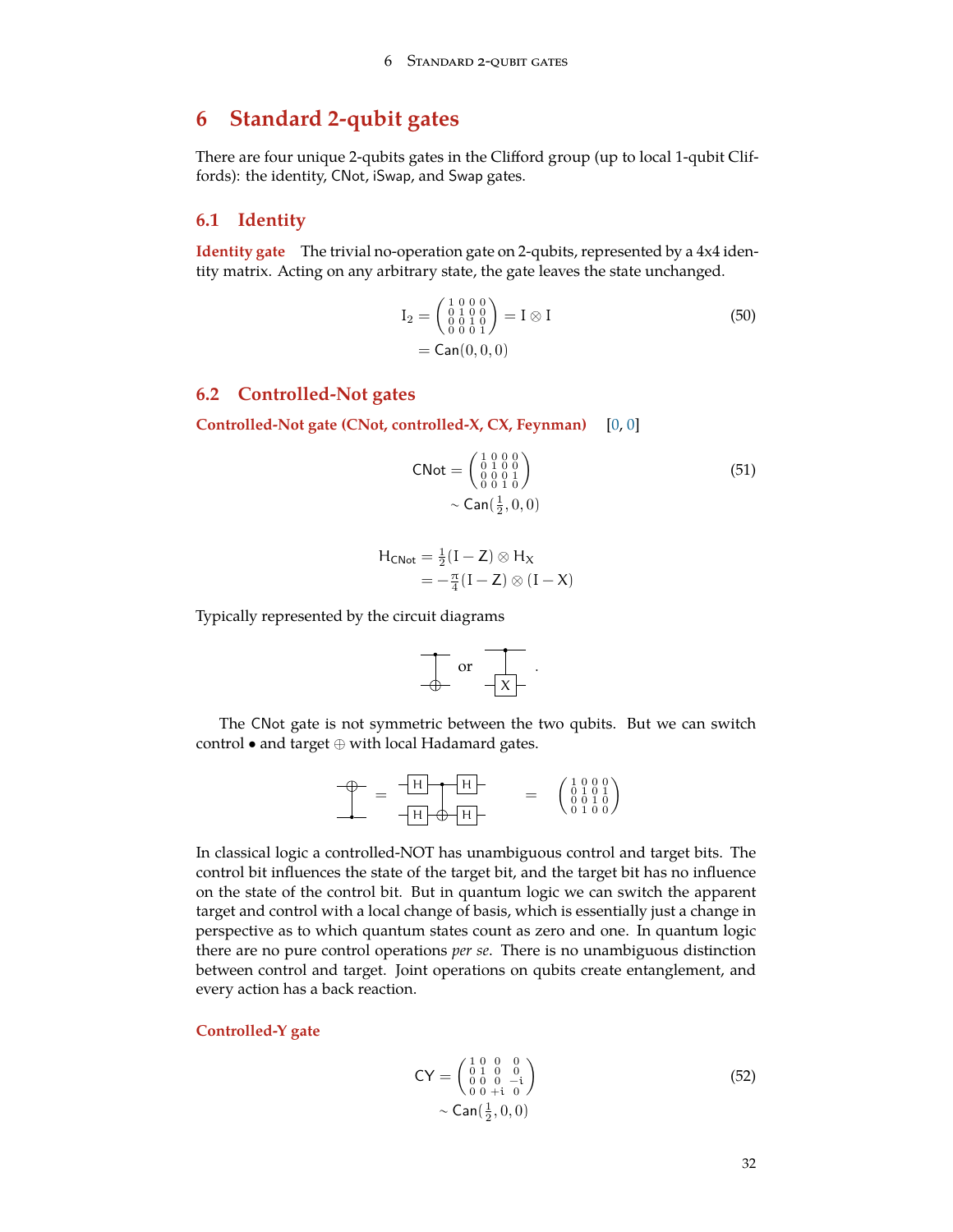# <span id="page-31-0"></span>**6 Standard 2-qubit gates**

There are four unique 2-qubits gates in the Clifford group (up to local 1-qubit Cliffords): the identity, CNot, iSwap, and Swap gates.

### <span id="page-31-1"></span>**6.1 Identity**

**Identity gate** The trivial no-operation gate on 2-qubits, represented by a 4x4 identity matrix. Acting on any arbitrary state, the gate leaves the state unchanged.

$$
I_2 = \begin{pmatrix} 1 & 0 & 0 & 0 \\ 0 & 1 & 0 & 0 \\ 0 & 0 & 1 & 0 \\ 0 & 0 & 0 & 1 \end{pmatrix} = I \otimes I
$$
\n
$$
= \text{Can}(0, 0, 0)
$$
\n(50)

### <span id="page-31-2"></span>**6.2 Controlled-Not gates**

**Controlled-Not gate (CNot, controlled-X, CX, Feynman)** [[0,](#page-71-1) [0\]](#page-71-1)

CNot = 
$$
\begin{pmatrix} 1 & 0 & 0 & 0 \\ 0 & 1 & 0 & 0 \\ 0 & 0 & 0 & 1 \\ 0 & 0 & 1 & 0 \end{pmatrix}
$$
 (51)  
\n $\sim$  Can( $\frac{1}{2}$ , 0, 0)

$$
H_{CNot} = \frac{1}{2}(I - Z) \otimes H_X
$$
  
=  $-\frac{\pi}{4}(I - Z) \otimes (I - X)$ 

Typically represented by the circuit diagrams

$$
\frac{1}{\Phi} \text{ or } \frac{1}{-x}.
$$

The CNot gate is not symmetric between the two qubits. But we can switch control *•* and target *⊕* with local Hadamard gates.

$$
\begin{array}{c}\n\oplus \\
\hline\n\end{array} = \frac{-H}{H} \begin{array}{c}\nH \\
\hline\n\end{array} \qquad \qquad = \begin{array}{c}\n\begin{pmatrix} 1 & 0 & 0 & 0 \\
0 & 1 & 0 & 1 \\
0 & 0 & 1 & 0 \\
0 & 1 & 0 & 0\n\end{pmatrix}\n\end{array}
$$

In classical logic a controlled-NOT has unambiguous control and target bits. The control bit influences the state of the target bit, and the target bit has no influence on the state of the control bit. But in quantum logic we can switch the apparent target and control with a local change of basis, which is essentially just a change in perspective as to which quantum states count as zero and one. In quantum logic there are no pure control operations *per se*. There is no unambiguous distinction between control and target. Joint operations on qubits create entanglement, and every action has a back reaction.

#### **Controlled-Y gate**

$$
CY = \begin{pmatrix} 1 & 0 & 0 & 0 \\ 0 & 1 & 0 & 0 \\ 0 & 0 & 0 & -i \\ 0 & 0 & +i & 0 \end{pmatrix}
$$
  
\sim Can $(\frac{1}{2}, 0, 0)$  (52)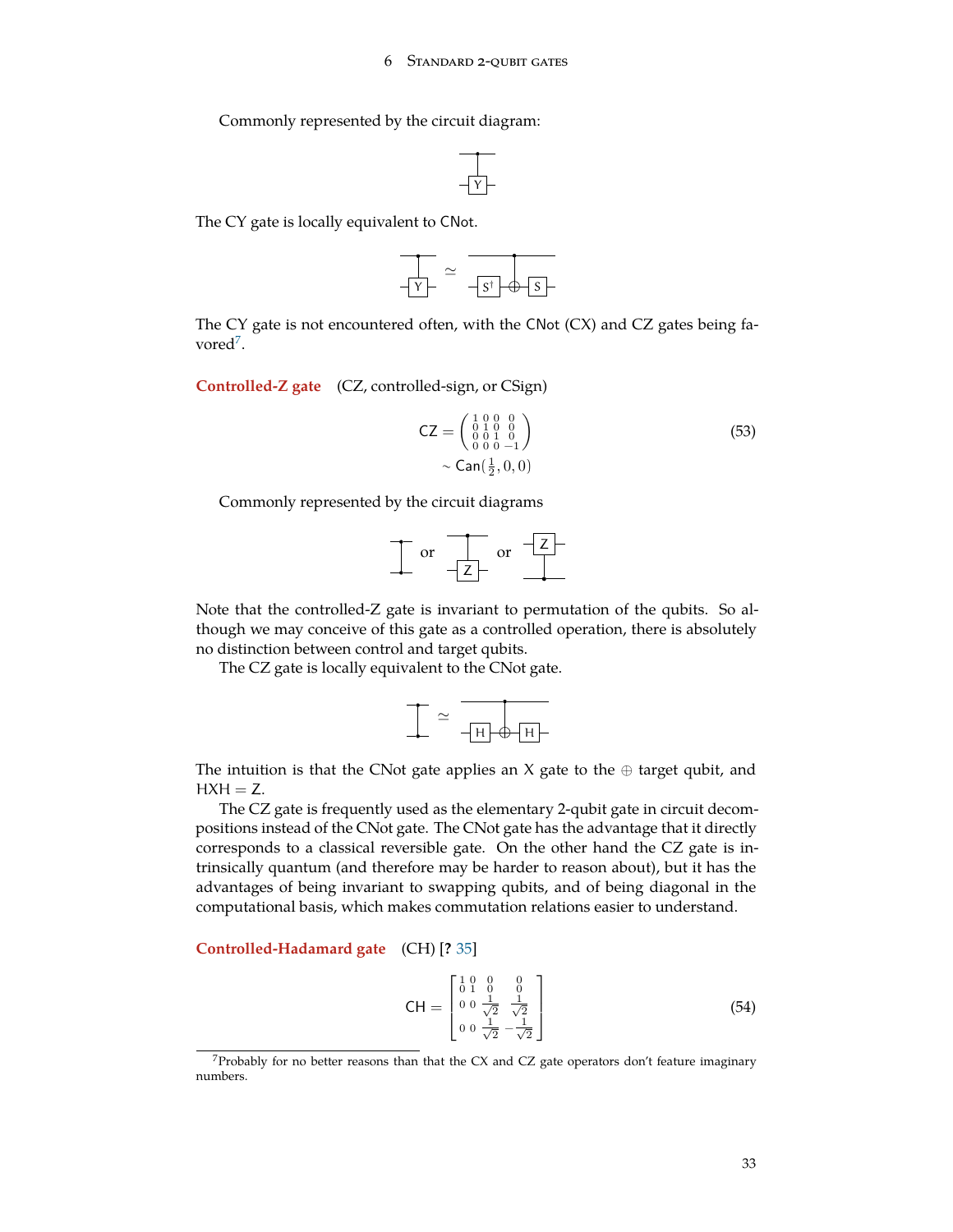Commonly represented by the circuit diagram:



The CY gate is locally equivalent to CNot.



The CY gate is not encountered often, with the CNot (CX) and CZ gates being fa-vored<sup>[7](#page-32-0)</sup>.

**Controlled-Z gate** (CZ, controlled-sign, or CSign)

$$
CZ = \begin{pmatrix} 1 & 0 & 0 & 0 \\ 0 & 1 & 0 & 0 \\ 0 & 0 & 1 & 0 \\ 0 & 0 & 0 & -1 \end{pmatrix}
$$
  
~ 
$$
\sim \text{Can}(\frac{1}{2}, 0, 0)
$$
 (53)

Commonly represented by the circuit diagrams

$$
\frac{1}{\sqrt{2}} \text{ or } \frac{1}{\sqrt{2}} \text{ or } \frac{1}{\sqrt{2}}
$$

Note that the controlled-Z gate is invariant to permutation of the qubits. So although we may conceive of this gate as a controlled operation, there is absolutely no distinction between control and target qubits.

The CZ gate is locally equivalent to the CNot gate.

$$
\frac{1}{\sqrt{1-\frac{1}{\sqrt{1-\frac{1}{\sqrt{1-\frac{1}{\sqrt{1-\frac{1}{\sqrt{1-\frac{1}{\sqrt{1-\frac{1}{\sqrt{1-\frac{1}{\sqrt{1-\frac{1}{\sqrt{1-\frac{1}{\sqrt{1-\frac{1}{\sqrt{1-\frac{1}{\sqrt{1-\frac{1}{\sqrt{1-\frac{1}{\sqrt{1-\frac{1}{\sqrt{1-\frac{1}{\sqrt{1-\frac{1}{\sqrt{1-\frac{1}{\sqrt{1-\frac{1}{\sqrt{1-\frac{1}{\sqrt{1-\frac{1}{\sqrt{1-\frac{1}{\sqrt{1-\frac{1}{\sqrt{1-\frac{1}{\sqrt{1-\frac{1}{\sqrt{1-\frac{1}{\sqrt{1-\frac{1}{\sqrt{1-\frac{1}{\sqrt{1-\frac{1}{\sqrt{1-\frac{1}{\sqrt{1-\frac{1}{\sqrt{1-\frac{1}{\sqrt{1-\frac{1}{\sqrt{1-\frac{1}{\sqrt{1-\frac{1}{\sqrt{1-\frac{1}{\sqrt{1+\frac{1}{\sqrt{1+\frac{1}{\sqrt{1+\frac{1}{\sqrt{1+\frac{1}{\sqrt{1+\frac{1}{1+\frac{1}{\sqrt{1+\frac{1}{1+\frac{1}{\sqrt{1+\frac{1}{1+\frac{1}{\sqrt{1+\frac{1}{1+\frac{1}{\sqrt{1+\frac{1}{1+\frac{1}{\sqrt{1+\frac{1}{1+\frac{1}{\sqrt{1+\frac{1}{1+\frac{1}{\sqrt{1+\frac{1}{1+\frac{1}{\sqrt{1+\frac{1}{1+\frac{1}{\sqrt{1+\frac{1}{1+\frac{1}{\sqrt{1+\frac{1}{1+\frac{1}{1+\frac{1}{1+\frac{1}{\sqrt{1+\frac{1}{1+\frac{1}{1+\frac{1}{1+\frac{1}{\sqrt{1+\frac{1}{1+\frac{1}{1+\frac{1}{1+\frac{1}{1+\frac{1}{1+\frac{1}{1+\frac{1}{1+\frac{1}{1+\frac{1}{1+\frac{1}{1+\frac{1}{1+\frac{1}{1+\frac{1}{1+\frac{1}{1+\frac{1}{1+\frac{1}{1+\frac{1}{1+\frac{1}{1+\frac{1}{1+\frac{1}{1+\frac{1}{1+\frac{1}{1+\frac{1}{1+\frac{1}{1+\frac{1}{1+\frac{1}{1+\frac{1}{1+\frac{1}{1+\frac{1}{1+\frac{1}{1+\frac{1}{1+\frac{1}{1+\frac{1
$$

The intuition is that the CNot gate applies an X gate to the *⊕* target qubit, and  $HXH = Z$ .

The CZ gate is frequently used as the elementary 2-qubit gate in circuit decompositions instead of the CNot gate. The CNot gate has the advantage that it directly corresponds to a classical reversible gate. On the other hand the CZ gate is intrinsically quantum (and therefore may be harder to reason about), but it has the advantages of being invariant to swapping qubits, and of being diagonal in the computational basis, which makes commutation relations easier to understand.

**Controlled-Hadamard gate** (CH) [**?** [35](#page-73-8)]

$$
CH = \begin{bmatrix} 1 & 0 & 0 & 0 \\ 0 & 1 & 0 & 0 \\ 0 & 0 & \frac{1}{\sqrt{2}} & \frac{1}{\sqrt{2}} \\ 0 & 0 & \frac{1}{\sqrt{2}} & -\frac{1}{\sqrt{2}} \end{bmatrix}
$$
(54)

<span id="page-32-0"></span> $7$ Probably for no better reasons than that the CX and CZ gate operators don't feature imaginary numbers.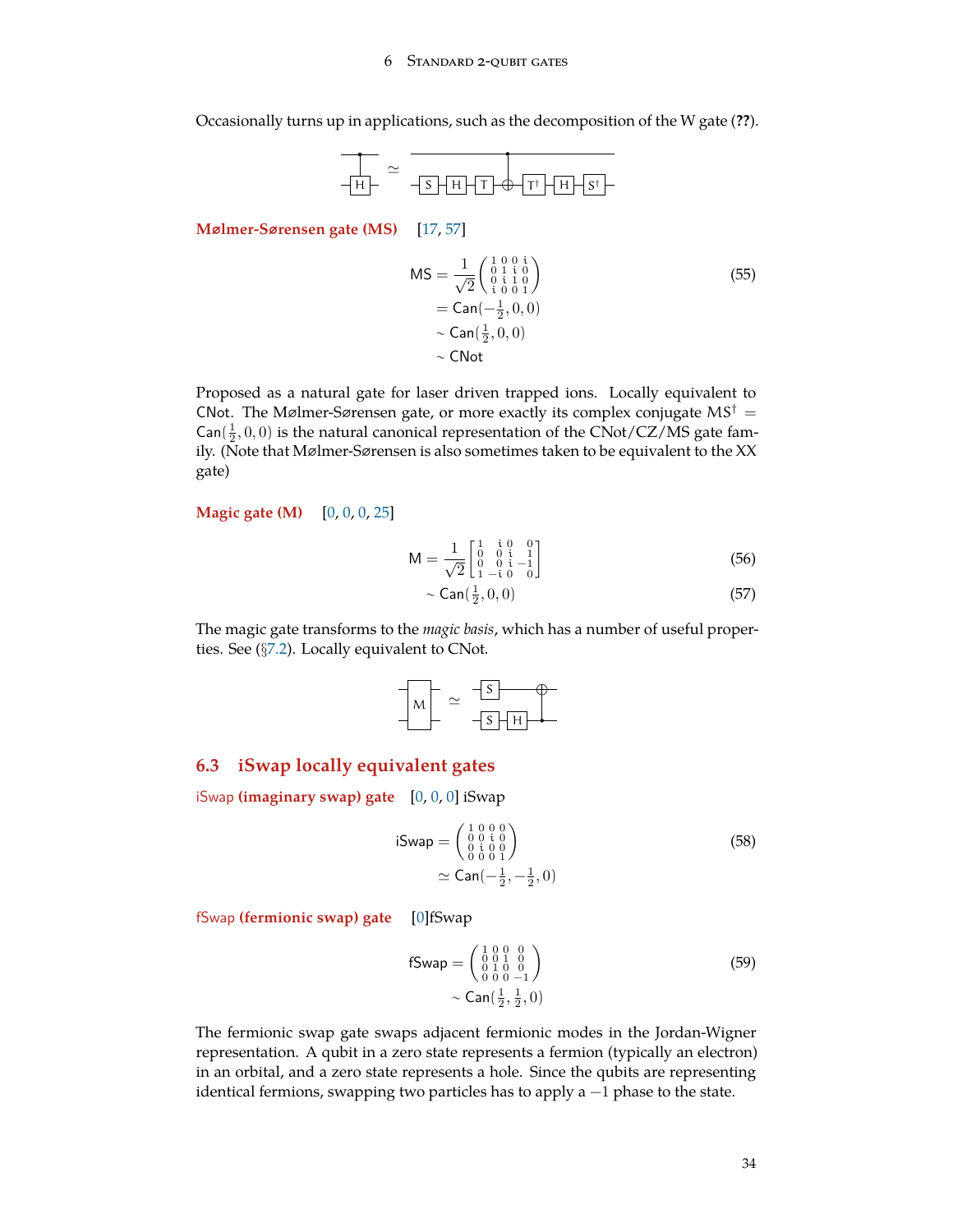Occasionally turns up in applications, such as the decomposition of the W gate (**??**).



**Mølmer-Sørensen gate (MS)** [\[17](#page-72-8), [57](#page-74-3)]

$$
MS = \frac{1}{\sqrt{2}} \begin{pmatrix} 1 & 0 & 0 & i \\ 0 & 1 & i & 0 \\ 0 & i & 1 & 0 \\ i & 0 & 0 & 1 \end{pmatrix}
$$
  
= Can $\left(-\frac{1}{2}, 0, 0\right)$   
 $\sim$  Can $\left(\frac{1}{2}, 0, 0\right)$   
 $\sim$  CNot

Proposed as a natural gate for laser driven trapped ions. Locally equivalent to CNot. The Mølmer-Sørensen gate, or more exactly its complex conjugate  $MS^{\dagger} =$  $\textsf{Can}(\frac{1}{2},0,0)$  is the natural canonical representation of the CNot/CZ/MS gate family. (Note that Mølmer-Sørensen is also sometimes taken to be equivalent to the XX gate)

**Magic gate (M)** [\[0](#page-71-1), [0](#page-71-1), [0](#page-71-1), [25](#page-72-9)]

$$
M = \frac{1}{\sqrt{2}} \begin{bmatrix} 1 & i & 0 & 0 \\ 0 & 0 & i & 1 \\ 0 & 0 & i & -1 \\ 1 & -i & 0 & 0 \end{bmatrix}
$$
 (56)

$$
\sim \text{Can}(\frac{1}{2}, 0, 0) \tag{57}
$$

The magic gate transforms to the *magic basis*, which has a number of useful properties. See (*§*[7.2](#page-47-0)). Locally equivalent to CNot.

$$
M = \frac{-s}{s+H}
$$

### <span id="page-33-0"></span>**6.3 iSwap locally equivalent gates**

iSwap **(imaginary swap) gate** [\[0](#page-71-1), [0,](#page-71-1) [0\]](#page-71-1) iSwap

$$
i \text{Swap} = \begin{pmatrix} 1 & 0 & 0 & 0 \\ 0 & 0 & i & 0 \\ 0 & i & 0 & 0 \\ 0 & 0 & 0 & 1 \end{pmatrix}
$$
  
\n
$$
\simeq \text{Can}(-\frac{1}{2}, -\frac{1}{2}, 0)
$$
\n(58)

fSwap **(fermionic swap) gate** [[0\]](#page-71-1)fSwap

fSwap = 
$$
\begin{pmatrix} 1 & 0 & 0 & 0 \\ 0 & 0 & 1 & 0 \\ 0 & 1 & 0 & 0 \\ 0 & 0 & 0 & -1 \end{pmatrix}
$$
 (59)  
\n $\sim$  Can  $(\frac{1}{2}, \frac{1}{2}, 0)$ 

The fermionic swap gate swaps adjacent fermionic modes in the Jordan-Wigner representation. A qubit in a zero state represents a fermion (typically an electron) in an orbital, and a zero state represents a hole. Since the qubits are representing identical fermions, swapping two particles has to apply a −1 phase to the state.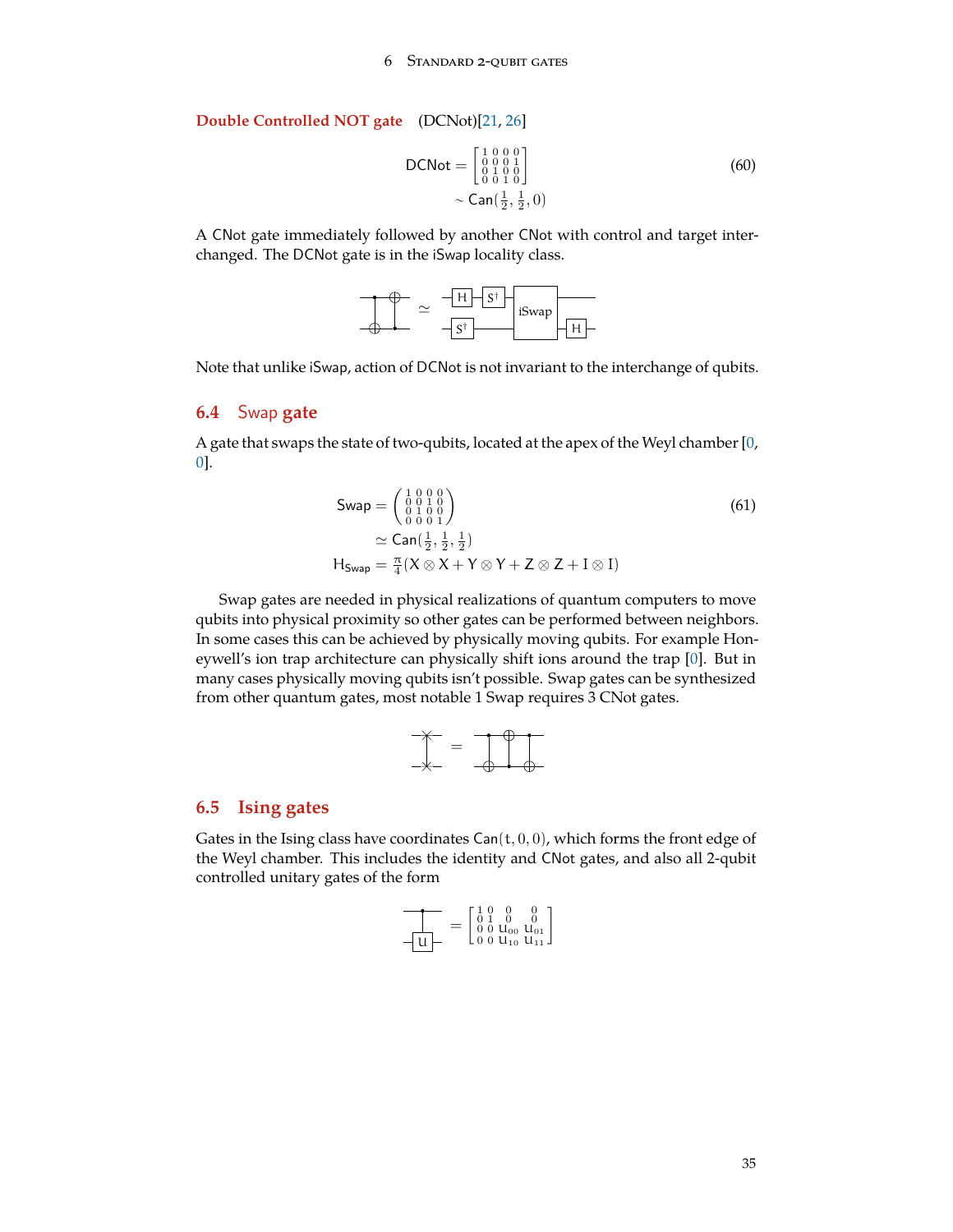### **Double Controlled NOT gate** (DCNot)[\[21](#page-72-10), [26](#page-72-6)]

$$
DCNot = \begin{bmatrix} 1 & 0 & 0 & 0 \\ 0 & 0 & 0 & 1 \\ 0 & 1 & 0 & 0 \\ 0 & 0 & 1 & 0 \end{bmatrix}
$$
  
~  $\sim$  Can $(\frac{1}{2}, \frac{1}{2}, 0)$  (60)

A CNot gate immediately followed by another CNot with control and target interchanged. The DCNot gate is in the iSwap locality class.



Note that unlike iSwap, action of DCNot is not invariant to the interchange of qubits.

## <span id="page-34-0"></span>**6.4** Swap **gate**

A gate that swaps the state of two-qubits, located at the apex of the Weyl chamber [[0,](#page-71-1) [0\]](#page-71-1).

$$
\begin{aligned}\n\text{Swap} &= \begin{pmatrix} 1 & 0 & 0 & 0 \\ 0 & 0 & 1 & 0 \\ 0 & 1 & 0 & 0 \\ 0 & 0 & 0 & 1 \end{pmatrix} \\
&\simeq \text{Can}(\frac{1}{2}, \frac{1}{2}, \frac{1}{2}) \\
\text{H}_{\text{Swap}} &= \frac{\pi}{4} (X \otimes X + Y \otimes Y + Z \otimes Z + I \otimes I)\n\end{aligned}\n\end{aligned}\n\tag{61}
$$

Swap gates are needed in physical realizations of quantum computers to move qubits into physical proximity so other gates can be performed between neighbors. In some cases this can be achieved by physically moving qubits. For example Honeywell's ion trap architecture can physically shift ions around the trap [[0\]](#page-71-1). But in many cases physically moving qubits isn't possible. Swap gates can be synthesized from other quantum gates, most notable 1 Swap requires 3 CNot gates.



#### <span id="page-34-1"></span>**6.5 Ising gates**

Gates in the Ising class have coordinates  $Can(t, 0, 0)$ , which forms the front edge of the Weyl chamber. This includes the identity and CNot gates, and also all 2-qubit controlled unitary gates of the form

$$
\frac{1}{\sqrt{u}}
$$
 = 
$$
\begin{bmatrix} 1 & 0 & 0 & 0 \\ 0 & 1 & 0 & 0 \\ 0 & 0 & u_{00} & u_{01} \\ 0 & 0 & u_{10} & u_{11} \end{bmatrix}
$$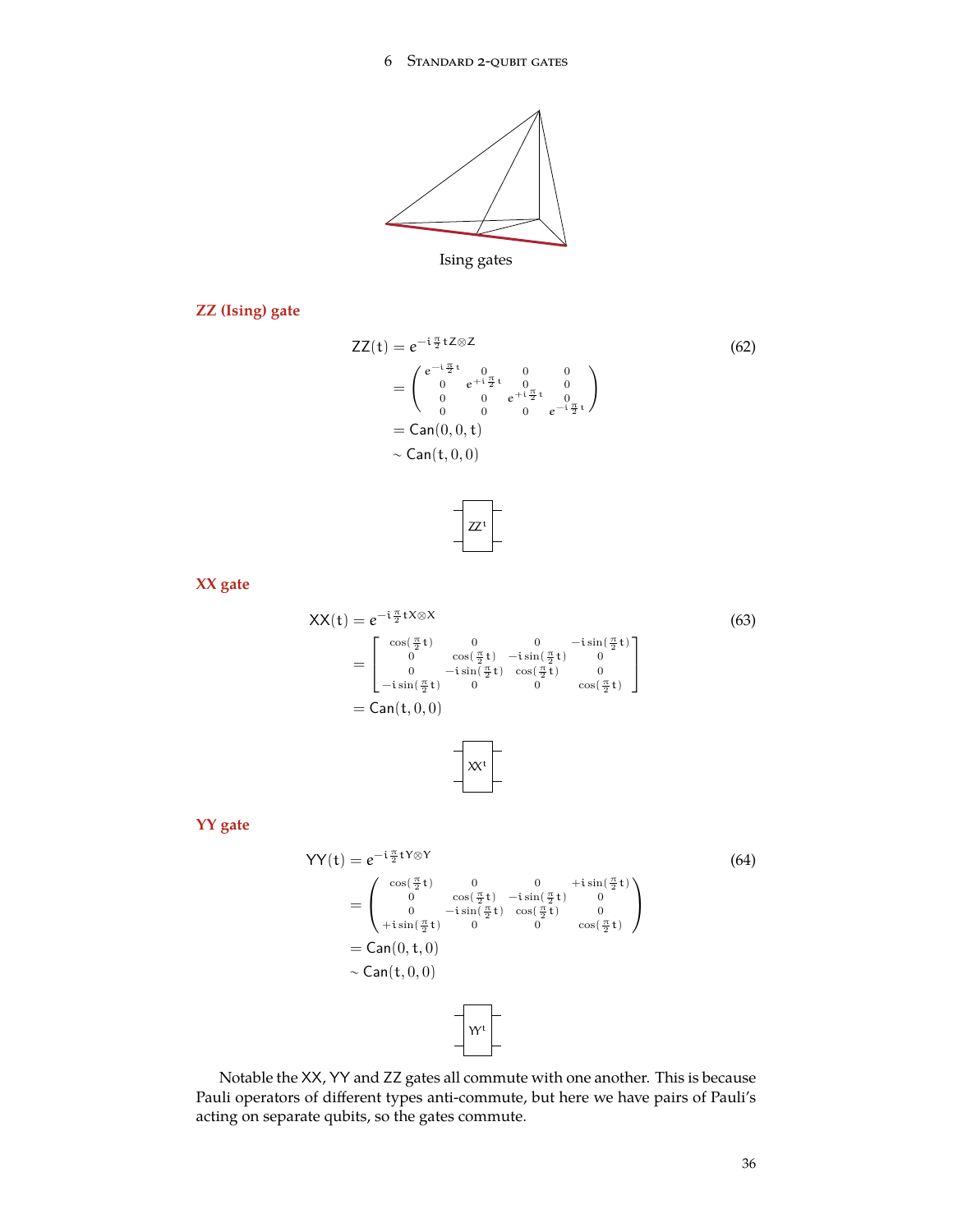

<span id="page-35-0"></span>

**ZZ (Ising) gate**

$$
ZZ(t) = e^{-i\frac{\pi}{2}t} \times 2 \tag{62}
$$
\n
$$
= \begin{pmatrix} e^{-i\frac{\pi}{2}t} & 0 & 0 & 0 \\ 0 & e^{+i\frac{\pi}{2}t} & 0 & 0 \\ 0 & 0 & e^{+i\frac{\pi}{2}t} & 0 \\ 0 & 0 & 0 & e^{-i\frac{\pi}{2}t} \end{pmatrix}
$$
\n
$$
= \text{Can}(0, 0, t)
$$
\n
$$
\sim \text{Can}(t, 0, 0)
$$
\n(62)

<span id="page-35-1"></span>

**XX gate**

$$
XX(t) = e^{-i\frac{\pi}{2}tX \otimes X}
$$
(63)  

$$
= \begin{bmatrix} \cos(\frac{\pi}{2}t) & 0 & 0 & -i\sin(\frac{\pi}{2}t) \\ 0 & \cos(\frac{\pi}{2}t) & -i\sin(\frac{\pi}{2}t) & 0 \\ 0 & -i\sin(\frac{\pi}{2}t) & \cos(\frac{\pi}{2}t) & 0 \\ -i\sin(\frac{\pi}{2}t) & 0 & 0 & \cos(\frac{\pi}{2}t) \end{bmatrix}
$$

$$
= Can(t, 0, 0)
$$

**YY gate**

<span id="page-35-2"></span>
$$
YY(t) = e^{-i\frac{\pi}{2}tY \otimes Y}
$$
\n
$$
= \begin{pmatrix}\n\cos(\frac{\pi}{2}t) & 0 & 0 & +i\sin(\frac{\pi}{2}t) \\
0 & \cos(\frac{\pi}{2}t) & -i\sin(\frac{\pi}{2}t) & 0 \\
0 & -i\sin(\frac{\pi}{2}t) & \cos(\frac{\pi}{2}t) & 0 \\
+i\sin(\frac{\pi}{2}t) & 0 & 0 & \cos(\frac{\pi}{2}t)\n\end{pmatrix}
$$
\n
$$
= Can(0, t, 0)
$$
\n
$$
\sim Can(t, 0, 0)
$$

Notable the XX, YY and ZZ gates all commute with one another. This is because Pauli operators of different types anti-commute, but here we have pairs of Pauli's acting on separate qubits, so the gates commute.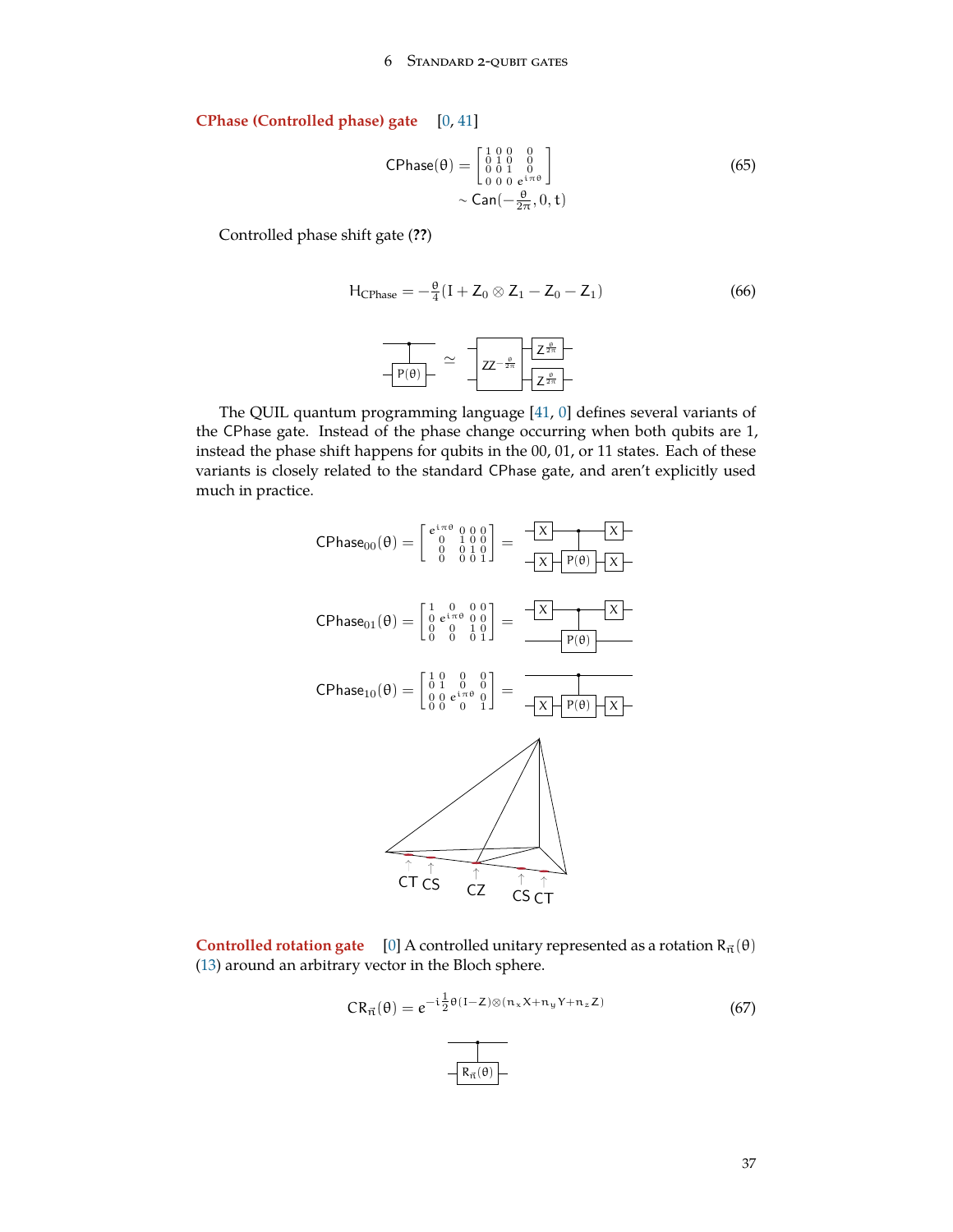# <span id="page-36-0"></span>**CPhase (Controlled phase) gate** [\[0](#page-71-0), [41](#page-73-0)]

$$
CPhase(θ) = \begin{bmatrix} 1 & 0 & 0 & 0 \\ 0 & 1 & 0 & 0 \\ 0 & 0 & 1 & 0 \\ 0 & 0 & 0 & e^{i\pi\theta} \end{bmatrix}
$$
  
~ 
$$
\sim \text{Can}(-\frac{\theta}{2\pi}, 0, t)
$$
 (65)

Controlled phase shift gate (**??**)

$$
H_{\text{CPhase}} = -\frac{\theta}{4}(I + Z_0 \otimes Z_1 - Z_0 - Z_1)
$$
\n
$$
\frac{1}{\sqrt{P(\theta) - \frac{\theta}{2}}} \simeq \frac{1}{\sqrt{Z - \frac{\theta}{2\pi}}} \sqrt{\frac{Z^{\frac{\theta}{2\pi}}}{Z^{\frac{\theta}{2\pi}}}}
$$
\n(66)

The QUIL quantum programming language [[41,](#page-73-0) [0](#page-71-0)] defines several variants of the CPhase gate. Instead of the phase change occurring when both qubits are 1, instead the phase shift happens for qubits in the 00, 01, or 11 states. Each of these variants is closely related to the standard CPhase gate, and aren't explicitly used much in practice.



**Controlled rotation gate** [\[0](#page-71-0)] A controlled unitary represented as a rotation  $R_{\vec{n}}(\theta)$ ([13\)](#page-11-0) around an arbitrary vector in the Bloch sphere.

$$
CR_{\vec{n}}(\theta) = e^{-i\frac{1}{2}\theta(I-Z)\otimes(n_xX + n_yY + n_zZ)}
$$
(67)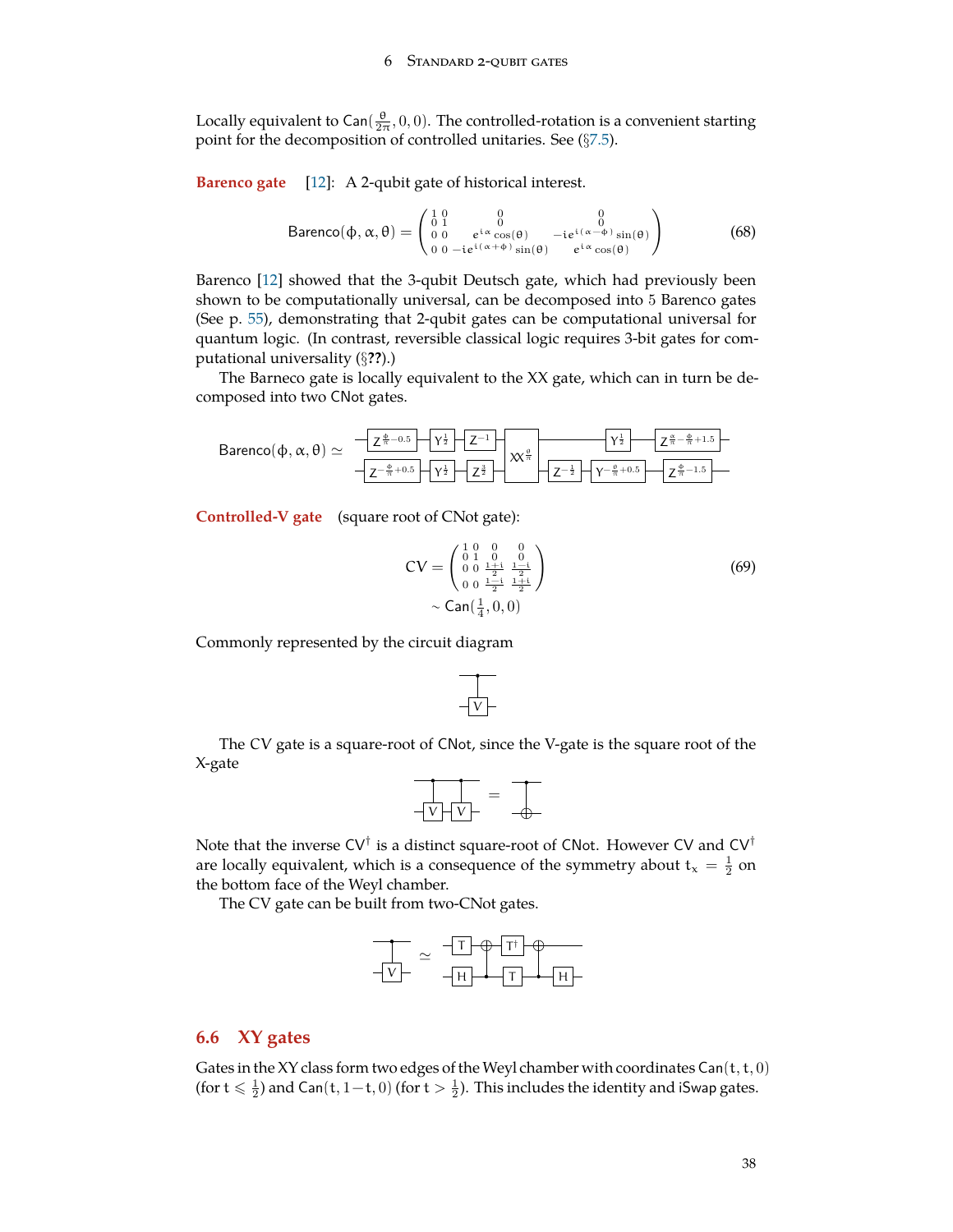<span id="page-37-0"></span>Locally equivalent to Can( $\frac{\theta}{2\pi}$ , 0, 0). The controlled-rotation is a convenient starting point for the decomposition of controlled unitaries. See (*§*[7.5\)](#page-49-0).

**Barenco gate** [[12\]](#page-71-1): A 2-qubit gate of historical interest.

$$
\text{Barenco}(\phi,\alpha,\theta) = \begin{pmatrix} 1 & 0 & 0 & 0 \\ 0 & 1 & 0 & 0 \\ 0 & 0 & e^{i\alpha}\cos(\theta) & -ie^{i(\alpha-\phi)}\sin(\theta) \\ 0 & 0 - ie^{i(\alpha+\phi)}\sin(\theta) & e^{i\alpha}\cos(\theta) \end{pmatrix}
$$
(68)

Barenco [[12\]](#page-71-1) showed that the 3-qubit Deutsch gate, which had previously been shown to be computationally universal, can be decomposed into 5 Barenco gates (See p. [55](#page-54-0)), demonstrating that 2-qubit gates can be computational universal for quantum logic. (In contrast, reversible classical logic requires 3-bit gates for computational universality (*§***??**).)

The Barneco gate is locally equivalent to the XX gate, which can in turn be decomposed into two CNot gates.

$$
\text{Barenco}(\varphi,\alpha,\theta)\simeq\begin{array}{c|c|c} -\fbox{$\frac{\varphi}{2}$&\fbox{$-\frac{\varphi}{2}$}&\fbox{$-\frac{\varphi}{2}$}&\fbox{$-\frac{\varphi}{2}$}&\fbox{$-\frac{\varphi}{2}$}&\fbox{$-\frac{\varphi}{2}$}&\fbox{$-\frac{\varphi}{2}$}&\fbox{$-\frac{\varphi}{2}$}&\fbox{$-\frac{\varphi}{2}$}&\fbox{$-\frac{\varphi}{2}$}&\fbox{$-\frac{\varphi}{2}$}&\fbox{$-\frac{\varphi}{2}$}&\fbox{$-\frac{\varphi}{2}$}&\fbox{$-\frac{\varphi}{2}$}&\fbox{$-\frac{\varphi}{2}$}&\fbox{$-\frac{\varphi}{2}$}&\fbox{$-\frac{\varphi}{2}$}&\fbox{$-\frac{\varphi}{2}$}&\fbox{$-\frac{\varphi}{2}$}&\fbox{$-\frac{\varphi}{2}$}&\fbox{$-\frac{\varphi}{2}$}&\fbox{$-\frac{\varphi}{2}$}&\fbox{$-\frac{\varphi}{2}$}&\fbox{$-\frac{\varphi}{2}$}&\fbox{$-\frac{\varphi}{2}$}&\fbox{$-\frac{\varphi}{2}$}&\fbox{$-\frac{\varphi}{2}$}&\fbox{$-\frac{\varphi}{2}$}&\fbox{$-\frac{\varphi}{2}$}&\fbox{$-\frac{\varphi}{2}$}&\fbox{$-\frac{\varphi}{2}$}&\fbox{$-\frac{\varphi}{2}$}&\fbox{$-\frac{\varphi}{2}$}&\fbox{$-\frac{\varphi}{2}$}&\fbox{$-\frac{\varphi}{2}$}&\fbox{$-\frac{\varphi}{2}$}&\fbox{$-\frac{\varphi}{2}$}&\fbox{$-\frac{\varphi}{2}$}&\fbox{$-\frac{\varphi}{2}$}&\fbox{$-\frac{\varphi}{2}$}&\fbox{$-\frac{\varphi}{2}$}&\fbox{$-\frac{\varphi}{2}$}&\fbox{$-\frac{\varphi}{2}$}&\fbox{$-\frac{\varphi}{2}$}&\fbox{$-\frac{\varphi}{2}$}&\fbox{$-\frac{\varphi}{2}$}&\fbox{$-\frac{\varphi}{2}$}&\fbox{$-\frac{\varphi}{2}$}&\fbox{$-\frac{\varphi}{2}$}&\fbox{$-\frac{\varphi}{2}$}&\fbox{$-\frac{\varphi}{2}$}&\fbox{$-\frac{\varphi}{2}$}&\fbox{$-\frac{\varphi}{2}$}&\fbox{$-\frac{\varphi}{2}$}&\fbox{$-\frac{\varphi}{2}$}&\fbox{$-\frac{\varphi}{2}$}&\fbox
$$

**Controlled-V gate** (square root of CNot gate):

$$
CV = \begin{pmatrix} 1 & 0 & 0 & 0 \\ 0 & 1 & 0 & 0 \\ 0 & 0 & \frac{1+i}{2} & \frac{1-i}{2} \\ 0 & 0 & \frac{1-i}{2} & \frac{1+i}{2} \end{pmatrix}
$$
(69)  
~  $\sim$  Can( $\frac{1}{4}$ , 0, 0)

Commonly represented by the circuit diagram

$$
\frac{1}{|v|}
$$

The CV gate is a square-root of CNot, since the V-gate is the square root of the X-gate

$$
\frac{1}{-\sqrt{1-\sqrt{1-\frac{1}{2}}}} = \frac{1}{-\sqrt{1-\frac{1}{2}}}
$$

Note that the inverse CV*†* is a distinct square-root of CNot. However CV and CV*†* are locally equivalent, which is a consequence of the symmetry about  $t_x = \frac{1}{2}$  on the bottom face of the Weyl chamber.

The CV gate can be built from two-CNot gates.

$$
\frac{1}{\sqrt{V}} = \frac{1}{\sqrt{1 + \frac{1}{\sqrt{1 + \frac{1}{\sqrt{1 + \frac{1}{\sqrt{1 + \frac{1}{\sqrt{1 + \frac{1}{\sqrt{1 + \frac{1}{\sqrt{1 + \frac{1}{\sqrt{1 + \frac{1}{\sqrt{1 + \frac{1}{\sqrt{1 + \frac{1}{\sqrt{1 + \frac{1}{\sqrt{1 + \frac{1}{\sqrt{1 + \frac{1}{\sqrt{1 + \frac{1}{\sqrt{1 + \frac{1}{\sqrt{1 + \frac{1}{\sqrt{1 + \frac{1}{\sqrt{1 + \frac{1}{\sqrt{1 + \frac{1}{\sqrt{1 + \frac{1}{\sqrt{1 + \frac{1}{\sqrt{1 + \frac{1}{\sqrt{1 + \frac{1}{\sqrt{1 + \frac{1}{\sqrt{1 + \frac{1}{\sqrt{1 + \frac{1}{\sqrt{1 + \frac{1}{\sqrt{1 + \frac{1}{\sqrt{1 + \frac{1}{\sqrt{1 + \frac{1}{\sqrt{1 + \frac{1}{\sqrt{1 + \frac{1}{\sqrt{1 + \frac{1}{\sqrt{1 + \frac{1}{\sqrt{1 + \frac{1}{\sqrt{1 + \frac{1}{\sqrt{1 + \frac{1}{\sqrt{1 + \frac{1}{\sqrt{1 + \frac{1}{\sqrt{1 + \frac{1}{\sqrt{1 + \frac{1}{\sqrt{1 + \frac{1}{\sqrt{1 + \frac{1}{\sqrt{1 + \frac{1}{\sqrt{1 + \frac{1}{\sqrt{1 + \frac{1}{\sqrt{1 + \frac{1}{\sqrt{1 + \frac{1}{\sqrt{1 + \frac{1}{\sqrt{1 + \frac{1}{\sqrt{1 + \frac{1}{\sqrt{1 + \frac{1}{\sqrt{1 + \frac{1}{\sqrt{1 + \frac{1}{\sqrt{1 + \frac{1}{\sqrt{1 + \frac{1}{\sqrt{1 + \frac{1}{\sqrt{1 + \frac{1}{\sqrt{1 + \frac{1 \cdot \frac{1}{\sqrt{1 + \frac{1 \cdot \frac{1}{\sqrt{1 + \frac{1 \cdot \frac{1}{\sqrt{1 + \frac{1 \cdot \frac{1}{\sqrt{1 + \frac{1 \cdot \frac{1}{\sqrt{1 + \frac{1 \cdot \frac{1}{\sqrt{1 + \frac{1 \cdot \frac{1}{\sqrt{1 + \frac{1 \cdot \frac{1}{\sqrt{1 + \frac{1 \cdot \frac{1}{\sqrt{1 + \frac{1 \cdot \frac{1}{\sqrt{1
$$

# **6.6 XY gates**

Gates in the XY class form two edges of the Weyl chamber with coordinates  $Can(t, t, 0)$ (for  $t \leqslant \frac{1}{2}$ ) and Can $(t, 1-t, 0)$  (for  $t > \frac{1}{2}$ ). This includes the identity and iSwap gates.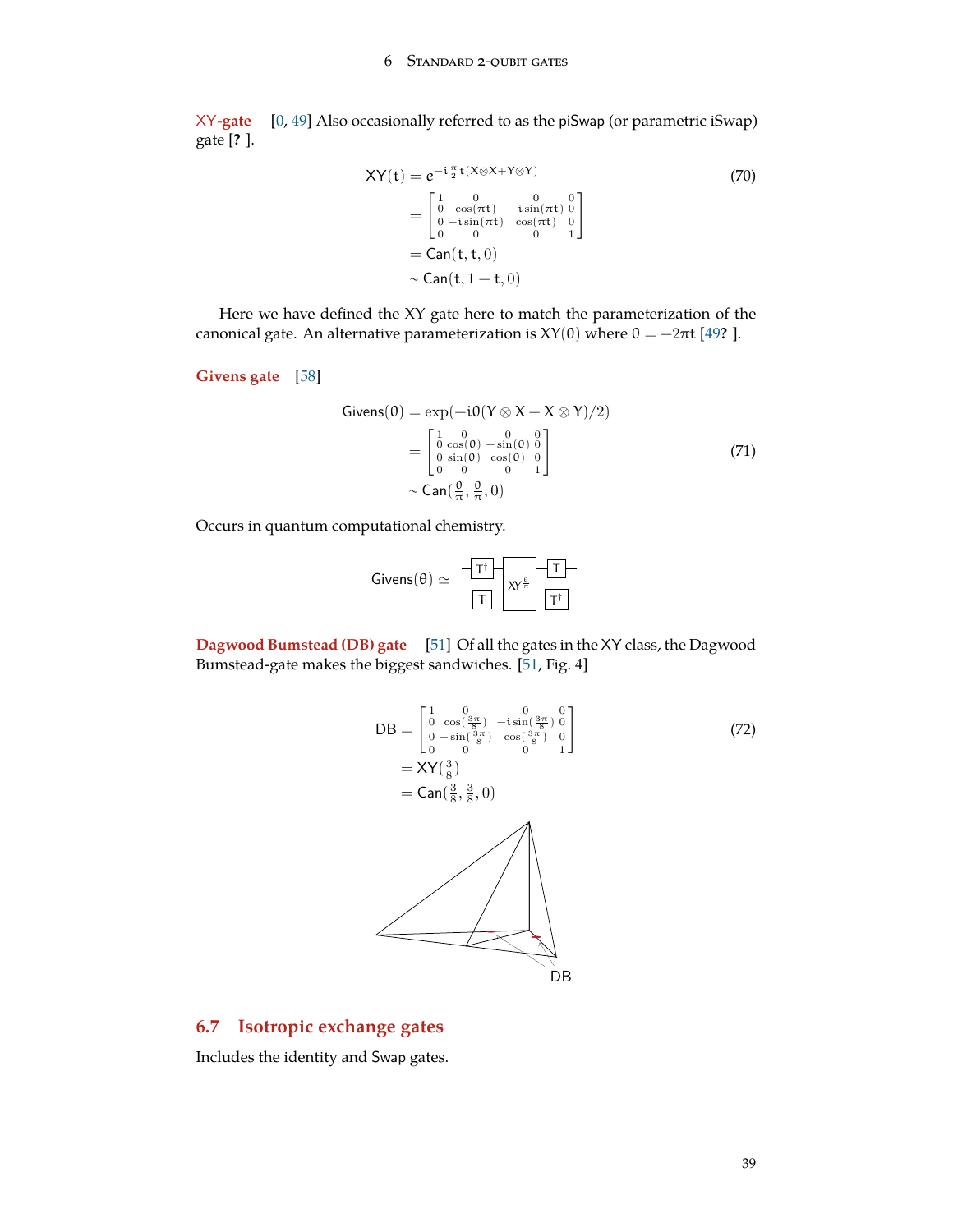<span id="page-38-0"></span>XY**-gate** [\[0](#page-71-0), [49](#page-73-1)] Also occasionally referred to as the piSwap (or parametric iSwap) gate [**?** ].

$$
XY(t) = e^{-i\frac{\pi}{2}t(X\otimes X + Y\otimes Y)}
$$
  
\n
$$
= \begin{bmatrix} 1 & 0 & 0 & 0 \\ 0 & \cos(\pi t) & -i\sin(\pi t) & 0 \\ 0 & -i\sin(\pi t) & \cos(\pi t) & 0 \\ 0 & 0 & 0 & 1 \end{bmatrix}
$$
  
\n
$$
= Can(t, t, 0)
$$
  
\n
$$
\sim Can(t, 1 - t, 0)
$$

Here we have defined the XY gate here to match the parameterization of the canonical gate. An alternative parameterization is  $XY(θ)$  where  $θ = -2πt$  [\[49](#page-73-1)**?** ].

**Givens gate** [[58\]](#page-74-0)

$$
Givens(\theta) = \exp(-i\theta (Y \otimes X - X \otimes Y)/2)
$$
  
= 
$$
\begin{bmatrix} 1 & 0 & 0 & 0 \\ 0 & \cos(\theta) & -\sin(\theta) & 0 \\ 0 & \sin(\theta) & \cos(\theta) & 0 \\ 0 & 0 & 0 & 1 \end{bmatrix}
$$
 (71)  

$$
\sim \text{Can}(\frac{\theta}{\pi}, \frac{\theta}{\pi}, 0)
$$

Occurs in quantum computational chemistry.

$$
\text{Givens}(\theta) \simeq \begin{array}{c} \begin{array}{c} \begin{array}{c} \begin{array}{c} \begin{array}{c} \end{array} \\ \begin{array}{c} \end{array} \\ \begin{array}{c} \end{array} \\ \begin{array}{c} \end{array} \\ \begin{array}{c} \end{array} \\ \begin{array}{c} \end{array} \\ \begin{array}{c} \end{array} \\ \begin{array}{c} \end{array} \\ \begin{array}{c} \end{array} \\ \begin{array}{c} \end{array} \\ \begin{array}{c} \end{array} \\ \begin{array}{c} \end{array} \\ \begin{array}{c} \end{array} \\ \begin{array}{c} \end{array} \\ \begin{array}{c} \end{array} \\ \begin{array}{c} \end{array} \\ \begin{array}{c} \end{array} \\ \begin{array}{c} \end{array} \\ \begin{array}{c} \end{array} \\ \begin{array}{c} \end{array} \\ \begin{array}{c} \end{array} \\ \begin{array}{c} \end{array} \\ \begin{array}{c} \end{array} \\ \begin{array}{c} \end{array} \\ \begin{array}{c} \end{array} \\ \begin{array}{c} \end{array} \\ \begin{array}{c} \end{array} \\ \begin{array}{c} \end{array} \\ \begin{array}{c} \end{array} \\ \begin{array}{c} \end{array} \\ \begin{array}{c} \end{array} \\ \begin{array}{c} \end{array} \\ \begin{array}{c} \end{array} \\ \begin{array}{c} \end{array} \\ \begin{array}{c} \end{array} \\ \begin{array}{c} \end{array} \\ \begin{array}{c} \end{array} \\ \begin{array}{c} \end{array} \\ \begin{array}{c} \end{array} \\ \begin{array}{c} \end{array} \\ \begin{array}{c} \end{array} \\ \begin{array}{c} \end{array} \\ \begin{array}{c} \end{array} \\ \begin{array}{c} \end{array} \\ \begin{array}{c} \end{array} \\ \begin{array}{c} \end{array} \\ \begin{array}{c} \end{array} \\ \begin{array}{c} \end{array} \\ \begin{array}{c} \end{array} \\ \begin{array}{c} \end{array} \\ \begin{array}{c} \end{array} \\ \begin{array}{c} \end{array} \\ \begin{array}{c} \end{array} \\ \begin{array}{c} \end{array} \\ \begin{array}{c} \end{array} \\ \begin{
$$

**Dagwood Bumstead (DB) gate** [[51\]](#page-73-2) Of all the gates in the XY class, the Dagwood Bumstead-gate makes the biggest sandwiches. [[51,](#page-73-2) Fig. 4]

$$
DB = \begin{bmatrix} 1 & 0 & 0 & 0 \\ 0 & \cos(\frac{3\pi}{8}) & -i\sin(\frac{3\pi}{8}) & 0 \\ 0 & -\sin(\frac{3\pi}{8}) & \cos(\frac{3\pi}{8}) & 0 \\ 0 & 0 & 0 & 1 \end{bmatrix}
$$
(72)  
= XY( $\frac{3}{8}$ )  
= Can( $\frac{3}{8}$ ,  $\frac{3}{8}$ , 0)  
DB

# **6.7 Isotropic exchange gates**

Includes the identity and Swap gates.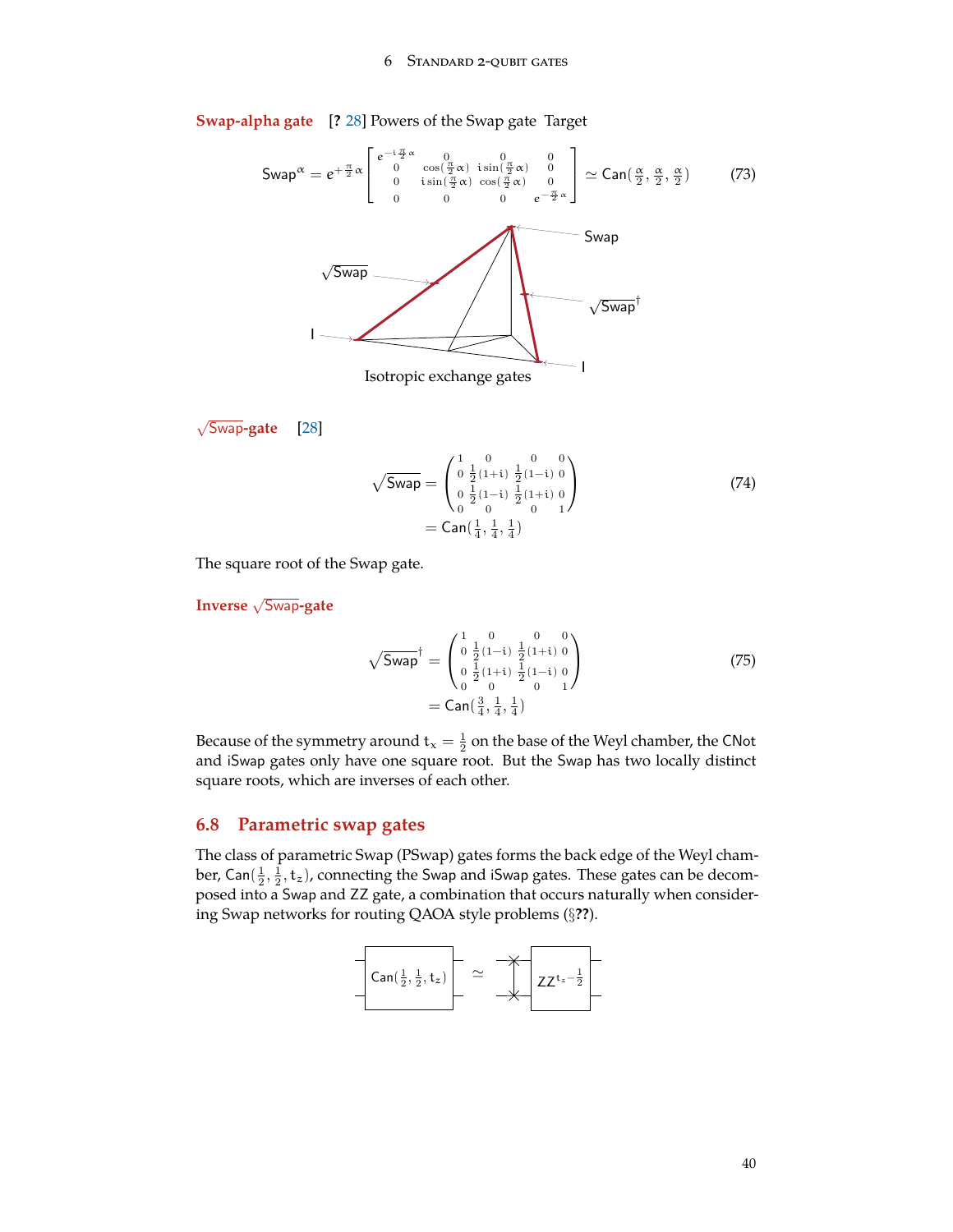#### 6 Standard 2-qubit gates

**Swap-alpha gate** [**?** [28](#page-72-0)] Powers of the Swap gate Target

Swap 
$$
\alpha = e^{+\frac{\pi}{2}\alpha} \begin{bmatrix} e^{-i\frac{\pi}{2}\alpha} & 0 & 0 & 0 \\ 0 & \cos\left(\frac{\pi}{2}\alpha\right) & i\sin\left(\frac{\pi}{2}\alpha\right) & 0 \\ 0 & i\sin\left(\frac{\pi}{2}\alpha\right) & \cos\left(\frac{\pi}{2}\alpha\right) & 0 \\ 0 & 0 & 0 & e^{-\frac{\pi}{2}\alpha} \end{bmatrix} \simeq \text{Can}\left(\frac{\alpha}{2}, \frac{\alpha}{2}, \frac{\alpha}{2}\right) \tag{73}
$$

\nSwap

\nSwap

\nIsotropic exchange gates

*√* Swap**-gate** [\[28](#page-72-0)]

$$
\sqrt{\text{Swap}} = \begin{pmatrix} 1 & 0 & 0 & 0 \\ 0 & \frac{1}{2}(1+i) & \frac{1}{2}(1-i) & 0 \\ 0 & \frac{1}{2}(1-i) & \frac{1}{2}(1+i) & 0 \\ 0 & 0 & 0 & 1 \end{pmatrix}
$$
(74)  
= Can( $\frac{1}{4}$ ,  $\frac{1}{4}$ ,  $\frac{1}{4}$ )

The square root of the Swap gate.

**Inverse** *<sup>√</sup>* Swap**-gate**

$$
\sqrt{\text{Swap}}^{\dagger} = \begin{pmatrix} 1 & 0 & 0 & 0 \\ 0 & \frac{1}{2}(1-i) & \frac{1}{2}(1+i) & 0 \\ 0 & \frac{1}{2}(1+i) & \frac{1}{2}(1-i) & 0 \\ 0 & 0 & 0 & 1 \end{pmatrix}
$$
  
= Can  $\begin{pmatrix} 3 & 1 & 1 \\ 4 & \frac{1}{4} & 1 \end{pmatrix}$  (75)

Because of the symmetry around  $t_x = \frac{1}{2}$  on the base of the Weyl chamber, the CNot and iSwap gates only have one square root. But the Swap has two locally distinct square roots, which are inverses of each other.

## <span id="page-39-0"></span>**6.8 Parametric swap gates**

The class of parametric Swap (PSwap) gates forms the back edge of the Weyl chamber, Can $(\frac{1}{2},\frac{1}{2},\mathsf{t}_z)$ , connecting the Swap and iSwap gates. These gates can be decomposed into a Swap and ZZ gate, a combination that occurs naturally when considering Swap networks for routing QAOA style problems (*§***??**).

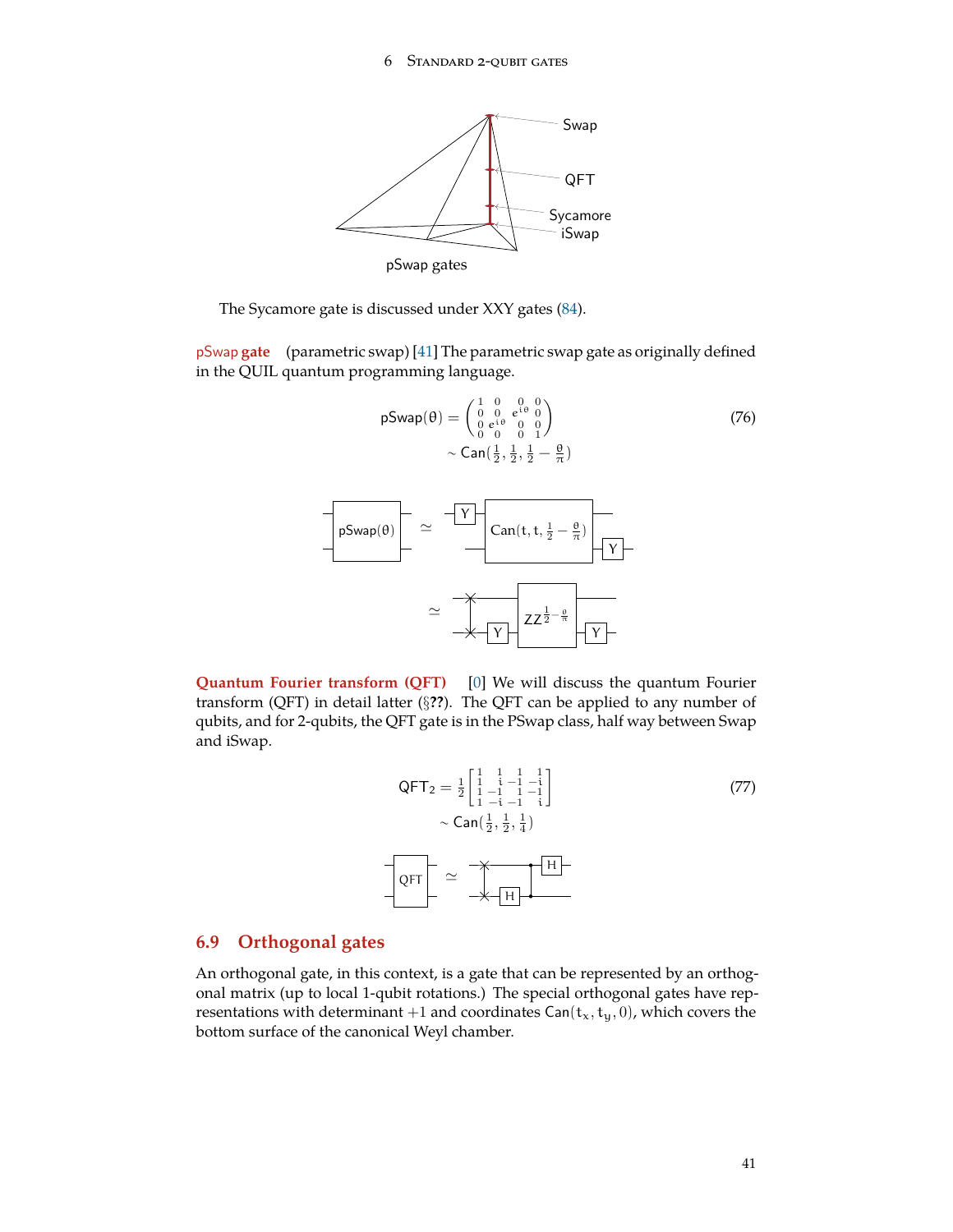<span id="page-40-0"></span>

The Sycamore gate is discussed under XXY gates [\(84](#page-44-0)).

pSwap **gate** (parametric swap) [\[41](#page-73-0)] The parametric swap gate as originally defined in the QUIL quantum programming language.

$$
\mathsf{pSwap}(\theta) = \begin{pmatrix} 1 & 0 & 0 & 0 \\ 0 & 0 & e^{i\theta} & 0 \\ 0 & e^{i\theta} & 0 & 0 \\ 0 & 0 & 0 & 1 \end{pmatrix}
$$
 (76)  
~  $\sim$  Can $(\frac{1}{2}, \frac{1}{2}, \frac{1}{2} - \frac{\theta}{\pi})$ 



**Quantum Fourier transform (QFT)** [\[0](#page-71-0)] We will discuss the quantum Fourier transform (QFT) in detail latter (*§***??**). The QFT can be applied to any number of qubits, and for 2-qubits, the QFT gate is in the PSwap class, half way between Swap and iSwap.

$$
QFT_2 = \frac{1}{2} \begin{bmatrix} 1 & 1 & 1 & 1 \\ 1 & 1 & -1 & -1 \\ 1 & -1 & 1 & -1 \\ 1 & -1 & -1 & 1 \end{bmatrix}
$$
 (77)  
\n
$$
\sim \text{Can}(\frac{1}{2}, \frac{1}{2}, \frac{1}{4})
$$

# **6.9 Orthogonal gates**

An orthogonal gate, in this context, is a gate that can be represented by an orthogonal matrix (up to local 1-qubit rotations.) The special orthogonal gates have representations with determinant  $+1$  and coordinates Can( $t_x, t_y, 0$ ), which covers the bottom surface of the canonical Weyl chamber.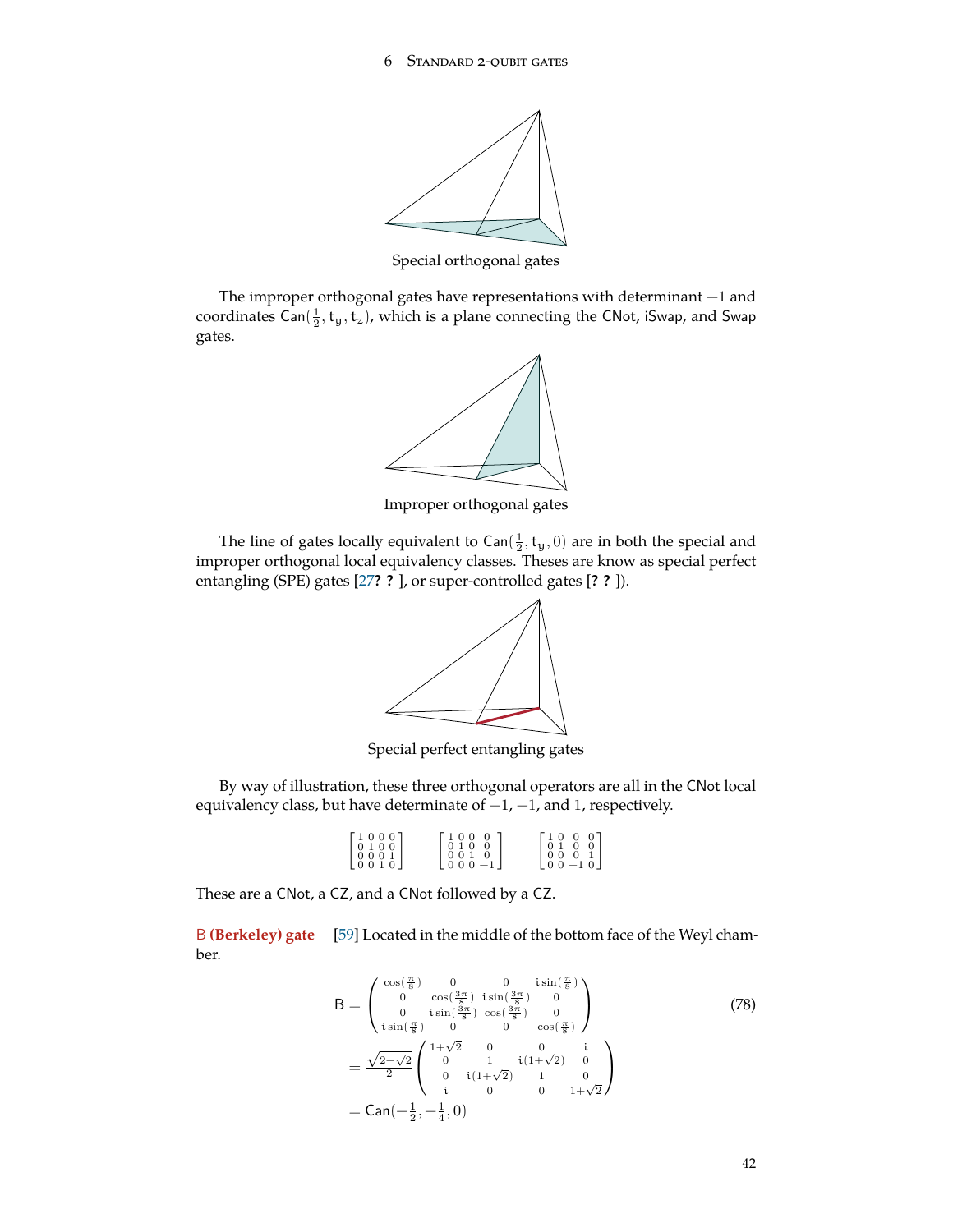

Special orthogonal gates

The improper orthogonal gates have representations with determinant −1 and coordinates Can $(\frac{1}{2}, \mathsf{t}_y, \mathsf{t}_z)$ , which is a plane connecting the CNot, iSwap, and Swap gates.



Improper orthogonal gates

The line of gates locally equivalent to  $\textsf{Can}(\frac{1}{2}, t_y, 0)$  are in both the special and improper orthogonal local equivalency classes. Theses are know as special perfect entangling (SPE) gates [[27](#page-72-1)**? ?** ], or super-controlled gates [**? ?** ]).



Special perfect entangling gates

By way of illustration, these three orthogonal operators are all in the CNot local equivalency class, but have determinate of  $-1$ ,  $-1$ , and 1, respectively.

| $\left[ \begin{smallmatrix} 1 & 0 & 0 & 0 \\ 0 & 1 & 0 & 0 \\ 0 & 0 & 0 & 1 \\ 0 & 0 & 1 & 0 \end{smallmatrix} \right]$<br>$\left[ \begin{smallmatrix} 1 & 0 & 0 & 0 \\ 0 & 1 & 0 & 0 \\ 0 & 0 & 0 & 1 \\ 0 & 0 & -1 & 0 \end{smallmatrix} \right]$<br>$\left[ \begin{smallmatrix} 1 & 0 & 0 & 0 \\ 0 & 1 & 0 & 0 \\ 0 & 0 & 1 & 0 \\ 0 & 0 & 0 & -1 \end{smallmatrix} \right]$ |  |  |
|---------------------------------------------------------------------------------------------------------------------------------------------------------------------------------------------------------------------------------------------------------------------------------------------------------------------------------------------------------------------------------|--|--|
|---------------------------------------------------------------------------------------------------------------------------------------------------------------------------------------------------------------------------------------------------------------------------------------------------------------------------------------------------------------------------------|--|--|

These are a CNot, a CZ, and a CNot followed by a CZ.

B **(Berkeley) gate** [[59\]](#page-74-1) Located in the middle of the bottom face of the Weyl chamber.

$$
B = \begin{pmatrix} \cos(\frac{\pi}{8}) & 0 & 0 & i\sin(\frac{\pi}{8}) \\ 0 & \cos(\frac{3\pi}{8}) & i\sin(\frac{3\pi}{8}) & 0 \\ 0 & i\sin(\frac{\pi}{8}) & \cos(\frac{3\pi}{8}) & 0 \\ i\sin(\frac{\pi}{8}) & 0 & 0 & \cos(\frac{\pi}{8}) \end{pmatrix}
$$
(78)  
=  $\frac{\sqrt{2-\sqrt{2}}}{2} \begin{pmatrix} 1+\sqrt{2} & 0 & 0 & i \\ 0 & 1 & i(1+\sqrt{2}) & 0 \\ 0 & i(1+\sqrt{2}) & 1 & 0 \\ i & 0 & 0 & 1+\sqrt{2} \end{pmatrix}$   
=  $Can(-\frac{1}{2}, -\frac{1}{4}, 0)$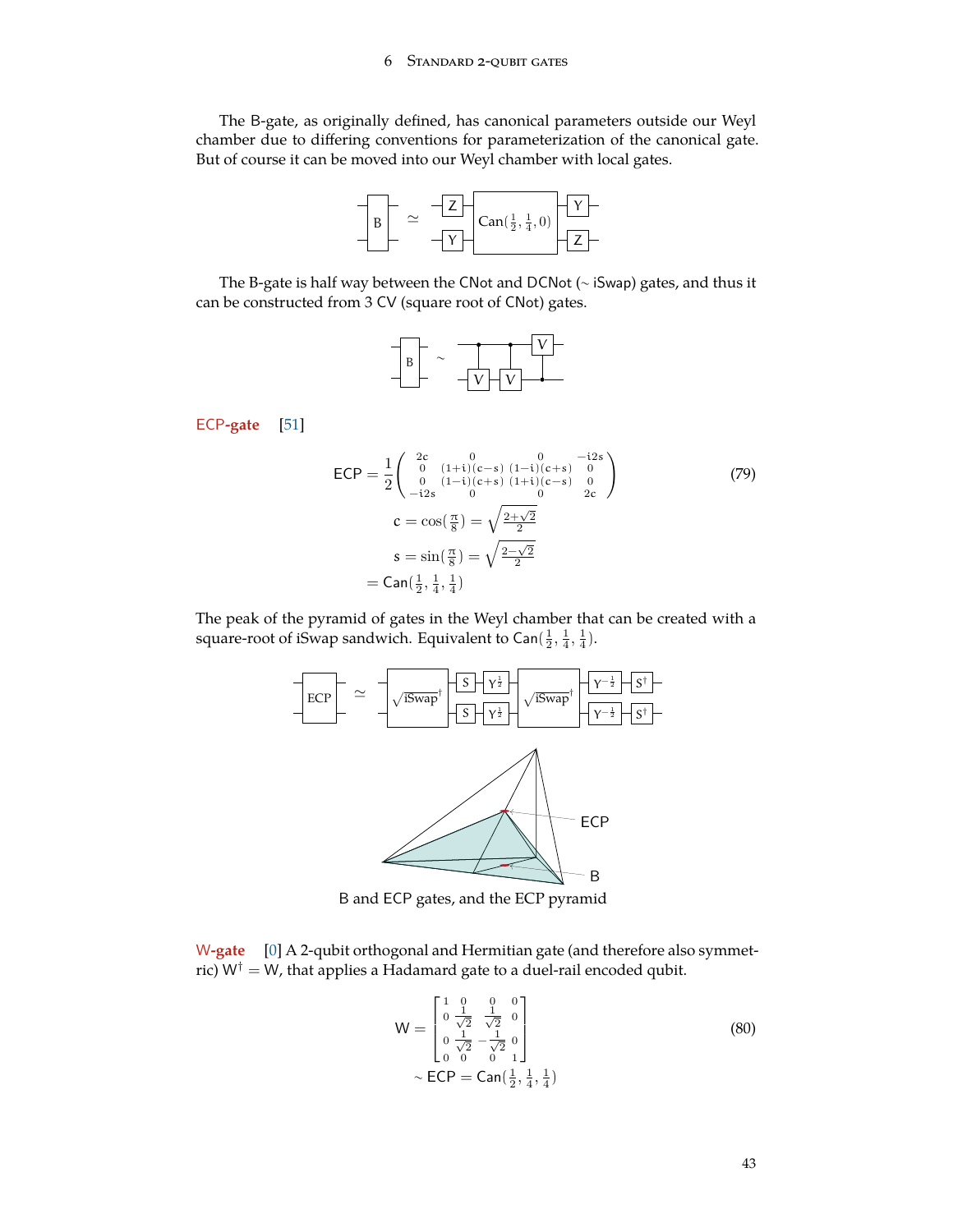### 6 Standard 2-qubit gates

<span id="page-42-0"></span>The B-gate, as originally defined, has canonical parameters outside our Weyl chamber due to differing conventions for parameterization of the canonical gate. But of course it can be moved into our Weyl chamber with local gates.



The B-gate is half way between the CNot and DCNot (∼ iSwap) gates, and thus it can be constructed from 3 CV (square root of CNot) gates.



ECP**-gate** [[51\]](#page-73-2)

$$
ECP = \frac{1}{2} \begin{pmatrix} 2c & 0 & 0 & -i2s \\ 0 & (1+i)(c-s) & (1-i)(c+s) & 0 \\ 0 & (1-i)(c+s) & (1+i)(c-s) & 0 \\ -i2s & 0 & 0 & 2c \end{pmatrix}
$$
  
\n
$$
c = \cos(\frac{\pi}{8}) = \sqrt{\frac{2+\sqrt{2}}{2}}
$$
  
\n
$$
s = \sin(\frac{\pi}{8}) = \sqrt{\frac{2-\sqrt{2}}{2}}
$$
  
\n
$$
= \text{Can}(\frac{1}{2}, \frac{1}{4}, \frac{1}{4})
$$
\n(79)

The peak of the pyramid of gates in the Weyl chamber that can be created with a square-root of iSwap sandwich. Equivalent to Can $(\frac{1}{2}, \frac{1}{4}, \frac{1}{4})$ .



B and ECP gates, and the ECP pyramid

W**-gate** [\[0](#page-71-0)] A 2-qubit orthogonal and Hermitian gate (and therefore also symmetric)  $W^{\dagger} = W$ , that applies a Hadamard gate to a duel-rail encoded qubit.

$$
W = \begin{bmatrix} 1 & 0 & 0 \\ 0 & \frac{1}{\sqrt{2}} & \frac{1}{\sqrt{2}} & 0 \\ 0 & \frac{1}{\sqrt{2}} & -\frac{1}{\sqrt{2}} & 0 \\ 0 & 0 & 0 & 1 \end{bmatrix}
$$
  
~  $\sim$  ECP = Can( $\frac{1}{2}$ ,  $\frac{1}{4}$ ,  $\frac{1}{4}$ ) (80)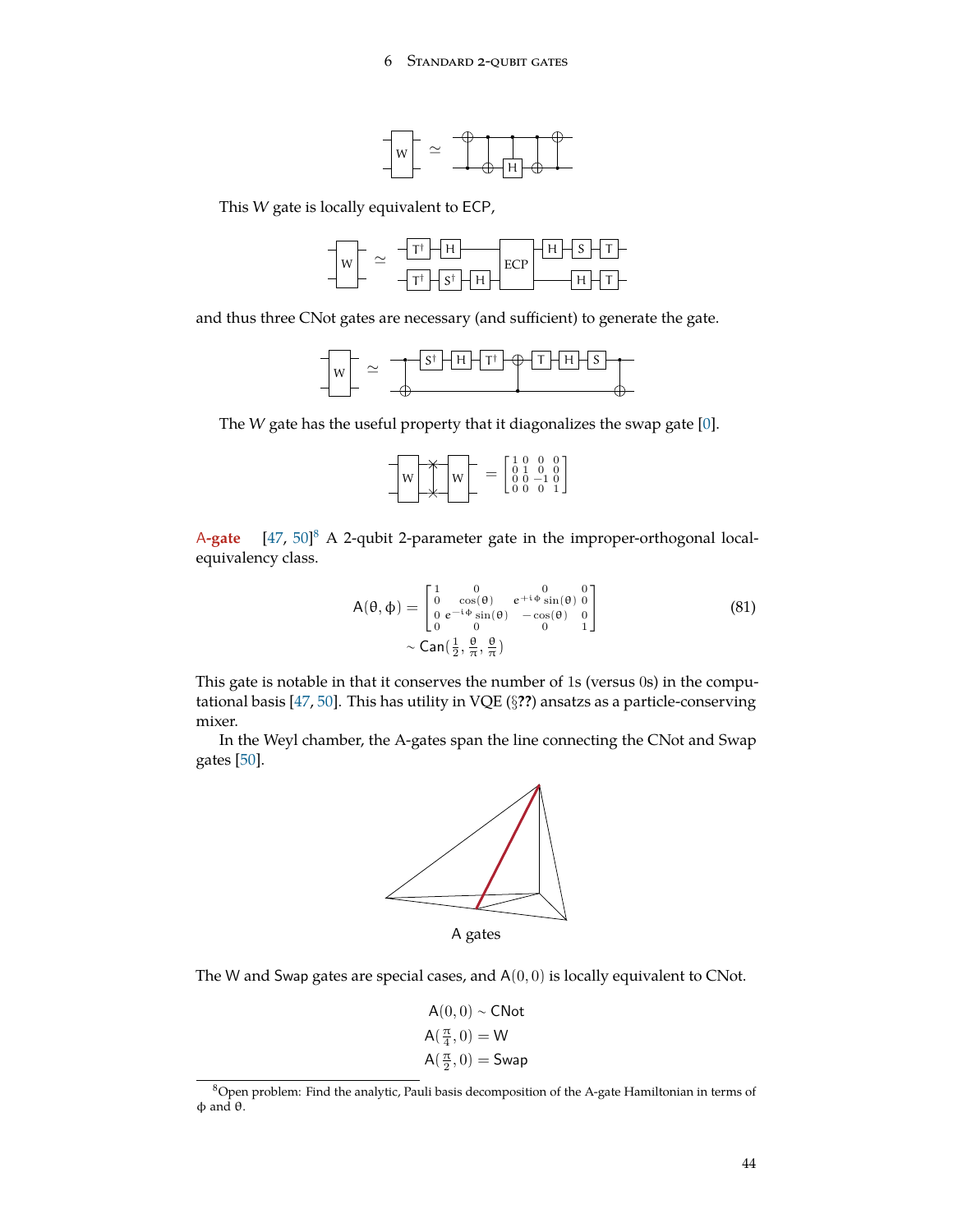

<span id="page-43-1"></span>This W gate is locally equivalent to ECP,



and thus three CNot gates are necessary (and sufficient) to generate the gate.



The W gate has the useful property that it diagonalizes the swap gate [[0\]](#page-71-0).

| W |  | W |  |  | $\overline{0}$<br>$\overline{\phantom{0}}$ $\overline{\phantom{0}}$ $\overline{\phantom{0}}$ | $0101$ $-10$<br>$\overline{0}$ | $^{0}$ <sup>-</sup><br>$\mathbf{1}$ |
|---|--|---|--|--|----------------------------------------------------------------------------------------------|--------------------------------|-------------------------------------|
|---|--|---|--|--|----------------------------------------------------------------------------------------------|--------------------------------|-------------------------------------|

A**-gate** [[47,](#page-73-3) [50](#page-73-4)] [8](#page-43-0) A 2-qubit 2-parameter gate in the improper-orthogonal localequivalency class.

$$
\mathsf{A}(\theta,\phi) = \begin{bmatrix} 1 & 0 & 0 \\ 0 & \cos(\theta) & e^{+i\phi}\sin(\theta) & 0 \\ 0 & e^{-i\phi}\sin(\theta) & -\cos(\theta) & 0 \\ 0 & 0 & 0 & 1 \end{bmatrix}
$$
(81)  
~  $\sim \mathsf{Can}(\frac{1}{2},\frac{\theta}{\pi},\frac{\theta}{\pi})$ 

This gate is notable in that it conserves the number of 1s (versus 0s) in the computational basis [\[47](#page-73-3), [50\]](#page-73-4). This has utility in VQE (*§***??**) ansatzs as a particle-conserving mixer.

In the Weyl chamber, the A-gates span the line connecting the CNot and Swap gates [\[50](#page-73-4)].



The W and Swap gates are special cases, and  $A(0, 0)$  is locally equivalent to CNot.

$$
A(0,0) \sim \text{CNot}
$$

$$
A(\frac{\pi}{4}, 0) = W
$$

$$
A(\frac{\pi}{2}, 0) = \text{Swap}
$$

<span id="page-43-0"></span><sup>8</sup>Open problem: Find the analytic, Pauli basis decomposition of the A-gate Hamiltonian in terms of  $φ$  and  $θ$ .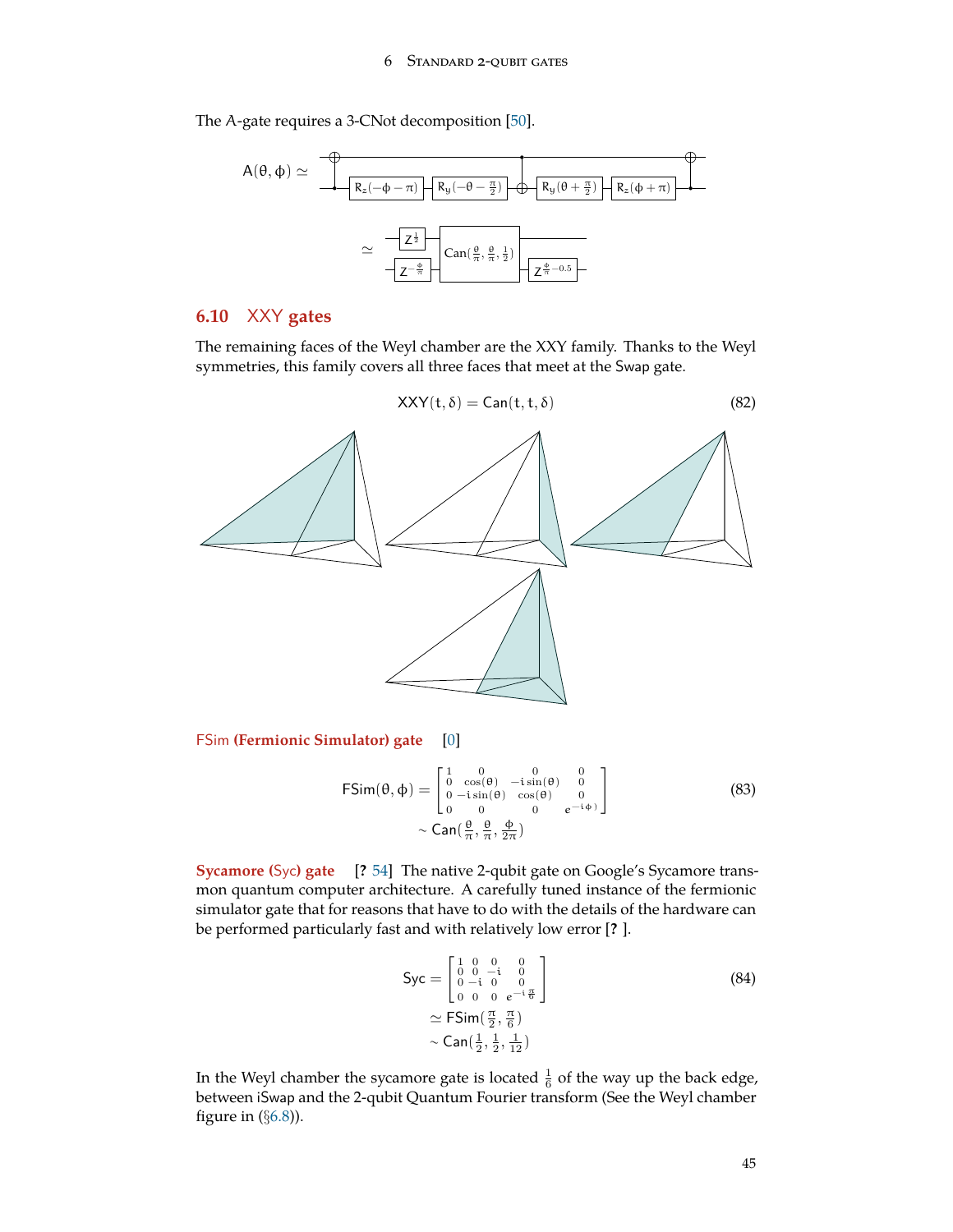<span id="page-44-1"></span>The A-gate requires a 3-CNot decomposition [\[50](#page-73-4)].



# **6.10** XXY **gates**

The remaining faces of the Weyl chamber are the XXY family. Thanks to the Weyl symmetries, this family covers all three faces that meet at the Swap gate.



FSim **(Fermionic Simulator) gate** [[0\]](#page-71-0)

$$
\mathsf{FSim}(\theta,\phi) = \begin{bmatrix} 1 & 0 & 0 & 0 \\ 0 & \cos(\theta) & -\sin(\theta) & 0 \\ 0 & -\sin(\theta) & \cos(\theta) & 0 \\ 0 & 0 & 0 & e^{-i\phi} \end{bmatrix}
$$
(83)  
~  $\sim$  Can $\left(\frac{\theta}{\pi}, \frac{\theta}{\pi}, \frac{\phi}{2\pi}\right)$ 

**Sycamore (**Syc**) gate** [**?** [54](#page-74-2)] The native 2-qubit gate on Google's Sycamore transmon quantum computer architecture. A carefully tuned instance of the fermionic simulator gate that for reasons that have to do with the details of the hardware can be performed particularly fast and with relatively low error [**?** ].

<span id="page-44-0"></span>
$$
Syc = \begin{bmatrix} 1 & 0 & 0 & 0 \\ 0 & 0 & -i & 0 \\ 0 & -i & 0 & 0 \\ 0 & 0 & 0 & e^{-i\frac{\pi}{6}} \end{bmatrix}
$$
  
\approx  $\text{FSim}(\frac{\pi}{2}, \frac{\pi}{6})$  (84)  
\sim  $\text{Can}(\frac{1}{2}, \frac{1}{2}, \frac{1}{12})$ 

In the Weyl chamber the sycamore gate is located  $\frac{1}{6}$  of the way up the back edge, between iSwap and the 2-qubit Quantum Fourier transform (See the Weyl chamber figure in (*§*[6.8](#page-39-0))).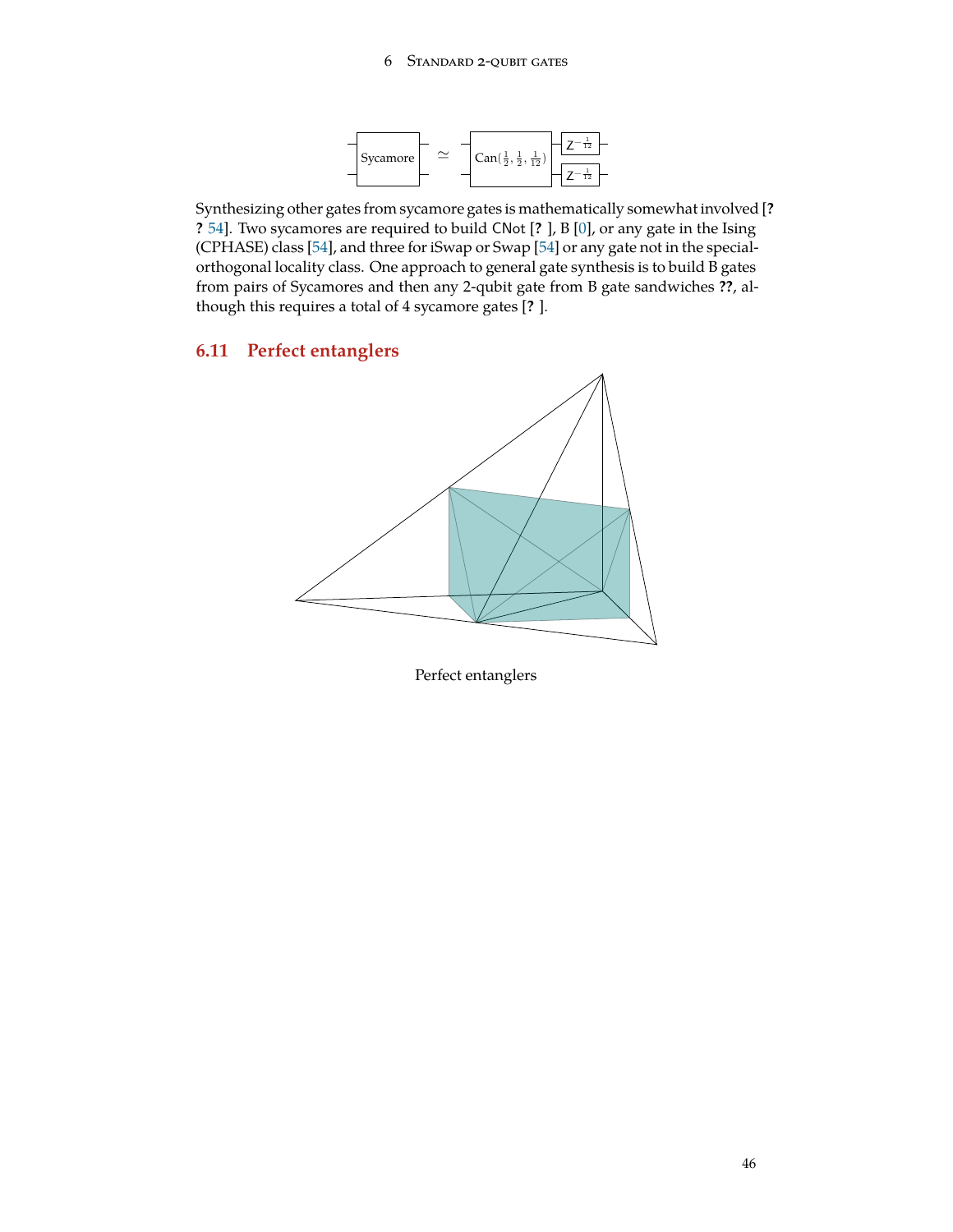

<span id="page-45-0"></span>Synthesizing other gates from sycamore gates is mathematically somewhat involved [**? ?** [54\]](#page-74-2). Two sycamores are required to build CNot [**?** ], B [[0\]](#page-71-0), or any gate in the Ising (CPHASE) class [[54\]](#page-74-2), and three for iSwap or Swap [\[54](#page-74-2)] or any gate not in the specialorthogonal locality class. One approach to general gate synthesis is to build B gates from pairs of Sycamores and then any 2-qubit gate from B gate sandwiches **??**, although this requires a total of 4 sycamore gates [**?** ].

# **6.11 Perfect entanglers**



Perfect entanglers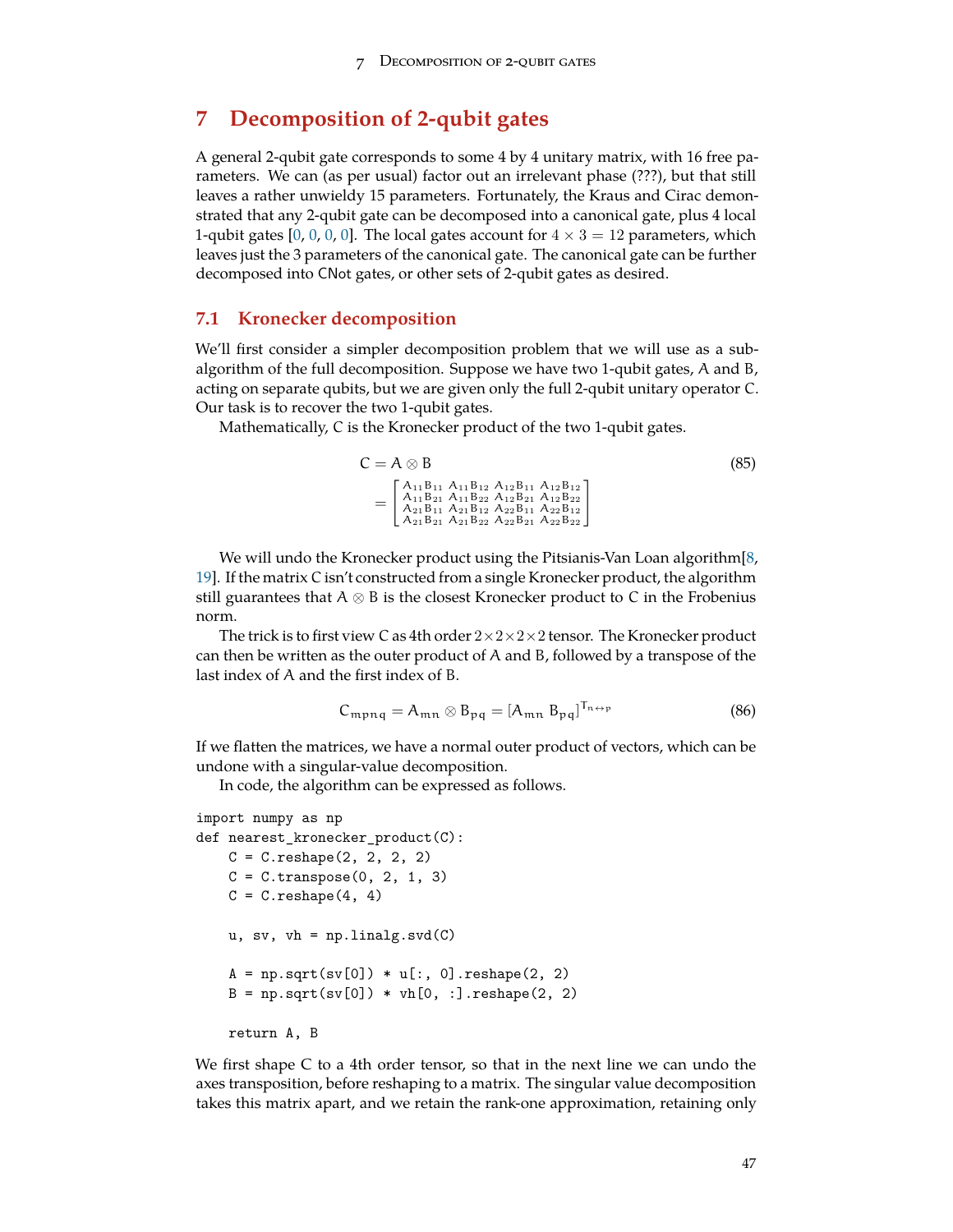# <span id="page-46-1"></span>**7 Decomposition of 2-qubit gates**

A general 2-qubit gate corresponds to some 4 by 4 unitary matrix, with 16 free parameters. We can (as per usual) factor out an irrelevant phase (???), but that still leaves a rather unwieldy 15 parameters. Fortunately, the Kraus and Cirac demonstrated that any 2-qubit gate can be decomposed into a canonical gate, plus 4 local 1-qubit gates  $[0, 0, 0, 0]$  $[0, 0, 0, 0]$  $[0, 0, 0, 0]$  $[0, 0, 0, 0]$  $[0, 0, 0, 0]$  $[0, 0, 0, 0]$ . The local gates account for  $4 \times 3 = 12$  parameters, which leaves just the 3 parameters of the canonical gate. The canonical gate can be further decomposed into CNot gates, or other sets of 2-qubit gates as desired.

### <span id="page-46-0"></span>**7.1 Kronecker decomposition**

We'll first consider a simpler decomposition problem that we will use as a subalgorithm of the full decomposition. Suppose we have two 1-qubit gates, A and B, acting on separate qubits, but we are given only the full 2-qubit unitary operator C. Our task is to recover the two 1-qubit gates.

Mathematically, C is the Kronecker product of the two 1-qubit gates.

$$
C = A \otimes B
$$
\n
$$
= \begin{bmatrix}\nA_{11}B_{11} & A_{11}B_{12} & A_{12}B_{11} & A_{12}B_{12} \\
A_{11}B_{21} & A_{11}B_{22} & A_{12}B_{21} & A_{12}B_{22} \\
A_{21}B_{11} & A_{21}B_{12} & A_{22}B_{11} & A_{22}B_{12} \\
A_{21}B_{21} & A_{21}B_{22} & A_{22}B_{21} & A_{22}B_{22}\n\end{bmatrix}
$$
\n(85)

We will undo the Kronecker product using the Pitsianis-Van Loan algorithm[[8,](#page-71-2) [19\]](#page-72-2). If the matrix C isn't constructed from a single Kronecker product, the algorithm still guarantees that A *⊗* B is the closest Kronecker product to C in the Frobenius norm.

The trick is to first view C as 4th order 2*×*2*×*2*×*2 tensor. The Kronecker product can then be written as the outer product of A and B, followed by a transpose of the last index of A and the first index of B.

$$
C_{mpnq} = A_{mn} \otimes B_{pq} = [A_{mn} B_{pq}]^{T_{n \leftrightarrow p}}
$$
 (86)

If we flatten the matrices, we have a normal outer product of vectors, which can be undone with a singular-value decomposition.

In code, the algorithm can be expressed as follows.

```
import numpy as np
def nearest_kronecker_product(C):
   C = C.\text{reshape}(2, 2, 2, 2)C = C.transpose(0, 2, 1, 3)C = C.\nreshape(4, 4)u, sv, vh = np.linalg.svd(C)A = np.sqrt(sv[0]) * u[:, 0].reshape(2, 2)B = np.sqrt(sv[0]) * vh[0, :].reshape(2, 2)return A, B
```
We first shape C to a 4th order tensor, so that in the next line we can undo the axes transposition, before reshaping to a matrix. The singular value decomposition takes this matrix apart, and we retain the rank-one approximation, retaining only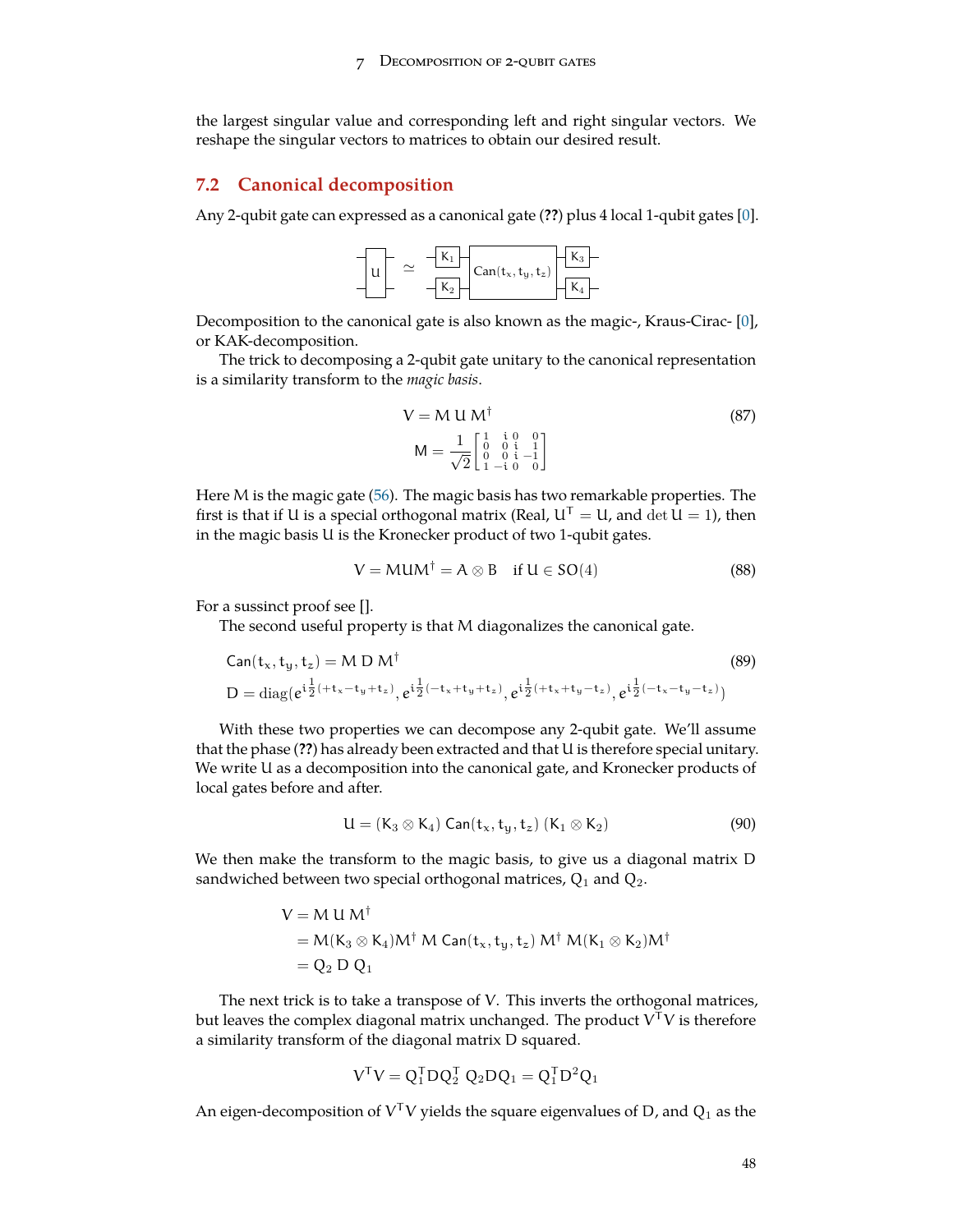<span id="page-47-0"></span>the largest singular value and corresponding left and right singular vectors. We reshape the singular vectors to matrices to obtain our desired result.

### **7.2 Canonical decomposition**

Any 2-qubit gate can expressed as a canonical gate (**??**) plus 4 local 1-qubit gates [[0\]](#page-71-0).



Decomposition to the canonical gate is also known as the magic-, Kraus-Cirac- [\[0](#page-71-0)], or KAK-decomposition.

The trick to decomposing a 2-qubit gate unitary to the canonical representation is a similarity transform to the *magic basis*.

$$
V = M U M^{\dagger}
$$
\n
$$
M = \frac{1}{\sqrt{2}} \begin{bmatrix} 1 & i & 0 & 0 \\ 0 & 0 & i & 1 \\ 0 & 0 & i & -1 \\ 1 & -i & 0 & 0 \end{bmatrix}
$$
\n(87)

Here M is the magic gate [\(56](#page-33-0)). The magic basis has two remarkable properties. The first is that if U is a special orthogonal matrix (Real,  $U^T = U$ , and  $\det U = 1$ ), then in the magic basis U is the Kronecker product of two 1-qubit gates.

$$
V = M U M^{\dagger} = A \otimes B \quad \text{if } U \in SO(4)
$$
 (88)

For a sussinct proof see [].

The second useful property is that M diagonalizes the canonical gate.

Can(t<sub>x</sub>, t<sub>y</sub>, t<sub>z</sub>) = M D M<sup>†</sup> (89)  
D = diag(e<sup>i
$$
\frac{1}{2}
$$
(+t<sub>x</sub>-t<sub>y</sub>+t<sub>z</sub>), e<sup>i $\frac{1}{2}$ (-t<sub>x</sub>+t<sub>y</sub>+t<sub>z</sub>), e<sup>i $\frac{1}{2}$ (+t<sub>x</sub>+t<sub>y</sub>-t<sub>z</sub>), e<sup>i $\frac{1}{2}$ (-t<sub>x</sub>-t<sub>y</sub>-t<sub>z</sub>)</sup></sup></sup></sup>

With these two properties we can decompose any 2-qubit gate. We'll assume that the phase (**??**) has already been extracted and that U is therefore special unitary. We write U as a decomposition into the canonical gate, and Kronecker products of local gates before and after.

$$
U = (K_3 \otimes K_4) Can(t_x, t_y, t_z) (K_1 \otimes K_2)
$$
\n(90)

We then make the transform to the magic basis, to give us a diagonal matrix D sandwiched between two special orthogonal matrices,  $Q_1$  and  $Q_2$ .

$$
V = M U M^{\dagger}
$$
  
= M(K<sub>3</sub> & K<sub>4</sub>)M<sup>†</sup> M Can(t<sub>x</sub>, t<sub>y</sub>, t<sub>z</sub>) M<sup>†</sup> M(K<sub>1</sub> & K<sub>2</sub>)M<sup>†</sup>  
= Q<sub>2</sub> D Q<sub>1</sub>

The next trick is to take a transpose of V. This inverts the orthogonal matrices, but leaves the complex diagonal matrix unchanged. The product  $\mathrm{V}^\intercal \mathrm{V}$  is therefore a similarity transform of the diagonal matrix D squared.

$$
VTV = Q1TDQ2T Q2DQ1 = Q1TD2Q1
$$

An eigen-decomposition of  $V^{\mathsf{T}}V$  yields the square eigenvalues of D, and  $Q_1$  as the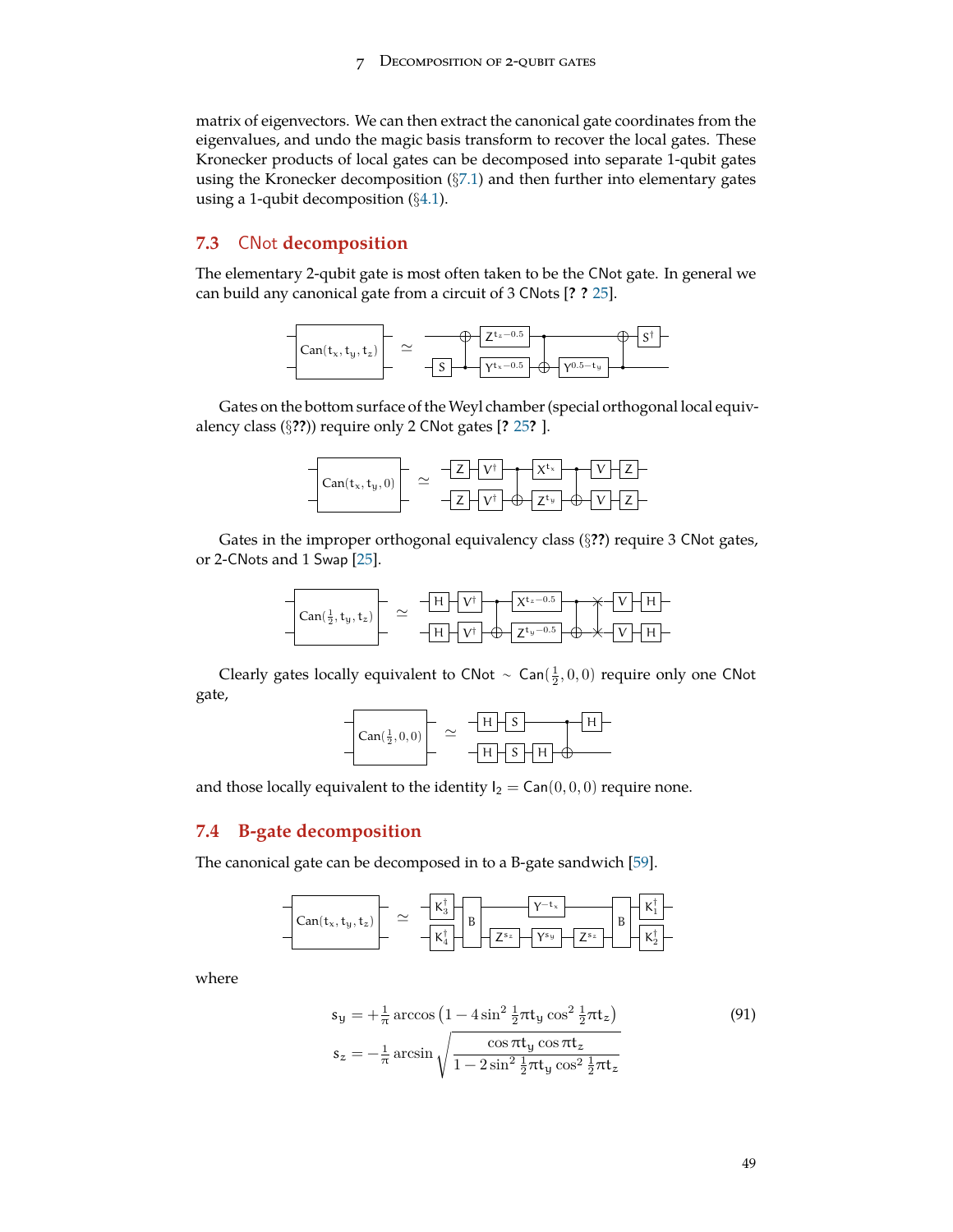matrix of eigenvectors. We can then extract the canonical gate coordinates from the eigenvalues, and undo the magic basis transform to recover the local gates. These Kronecker products of local gates can be decomposed into separate 1-qubit gates using the Kronecker decomposition (*§*[7.1\)](#page-46-0) and then further into elementary gates using a 1-qubit decomposition (*§*[4.1](#page-23-0)).

# **7.3** CNot **decomposition**

The elementary 2-qubit gate is most often taken to be the CNot gate. In general we can build any canonical gate from a circuit of 3 CNots [**? ?** [25](#page-72-3)].



Gates on the bottom surface of the Weyl chamber (special orthogonal local equivalency class (*§***??**)) require only 2 CNot gates [**?** [25](#page-72-3)**?** ].



Gates in the improper orthogonal equivalency class (*§***??**) require 3 CNot gates, or 2-CNots and 1 Swap [[25](#page-72-3)].



Clearly gates locally equivalent to CNot  $\sim$  Can $(\frac{1}{2}, 0, 0)$  require only one CNot gate,

| $Can(\frac{1}{2},0,0)$ |                                                |
|------------------------|------------------------------------------------|
|                        | $\mathfrak{c}$<br>$\mathbf{L}$<br>$\mathbf{L}$ |

and those locally equivalent to the identity  $I_2 = \text{Can}(0, 0, 0)$  require none.

# **7.4 B-gate decomposition**

The canonical gate can be decomposed in to a B-gate sandwich [\[59\]](#page-74-1).



where

$$
s_y = +\frac{1}{\pi} \arccos \left(1 - 4\sin^2 \frac{1}{2}\pi t_y \cos^2 \frac{1}{2}\pi t_z\right)
$$
  
\n
$$
s_z = -\frac{1}{\pi} \arcsin \sqrt{\frac{\cos \pi t_y \cos \pi t_z}{1 - 2\sin^2 \frac{1}{2}\pi t_y \cos^2 \frac{1}{2}\pi t_z}}
$$
\n(91)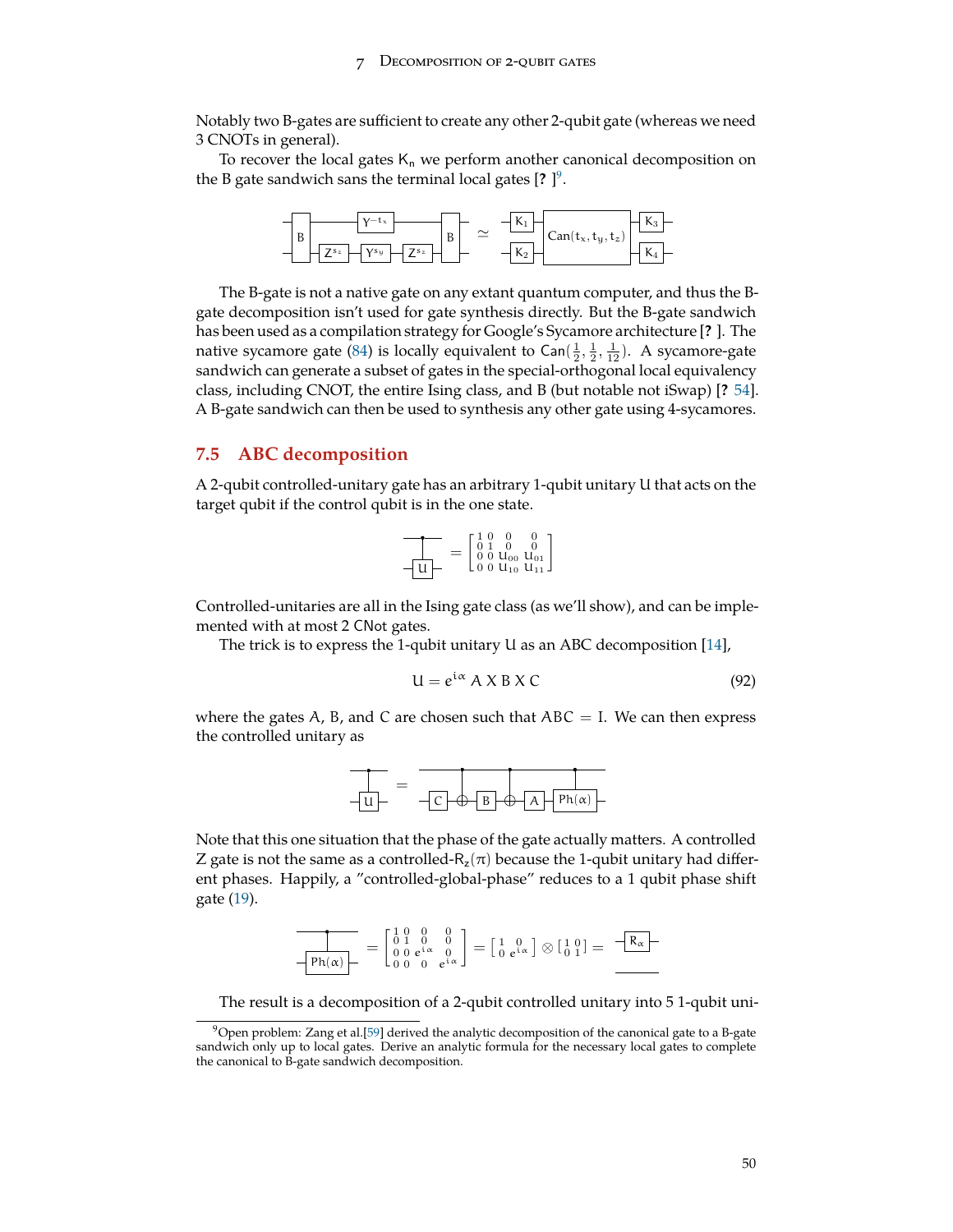<span id="page-49-2"></span>Notably two B-gates are sufficient to create any other 2-qubit gate (whereas we need 3 CNOTs in general).

To recover the local gates  $K_n$  we perform another canonical decomposition on the B gate sandwich sans the terminal local gates [**?** ] [9](#page-49-1) .



The B-gate is not a native gate on any extant quantum computer, and thus the Bgate decomposition isn't used for gate synthesis directly. But the B-gate sandwich has been used as a compilation strategy for Google's Sycamore architecture [**?** ]. The native sycamore gate [\(84](#page-44-0)) is locally equivalent to Can $(\frac{1}{2}, \frac{1}{2}, \frac{1}{12})$ . A sycamore-gate sandwich can generate a subset of gates in the special-orthogonal local equivalency class, including CNOT, the entire Ising class, and B (but notable not iSwap) [**?** [54\]](#page-74-2). A B-gate sandwich can then be used to synthesis any other gate using 4-sycamores.

## <span id="page-49-0"></span>**7.5 ABC decomposition**

A 2-qubit controlled-unitary gate has an arbitrary 1-qubit unitary U that acts on the target qubit if the control qubit is in the one state.

$$
\frac{1}{\sqrt{u}} = \begin{bmatrix} 1 & 0 & 0 & 0 \\ 0 & 1 & 0 & 0 \\ 0 & 0 & u_{00} & u_{01} \\ 0 & 0 & u_{10} & u_{11} \end{bmatrix}
$$

Controlled-unitaries are all in the Ising gate class (as we'll show), and can be implemented with at most 2 CNot gates.

The trick is to express the 1-qubit unitary U as an ABC decomposition [\[14](#page-71-3)],

$$
U = e^{i\alpha} A X B X C \qquad (92)
$$

where the gates A, B, and C are chosen such that  $ABC = I$ . We can then express the controlled unitary as



Note that this one situation that the phase of the gate actually matters. A controlled Z gate is not the same as a controlled- $R_z(\pi)$  because the 1-qubit unitary had different phases. Happily, a "controlled-global-phase" reduces to a 1 qubit phase shift gate [\(19](#page-14-0)).

$$
\frac{1}{\sqrt{\text{Ph}(\alpha)}-} = \begin{bmatrix} 1 & 0 & 0 & 0 \\ 0 & 1 & 0 & 0 \\ 0 & 0 & e^{i\alpha} & 0 \\ 0 & 0 & 0 & e^{i\alpha} \end{bmatrix} = \begin{bmatrix} 1 & 0 \\ 0 & e^{i\alpha} \end{bmatrix} \otimes \begin{bmatrix} 1 & 0 \\ 0 & 1 \end{bmatrix} = \begin{bmatrix} -R_{\alpha} \\ R_{\alpha} \end{bmatrix}
$$

The result is a decomposition of a 2-qubit controlled unitary into 5 1-qubit uni-

<span id="page-49-1"></span> $9$ Open problem: Zang et al.[\[59](#page-74-1)] derived the analytic decomposition of the canonical gate to a B-gate sandwich only up to local gates. Derive an analytic formula for the necessary local gates to complete the canonical to B-gate sandwich decomposition.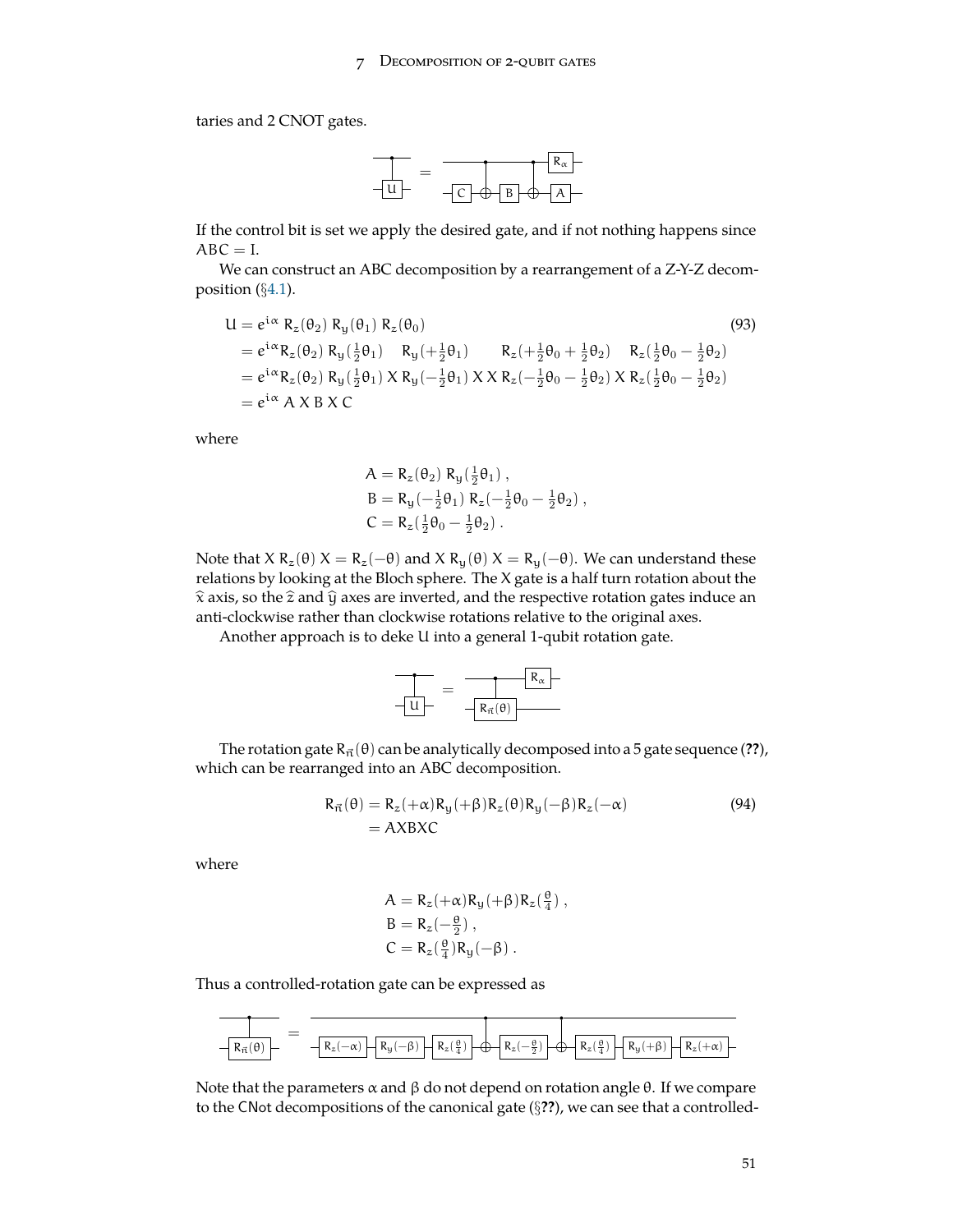taries and 2 CNOT gates.



If the control bit is set we apply the desired gate, and if not nothing happens since  $ABC = I$ .

We can construct an ABC decomposition by a rearrangement of a Z-Y-Z decomposition (*§*[4.1](#page-23-0)).

$$
U = e^{i\alpha} R_{z}(\theta_{2}) R_{y}(\theta_{1}) R_{z}(\theta_{0})
$$
\n(93)  
\n
$$
= e^{i\alpha} R_{z}(\theta_{2}) R_{y}(\frac{1}{2}\theta_{1}) R_{y}(+\frac{1}{2}\theta_{1}) R_{z}(\frac{1}{2}\theta_{0}+\frac{1}{2}\theta_{2}) R_{z}(\frac{1}{2}\theta_{0}-\frac{1}{2}\theta_{2})
$$
\n
$$
= e^{i\alpha} R_{z}(\theta_{2}) R_{y}(\frac{1}{2}\theta_{1}) X R_{y}(-\frac{1}{2}\theta_{1}) X X R_{z}(-\frac{1}{2}\theta_{0}-\frac{1}{2}\theta_{2}) X R_{z}(\frac{1}{2}\theta_{0}-\frac{1}{2}\theta_{2})
$$
\n
$$
= e^{i\alpha} A X B X C
$$
\n(93)  
\n(94)  
\n(95)  
\n(96)  
\n(97)  
\n(98)  
\n(99)  
\n(99)  
\n(99)  
\n(99)  
\n(99)  
\n(99)  
\n(99)  
\n(99)  
\n(99)  
\n(99)  
\n(99)  
\n(99)  
\n(99)  
\n(99)  
\n(99)  
\n(99)  
\n(99)  
\n(99)  
\n(99)  
\n(99)  
\n(99)  
\n(99)  
\n(99)  
\n(99)  
\n(99)  
\n(99)  
\n(99)  
\n(99)  
\n(99)  
\n(99)  
\n(99)  
\n(99)  
\n(99)  
\n(99)  
\n(99)  
\n(99)  
\n(99)  
\n(99)  
\n(99)  
\n(99)  
\n(99)  
\n(99)  
\n(99)  
\n(99)  
\n(99)  
\n(99)  
\n(99)  
\n(99)  
\n(99)  
\n(99)  
\n(99)  
\n(99)  
\n(99)  
\n(99)  
\n(99)  
\n(99)  
\n(99)  
\n(99)  
\n(99)  
\n(99)  
\n(99)  
\

where

$$
\begin{aligned} A &= R_z(\theta_2) R_y(\tfrac{1}{2}\theta_1) \ , \\ B &= R_y(-\tfrac{1}{2}\theta_1) R_z(-\tfrac{1}{2}\theta_0-\tfrac{1}{2}\theta_2) \ , \\ C &= R_z(\tfrac{1}{2}\theta_0-\tfrac{1}{2}\theta_2) \ . \end{aligned}
$$

Note that *X* R<sub>z</sub>( $θ$ ) *X* = R<sub>z</sub>( $-θ$ ) and *X* R<sub>y</sub>( $θ$ ) *X* = R<sub>y</sub>( $-θ$ ). We can understand these relations by looking at the Bloch sphere. The X gate is a half turn rotation about the  $\hat{x}$  axis, so the  $\hat{z}$  and  $\hat{y}$  axes are inverted, and the respective rotation gates induce an anti-clockwise rather than clockwise rotations relative to the original axes.

Another approach is to deke U into a general 1-qubit rotation gate.

$$
\frac{R_{\alpha}}{-\underline{u}} = \frac{R_{\alpha}}{-R_{\vec{n}}(\theta)}
$$

The rotation gate  $R_{\vec{n}}(\theta)$  can be analytically decomposed into a 5 gate sequence (??), which can be rearranged into an ABC decomposition.

$$
R_{\vec{n}}(\theta) = R_z(+\alpha)R_y(+\beta)R_z(\theta)R_y(-\beta)R_z(-\alpha)
$$
  
= AXBXC (94)

where

$$
A = R_z(+\alpha)R_y(+\beta)R_z(\frac{\theta}{4}),
$$
  
\n
$$
B = R_z(-\frac{\theta}{2}),
$$
  
\n
$$
C = R_z(\frac{\theta}{4})R_y(-\beta).
$$

Thus a controlled-rotation gate can be expressed as



Note that the parameters  $\alpha$  and  $\beta$  do not depend on rotation angle θ. If we compare to the CNot decompositions of the canonical gate (*§***??**), we can see that a controlled-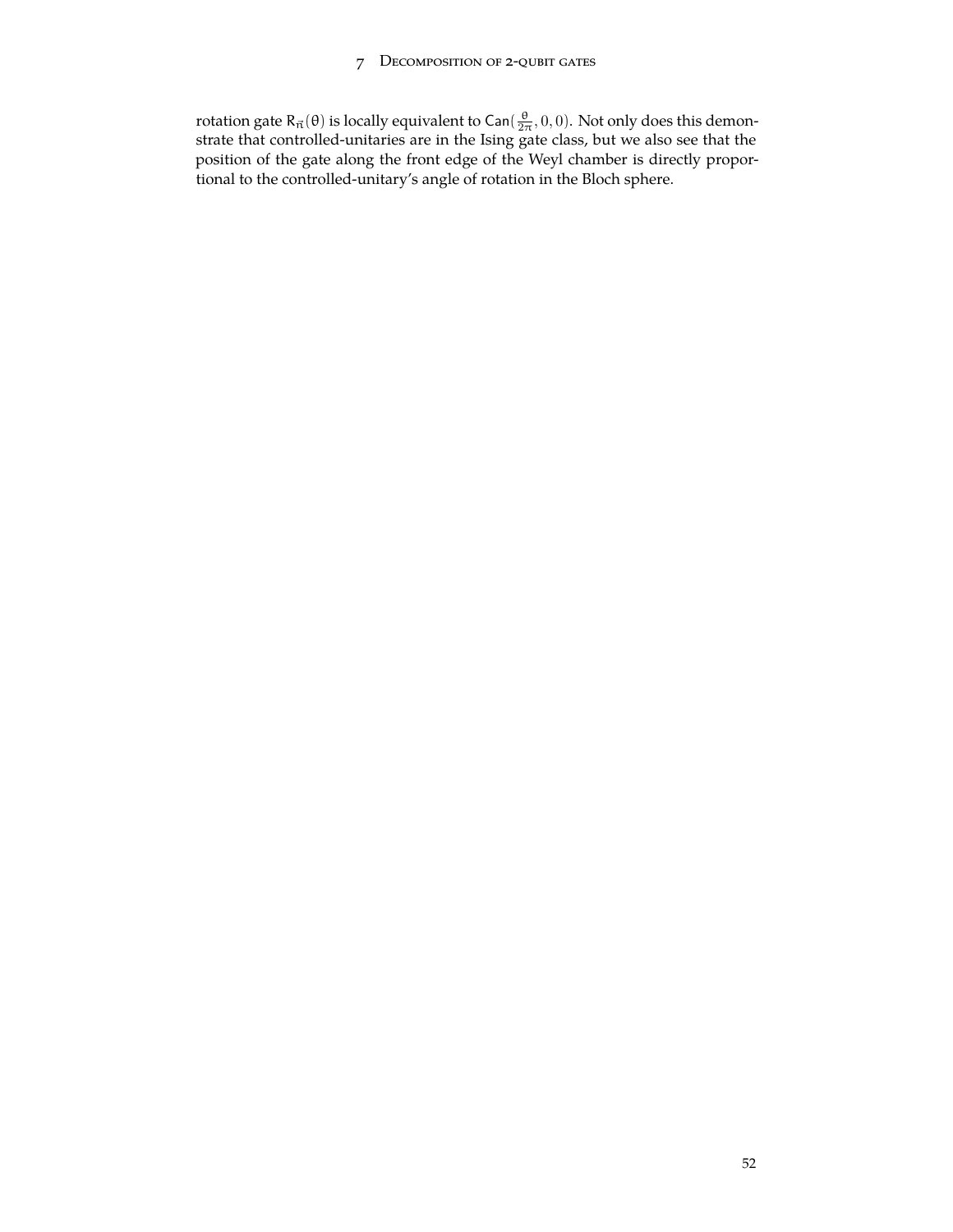### 7 Decomposition of 2-qubit gates

rotation gate R<sub>π</sub>(θ) is locally equivalent to Can( $\frac{\theta}{2\pi}$ , 0, 0). Not only does this demonstrate that controlled-unitaries are in the Ising gate class, but we also see that the position of the gate along the front edge of the Weyl chamber is directly proportional to the controlled-unitary's angle of rotation in the Bloch sphere.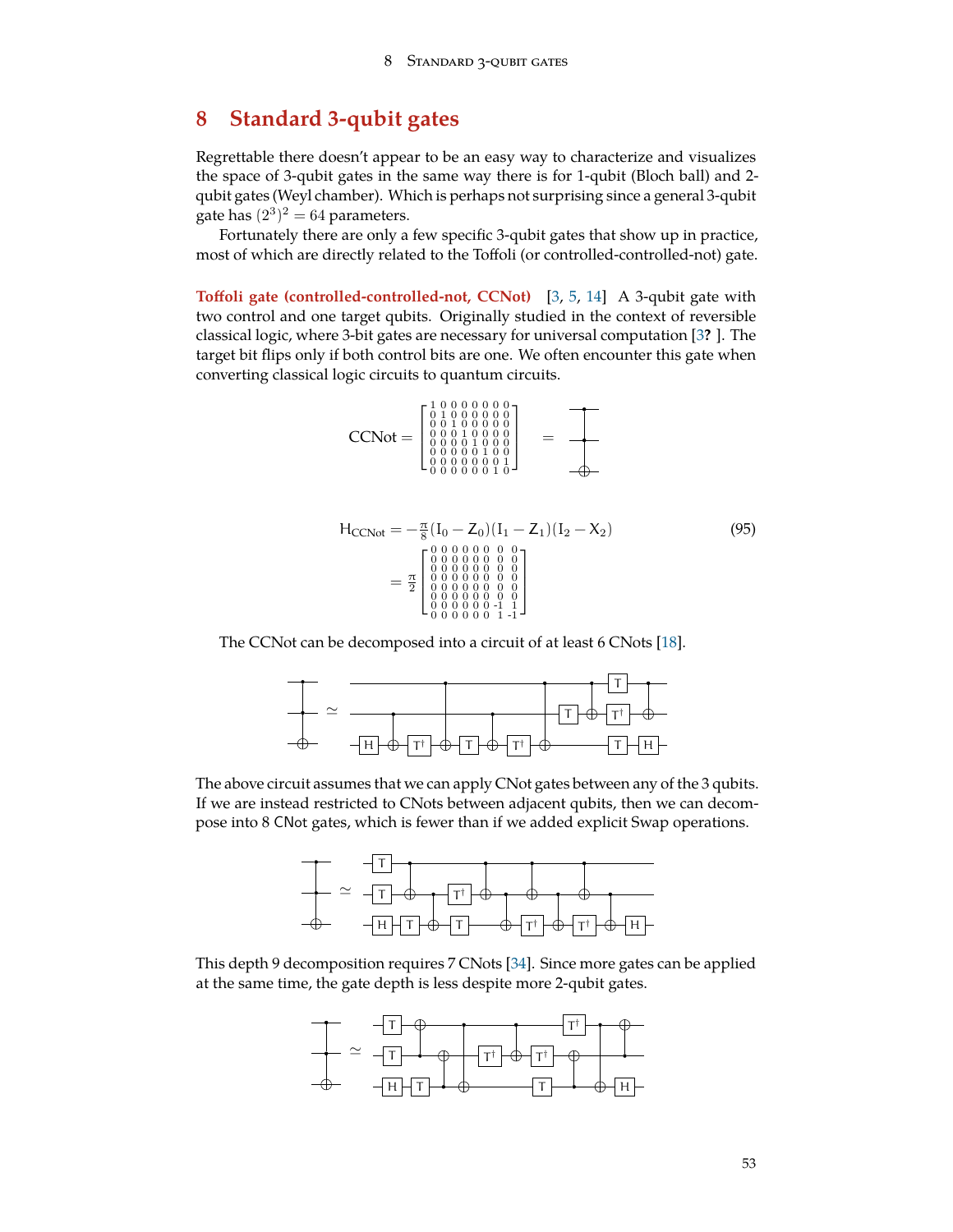# <span id="page-52-0"></span>**8 Standard 3-qubit gates**

Regrettable there doesn't appear to be an easy way to characterize and visualizes the space of 3-qubit gates in the same way there is for 1-qubit (Bloch ball) and 2 qubit gates (Weyl chamber). Which is perhaps not surprising since a general 3-qubit gate has  $(2^3)^2 = 64$  parameters.

Fortunately there are only a few specific 3-qubit gates that show up in practice, most of which are directly related to the Toffoli (or controlled-controlled-not) gate.

**Toffoli gate (controlled-controlled-not, CCNot)** [[3,](#page-71-4) [5,](#page-71-5) [14\]](#page-71-3) A 3-qubit gate with two control and one target qubits. Originally studied in the context of reversible classical logic, where 3-bit gates are necessary for universal computation [[3](#page-71-4)**?** ]. The target bit flips only if both control bits are one. We often encounter this gate when converting classical logic circuits to quantum circuits.

$$
CCNot = \begin{bmatrix} 1 & 0 & 0 & 0 & 0 & 0 & 0 & 0 \\ 0 & 1 & 0 & 0 & 0 & 0 & 0 & 0 \\ 0 & 0 & 1 & 0 & 0 & 0 & 0 & 0 \\ 0 & 0 & 0 & 1 & 0 & 0 & 0 & 0 \\ 0 & 0 & 0 & 0 & 1 & 0 & 0 & 0 \\ 0 & 0 & 0 & 0 & 0 & 0 & 1 & 0 \\ 0 & 0 & 0 & 0 & 0 & 0 & 1 & 0 \end{bmatrix} \hspace{.5cm} = \hspace{.5cm} \begin{bmatrix} \begin{array}{c} \begin{array}{c} \begin{array}{c} \begin{array}{c} \end{array} \\ \begin{array}{c} \end{array} \\ \begin{array}{c} \end{array} \\ \begin{array}{c} \end{array} \\ \begin{array}{c} \end{array} \\ \begin{array}{c} \end{array} \\ \begin{array}{c} \end{array} \\ \begin{array}{c} \end{array} \\ \begin{array}{c} \end{array} \\ \begin{array}{c} \end{array} \\ \begin{array}{c} \end{array} \\ \end{bmatrix}
$$

$$
H_{CCNot} = -\frac{\pi}{8} (I_0 - Z_0)(I_1 - Z_1)(I_2 - X_2)
$$
\n
$$
= \frac{\pi}{2} \begin{bmatrix} 0 & 0 & 0 & 0 & 0 & 0 & 0 & 0 \\ 0 & 0 & 0 & 0 & 0 & 0 & 0 & 0 \\ 0 & 0 & 0 & 0 & 0 & 0 & 0 & 0 \\ 0 & 0 & 0 & 0 & 0 & 0 & 0 & 0 \\ 0 & 0 & 0 & 0 & 0 & 0 & 0 & 0 \\ 0 & 0 & 0 & 0 & 0 & 0 & 0 & 1 \\ 0 & 0 & 0 & 0 & 0 & 0 & 1 & 1 \end{bmatrix}
$$
\n(95)

The CCNot can be decomposed into a circuit of at least 6 CNots [\[18](#page-72-4)].



The above circuit assumes that we can apply CNot gates between any of the 3 qubits. If we are instead restricted to CNots between adjacent qubits, then we can decompose into 8 CNot gates, which is fewer than if we added explicit Swap operations.



This depth 9 decomposition requires 7 CNots [\[34](#page-72-5)]. Since more gates can be applied at the same time, the gate depth is less despite more 2-qubit gates.

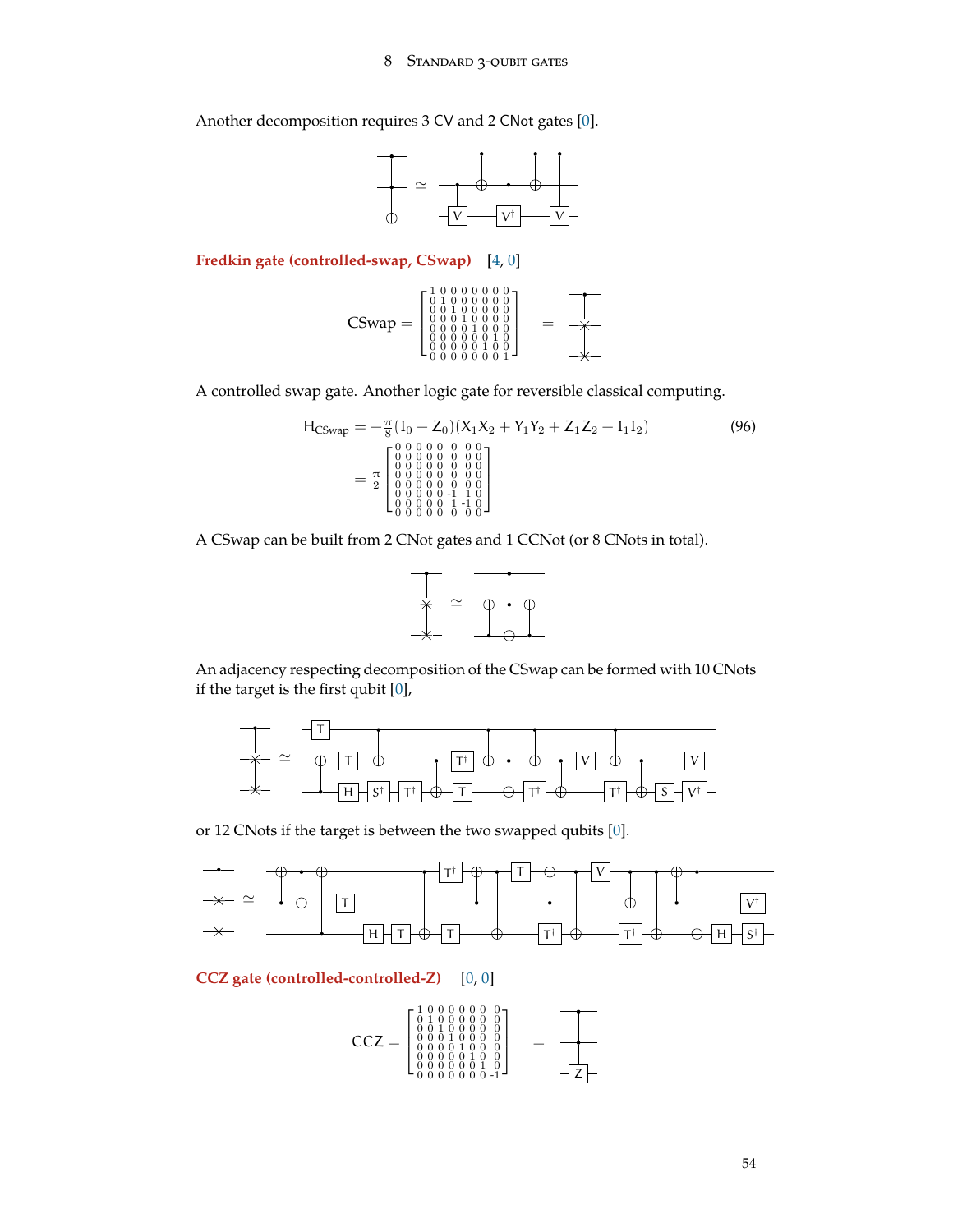### 8 Standard 3-qubit gates

<span id="page-53-0"></span>Another decomposition requires 3 CV and 2 CNot gates [\[0](#page-71-0)].



**Fredkin gate (controlled-swap, CSwap)** [\[4](#page-71-6), [0](#page-71-0)]

$$
\text{CSwap} = \begin{bmatrix} 1&0&0&0&0&0&0&0 \\ 0&1&0&0&0&0&0&0 \\ 0&0&1&0&0&0&0&0 \\ 0&0&0&1&0&0&0&0 \\ 0&0&0&0&1&0&0&0 \\ 0&0&0&0&0&0&1&0 \\ 0&0&0&0&0&0&0&1 \end{bmatrix} \hspace{.5cm} = \hspace{.5cm} \begin{array}{c} \longrightarrow \\ \longrightarrow \\ \longrightarrow \\ \longrightarrow \\ \longrightarrow \\ \longrightarrow \end{array}
$$

A controlled swap gate. Another logic gate for reversible classical computing.

$$
H_{CSwap} = -\frac{\pi}{8} (I_0 - Z_0)(X_1 X_2 + Y_1 Y_2 + Z_1 Z_2 - I_1 I_2)
$$
(96)  
= 
$$
\frac{\pi}{2} \begin{bmatrix} 0 & 0 & 0 & 0 & 0 & 0 & 0 & 0 \\ 0 & 0 & 0 & 0 & 0 & 0 & 0 & 0 \\ 0 & 0 & 0 & 0 & 0 & 0 & 0 & 0 \\ 0 & 0 & 0 & 0 & 0 & 0 & 0 & 0 \\ 0 & 0 & 0 & 0 & 0 & 0 & 0 & 0 \\ 0 & 0 & 0 & 0 & 0 & 0 & 0 & 0 \end{bmatrix}
$$

A CSwap can be built from 2 CNot gates and 1 CCNot (or 8 CNots in total).



An adjacency respecting decomposition of the CSwap can be formed with 10 CNots if the target is the first qubit [[0\]](#page-71-0),



or 12 CNots if the target is between the two swapped qubits [[0\]](#page-71-0).



### **CCZ gate (controlled-controlled-Z)** [\[0](#page-71-0), [0](#page-71-0)]

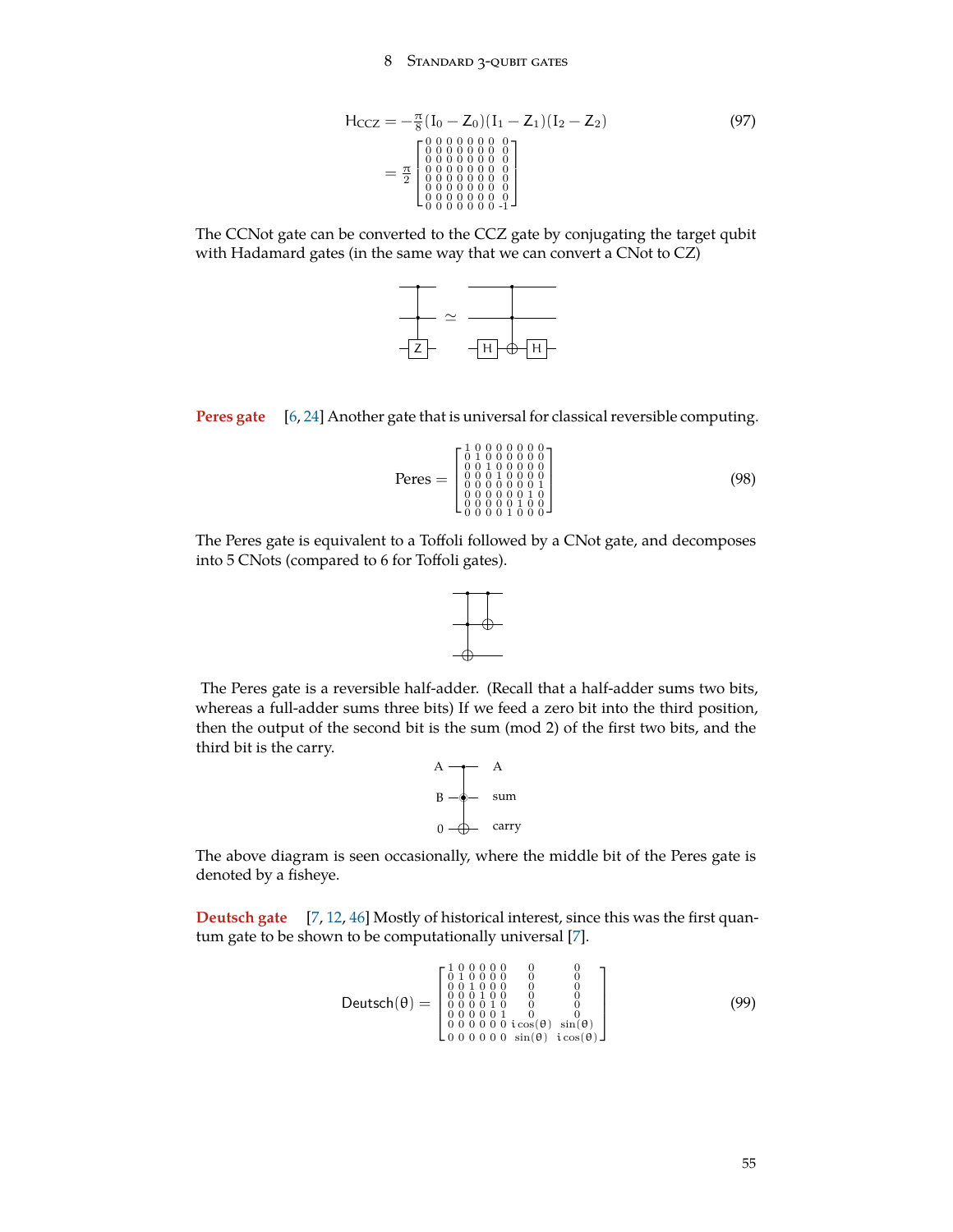### 8 Standard 3-qubit gates

<span id="page-54-1"></span>
$$
H_{CCZ} = -\frac{\pi}{8} (I_0 - Z_0)(I_1 - Z_1)(I_2 - Z_2)
$$
\n
$$
= \frac{\pi}{2} \begin{bmatrix} 0 & 0 & 0 & 0 & 0 & 0 & 0 & 0 \\ 0 & 0 & 0 & 0 & 0 & 0 & 0 & 0 \\ 0 & 0 & 0 & 0 & 0 & 0 & 0 & 0 \\ 0 & 0 & 0 & 0 & 0 & 0 & 0 & 0 \\ 0 & 0 & 0 & 0 & 0 & 0 & 0 & 0 \\ 0 & 0 & 0 & 0 & 0 & 0 & 0 & 0 \\ 0 & 0 & 0 & 0 & 0 & 0 & 0 & -1 \end{bmatrix}
$$
\n(97)

The CCNot gate can be converted to the CCZ gate by conjugating the target qubit with Hadamard gates (in the same way that we can convert a CNot to CZ)





$$
\text{Peres} = \begin{bmatrix} 1 & 0 & 0 & 0 & 0 & 0 & 0 & 0 \\ 0 & 1 & 0 & 0 & 0 & 0 & 0 & 0 \\ 0 & 0 & 1 & 0 & 0 & 0 & 0 & 0 \\ 0 & 0 & 0 & 1 & 0 & 0 & 0 & 1 \\ 0 & 0 & 0 & 0 & 0 & 0 & 1 & 0 \\ 0 & 0 & 0 & 0 & 1 & 0 & 0 & 0 \\ 0 & 0 & 0 & 0 & 1 & 0 & 0 & 0 \end{bmatrix} \tag{98}
$$

The Peres gate is equivalent to a Toffoli followed by a CNot gate, and decomposes into 5 CNots (compared to 6 for Toffoli gates).



The Peres gate is a reversible half-adder. (Recall that a half-adder sums two bits, whereas a full-adder sums three bits) If we feed a zero bit into the third position, then the output of the second bit is the sum (mod 2) of the first two bits, and the third bit is the carry.

<span id="page-54-0"></span>

The above diagram is seen occasionally, where the middle bit of the Peres gate is denoted by a fisheye.

**Deutsch gate** [\[7](#page-71-8), [12,](#page-71-1) [46\]](#page-73-5) Mostly of historical interest, since this was the first quantum gate to be shown to be computationally universal [\[7](#page-71-8)].

**Deutsch**(θ) = 
$$
\begin{bmatrix} 1 & 0 & 0 & 0 & 0 & 0 & 0 \\ 0 & 1 & 0 & 0 & 0 & 0 & 0 & 0 \\ 0 & 0 & 1 & 0 & 0 & 0 & 0 & 0 \\ 0 & 0 & 0 & 1 & 0 & 0 & 0 & 0 \\ 0 & 0 & 0 & 0 & 1 & 0 & 0 & 0 \\ 0 & 0 & 0 & 0 & 0 & 1 & 0 & 0 \\ 0 & 0 & 0 & 0 & 0 & 1 & 0 & 0 \\ 0 & 0 & 0 & 0 & 0 & 1 & 0 & 0 \\ 0 & 0 & 0 & 0 & 0 & 0 & 0 & 0 \end{bmatrix}
$$
 (99)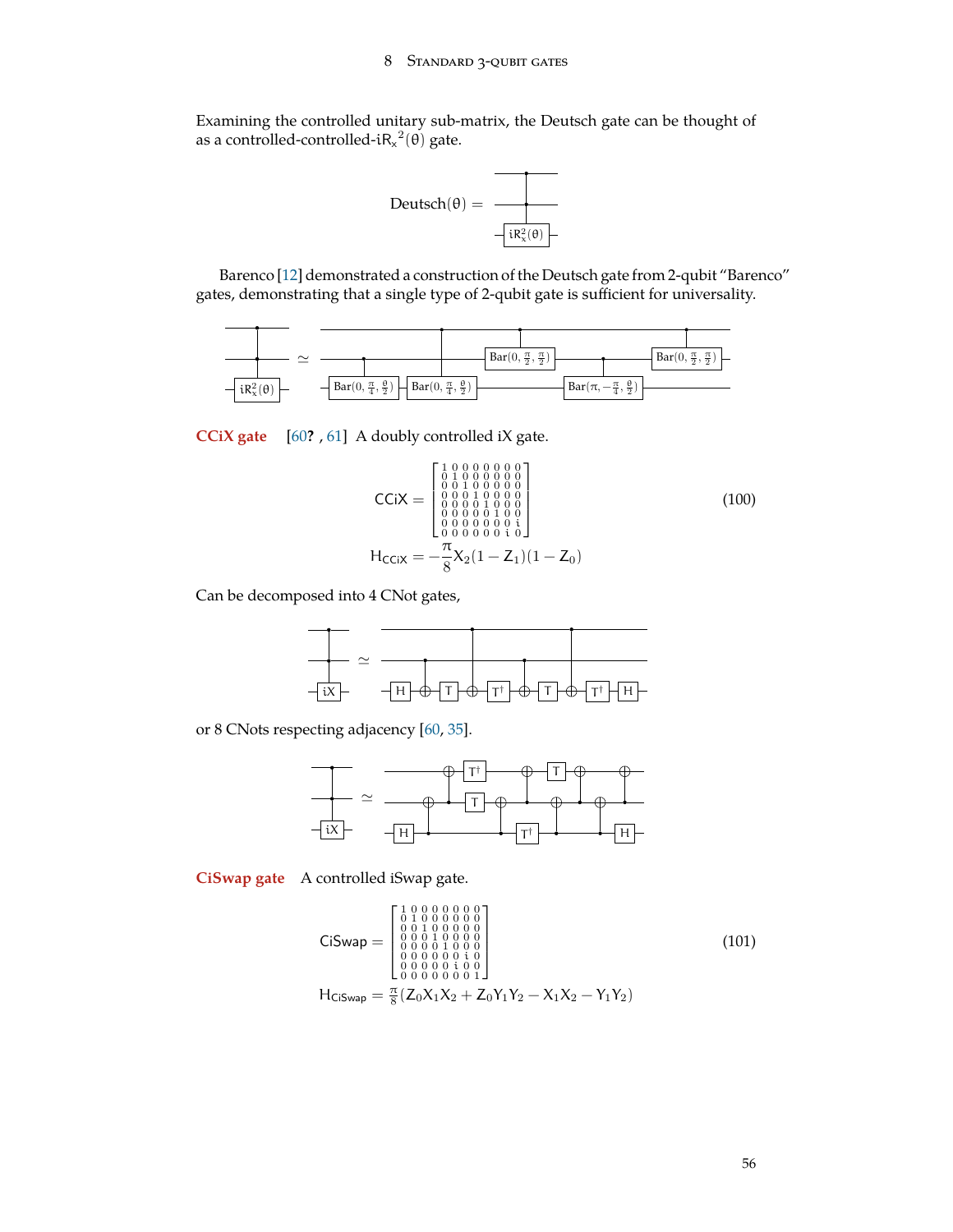<span id="page-55-1"></span>Examining the controlled unitary sub-matrix, the Deutsch gate can be thought of as a controlled-controlled- $iR_x^2(\theta)$  gate.



Barenco [\[12](#page-71-1)] demonstrated a construction of the Deutsch gate from 2-qubit "Barenco" gates, demonstrating that a single type of 2-qubit gate is sufficient for universality.



**CCiX gate** [\[60](#page-74-3)**?** , [61](#page-74-4)] A doubly controlled iX gate.

<span id="page-55-0"></span>
$$
\text{CCiX} = \begin{bmatrix} 1 & 0 & 0 & 0 & 0 & 0 & 0 \\ 0 & 1 & 0 & 0 & 0 & 0 & 0 & 0 \\ 0 & 0 & 1 & 0 & 0 & 0 & 0 & 0 \\ 0 & 0 & 0 & 1 & 0 & 0 & 0 & 0 \\ 0 & 0 & 0 & 0 & 1 & 0 & 0 & 0 \\ 0 & 0 & 0 & 0 & 0 & 0 & 0 & 0 \\ 0 & 0 & 0 & 0 & 0 & 0 & 0 & 0 \\ 0 & 0 & 0 & 0 & 0 & 0 & 0 & 0 \end{bmatrix}
$$
(100)  
H<sub>CCiX</sub> =  $-\frac{\pi}{8}$ X<sub>2</sub>(1 - Z<sub>1</sub>)(1 - Z<sub>0</sub>)

Can be decomposed into 4 CNot gates,



or 8 CNots respecting adjacency [[60,](#page-74-3) [35\]](#page-73-6).



**CiSwap gate** A controlled iSwap gate.

$$
\mathbf{Ciswap} = \begin{bmatrix} 1 & 0 & 0 & 0 & 0 & 0 & 0 \\ 0 & 1 & 0 & 0 & 0 & 0 & 0 & 0 \\ 0 & 0 & 1 & 0 & 0 & 0 & 0 & 0 \\ 0 & 0 & 0 & 1 & 0 & 0 & 0 & 0 \\ 0 & 0 & 0 & 0 & 1 & 0 & 0 & 0 \\ 0 & 0 & 0 & 0 & 0 & 0 & 0 & 0 \\ 0 & 0 & 0 & 0 & 0 & 0 & 0 & 0 \\ 0 & 0 & 0 & 0 & 0 & 0 & 1 & 0 \end{bmatrix}
$$
\n
$$
H_{\mathbf{Ciswap}} = \frac{\pi}{8} (Z_0 X_1 X_2 + Z_0 Y_1 Y_2 - X_1 X_2 - Y_1 Y_2)
$$
\n(101)

56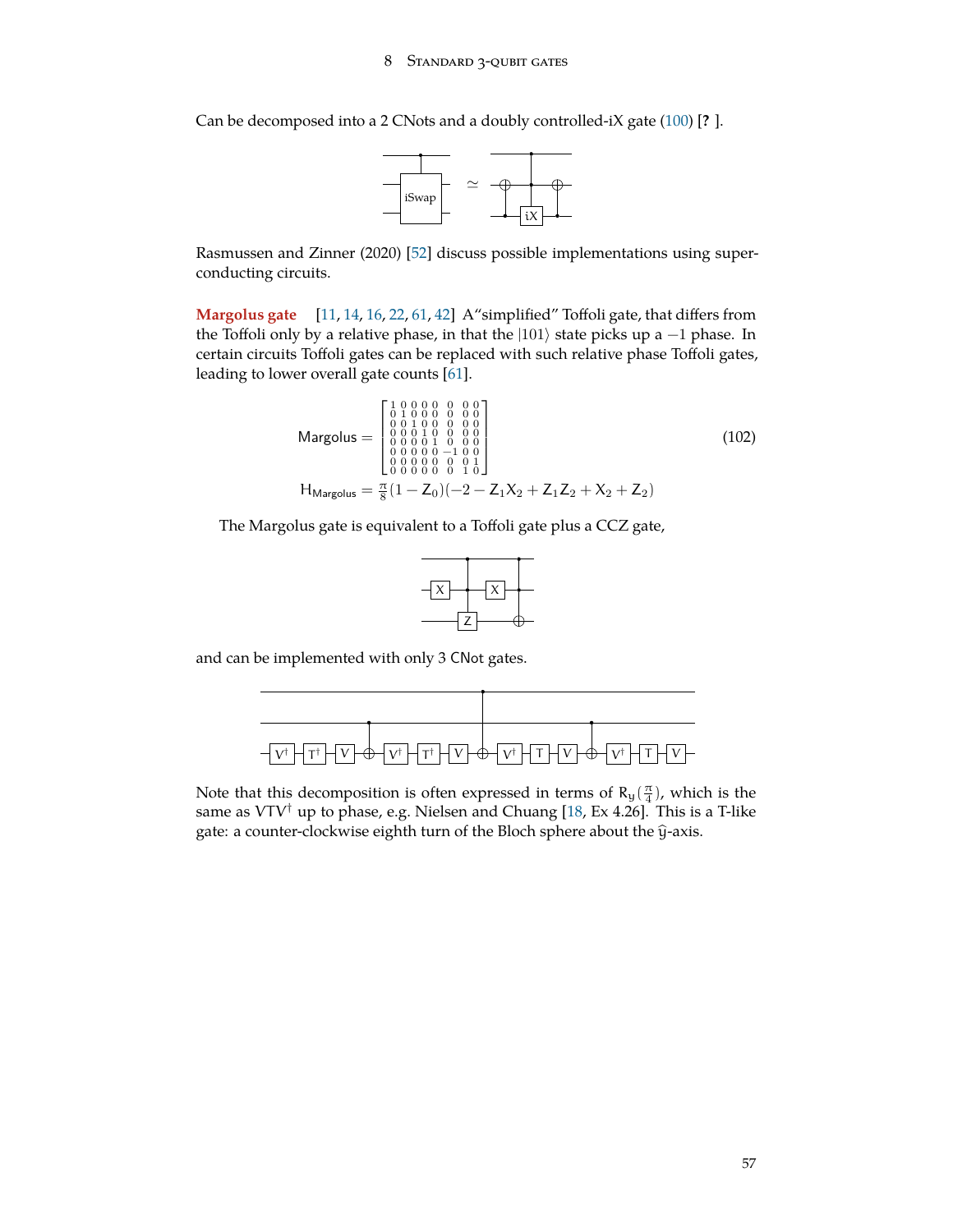<span id="page-56-0"></span>Can be decomposed into a 2 CNots and a doubly controlled-iX gate [\(100](#page-55-0)) [**?** ].



Rasmussen and Zinner (2020) [\[52](#page-73-7)] discuss possible implementations using superconducting circuits.

**Margolus gate** [\[11](#page-71-9), [14,](#page-71-3) [16](#page-71-10), [22](#page-72-7), [61,](#page-74-4) [42](#page-73-8)] A"simplified" Toffoli gate, that differs from the Toffoli only by a relative phase, in that the |101*⟩* state picks up a −1 phase. In certain circuits Toffoli gates can be replaced with such relative phase Toffoli gates, leading to lower overall gate counts [[61\]](#page-74-4).

$$
\begin{aligned}\n\text{Margolus} &= \begin{bmatrix}\n1 & 0 & 0 & 0 & 0 & 0 \\
0 & 1 & 0 & 0 & 0 & 0 \\
0 & 0 & 1 & 0 & 0 & 0 \\
0 & 0 & 1 & 0 & 0 & 0 \\
0 & 0 & 0 & 1 & 0 & 0 \\
0 & 0 & 0 & 0 & 0 & 0 \\
0 & 0 & 0 & 0 & 0 & 1 \\
0 & 0 & 0 & 0 & 0 & 0 \\
0 & 0 & 0 & 0 & 0 & 1\n\end{bmatrix} \\
\text{H}_{\text{Margolus}} &= \frac{\pi}{8} (1 - Z_0)(-2 - Z_1 X_2 + Z_1 Z_2 + X_2 + Z_2) \tag{102}\n\end{aligned}
$$

The Margolus gate is equivalent to a Toffoli gate plus a CCZ gate,



and can be implemented with only 3 CNot gates.



Note that this decomposition is often expressed in terms of  $R_y(\frac{\pi}{4})$ , which is the same as VTV*†* up to phase, e.g. Nielsen and Chuang [\[18](#page-72-4), Ex 4.26]. This is a T-like gate: a counter-clockwise eighth turn of the Bloch sphere about the  $\hat{y}$ -axis.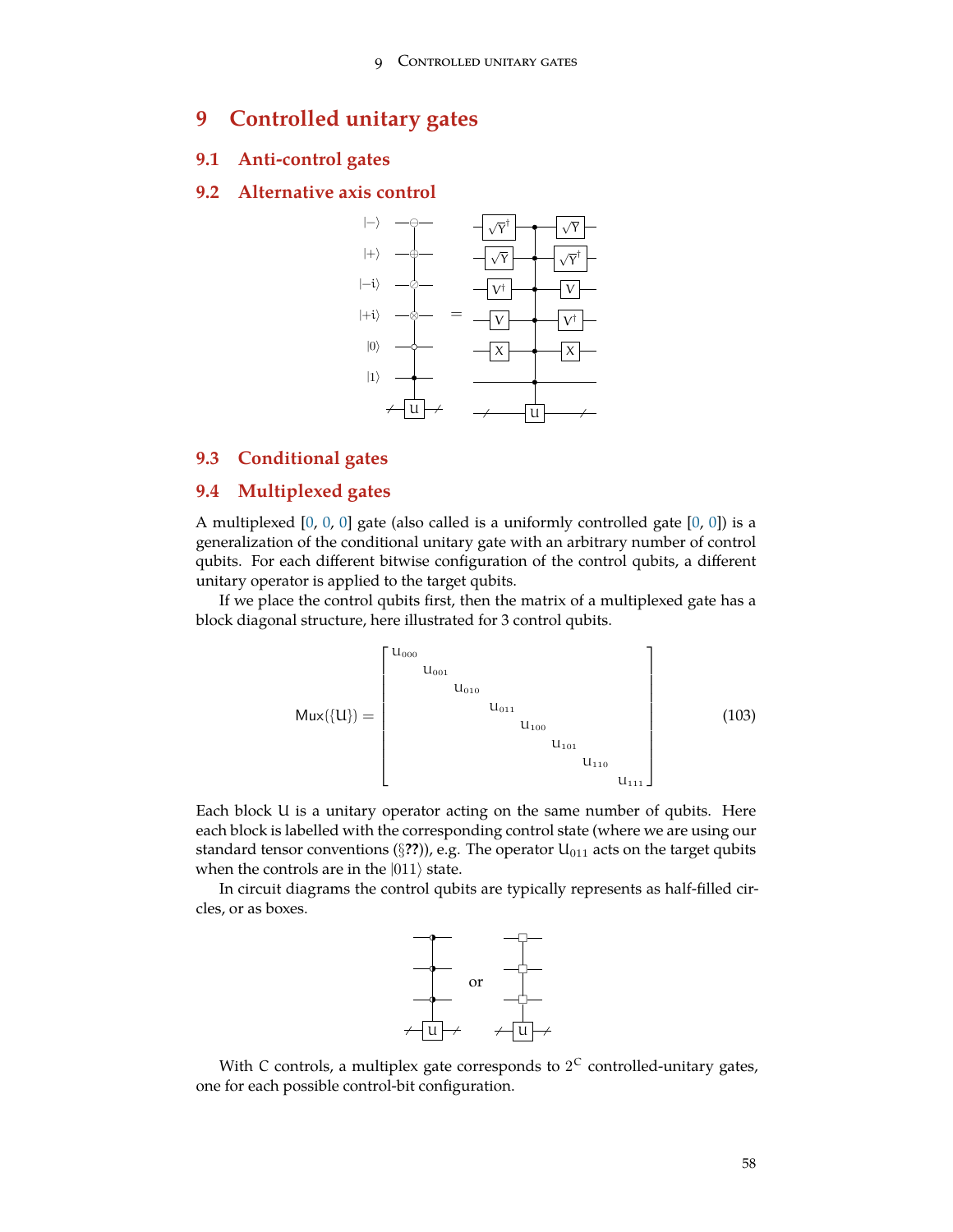# <span id="page-57-0"></span>**9 Controlled unitary gates**

## **9.1 Anti-control gates**

### **9.2 Alternative axis control**



# **9.3 Conditional gates**

## **9.4 Multiplexed gates**

A multiplexed  $[0, 0, 0]$  $[0, 0, 0]$  $[0, 0, 0]$  $[0, 0, 0]$  $[0, 0, 0]$  $[0, 0, 0]$  gate (also called is a uniformly controlled gate  $[0, 0]$ ) is a generalization of the conditional unitary gate with an arbitrary number of control qubits. For each different bitwise configuration of the control qubits, a different unitary operator is applied to the target qubits.

If we place the control qubits first, then the matrix of a multiplexed gate has a block diagonal structure, here illustrated for 3 control qubits.

$$
Mux(\{U\}) = \begin{bmatrix} U_{000} & & & & & & & & \\ & U_{001} & & & & & & & \\ & & U_{010} & & & & & & \\ & & & & U_{011} & & & & \\ & & & & & U_{100} & & & \\ & & & & & & U_{110} & & \\ & & & & & & & U_{111} \end{bmatrix}
$$
 (103)

Each block U is a unitary operator acting on the same number of qubits. Here each block is labelled with the corresponding control state (where we are using our standard tensor conventions ( $\S$ ??)), e.g. The operator  $U_{011}$  acts on the target qubits when the controls are in the |011*⟩* state.

In circuit diagrams the control qubits are typically represents as half-filled circles, or as boxes.



With C controls, a multiplex gate corresponds to  $2^C$  controlled-unitary gates, one for each possible control-bit configuration.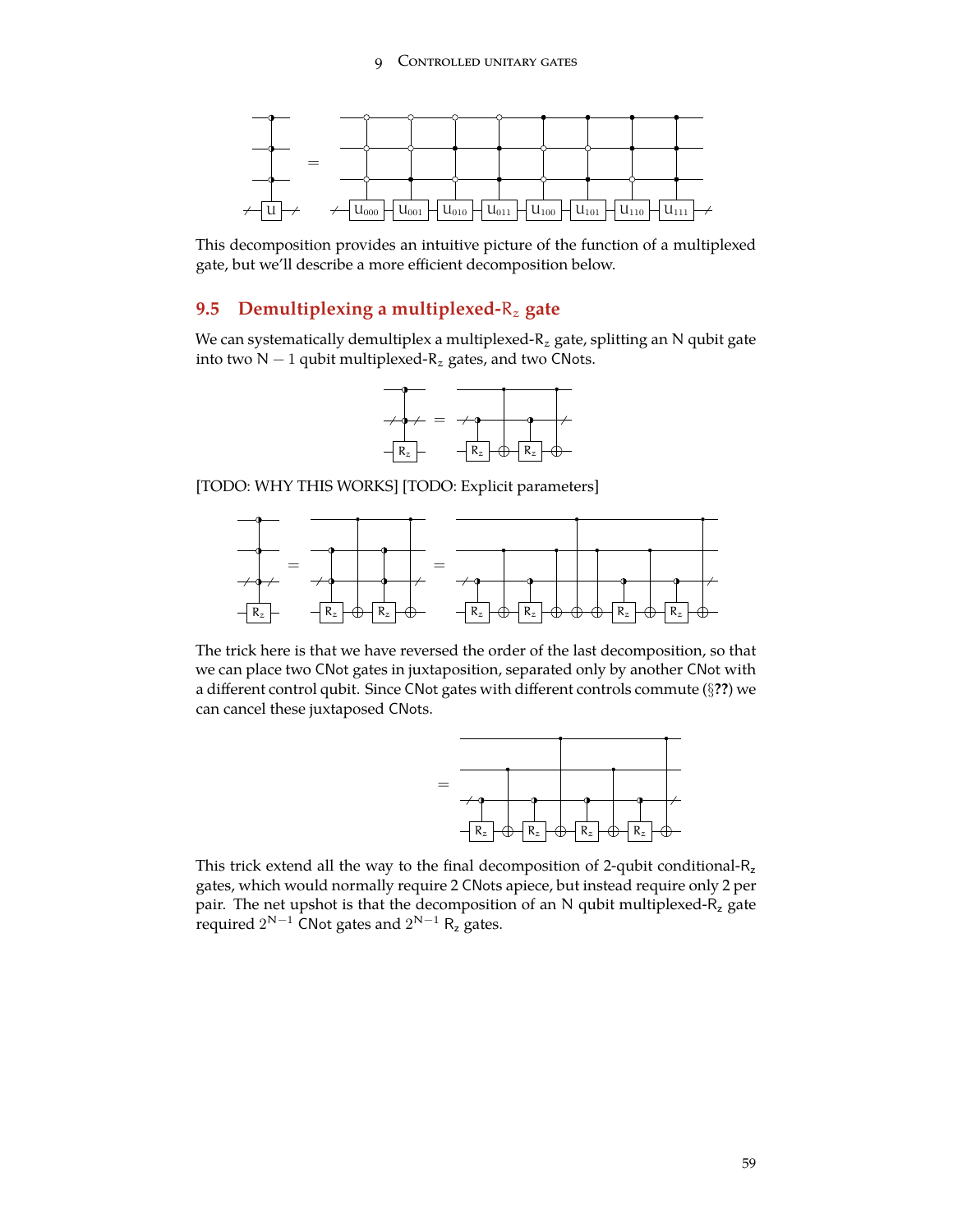

This decomposition provides an intuitive picture of the function of a multiplexed gate, but we'll describe a more efficient decomposition below.

# **9.5 Demultiplexing a multiplexed-**R<sup>z</sup> **gate**

We can systematically demultiplex a multiplexed- $R_z$  gate, splitting an N qubit gate into two N  $-1$  qubit multiplexed- $R_z$  gates, and two CNots.



[TODO: WHY THIS WORKS] [TODO: Explicit parameters]



The trick here is that we have reversed the order of the last decomposition, so that we can place two CNot gates in juxtaposition, separated only by another CNot with a different control qubit. Since CNot gates with different controls commute (*§***??**) we can cancel these juxtaposed CNots.



This trick extend all the way to the final decomposition of 2-qubit conditional-R<sub>z</sub> gates, which would normally require 2 CNots apiece, but instead require only 2 per pair. The net upshot is that the decomposition of an N qubit multiplexed- $R_z$  gate required  $2^{N-1}$  CNot gates and  $2^{N-1}$  R<sub>z</sub> gates.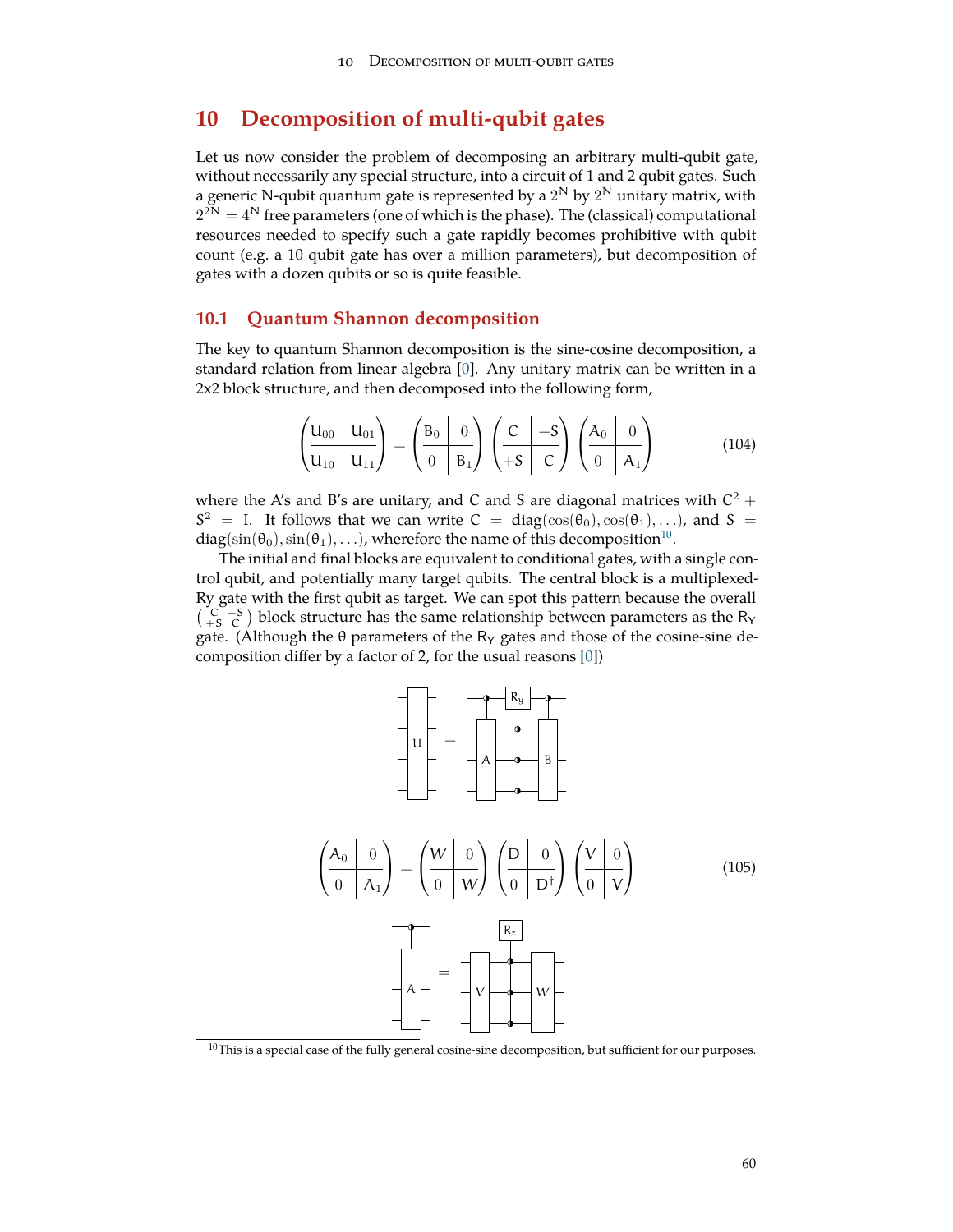# <span id="page-59-1"></span>**10 Decomposition of multi-qubit gates**

Let us now consider the problem of decomposing an arbitrary multi-qubit gate, without necessarily any special structure, into a circuit of 1 and 2 qubit gates. Such a generic N-qubit quantum gate is represented by a  $2^{\mathsf{N}}$  by  $2^{\mathsf{N}}$  unitary matrix, with  $2^{2N} = 4^N$  free parameters (one of which is the phase). The (classical) computational resources needed to specify such a gate rapidly becomes prohibitive with qubit count (e.g. a 10 qubit gate has over a million parameters), but decomposition of gates with a dozen qubits or so is quite feasible.

### **10.1 Quantum Shannon decomposition**

The key to quantum Shannon decomposition is the sine-cosine decomposition, a standard relation from linear algebra [[0\]](#page-71-0). Any unitary matrix can be written in a 2x2 block structure, and then decomposed into the following form,

$$
\left(\frac{\mathsf{U}_{00}}{\mathsf{U}_{10}}\middle|\frac{\mathsf{U}_{01}}{\mathsf{U}_{11}}\right) = \left(\frac{\mathsf{B}_0\middle|\right.0}{0\middle|\right)\mathsf{B}_1} \left(\frac{\mathsf{C}}{+\mathsf{S}}\middle|\right)\left(\frac{\mathsf{A}_0\middle|\right)\mathsf{0}}{\mathsf{C}}\right) \left(\frac{\mathsf{A}_0\middle|\right)\mathsf{0}}{\mathsf{0}\middle|\right)\tag{104}
$$

where the A's and B's are unitary, and C and S are diagonal matrices with  $C^2$  +  $S^2$  = I. It follows that we can write C = diag( $\cos(\theta_0), \cos(\theta_1), \ldots$ ), and S =  $\rm{diag}(\sin(\theta_0), \sin(\theta_1), \ldots)$ , wherefore the name of this decomposition $^{10}.$  $^{10}.$  $^{10}.$ 

The initial and final blocks are equivalent to conditional gates, with a single control qubit, and potentially many target qubits. The central block is a multiplexed-Ry gate with the first qubit as target. We can spot this pattern because the overall  $\binom{C}{+S}$  block structure has the same relationship between parameters as the R<sub>Y</sub> gate. (Although the  $\theta$  parameters of the R<sub>Y</sub> gates and those of the cosine-sine decomposition differ by a factor of 2, for the usual reasons [\[0](#page-71-0)])



<span id="page-59-0"></span> $10$ This is a special case of the fully general cosine-sine decomposition, but sufficient for our purposes.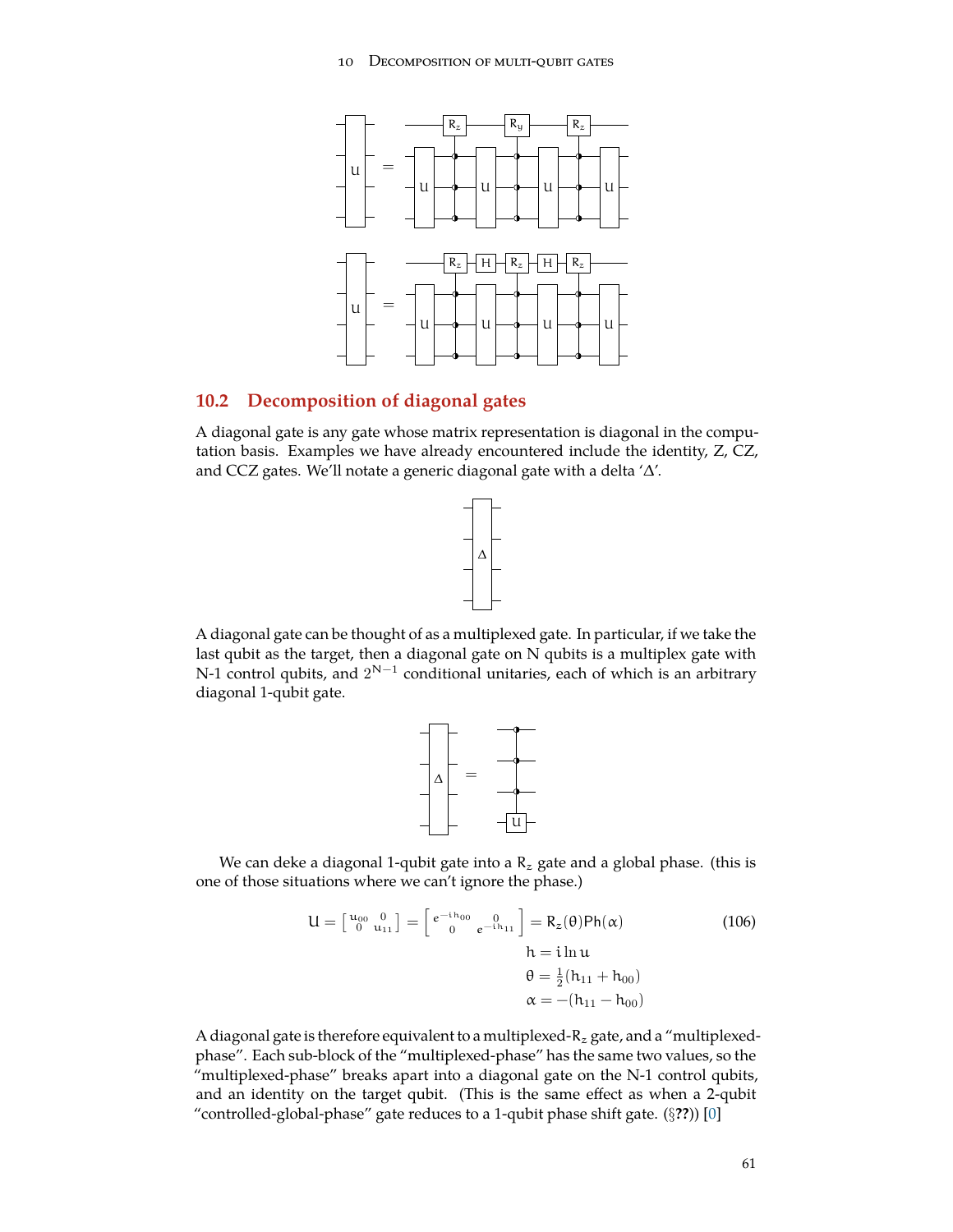<span id="page-60-0"></span>

## **10.2 Decomposition of diagonal gates**

A diagonal gate is any gate whose matrix representation is diagonal in the computation basis. Examples we have already encountered include the identity, Z, CZ, and CCZ gates. We'll notate a generic diagonal gate with a delta '∆'.



A diagonal gate can be thought of as a multiplexed gate. In particular, if we take the last qubit as the target, then a diagonal gate on N qubits is a multiplex gate with N-1 control qubits, and  $2^{\mathsf{N}-1}$  conditional unitaries, each of which is an arbitrary diagonal 1-qubit gate.



We can deke a diagonal 1-qubit gate into a  $R_z$  gate and a global phase. (this is one of those situations where we can't ignore the phase.)

$$
U = \begin{bmatrix} u_{00} & 0 \\ 0 & u_{11} \end{bmatrix} = \begin{bmatrix} e^{-i h_{00}} & 0 \\ 0 & e^{-i h_{11}} \end{bmatrix} = R_z(\theta) Ph(\alpha)
$$
  
\n
$$
h = i \ln u
$$
  
\n
$$
\theta = \frac{1}{2} (h_{11} + h_{00})
$$
  
\n
$$
\alpha = -(h_{11} - h_{00})
$$
  
\n(106)

A diagonal gate is therefore equivalent to a multiplexed- $R_z$  gate, and a "multiplexedphase". Each sub-block of the "multiplexed-phase" has the same two values, so the "multiplexed-phase" breaks apart into a diagonal gate on the N-1 control qubits, and an identity on the target qubit. (This is the same effect as when a 2-qubit "controlled-global-phase" gate reduces to a 1-qubit phase shift gate. (*§***??**)) [\[0](#page-71-0)]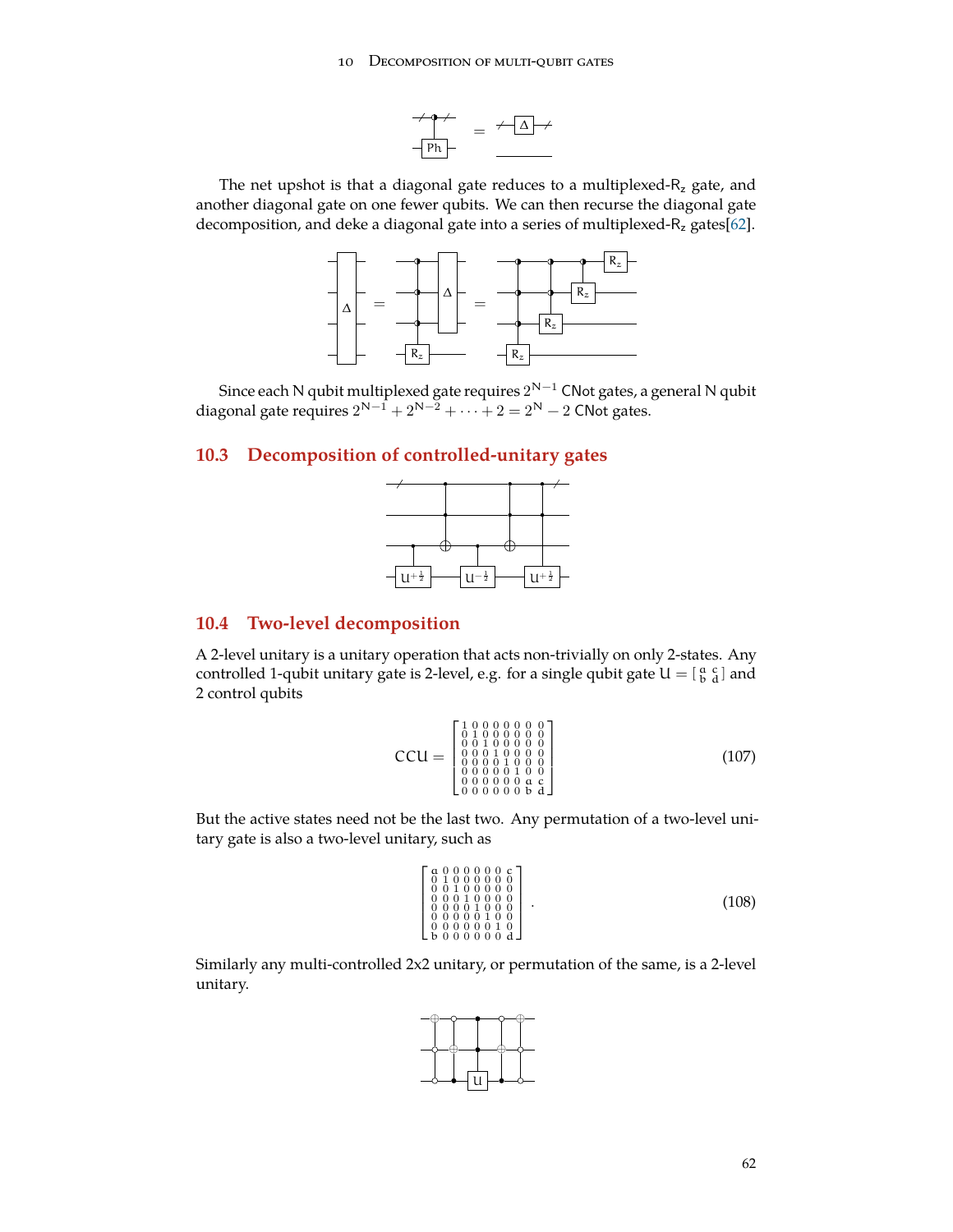#### 10 DECOMPOSITION OF MULTI-QUBIT GATES



The net upshot is that a diagonal gate reduces to a multiplexed- $R<sub>z</sub>$  gate, and another diagonal gate on one fewer qubits. We can then recurse the diagonal gate decomposition, and deke a diagonal gate into a series of multiplexed- $R_z$  gates[[62\]](#page-74-5).



Since each N qubit multiplexed gate requires  $2^{\mathsf{N}-1}$  CNot gates, a general N qubit diagonal gate requires  $2^{N-1} + 2^{N-2} + \cdots + 2 = 2^N - 2$  CNot gates.

# **10.3 Decomposition of controlled-unitary gates**



# **10.4 Two-level decomposition**

A 2-level unitary is a unitary operation that acts non-trivially on only 2-states. Any controlled 1-qubit unitary gate is 2-level, e.g. for a single qubit gate  $U = \left[\begin{smallmatrix} a & c \ b & d \end{smallmatrix}\right]$  and 2 control qubits

$$
CCU = \begin{bmatrix} 1 & 0 & 0 & 0 & 0 & 0 & 0 & 0 \\ 0 & 1 & 0 & 0 & 0 & 0 & 0 & 0 \\ 0 & 0 & 1 & 0 & 0 & 0 & 0 & 0 \\ 0 & 0 & 0 & 1 & 0 & 0 & 0 & 0 \\ 0 & 0 & 0 & 0 & 1 & 0 & 0 & 0 \\ 0 & 0 & 0 & 0 & 0 & 0 & 0 & 0 \\ 0 & 0 & 0 & 0 & 0 & 0 & 0 & 0 \end{bmatrix} \tag{107}
$$

But the active states need not be the last two. Any permutation of a two-level unitary gate is also a two-level unitary, such as

$$
\begin{bmatrix}\n a & 0 & 0 & 0 & 0 & 0 & 0 & 0 \\
 0 & 1 & 0 & 0 & 0 & 0 & 0 & 0 \\
 0 & 0 & 0 & 1 & 0 & 0 & 0 & 0 \\
 0 & 0 & 0 & 1 & 0 & 0 & 0 & 0 \\
 0 & 0 & 0 & 0 & 1 & 0 & 0 & 0 \\
 0 & 0 & 0 & 0 & 0 & 0 & 0 & 0\n\end{bmatrix} . \n(108)
$$

Similarly any multi-controlled 2x2 unitary, or permutation of the same, is a 2-level unitary.

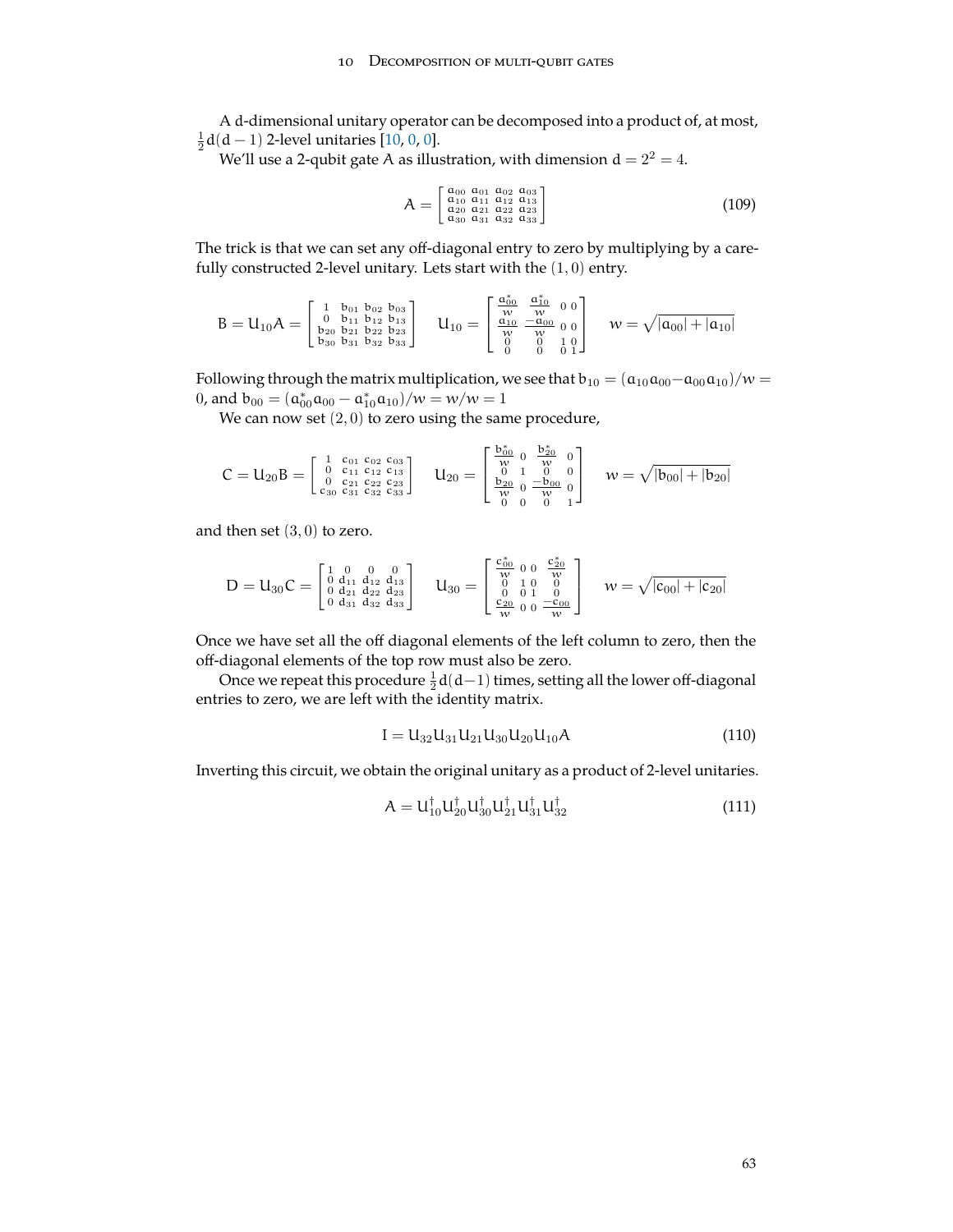#### 10 DECOMPOSITION OF MULTI-QUBIT GATES

<span id="page-62-0"></span>A d-dimensional unitary operator can be decomposed into a product of, at most,  $\frac{1}{2}$ d(d – 1) 2-level unitaries [\[10](#page-71-11), [0](#page-71-0), 0].

We'll use a 2-qubit gate A as illustration, with dimension  $d = 2^2 = 4$ .

$$
A = \begin{bmatrix} a_{00} & a_{01} & a_{02} & a_{03} \\ a_{10} & a_{11} & a_{12} & a_{13} \\ a_{20} & a_{21} & a_{22} & a_{23} \\ a_{30} & a_{31} & a_{32} & a_{33} \end{bmatrix}
$$
(109)

The trick is that we can set any off-diagonal entry to zero by multiplying by a carefully constructed 2-level unitary. Lets start with the  $(1,0)$  entry.

$$
B=U_{10}A=\left[\begin{smallmatrix} 1 & b_{01} & b_{02} & b_{03} \\ 0 & b_{11} & b_{12} & b_{13} \\ b_{20} & b_{21} & b_{22} & b_{23} \\ b_{30} & b_{31} & b_{32} & b_{33} \end{smallmatrix}\right] \quad U_{10}=\left[\begin{smallmatrix} \frac{\alpha_{00}^*}{w} & \frac{\alpha_{10}^*}{w} & 0 \\ 0 & -\alpha_{00} & 0 \\ \frac{\alpha_{10}}{w} & -\frac{\alpha_{00}}{w} & 0 \\ 0 & 0 & 1 \\ 0 & 0 & 0 & 1 \end{smallmatrix}\right] \quad w=\sqrt{|a_{00}|+|a_{10}|}
$$

Following through the matrix multiplication, we see that  $b_{10} = (a_{10}a_{00} - a_{00}a_{10})/w =$ 0, and  $b_{00} = (a_{00}^* a_{00} - a_{10}^* a_{10})/w = w/w = 1$ 

We can now set  $(2, 0)$  to zero using the same procedure,

$$
C=U_{20}B=\left[\begin{smallmatrix} 1 & c_{01} & c_{02} & c_{03} \\ 0 & c_{11} & c_{12} & c_{13} \\ 0 & c_{21} & c_{22} & c_{23} \\ c_{30} & c_{31} & c_{32} & c_{33} \end{smallmatrix}\right] \quad U_{20}=\left[\begin{smallmatrix} \frac{b_{00}^*}{w_0} & 0 & \frac{b_{20}^*}{w_0} & 0 \\ 0 & 1 & 0 & 0 \\ 0 & 1 & 0 & 0 \\ \frac{b_{20}}{w} & 0 & \frac{-b_{00}}{w} & 0 \\ 0 & 0 & 0 & 1 \end{smallmatrix}\right] \quad w=\sqrt{|b_{00}|+|b_{20}|}
$$

and then set  $(3, 0)$  to zero.

$$
D=U_{30}C=\left[\begin{smallmatrix} 1 & 0 & 0 & 0 \\ 0 & d_{11} & d_{12} & d_{13} \\ 0 & d_{21} & d_{22} & d_{23} \\ 0 & d_{31} & d_{32} & d_{33} \end{smallmatrix}\right] \quad U_{30}=\left[\begin{smallmatrix} \frac{c_{00}^*}{w}& 0 & 0 & \frac{c_{20}^*}{w} \\ 0 & 1 & 0 & 0 \\ 0 & 0 & 1 & 0 \\ \frac{c_{20}^*}{w} & 0 & 0 & \frac{-c_{00}}{w} \end{smallmatrix}\right] \quad w=\sqrt{|c_{00}|+|c_{20}|}
$$

Once we have set all the off diagonal elements of the left column to zero, then the off-diagonal elements of the top row must also be zero.

Once we repeat this procedure  $\frac{1}{2}d(d-1)$  times, setting all the lower off-diagonal entries to zero, we are left with the identity matrix.

$$
I = U_{32}U_{31}U_{21}U_{30}U_{20}U_{10}A \t\t(110)
$$

Inverting this circuit, we obtain the original unitary as a product of 2-level unitaries.

$$
A = U_{10}^{\dagger} U_{20}^{\dagger} U_{31}^{\dagger} U_{21}^{\dagger} U_{31}^{\dagger} U_{32}^{\dagger}
$$
 (111)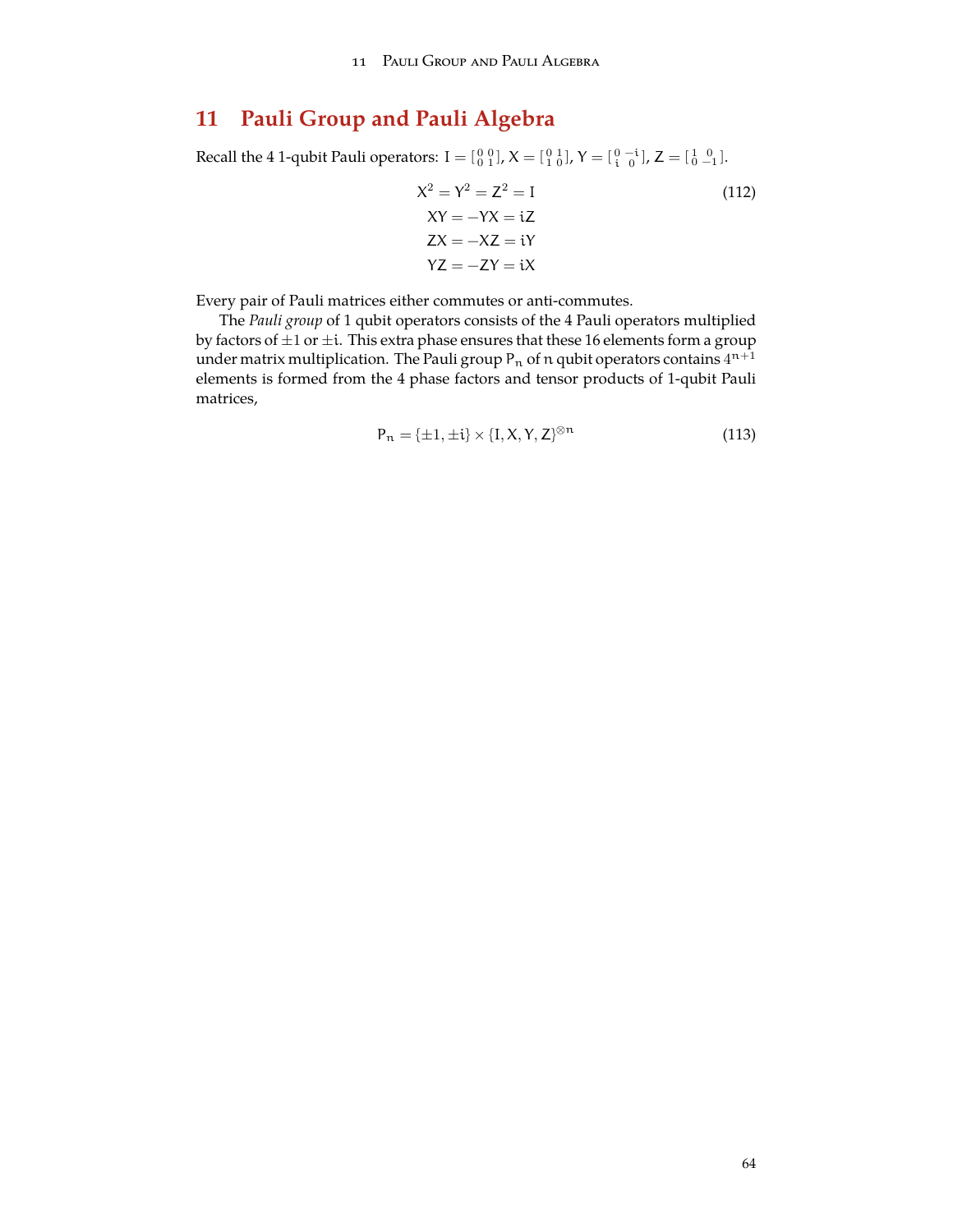# **11 Pauli Group and Pauli Algebra**

Recall the 4 1-qubit Pauli operators:  $I = \begin{bmatrix} 0 & 0 \\ 0 & 1 \end{bmatrix}$ ,  $X = \begin{bmatrix} 0 & 1 \\ 1 & 0 \end{bmatrix}$ ,  $Y = \begin{bmatrix} 0 & -i \\ i & 0 \end{bmatrix}$ ,  $Z = \begin{bmatrix} 1 & 0 \\ 0 & -1 \end{bmatrix}$ .

$$
X2 = Y2 = Z2 = I
$$
  
\n
$$
XY = -YX = iZ
$$
  
\n
$$
ZX = -XZ = iY
$$
  
\n
$$
YZ = -ZY = iX
$$
  
\n(112)

Every pair of Pauli matrices either commutes or anti-commutes.

The *Pauli group* of 1 qubit operators consists of the 4 Pauli operators multiplied by factors of *±*1 or *±*i. This extra phase ensures that these 16 elements form a group under matrix multiplication. The Pauli group P $_{\rm n}$  of  $\rm n$  qubit operators contains  $4^{\rm n+1}$ elements is formed from the 4 phase factors and tensor products of 1-qubit Pauli matrices,

$$
P_n = \{\pm 1, \pm i\} \times \{I, X, Y, Z\}^{\otimes n}
$$
\n(113)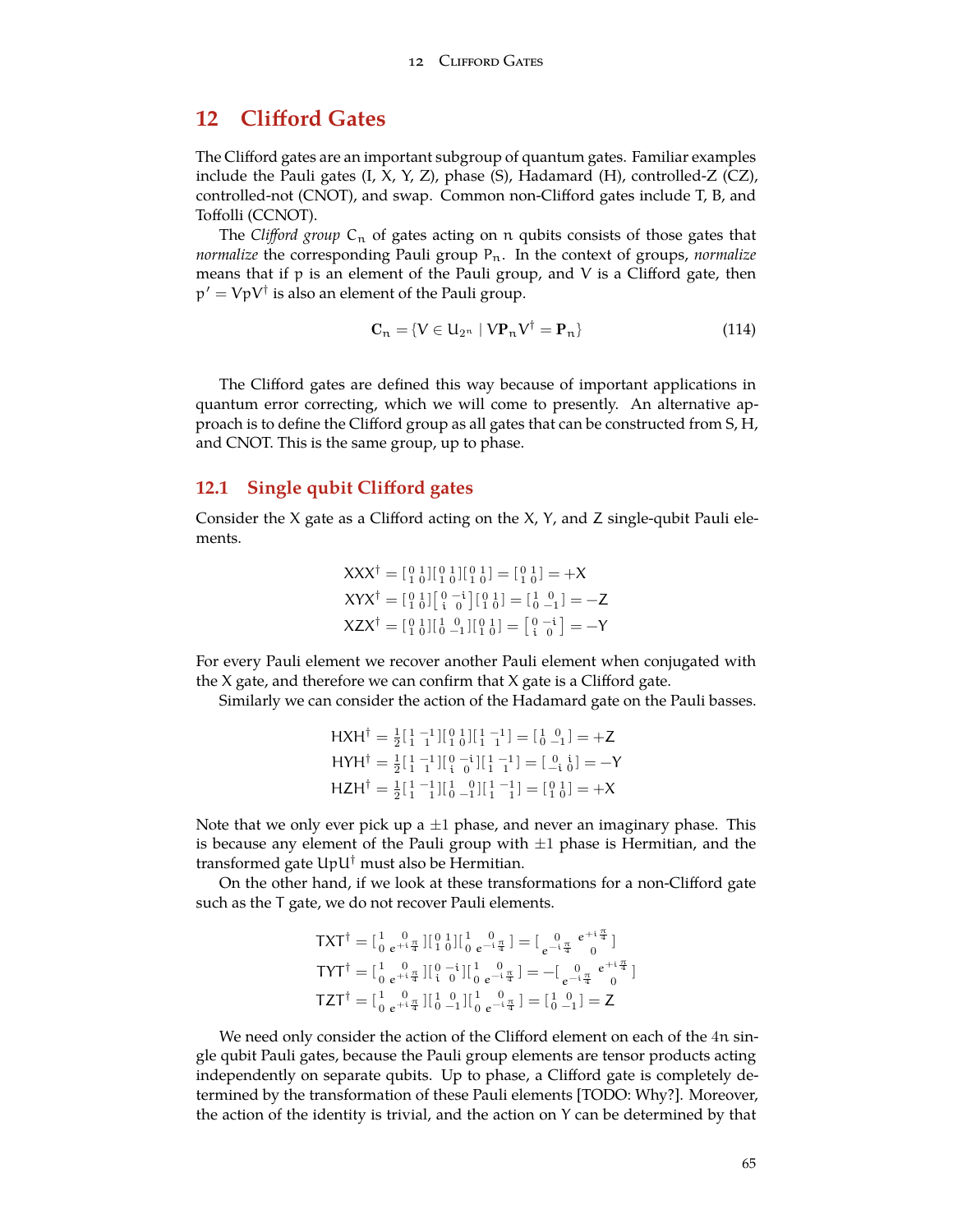# **12 Clifford Gates**

The Clifford gates are an important subgroup of quantum gates. Familiar examples include the Pauli gates (I, X, Y, Z), phase (S), Hadamard (H), controlled-Z (CZ), controlled-not (CNOT), and swap. Common non-Clifford gates include T, B, and Toffolli (CCNOT).

The *Clifford group*  $C_n$  of gates acting on n qubits consists of those gates that *normalize* the corresponding Pauli group P<sub>n</sub>. In the context of groups, *normalize* means that if  $p$  is an element of the Pauli group, and  $V$  is a Clifford gate, then p *′* = VpV*†* is also an element of the Pauli group.

$$
\mathbf{C}_n = \{ V \in \mathbf{U}_{2^n} \mid V\mathbf{P}_n V^\dagger = \mathbf{P}_n \}
$$
 (114)

The Clifford gates are defined this way because of important applications in quantum error correcting, which we will come to presently. An alternative approach is to define the Clifford group as all gates that can be constructed from S, H, and CNOT. This is the same group, up to phase.

## **12.1 Single qubit Clifford gates**

Consider the X gate as a Clifford acting on the  $X$ ,  $Y$ , and  $Z$  single-qubit Pauli elements.

$$
XXX^{\dagger} = \begin{bmatrix} 0 & 1 \\ 0 & 0 \end{bmatrix} \begin{bmatrix} 0 & 1 \\ 1 & 0 \end{bmatrix} \begin{bmatrix} 0 & 1 \\ 1 & 0 \end{bmatrix} = \begin{bmatrix} 0 & 1 \\ 1 & 0 \end{bmatrix} = +X
$$
  
\n
$$
XYX^{\dagger} = \begin{bmatrix} 0 & 1 \\ 1 & 0 \end{bmatrix} \begin{bmatrix} 0 & -i \\ i & 0 \end{bmatrix} \begin{bmatrix} 0 & 1 \\ 1 & 0 \end{bmatrix} = \begin{bmatrix} 1 & 0 \\ 1 & 0 \end{bmatrix} = -Z
$$
  
\n
$$
XZX^{\dagger} = \begin{bmatrix} 0 & 1 \\ 1 & 0 \end{bmatrix} \begin{bmatrix} 1 & 0 \\ 0 & -1 \end{bmatrix} \begin{bmatrix} 0 & 1 \\ 1 & 0 \end{bmatrix} = \begin{bmatrix} 0 & -i \\ i & 0 \end{bmatrix} = -Y
$$

For every Pauli element we recover another Pauli element when conjugated with the X gate, and therefore we can confirm that X gate is a Clifford gate.

Similarly we can consider the action of the Hadamard gate on the Pauli basses.

$$
H X H^{\dagger} = \frac{1}{2} \begin{bmatrix} 1 & -1 \\ 1 & 1 \end{bmatrix} \begin{bmatrix} 0 & 1 \\ 0 & 1 \end{bmatrix} \begin{bmatrix} 1 & -1 \\ 1 & 1 \end{bmatrix} = \begin{bmatrix} 1 & 0 \\ 0 & -1 \end{bmatrix} = +Z
$$
  
\n
$$
H Y H^{\dagger} = \frac{1}{2} \begin{bmatrix} 1 & -1 \\ 1 & 1 \end{bmatrix} \begin{bmatrix} 0 & -1 \\ 0 & 1 \end{bmatrix} \begin{bmatrix} 1 & -1 \\ 1 & 1 \end{bmatrix} = \begin{bmatrix} 0 & 1 \\ 0 & 1 \end{bmatrix} = -Y
$$
  
\n
$$
H Z H^{\dagger} = \frac{1}{2} \begin{bmatrix} 1 & -1 \\ 1 & 1 \end{bmatrix} \begin{bmatrix} 1 & 0 \\ 0 & -1 \end{bmatrix} \begin{bmatrix} 1 & -1 \\ 1 & 1 \end{bmatrix} = \begin{bmatrix} 0 & 1 \\ 1 & 0 \end{bmatrix} = +X
$$

Note that we only ever pick up a *±*1 phase, and never an imaginary phase. This is because any element of the Pauli group with *±*1 phase is Hermitian, and the transformed gate UpU*†* must also be Hermitian.

On the other hand, if we look at these transformations for a non-Clifford gate such as the T gate, we do not recover Pauli elements.

$$
\begin{array}{l} \mathsf{T} \mathsf{X} \mathsf{T}^\dagger = [\begin{smallmatrix} 1 & 0 \\ 0 & e^{+ \mathrm{i} \frac{\pi}{4}} \end{smallmatrix}][\begin{smallmatrix} 0 & 1 \\ 1 & 0 \end{smallmatrix}][\begin{smallmatrix} 1 & 0 \\ 0 & e^{- \mathrm{i} \frac{\pi}{4}} \end{smallmatrix}] = [\begin{smallmatrix} 0 & e^{+ \mathrm{i} \frac{\pi}{4}} \\ e^{- \mathrm{i} \frac{\pi}{4}} & 0 \end{smallmatrix}] \\ \mathsf{T} \mathsf{Y} \mathsf{T}^\dagger = [\begin{smallmatrix} 1 & 0 \\ 0 & e^{+ \mathrm{i} \frac{\pi}{4}} \end{smallmatrix}][\begin{smallmatrix} 0 & - \mathrm{i} \\ \mathrm{i} & 0 \end{smallmatrix}][\begin{smallmatrix} 1 & 0 \\ 0 & e^{- \mathrm{i} \frac{\pi}{4}} \end{smallmatrix}] = -[\begin{smallmatrix} 0 & e^{+ \mathrm{i} \frac{\pi}{4}} \\ e^{- \mathrm{i} \frac{\pi}{4}} & 0 \end{smallmatrix}] \\ \mathsf{T} \mathsf{Z} \mathsf{T}^\dagger = [\begin{smallmatrix} 1 & 0 \\ 0 & e^{+ \mathrm{i} \frac{\pi}{4}} \end{smallmatrix}][\begin{smallmatrix} 1 & 0 \\ 0 & -1 \end{smallmatrix}][\begin{smallmatrix} 1 & 0 \\ 0 & e^{- \mathrm{i} \frac{\pi}{4}} \end{smallmatrix}] = [\begin{smallmatrix} 1 & 0 \\ 0 & -1 \end{smallmatrix}] = \mathsf{Z} \end{array}
$$

We need only consider the action of the Clifford element on each of the 4n single qubit Pauli gates, because the Pauli group elements are tensor products acting independently on separate qubits. Up to phase, a Clifford gate is completely determined by the transformation of these Pauli elements [TODO: Why?]. Moreover, the action of the identity is trivial, and the action on Y can be determined by that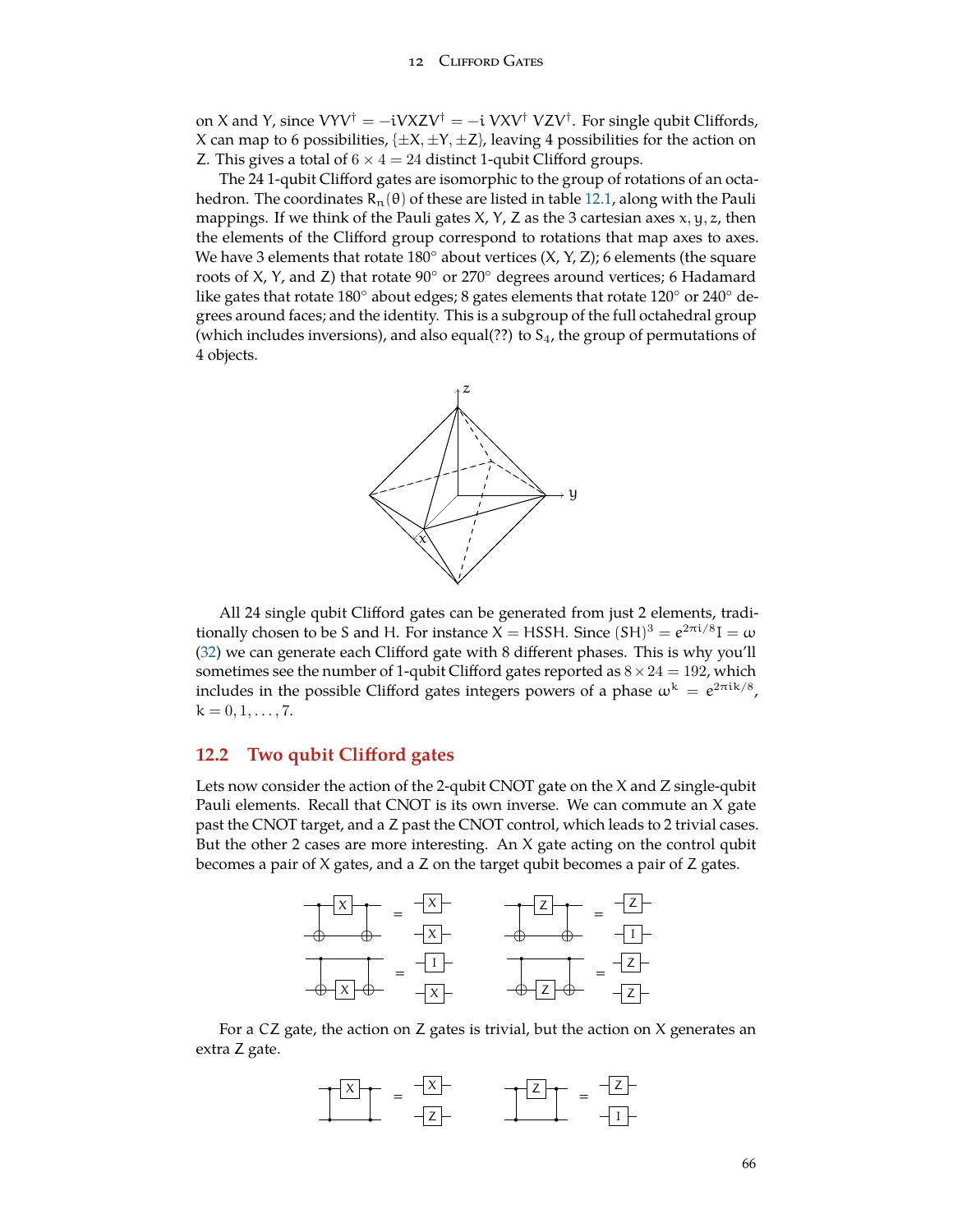#### 12 Clifford Gates

on X and Y, since VYV*†* = −iVXZV*†* = −i VXV*†* VZV*†* . For single qubit Cliffords, X can map to 6 possibilities,  $\{\pm X, \pm Y, \pm Z\}$ , leaving 4 possibilities for the action on Z. This gives a total of 6 *×* 4 = 24 distinct 1-qubit Clifford groups.

The 24 1-qubit Clifford gates are isomorphic to the group of rotations of an octahedron. The coordinates  $R_n(\theta)$  of these are listed in table [12.1](#page-66-0), along with the Pauli mappings. If we think of the Pauli gates  $X$ ,  $Y$ ,  $Z$  as the 3 cartesian axes  $x$ ,  $y$ ,  $z$ , then the elements of the Clifford group correspond to rotations that map axes to axes. We have 3 elements that rotate 180*◦* about vertices (X, Y, Z); 6 elements (the square roots of X, Y, and Z) that rotate 90*◦* or 270*◦* degrees around vertices; 6 Hadamard like gates that rotate 180*◦* about edges; 8 gates elements that rotate 120*◦* or 240*◦* degrees around faces; and the identity. This is a subgroup of the full octahedral group (which includes inversions), and also equal(??) to  $S<sub>4</sub>$ , the group of permutations of 4 objects.



All 24 single qubit Clifford gates can be generated from just 2 elements, traditionally chosen to be S and H. For instance X = HSSH. Since  $(SH)^3 = e^{2\pi i/8}I = \omega$ ([32\)](#page-22-0) we can generate each Clifford gate with 8 different phases. This is why you'll sometimes see the number of 1-qubit Clifford gates reported as  $8 \times 24 = 192$ , which includes in the possible Clifford gates integers powers of a phase  $\omega^k = e^{2\pi i k/8}$ ,  $k = 0, 1, \ldots, 7.$ 

# **12.2 Two qubit Clifford gates**

Lets now consider the action of the 2-qubit CNOT gate on the X and Z single-qubit Pauli elements. Recall that CNOT is its own inverse. We can commute an X gate past the CNOT target, and a Z past the CNOT control, which leads to 2 trivial cases. But the other 2 cases are more interesting. An  $X$  gate acting on the control qubit becomes a pair of X gates, and a Z on the target qubit becomes a pair of Z gates.



For a CZ gate, the action on Z gates is trivial, but the action on X generates an extra Z gate.

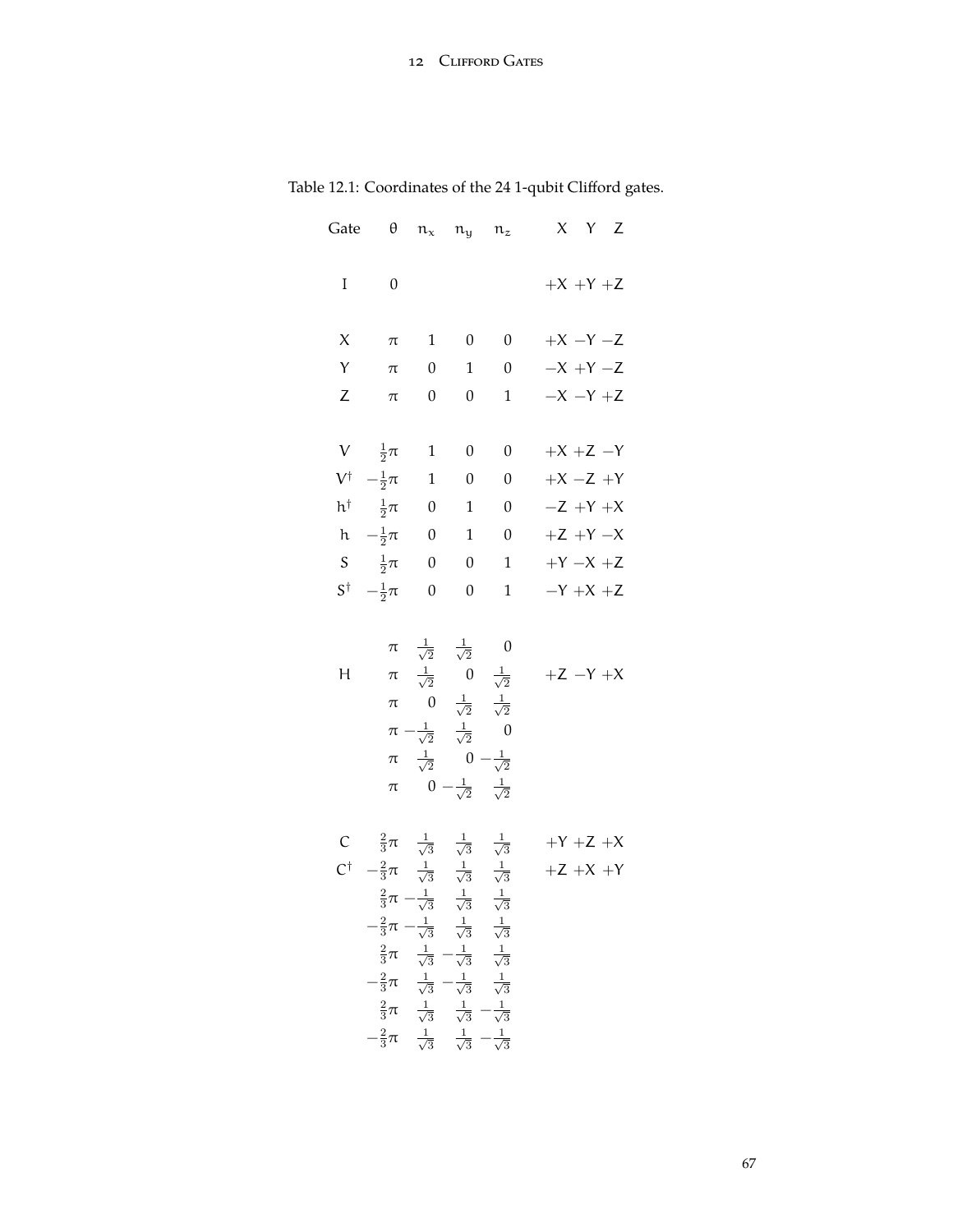<span id="page-66-0"></span>

| Gate                      | $\boldsymbol{\theta}$                                                                                                                                                                                                                                                                                                                                                                                                                                     | $n_x$ $n_y$ $n_z$                                                                                                                                                                                                                                                                                                |                          |                  | X Y Z                    |
|---------------------------|-----------------------------------------------------------------------------------------------------------------------------------------------------------------------------------------------------------------------------------------------------------------------------------------------------------------------------------------------------------------------------------------------------------------------------------------------------------|------------------------------------------------------------------------------------------------------------------------------------------------------------------------------------------------------------------------------------------------------------------------------------------------------------------|--------------------------|------------------|--------------------------|
| I                         | $\boldsymbol{0}$                                                                                                                                                                                                                                                                                                                                                                                                                                          |                                                                                                                                                                                                                                                                                                                  |                          |                  | $+X +Y +Z$               |
| X                         | $\pi$                                                                                                                                                                                                                                                                                                                                                                                                                                                     | $\mathbf{1}$                                                                                                                                                                                                                                                                                                     | $\overline{0}$           | $\boldsymbol{0}$ | $+X -Y -Z$               |
| Y                         | $\pi$                                                                                                                                                                                                                                                                                                                                                                                                                                                     | $\overline{0}$                                                                                                                                                                                                                                                                                                   | $\overline{1}$           | $\overline{0}$   | $-X +Y -Z$               |
| Ζ                         | $\pi$                                                                                                                                                                                                                                                                                                                                                                                                                                                     | $\boldsymbol{0}$                                                                                                                                                                                                                                                                                                 | $\boldsymbol{0}$         | $\mathbf{1}$     | $-X -Y +Z$               |
| $\ensuremath{\mathsf{V}}$ | $\frac{1}{2}\pi$ 1                                                                                                                                                                                                                                                                                                                                                                                                                                        |                                                                                                                                                                                                                                                                                                                  | $\boldsymbol{0}$         | $\boldsymbol{0}$ | $+X +Z -Y$               |
|                           | $V^{\dagger}$ $-\frac{1}{2}\pi$                                                                                                                                                                                                                                                                                                                                                                                                                           | $\overline{\phantom{0}}$ 1                                                                                                                                                                                                                                                                                       | $\overline{\phantom{0}}$ | $\boldsymbol{0}$ | $+X -Z +Y$               |
|                           | h <sup>†</sup> $\frac{1}{2}\pi$ 0                                                                                                                                                                                                                                                                                                                                                                                                                         |                                                                                                                                                                                                                                                                                                                  | $\mathbf{1}$             | $\boldsymbol{0}$ | $-Z + Y + X$             |
|                           | h $-\frac{1}{2}\pi$ 0                                                                                                                                                                                                                                                                                                                                                                                                                                     |                                                                                                                                                                                                                                                                                                                  | $\overline{1}$           | $\boldsymbol{0}$ | $+Z +Y -X$               |
|                           | S $\frac{1}{2}\pi$ 0                                                                                                                                                                                                                                                                                                                                                                                                                                      |                                                                                                                                                                                                                                                                                                                  | $\overline{0}$           | $\mathbf{1}$     | $+Y-X+Z$                 |
|                           | $S^{\dagger}$ $-\frac{1}{2}\pi$                                                                                                                                                                                                                                                                                                                                                                                                                           | $\overline{0}$                                                                                                                                                                                                                                                                                                   | $\boldsymbol{0}$         | $\mathbf{1}$     | $-Y +X +Z$               |
| Н                         | $\pi$<br>$\pi$<br>$\pi$                                                                                                                                                                                                                                                                                                                                                                                                                                   | $\pi$ $\frac{1}{\sqrt{2}}$ $\frac{1}{\sqrt{2}}$ 0<br>$\pi \frac{1}{\sqrt{2}}$ 0 $\frac{1}{\sqrt{2}}$<br>0 $\frac{1}{\sqrt{2}}$ $\frac{1}{\sqrt{2}}$<br>$\pi - \frac{1}{\sqrt{2}} \quad \frac{1}{\sqrt{2}} \qquad 0$<br>$\frac{1}{\sqrt{2}}$ 0 $-\frac{1}{\sqrt{2}}$<br>$0-\frac{1}{\sqrt{2}}-\frac{1}{\sqrt{2}}$ |                          |                  | $+Z -Y +X$               |
|                           | C $\frac{2}{3}\pi$ $\frac{1}{\sqrt{3}}$ $\frac{1}{\sqrt{3}}$ $\frac{1}{\sqrt{3}}$<br>$C^{\dagger}$ $-\frac{2}{3}\pi$ $\frac{1}{\sqrt{3}}$ $\frac{1}{\sqrt{3}}$ $\frac{1}{\sqrt{3}}$<br>$-\frac{2}{3}\pi - \frac{1}{\sqrt{3}} \quad \frac{1}{\sqrt{3}} \quad \frac{1}{\sqrt{3}}$<br>$-\frac{2}{3}\pi$ $\frac{1}{\sqrt{3}}$ $-\frac{1}{\sqrt{3}}$ $\frac{1}{\sqrt{3}}$<br>$-\frac{2}{3}\pi$ $\frac{1}{\sqrt{3}}$ $\frac{1}{\sqrt{3}}$ $-\frac{1}{\sqrt{3}}$ | $rac{2}{3}\pi - \frac{1}{\sqrt{3}} \quad \frac{1}{\sqrt{3}} \quad \frac{1}{\sqrt{3}}$<br>$rac{2}{3}\pi$ $rac{1}{\sqrt{3}}$ $rac{1}{\sqrt{3}}$ $rac{1}{\sqrt{3}}$<br>$\frac{2}{3}\pi$ $\frac{1}{\sqrt{3}}$ $\frac{1}{\sqrt{3}}$ $\frac{1}{\sqrt{3}}$                                                              |                          |                  | $+Y +Z +X$<br>$+Z +X +Y$ |

Table 12.1: Coordinates of the 24 1-qubit Clifford gates.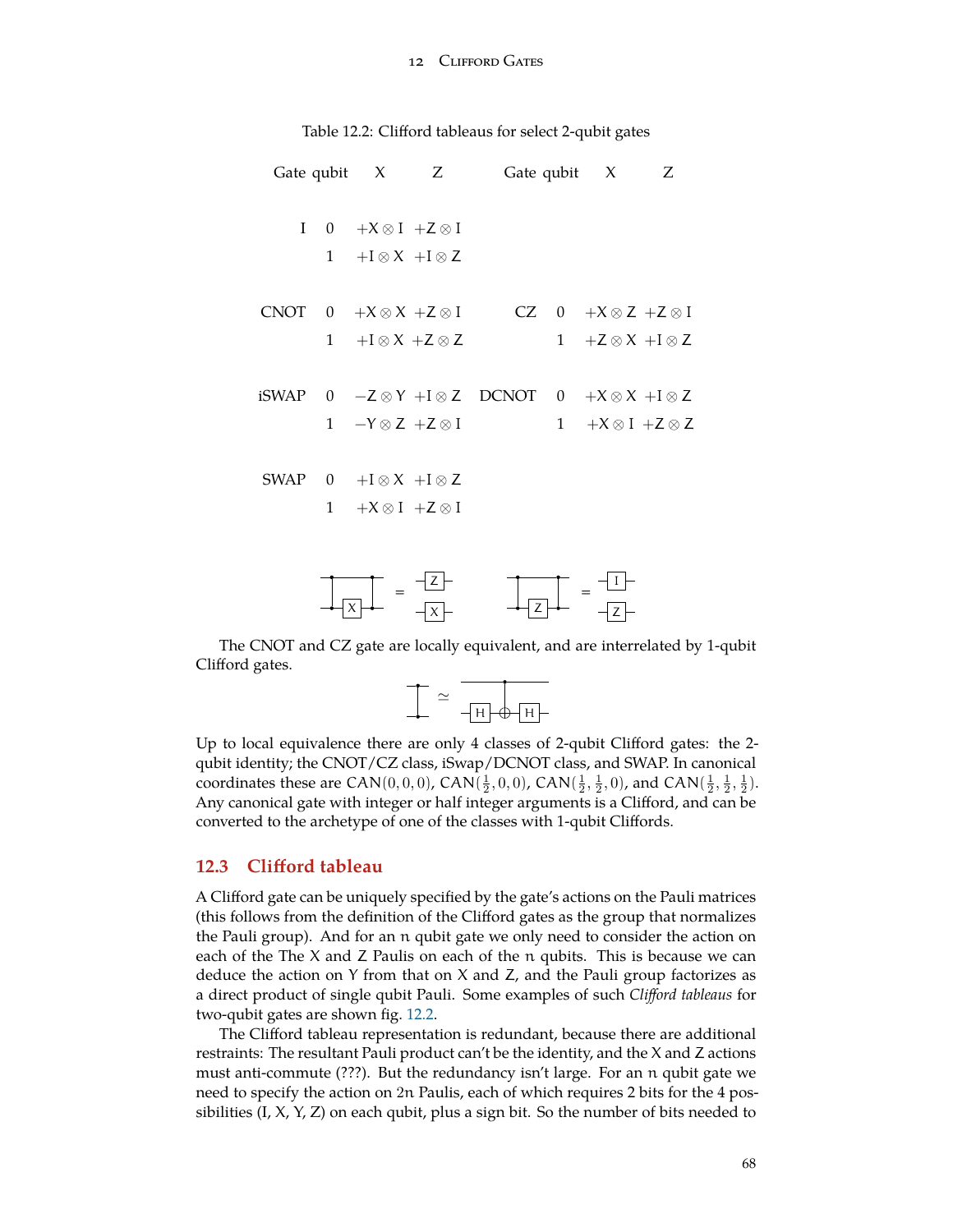<span id="page-67-0"></span>

| Table 12.2: Clifford tableaus for select 2-qubit gates |  |  |  |  |  |
|--------------------------------------------------------|--|--|--|--|--|
|--------------------------------------------------------|--|--|--|--|--|

|              |                                      | Gate qubit $X$ $Z$ Gate qubit $X$ $Z$                                                 |                                 |  |
|--------------|--------------------------------------|---------------------------------------------------------------------------------------|---------------------------------|--|
| $\mathbf{I}$ | $0 + X \otimes I + Z \otimes I$      |                                                                                       |                                 |  |
|              | $1 + I \otimes X + I \otimes Z$      |                                                                                       |                                 |  |
|              |                                      | CNOT $0 +X \otimes X +Z \otimes I$ CZ $0 +X \otimes Z +Z \otimes I$                   |                                 |  |
|              | $1 + I \otimes X + Z \otimes Z$      |                                                                                       | $1 + Z \otimes X + I \otimes Z$ |  |
|              |                                      | iSWAP $0 \quad -Z \otimes Y + I \otimes Z$ DCNOT $0 \quad +X \otimes X + I \otimes Z$ |                                 |  |
|              | $1 -Y \otimes Z +Z \otimes I$        |                                                                                       | $1 + X \otimes I + Z \otimes Z$ |  |
|              | SWAP $0 + I \otimes X + I \otimes Z$ |                                                                                       |                                 |  |
|              | $1 + X \otimes I + Z \otimes I$      |                                                                                       |                                 |  |
|              |                                      |                                                                                       |                                 |  |
|              |                                      |                                                                                       |                                 |  |



The CNOT and CZ gate are locally equivalent, and are interrelated by 1-qubit Clifford gates.

*≃* H H

Up to local equivalence there are only 4 classes of 2-qubit Clifford gates: the 2 qubit identity; the CNOT/CZ class, iSwap/DCNOT class, and SWAP. In canonical coordinates these are CAN(0,0,0), CAN( $\frac{1}{2}$ , 0,0), CAN( $\frac{1}{2}$ ,  $\frac{1}{2}$ , 0), and CAN( $\frac{1}{2}$ ,  $\frac{1}{2}$ ,  $\frac{1}{2}$ ). Any canonical gate with integer or half integer arguments is a Clifford, and can be converted to the archetype of one of the classes with 1-qubit Cliffords.

### **12.3 Clifford tableau**

A Clifford gate can be uniquely specified by the gate's actions on the Pauli matrices (this follows from the definition of the Clifford gates as the group that normalizes the Pauli group). And for an n qubit gate we only need to consider the action on each of the The X and Z Paulis on each of the n qubits. This is because we can deduce the action on Y from that on  $X$  and  $Z$ , and the Pauli group factorizes as a direct product of single qubit Pauli. Some examples of such *Clifford tableaus* for two-qubit gates are shown fig. [12.2.](#page-67-0)

The Clifford tableau representation is redundant, because there are additional restraints: The resultant Pauli product can't be the identity, and the X and Z actions must anti-commute (???). But the redundancy isn't large. For an n qubit gate we need to specify the action on 2n Paulis, each of which requires 2 bits for the 4 possibilities  $(I, X, Y, Z)$  on each qubit, plus a sign bit. So the number of bits needed to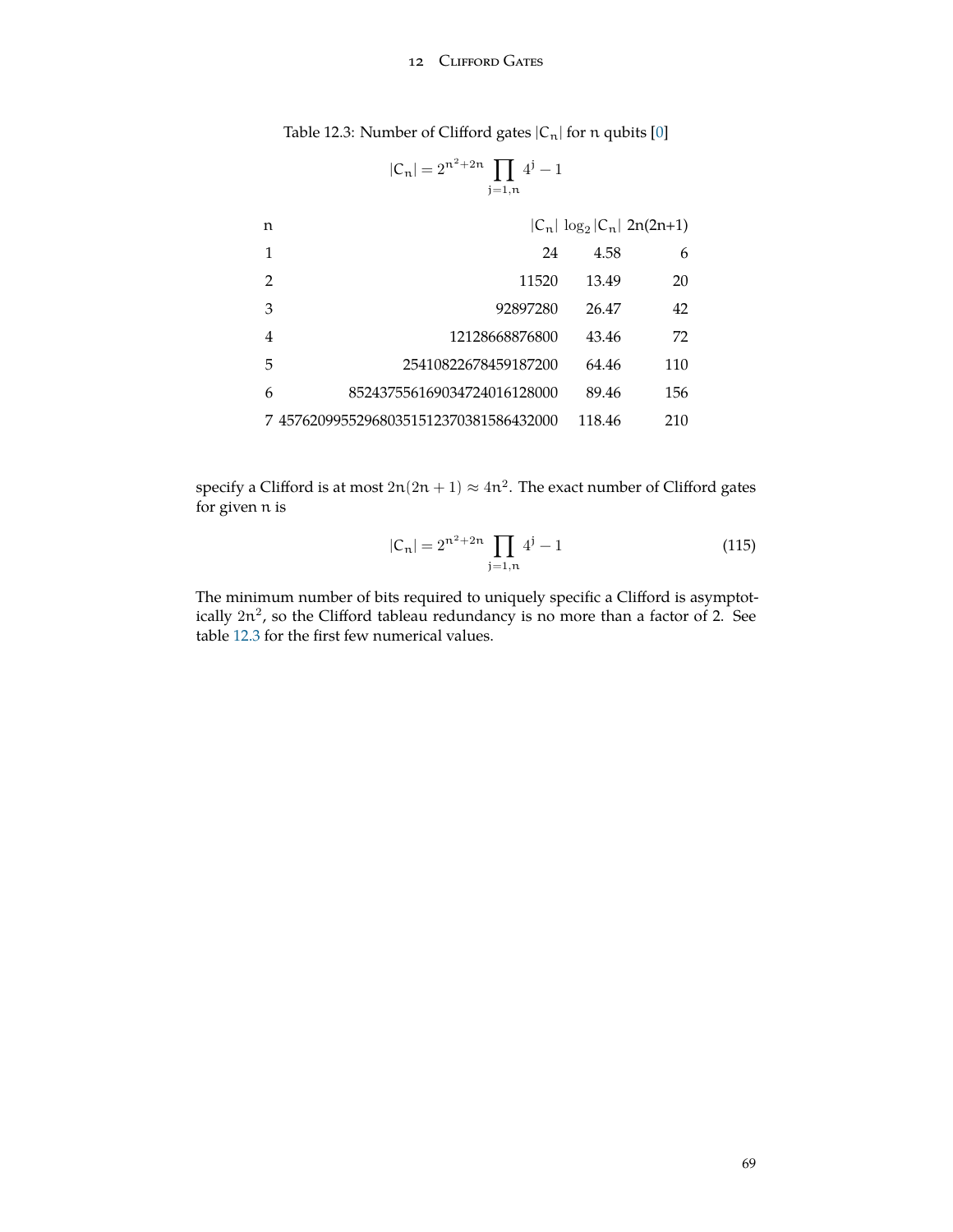# 12 CLIFFORD GATES

<span id="page-68-1"></span>

| Table 12.3: Number of Clifford gates $ C_n $ for n qubits $[0]$ |  |  |
|-----------------------------------------------------------------|--|--|
|-----------------------------------------------------------------|--|--|

<span id="page-68-0"></span>
$$
|\mathsf{C}_n| = 2^{n^2 + 2n} \prod_{j=1,n} 4^j - 1
$$

| n |                                        |        | $ C_n  \log_2  C_n $ 2n(2n+1) |
|---|----------------------------------------|--------|-------------------------------|
| 1 | 24                                     | 4.58   | 6                             |
| 2 | 11520                                  | 13.49  | 20                            |
| 3 | 92897280                               | 26.47  | 42                            |
| 4 | 12128668876800                         | 43.46  | 72                            |
| 5 | 25410822678459187200                   | 64.46  | 110                           |
| 6 | 852437556169034724016128000            | 89.46  | 156                           |
|   | 7 457620995529680351512370381586432000 | 118.46 | 210                           |

specify a Clifford is at most  $2n(2n + 1) \approx 4n^2$ . The exact number of Clifford gates for given n is

$$
|C_n| = 2^{n^2 + 2n} \prod_{j=1,n} 4^j - 1
$$
 (115)

The minimum number of bits required to uniquely specific a Clifford is asymptotically  $2n^2$ , so the Clifford tableau redundancy is no more than a factor of 2. See table [12.3](#page-68-0) for the first few numerical values.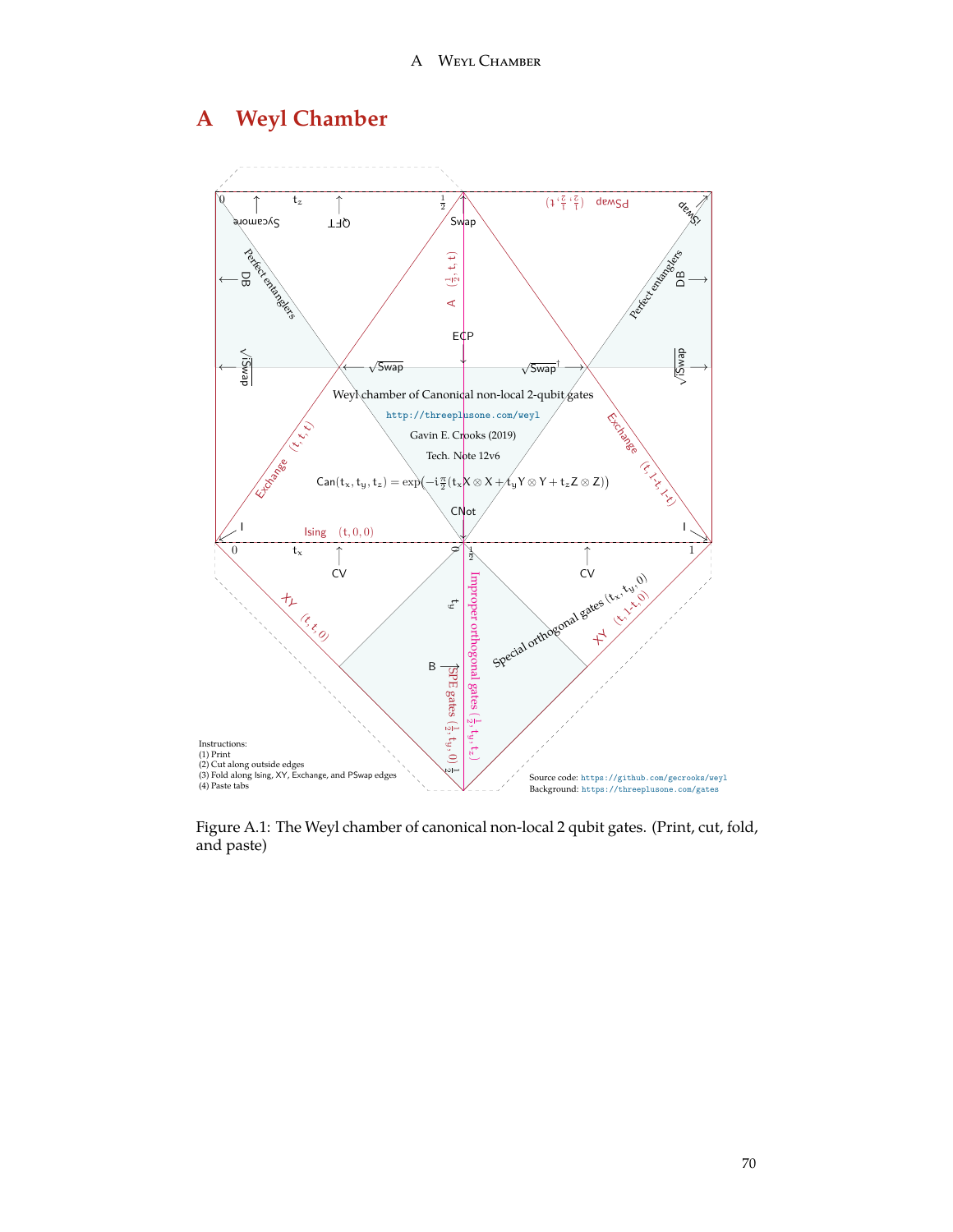# **A Weyl Chamber**



Figure A.1: The Weyl chamber of canonical non-local 2 qubit gates. (Print, cut, fold, and paste)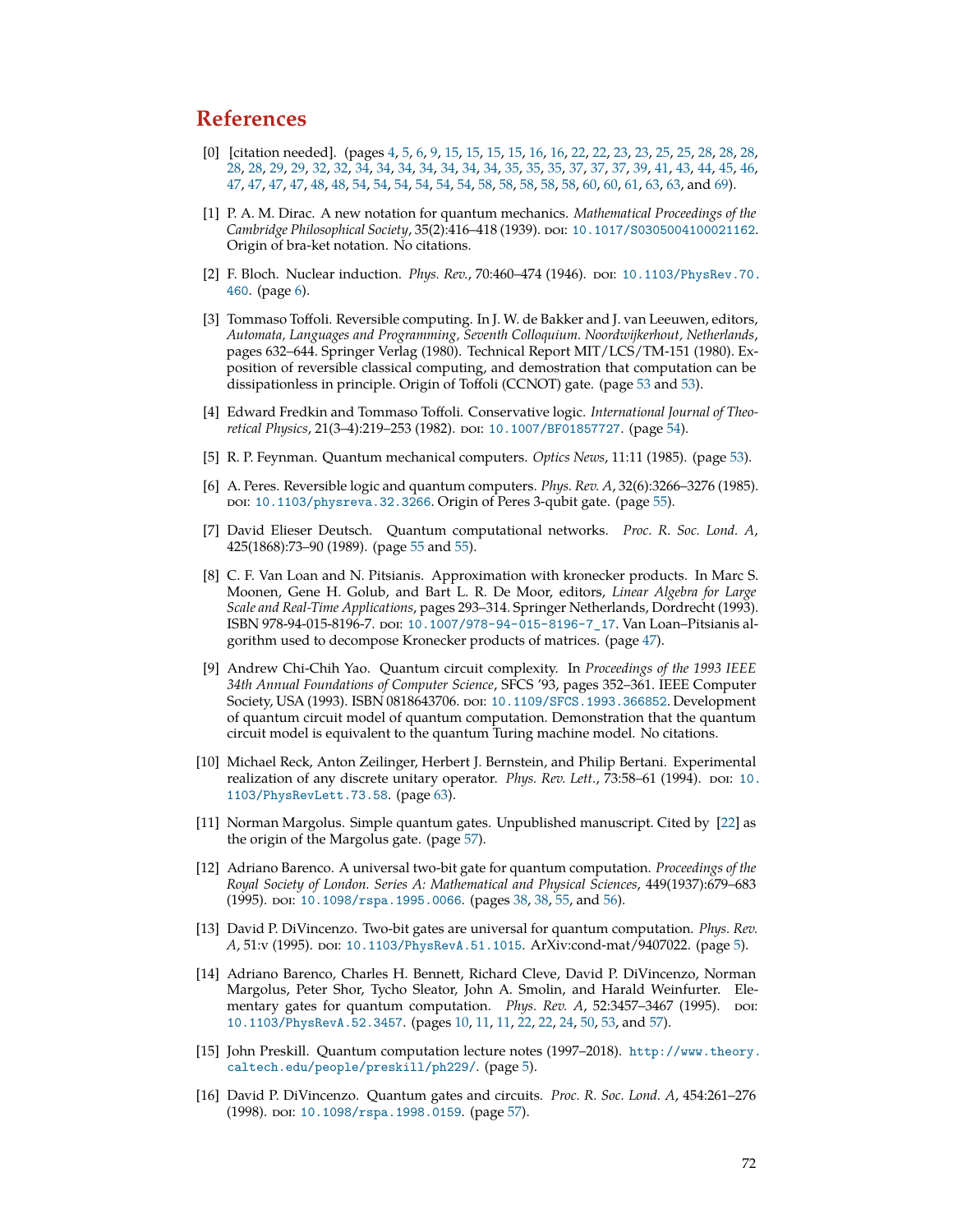# **References**

- <span id="page-71-0"></span>[0] [citation needed]. (pages [4,](#page-3-0) [5,](#page-4-0) [6](#page-5-0), [9](#page-8-0), [15,](#page-14-1) [15](#page-14-1), [15,](#page-14-1) [15,](#page-14-1) [16](#page-15-0), [16,](#page-15-0) [22](#page-21-0), [22,](#page-21-0) [23](#page-22-1), [23,](#page-22-1) [25,](#page-24-0) [25](#page-24-0), [28,](#page-27-0) [28](#page-27-0), [28,](#page-27-0) [28,](#page-27-0) [28,](#page-27-0) [29](#page-28-0), [29](#page-28-0), [32,](#page-31-0) [32,](#page-31-0) [34](#page-33-1), [34](#page-33-1), [34,](#page-33-1) [34,](#page-33-1) [34](#page-33-1), [34](#page-33-1), [34,](#page-33-1) [35,](#page-34-0) [35](#page-34-0), [35](#page-34-0), [37,](#page-36-0) [37,](#page-36-0) [37](#page-36-0), [39](#page-38-0), [41,](#page-40-0) [43,](#page-42-0) [44](#page-43-1), [45](#page-44-1), [46,](#page-45-0) [47,](#page-46-1) [47](#page-46-1), [47,](#page-46-1) [47](#page-46-1), [48,](#page-47-0) [48](#page-47-0), [54,](#page-53-0) [54](#page-53-0), [54](#page-53-0), [54,](#page-53-0) [54](#page-53-0), [54,](#page-53-0) [58](#page-57-0), [58,](#page-57-0) [58](#page-57-0), [58,](#page-57-0) [58](#page-57-0), [60,](#page-59-1) [60,](#page-59-1) [61](#page-60-0), [63,](#page-62-0) [63](#page-62-0), and [69](#page-68-1)).
- [1] P. A. M. Dirac. A new notation for quantum mechanics. *Mathematical Proceedings of the Cambridge Philosophical Society*, 35(2):416–418 (1939). doi: [10.1017/S0305004100021162](http://dx.doi.org/10.1017/S0305004100021162). Origin of bra-ket notation. No citations.
- [2] F. Bloch. Nuclear induction. *Phys. Rev.*, 70:460–474 (1946). doi: [10.1103/PhysRev.70.](http://dx.doi.org/10.1103/PhysRev.70.460) [460](http://dx.doi.org/10.1103/PhysRev.70.460). (page [6\)](#page-5-0).
- <span id="page-71-4"></span>[3] Tommaso Toffoli. Reversible computing. In J. W. de Bakker and J. van Leeuwen, editors, *Automata, Languages and Programming, Seventh Colloquium. Noordwijkerhout, Netherlands*, pages 632–644. Springer Verlag (1980). Technical Report MIT/LCS/TM-151 (1980). Exposition of reversible classical computing, and demostration that computation can be dissipationless in principle. Origin of Toffoli (CCNOT) gate. (page [53](#page-52-0) and [53\)](#page-52-0).
- <span id="page-71-6"></span>[4] Edward Fredkin and Tommaso Toffoli. Conservative logic. *International Journal of Theoretical Physics,* 21(3-4):219-253 (1982). DOI: [10.1007/BF01857727](http://dx.doi.org/10.1007/BF01857727). (page [54](#page-53-0)).
- <span id="page-71-5"></span>[5] R. P. Feynman. Quantum mechanical computers. *Optics News*, 11:11 (1985). (page [53](#page-52-0)).
- <span id="page-71-7"></span>[6] A. Peres. Reversible logic and quantum computers. *Phys. Rev. A*, 32(6):3266–3276 (1985). doi: [10.1103/physreva.32.3266](http://dx.doi.org/10.1103/physreva.32.3266). Origin of Peres 3-qubit gate. (page [55\)](#page-54-1).
- <span id="page-71-8"></span>[7] David Elieser Deutsch. Quantum computational networks. *Proc. R. Soc. Lond. A*, 425(1868):73–90 (1989). (page [55](#page-54-1) and [55](#page-54-1)).
- <span id="page-71-2"></span>[8] C. F. Van Loan and N. Pitsianis. Approximation with kronecker products. In Marc S. Moonen, Gene H. Golub, and Bart L. R. De Moor, editors, *Linear Algebra for Large Scale and Real-Time Applications*, pages 293–314. Springer Netherlands, Dordrecht (1993). ISBN 978-94-015-8196-7. poi: [10.1007/978-94-015-8196-7\\_17](http://dx.doi.org/10.1007/978-94-015-8196-7_17). Van Loan-Pitsianis algorithm used to decompose Kronecker products of matrices. (page [47\)](#page-46-1).
- [9] Andrew Chi-Chih Yao. Quantum circuit complexity. In *Proceedings of the 1993 IEEE 34th Annual Foundations of Computer Science*, SFCS '93, pages 352–361. IEEE Computer Society, USA (1993). ISBN 0818643706. doi: [10.1109/SFCS.1993.366852](http://dx.doi.org/10.1109/SFCS.1993.366852). Development of quantum circuit model of quantum computation. Demonstration that the quantum circuit model is equivalent to the quantum Turing machine model. No citations.
- <span id="page-71-11"></span>[10] Michael Reck, Anton Zeilinger, Herbert J. Bernstein, and Philip Bertani. Experimental realization of any discrete unitary operator. *Phys. Rev. Lett.*, 73:58–61 (1994). poi: [10.](http://dx.doi.org/10.1103/PhysRevLett.73.58) [1103/PhysRevLett.73.58](http://dx.doi.org/10.1103/PhysRevLett.73.58). (page [63\)](#page-62-0).
- <span id="page-71-9"></span>[11] Norman Margolus. Simple quantum gates. Unpublished manuscript. Cited by [[22](#page-72-7)] as the origin of the Margolus gate. (page [57](#page-56-0)).
- <span id="page-71-1"></span>[12] Adriano Barenco. A universal two-bit gate for quantum computation. *Proceedings of the Royal Society of London. Series A: Mathematical and Physical Sciences*, 449(1937):679–683 (1995). poi: [10.1098/rspa.1995.0066](http://dx.doi.org/10.1098/rspa.1995.0066). (pages [38](#page-37-0), 38, [55,](#page-54-1) and [56\)](#page-55-1).
- [13] David P. DiVincenzo. Two-bit gates are universal for quantum computation. *Phys. Rev. A*, 51:v (1995). doi: [10.1103/PhysRevA.51.1015](http://dx.doi.org/10.1103/PhysRevA.51.1015). ArXiv:cond-mat/9407022. (page [5](#page-4-0)).
- <span id="page-71-3"></span>[14] Adriano Barenco, Charles H. Bennett, Richard Cleve, David P. DiVincenzo, Norman Margolus, Peter Shor, Tycho Sleator, John A. Smolin, and Harald Weinfurter. Elementary gates for quantum computation. *Phys. Rev. A,* 52:3457–3467 (1995). poi: [10.1103/PhysRevA.52.3457](http://dx.doi.org/10.1103/PhysRevA.52.3457). (pages [10](#page-9-0), [11,](#page-10-0) [11](#page-10-0), [22,](#page-21-0) [22](#page-21-0), [24,](#page-23-1) [50](#page-49-2), [53](#page-52-0), and [57](#page-56-0)).
- [15] John Preskill. Quantum computation lecture notes (1997–2018). [http://www.theory.](http://www.theory.caltech.edu/people/preskill/ph229/) [caltech.edu/people/preskill/ph229/](http://www.theory.caltech.edu/people/preskill/ph229/). (page [5](#page-4-0)).
- <span id="page-71-10"></span>[16] David P. DiVincenzo. Quantum gates and circuits. *Proc. R. Soc. Lond. A*, 454:261–276 (1998). poi: [10.1098/rspa.1998.0159](http://dx.doi.org/10.1098/rspa.1998.0159). (page [57](#page-56-0)).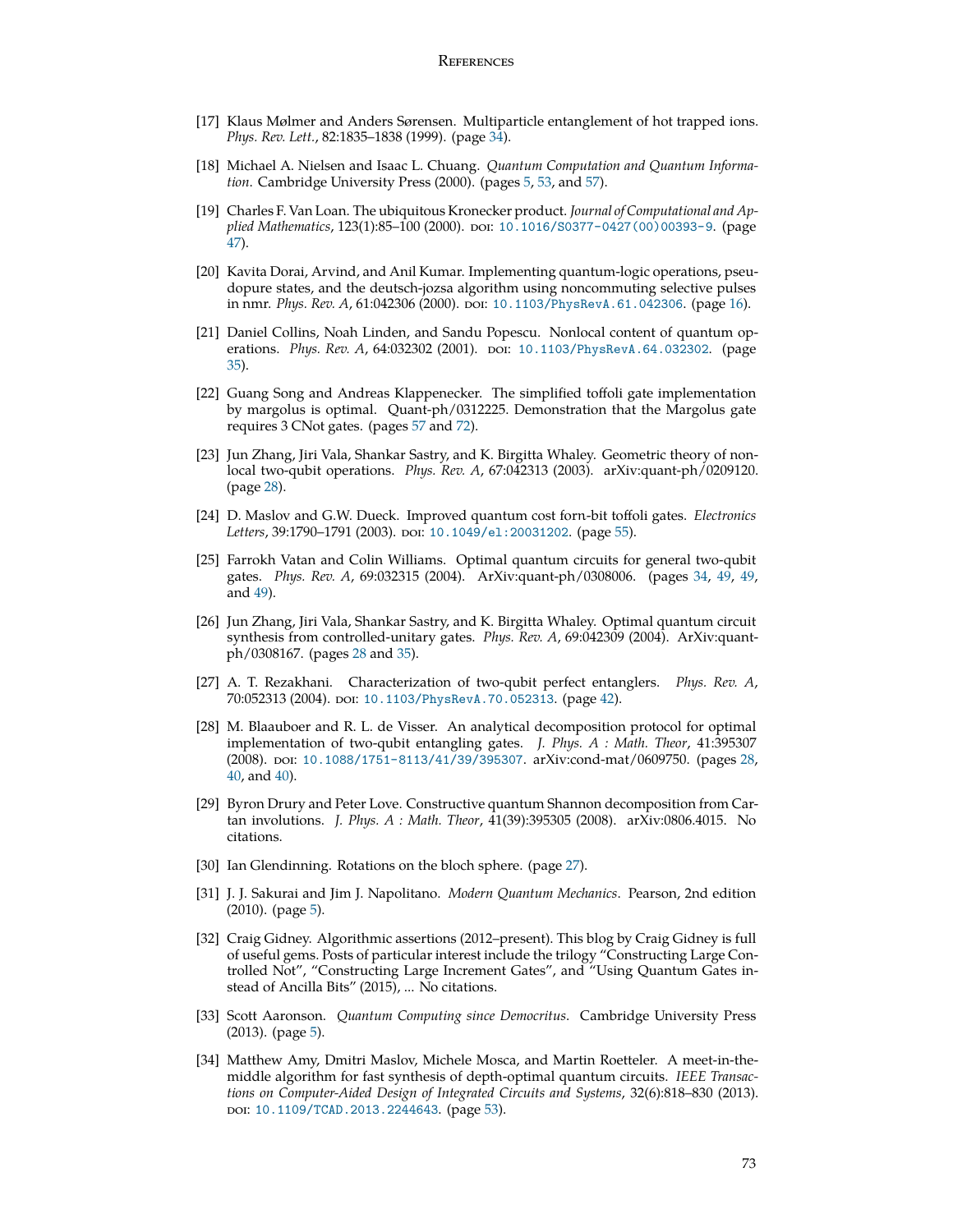- [17] Klaus Mølmer and Anders Sørensen. Multiparticle entanglement of hot trapped ions. *Phys. Rev. Lett.*, 82:1835–1838 (1999). (page [34](#page-33-0)).
- [18] Michael A. Nielsen and Isaac L. Chuang. *Quantum Computation and Quantum Information*. Cambridge University Press (2000). (pages [5](#page-4-0), [53,](#page-52-0) and [57](#page-56-0)).
- [19] Charles F. Van Loan. The ubiquitous Kronecker product. *Journal of Computational and Applied Mathematics*, 123(1):85-100 (2000). poi: [10.1016/S0377-0427\(00\)00393-9](http://dx.doi.org/10.1016/S0377-0427(00)00393-9). (page [47\)](#page-46-0).
- [20] Kavita Dorai, Arvind, and Anil Kumar. Implementing quantum-logic operations, pseudopure states, and the deutsch-jozsa algorithm using noncommuting selective pulses in nmr. *Phys. Rev. A*, 61:042306 (2000). doi: [10.1103/PhysRevA.61.042306](http://dx.doi.org/10.1103/PhysRevA.61.042306). (page [16\)](#page-15-0).
- [21] Daniel Collins, Noah Linden, and Sandu Popescu. Nonlocal content of quantum operations. *Phys. Rev. A,* 64:032302 (2001). DOI: [10.1103/PhysRevA.64.032302](http://dx.doi.org/10.1103/PhysRevA.64.032302). (page [35\)](#page-34-0).
- [22] Guang Song and Andreas Klappenecker. The simplified toffoli gate implementation by margolus is optimal. Quant-ph/0312225. Demonstration that the Margolus gate requires 3 CNot gates. (pages [57](#page-56-0) and [72](#page-71-0)).
- [23] Jun Zhang, Jiri Vala, Shankar Sastry, and K. Birgitta Whaley. Geometric theory of nonlocal two-qubit operations. *Phys. Rev. A*, 67:042313 (2003). arXiv:quant-ph/0209120. (page [28\)](#page-27-0).
- [24] D. Maslov and G.W. Dueck. Improved quantum cost forn-bit toffoli gates. *Electronics* Letters, 39:1790–1791 (2003). poi: [10.1049/el:20031202](http://dx.doi.org/10.1049/el:20031202). (page [55](#page-54-0)).
- [25] Farrokh Vatan and Colin Williams. Optimal quantum circuits for general two-qubit gates. *Phys. Rev. A*, 69:032315 (2004). ArXiv:quant-ph/0308006. (pages [34,](#page-33-0) [49,](#page-48-0) [49,](#page-48-0) and [49](#page-48-0)).
- [26] Jun Zhang, Jiri Vala, Shankar Sastry, and K. Birgitta Whaley. Optimal quantum circuit synthesis from controlled-unitary gates. *Phys. Rev. A*, 69:042309 (2004). ArXiv:quantph/0308167. (pages [28](#page-27-0) and [35](#page-34-0)).
- [27] A. T. Rezakhani. Characterization of two-qubit perfect entanglers. *Phys. Rev. A*, 70:052313 (2004). poi: [10.1103/PhysRevA.70.052313](http://dx.doi.org/10.1103/PhysRevA.70.052313). (page [42\)](#page-41-0).
- [28] M. Blaauboer and R. L. de Visser. An analytical decomposition protocol for optimal implementation of two-qubit entangling gates. *J. Phys. A : Math. Theor*, 41:395307 (2008). poi: [10.1088/1751-8113/41/39/395307](http://dx.doi.org/10.1088/1751-8113/41/39/395307). arXiv:cond-mat/0609750. (pages [28,](#page-27-0) [40,](#page-39-0) and [40\)](#page-39-0).
- [29] Byron Drury and Peter Love. Constructive quantum Shannon decomposition from Cartan involutions. *J. Phys. A : Math. Theor*, 41(39):395305 (2008). arXiv:0806.4015. No citations.
- [30] Ian Glendinning. Rotations on the bloch sphere. (page [27\)](#page-26-0).
- [31] J. J. Sakurai and Jim J. Napolitano. *Modern Quantum Mechanics*. Pearson, 2nd edition  $(2010)$ . (page [5\)](#page-4-0).
- [32] Craig Gidney. Algorithmic assertions (2012–present). This blog by Craig Gidney is full of useful gems. Posts of particular interest include the trilogy "Constructing Large Controlled Not", "Constructing Large Increment Gates", and "Using Quantum Gates instead of Ancilla Bits" (2015), ... No citations.
- [33] Scott Aaronson. *Quantum Computing since Democritus*. Cambridge University Press  $(2013)$ . (page [5\)](#page-4-0).
- [34] Matthew Amy, Dmitri Maslov, Michele Mosca, and Martin Roetteler. A meet-in-themiddle algorithm for fast synthesis of depth-optimal quantum circuits. *IEEE Transactions on Computer-Aided Design of Integrated Circuits and Systems*, 32(6):818–830 (2013). doi: [10.1109/TCAD.2013.2244643](http://dx.doi.org/10.1109/TCAD.2013.2244643). (page [53](#page-52-0)).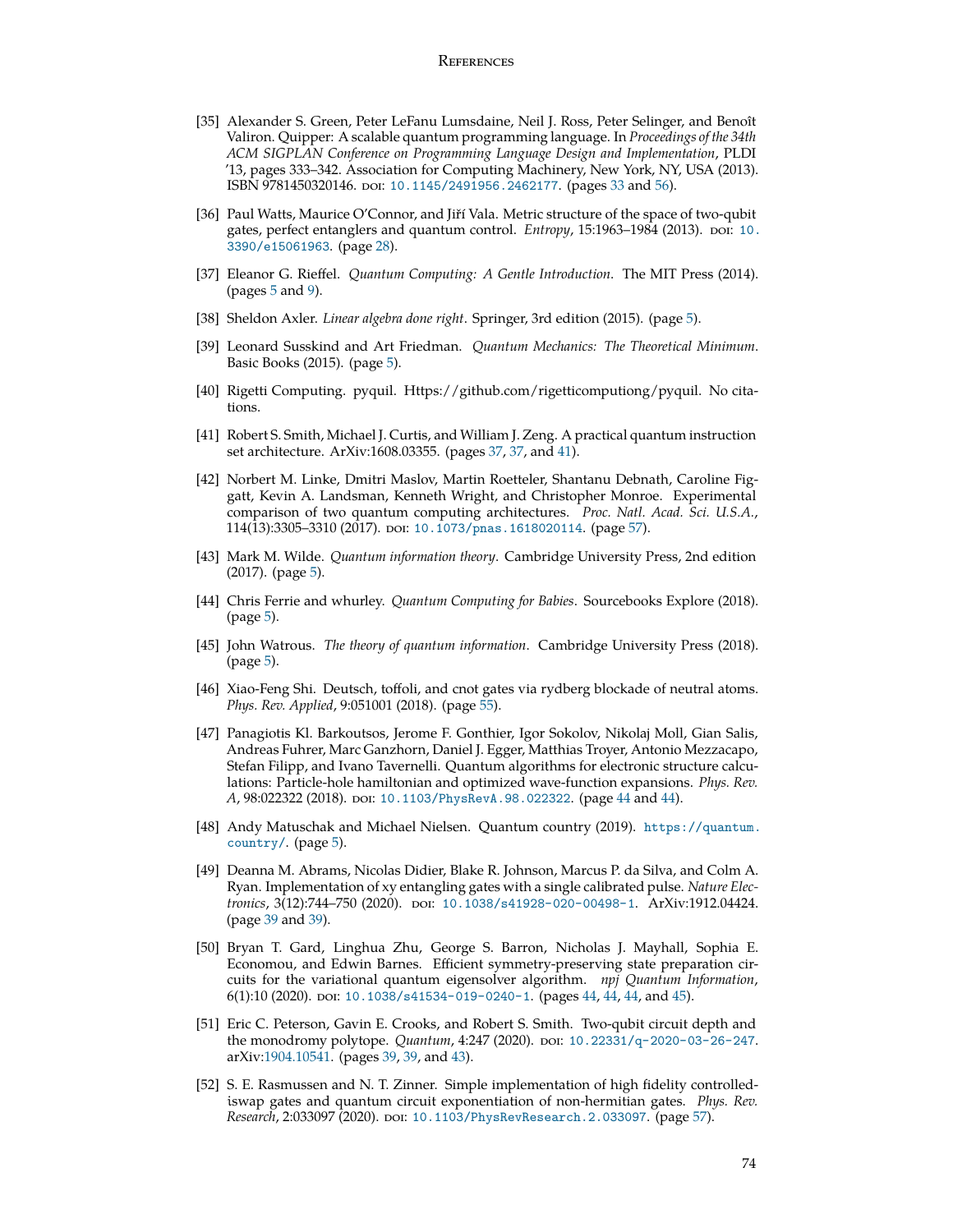#### **REFERENCES**

- [35] Alexander S. Green, Peter LeFanu Lumsdaine, Neil J. Ross, Peter Selinger, and Benoît Valiron. Quipper: A scalable quantum programming language. In *Proceedings of the 34th ACM SIGPLAN Conference on Programming Language Design and Implementation*, PLDI '13, pages 333–342. Association for Computing Machinery, New York, NY, USA (2013). ISBN 9781450320146. doi: [10.1145/2491956.2462177](http://dx.doi.org/10.1145/2491956.2462177). (pages [33](#page-32-0) and [56\)](#page-55-0).
- [36] Paul Watts, Maurice O'Connor, and Jiří Vala. Metric structure of the space of two-qubit gates, perfect entanglers and quantum control. *Entropy*, 15:1963-1984 (2013). poi: [10.](http://dx.doi.org/10.3390/e15061963) [3390/e15061963](http://dx.doi.org/10.3390/e15061963). (page [28](#page-27-0)).
- [37] Eleanor G. Rieffel. *Quantum Computing: A Gentle Introduction*. The MIT Press (2014). (pages  $5$  and  $9$ ).
- [38] Sheldon Axler. *Linear algebra done right*. Springer, 3rd edition (2015). (page [5\)](#page-4-0).
- [39] Leonard Susskind and Art Friedman. *Quantum Mechanics: The Theoretical Minimum*. Basic Books (2015). (page [5\)](#page-4-0).
- [40] Rigetti Computing. pyquil. Https://github.com/rigetticomputiong/pyquil. No citations.
- [41] Robert S. Smith, Michael J. Curtis, and William J. Zeng. A practical quantum instruction set architecture. ArXiv:1608.03355. (pages [37](#page-36-0), [37,](#page-36-0) and [41](#page-40-0)).
- [42] Norbert M. Linke, Dmitri Maslov, Martin Roetteler, Shantanu Debnath, Caroline Figgatt, Kevin A. Landsman, Kenneth Wright, and Christopher Monroe. Experimental comparison of two quantum computing architectures. *Proc. Natl. Acad. Sci. U.S.A.*, 114(13):3305-3310 (2017). poi: [10.1073/pnas.1618020114](http://dx.doi.org/10.1073/pnas.1618020114). (page [57](#page-56-0)).
- [43] Mark M. Wilde. *Quantum information theory*. Cambridge University Press, 2nd edition (2017). (page [5\)](#page-4-0).
- [44] Chris Ferrie and whurley. *Quantum Computing for Babies*. Sourcebooks Explore (2018). (page [5](#page-4-0)).
- [45] John Watrous. *The theory of quantum information*. Cambridge University Press (2018). (page [5](#page-4-0)).
- [46] Xiao-Feng Shi. Deutsch, toffoli, and cnot gates via rydberg blockade of neutral atoms. *Phys. Rev. Applied*, 9:051001 (2018). (page [55](#page-54-0)).
- [47] Panagiotis Kl. Barkoutsos, Jerome F. Gonthier, Igor Sokolov, Nikolaj Moll, Gian Salis, Andreas Fuhrer, Marc Ganzhorn, Daniel J. Egger, Matthias Troyer, Antonio Mezzacapo, Stefan Filipp, and Ivano Tavernelli. Quantum algorithms for electronic structure calculations: Particle-hole hamiltonian and optimized wave-function expansions. *Phys. Rev.* A, 98:022322 (2018). poi: [10.1103/PhysRevA.98.022322](http://dx.doi.org/10.1103/PhysRevA.98.022322). (page [44](#page-43-0) and [44\)](#page-43-0).
- [48] Andy Matuschak and Michael Nielsen. Quantum country (2019). [https://quantum.](https://quantum.country/) [country/](https://quantum.country/). (page [5\)](#page-4-0).
- [49] Deanna M. Abrams, Nicolas Didier, Blake R. Johnson, Marcus P. da Silva, and Colm A. Ryan. Implementation of xy entangling gates with a single calibrated pulse. *Nature Electronics*, 3(12):744–750 (2020). doi: [10.1038/s41928-020-00498-1](http://dx.doi.org/10.1038/s41928-020-00498-1). ArXiv:1912.04424. (page [39](#page-38-0) and [39](#page-38-0)).
- [50] Bryan T. Gard, Linghua Zhu, George S. Barron, Nicholas J. Mayhall, Sophia E. Economou, and Edwin Barnes. Efficient symmetry-preserving state preparation circuits for the variational quantum eigensolver algorithm. *npj Quantum Information*, 6(1):10 (2020). poi: [10.1038/s41534-019-0240-1](http://dx.doi.org/10.1038/s41534-019-0240-1). (pages [44](#page-43-0), [44,](#page-43-0) 44, and [45](#page-44-0)).
- [51] Eric C. Peterson, Gavin E. Crooks, and Robert S. Smith. Two-qubit circuit depth and the monodromy polytope. *Quantum*, 4:247 (2020). doi: [10.22331/q-2020-03-26-247](http://dx.doi.org/10.22331/q-2020-03-26-247). arXiv:[1904.10541](http://arxiv.org/abs/1904.10541). (pages [39,](#page-38-0) [39](#page-38-0), and [43](#page-42-0)).
- [52] S. E. Rasmussen and N. T. Zinner. Simple implementation of high fidelity controllediswap gates and quantum circuit exponentiation of non-hermitian gates. *Phys. Rev. Research, 2:033097 (2020).* poi: [10.1103/PhysRevResearch.2.033097](http://dx.doi.org/10.1103/PhysRevResearch.2.033097). (page [57](#page-56-0)).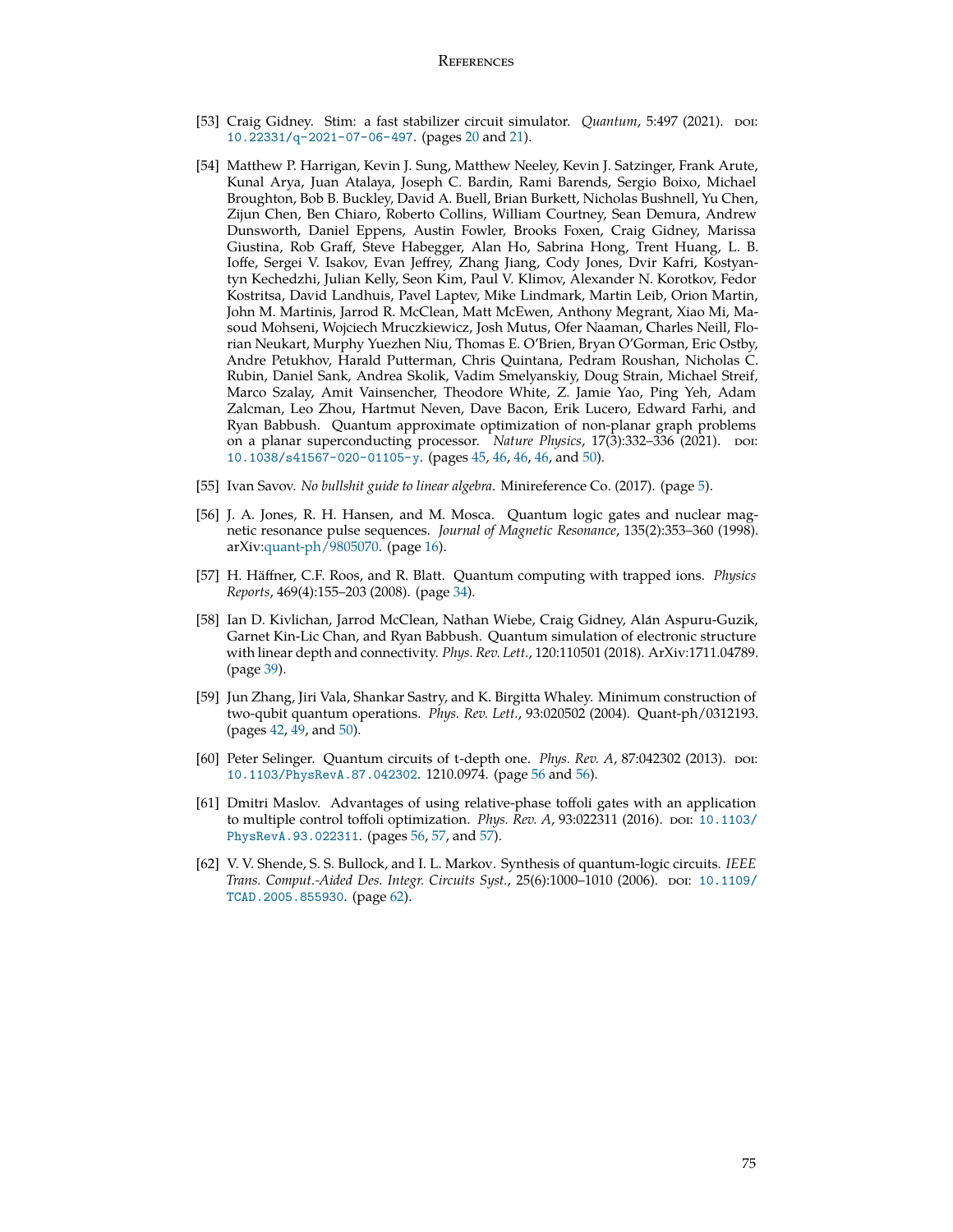- [53] Craig Gidney. Stim: a fast stabilizer circuit simulator. *Quantum*, 5:497 (2021). poi: [10.22331/q-2021-07-06-497](http://dx.doi.org/10.22331/q-2021-07-06-497). (pages [20](#page-19-0) and [21\)](#page-20-0).
- [54] Matthew P. Harrigan, Kevin J. Sung, Matthew Neeley, Kevin J. Satzinger, Frank Arute, Kunal Arya, Juan Atalaya, Joseph C. Bardin, Rami Barends, Sergio Boixo, Michael Broughton, Bob B. Buckley, David A. Buell, Brian Burkett, Nicholas Bushnell, Yu Chen, Zijun Chen, Ben Chiaro, Roberto Collins, William Courtney, Sean Demura, Andrew Dunsworth, Daniel Eppens, Austin Fowler, Brooks Foxen, Craig Gidney, Marissa Giustina, Rob Graff, Steve Habegger, Alan Ho, Sabrina Hong, Trent Huang, L. B. Ioffe, Sergei V. Isakov, Evan Jeffrey, Zhang Jiang, Cody Jones, Dvir Kafri, Kostyantyn Kechedzhi, Julian Kelly, Seon Kim, Paul V. Klimov, Alexander N. Korotkov, Fedor Kostritsa, David Landhuis, Pavel Laptev, Mike Lindmark, Martin Leib, Orion Martin, John M. Martinis, Jarrod R. McClean, Matt McEwen, Anthony Megrant, Xiao Mi, Masoud Mohseni, Wojciech Mruczkiewicz, Josh Mutus, Ofer Naaman, Charles Neill, Florian Neukart, Murphy Yuezhen Niu, Thomas E. O'Brien, Bryan O'Gorman, Eric Ostby, Andre Petukhov, Harald Putterman, Chris Quintana, Pedram Roushan, Nicholas C. Rubin, Daniel Sank, Andrea Skolik, Vadim Smelyanskiy, Doug Strain, Michael Streif, Marco Szalay, Amit Vainsencher, Theodore White, Z. Jamie Yao, Ping Yeh, Adam Zalcman, Leo Zhou, Hartmut Neven, Dave Bacon, Erik Lucero, Edward Farhi, and Ryan Babbush. Quantum approximate optimization of non-planar graph problems on a planar superconducting processor. *Nature Physics*, 17(3):332–336 (2021). poi: [10.1038/s41567-020-01105-y](http://dx.doi.org/10.1038/s41567-020-01105-y). (pages [45](#page-44-0), [46,](#page-45-0) [46](#page-45-0), [46,](#page-45-0) and [50](#page-49-0)).
- [55] Ivan Savov. *No bullshit guide to linear algebra*. Minireference Co. (2017). (page [5](#page-4-0)).
- [56] J. A. Jones, R. H. Hansen, and M. Mosca. Quantum logic gates and nuclear magnetic resonance pulse sequences. *Journal of Magnetic Resonance*, 135(2):353–360 (1998). arXiv:[quant-ph/9805070](http://arxiv.org/abs/quant-ph/9805070). (page [16\)](#page-15-0).
- [57] H. Häffner, C.F. Roos, and R. Blatt. Ouantum computing with trapped ions. *Physics Reports*, 469(4):155–203 (2008). (page [34](#page-33-0)).
- [58] Ian D. Kivlichan, Jarrod McClean, Nathan Wiebe, Craig Gidney, Alán Aspuru-Guzik, Garnet Kin-Lic Chan, and Ryan Babbush. Quantum simulation of electronic structure with linear depth and connectivity. *Phys. Rev. Lett.*, 120:110501 (2018). ArXiv:1711.04789. (page [39\)](#page-38-0).
- [59] Jun Zhang, Jiri Vala, Shankar Sastry, and K. Birgitta Whaley. Minimum construction of two-qubit quantum operations. *Phys. Rev. Lett.*, 93:020502 (2004). Quant-ph/0312193. (pages [42,](#page-41-0) [49](#page-48-0), and [50\)](#page-49-0).
- [60] Peter Selinger. Quantum circuits of t-depth one. *Phys. Rev. A*, 87:042302 (2013). doi: [10.1103/PhysRevA.87.042302](http://dx.doi.org/10.1103/PhysRevA.87.042302). 1210.0974. (page [56](#page-55-0) and [56](#page-55-0)).
- [61] Dmitri Maslov. Advantages of using relative-phase toffoli gates with an application to multiple control toffoli optimization. *Phys. Rev. A*, 93:022311 (2016). poi: [10.1103/](http://dx.doi.org/10.1103/PhysRevA.93.022311) [PhysRevA.93.022311](http://dx.doi.org/10.1103/PhysRevA.93.022311). (pages [56](#page-55-0), [57,](#page-56-0) and [57](#page-56-0)).
- [62] V. V. Shende, S. S. Bullock, and I. L. Markov. Synthesis of quantum-logic circuits. *IEEE Trans. Comput.-Aided Des. Integr. Circuits Syst.*, 25(6):1000–1010 (2006). doi: [10.1109/](http://dx.doi.org/10.1109/TCAD.2005.855930) [TCAD.2005.855930](http://dx.doi.org/10.1109/TCAD.2005.855930). (page [62\)](#page-61-0).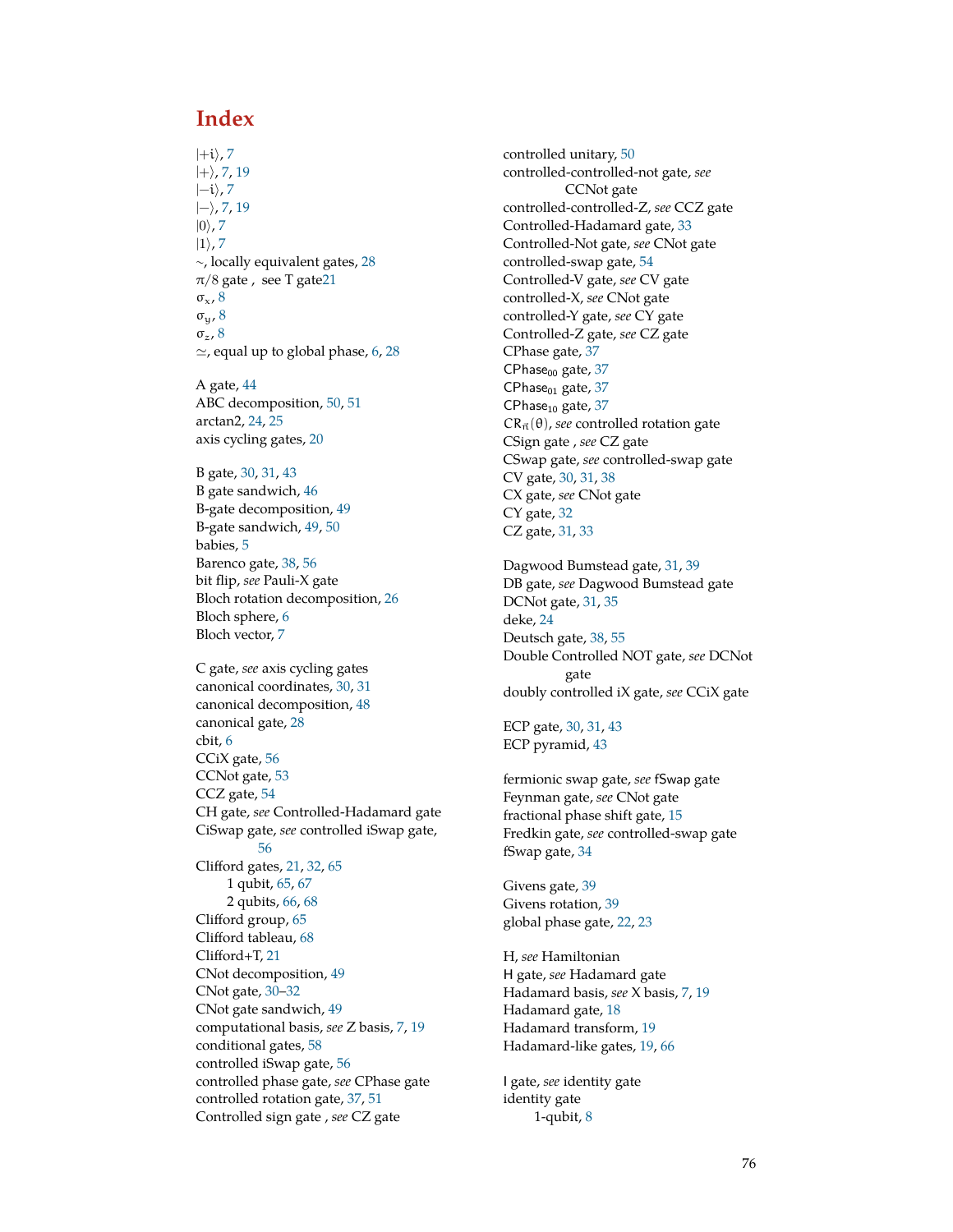# **Index**

|+i*⟩*, [7](#page-6-0) |+*⟩*, [7](#page-6-0), [19](#page-18-0) |−i*⟩*, [7](#page-6-0) |−*⟩*, [7](#page-6-0), [19](#page-18-0) |0*⟩*, [7](#page-6-0) |1*⟩*, [7](#page-6-0) ∼, locally equivalent gates, [28](#page-27-0)  $\pi/8$  gate, see T gat[e21](#page-20-0)  $\sigma_{\rm x}$ , [8](#page-7-0) σy, [8](#page-7-0) σz, [8](#page-7-0) *≃*, equal up to global phase, [6](#page-5-0), [28](#page-27-0)

A gate, [44](#page-43-0) ABC decomposition, [50,](#page-49-0) [51](#page-50-0) arctan2, [24,](#page-23-0) [25](#page-24-0) axis cycling gates, [20](#page-19-0)

B gate, [30,](#page-29-0) [31](#page-30-0), [43](#page-42-0) B gate sandwich, [46](#page-45-0) B-gate decomposition, [49](#page-48-0) B-gate sandwich, [49,](#page-48-0) [50](#page-49-0) babies, [5](#page-4-0) Barenco gate, [38](#page-37-0), [56](#page-55-0) bit flip, *see* Pauli-X gate Bloch rotation decomposition, [26](#page-25-0) Bloch sphere, [6](#page-5-0) Bloch vector, [7](#page-6-0)

C gate, *see* axis cycling gates canonical coordinates, [30](#page-29-0), [31](#page-30-0) canonical decomposition, [48](#page-47-0) canonical gate, [28](#page-27-0) cbit, [6](#page-5-0) CCiX gate, [56](#page-55-0) CCNot gate, [53](#page-52-0) CCZ gate, [54](#page-53-0) CH gate, *see* Controlled-Hadamard gate CiSwap gate, *see* controlled iSwap gate, [56](#page-55-0) Clifford gates, [21,](#page-20-0) [32](#page-31-0), [65](#page-64-0) 1 qubit, [65](#page-64-0), [67](#page-66-0) 2 qubits, [66,](#page-65-0) [68](#page-67-0) Clifford group, [65](#page-64-0) Clifford tableau, [68](#page-67-0) Clifford+T, [21](#page-20-0) CNot decomposition, [49](#page-48-0) CNot gate, [30](#page-29-0)–[32](#page-31-0) CNot gate sandwich, [49](#page-48-0) computational basis, *see* Z basis, [7,](#page-6-0) [19](#page-18-0) conditional gates, [58](#page-57-0) controlled iSwap gate, [56](#page-55-0) controlled phase gate, *see* CPhase gate controlled rotation gate, [37](#page-36-0), [51](#page-50-0) Controlled sign gate , *see* CZ gate

controlled unitary, [50](#page-49-0) controlled-controlled-not gate, *see* CCNot gate controlled-controlled-Z, *see* CCZ gate Controlled-Hadamard gate, [33](#page-32-0) Controlled-Not gate, *see* CNot gate controlled-swap gate, [54](#page-53-0) Controlled-V gate, *see* CV gate controlled-X, *see* CNot gate controlled-Y gate, *see* CY gate Controlled-Z gate, *see* CZ gate CPhase gate, [37](#page-36-0)  $CPhase<sub>00</sub> gate, 37$  $CPhase<sub>00</sub> gate, 37$ CPhase $_{01}$  gate,  $37$ CPhase<sub>10</sub> gate,  $37$  $CR_{\vec{n}}(\theta)$ , *see* controlled rotation gate CSign gate , *see* CZ gate CSwap gate, *see* controlled-swap gate CV gate, [30,](#page-29-0) [31,](#page-30-0) [38](#page-37-0) CX gate, *see* CNot gate CY gate, [32](#page-31-0) CZ gate, [31](#page-30-0), [33](#page-32-0)

Dagwood Bumstead gate, [31](#page-30-0), [39](#page-38-0) DB gate, *see* Dagwood Bumstead gate DCNot gate, [31,](#page-30-0) [35](#page-34-0) deke, [24](#page-23-0) Deutsch gate, [38](#page-37-0), [55](#page-54-0) Double Controlled NOT gate, *see* DCNot gate doubly controlled iX gate, *see* CCiX gate

ECP gate, [30,](#page-29-0) [31](#page-30-0), [43](#page-42-0) ECP pyramid, [43](#page-42-0)

fermionic swap gate, *see* fSwap gate Feynman gate, *see* CNot gate fractional phase shift gate, [15](#page-14-0) Fredkin gate, *see* controlled-swap gate fSwap gate, [34](#page-33-0)

Givens gate, [39](#page-38-0) Givens rotation, [39](#page-38-0) global phase gate, [22,](#page-21-0) [23](#page-22-0)

H, *see* Hamiltonian H gate, *see* Hadamard gate Hadamard basis, *see* X basis, [7,](#page-6-0) [19](#page-18-0) Hadamard gate, [18](#page-17-0) Hadamard transform, [19](#page-18-0) Hadamard-like gates, [19](#page-18-0), [66](#page-65-0)

I gate, *see* identity gate identity gate 1-qubit, [8](#page-7-0)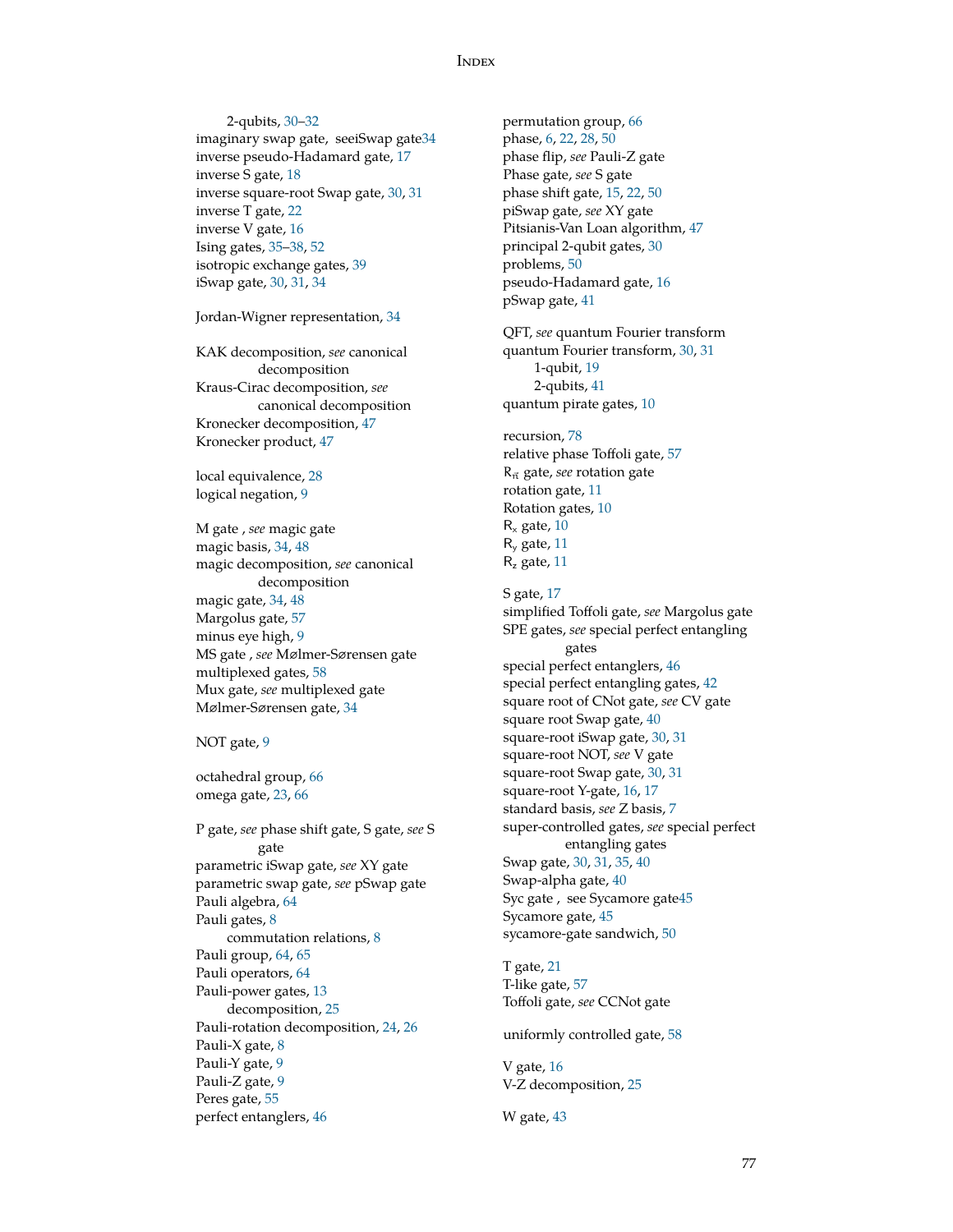#### **INDEX**

2-qubits, [30–](#page-29-0)[32](#page-31-0) imaginary swap gate, seeiSwap gat[e34](#page-33-0) inverse pseudo-Hadamard gate, [17](#page-16-0) inverse S gate, [18](#page-17-0) inverse square-root Swap gate, [30](#page-29-0), [31](#page-30-0) inverse T gate, [22](#page-21-0) inverse V gate, [16](#page-15-0) Ising gates, [35–](#page-34-0)[38](#page-37-0), [52](#page-51-0) isotropic exchange gates, [39](#page-38-0) iSwap gate, [30,](#page-29-0) [31](#page-30-0), [34](#page-33-0)

Jordan-Wigner representation, [34](#page-33-0)

KAK decomposition, *see* canonical decomposition Kraus-Cirac decomposition, *see* canonical decomposition Kronecker decomposition, [47](#page-46-0) Kronecker product, [47](#page-46-0)

local equivalence, [28](#page-27-0) logical negation, [9](#page-8-0)

M gate , *see* magic gate magic basis, [34](#page-33-0), [48](#page-47-0) magic decomposition, *see* canonical decomposition magic gate, [34](#page-33-0), [48](#page-47-0) Margolus gate, [57](#page-56-0) minus eye high, [9](#page-8-0) MS gate , *see* Mølmer-Sørensen gate multiplexed gates, [58](#page-57-0) Mux gate, *see* multiplexed gate Mølmer-Sørensen gate, [34](#page-33-0)

#### NOT gate, [9](#page-8-0)

octahedral group, [66](#page-65-0) omega gate, [23,](#page-22-0) [66](#page-65-0)

P gate, *see* phase shift gate, S gate, *see* S gate parametric iSwap gate, *see* XY gate parametric swap gate, *see* pSwap gate Pauli algebra, [64](#page-63-0) Pauli gates, [8](#page-7-0) commutation relations, [8](#page-7-0) Pauli group, [64](#page-63-0), [65](#page-64-0) Pauli operators, [64](#page-63-0) Pauli-power gates, [13](#page-12-0) decomposition, [25](#page-24-0) Pauli-rotation decomposition, [24,](#page-23-0) [26](#page-25-0) Pauli-X gate, [8](#page-7-0) Pauli-Y gate, [9](#page-8-0) Pauli-Z gate, [9](#page-8-0) Peres gate, [55](#page-54-0) perfect entanglers, [46](#page-45-0)

permutation group, [66](#page-65-0) phase, [6](#page-5-0), [22,](#page-21-0) [28](#page-27-0), [50](#page-49-0) phase flip, *see* Pauli-Z gate Phase gate, *see* S gate phase shift gate, [15](#page-14-0), [22,](#page-21-0) [50](#page-49-0) piSwap gate, *see* XY gate Pitsianis-Van Loan algorithm, [47](#page-46-0) principal 2-qubit gates, [30](#page-29-0) problems, [50](#page-49-0) pseudo-Hadamard gate, [16](#page-15-0) pSwap gate, [41](#page-40-0)

QFT, *see* quantum Fourier transform quantum Fourier transform, [30,](#page-29-0) [31](#page-30-0) 1-qubit, [19](#page-18-0) 2-qubits, [41](#page-40-0) quantum pirate gates, [10](#page-9-0)

recursion, [78](#page-77-0) relative phase Toffoli gate, [57](#page-56-0) Rn*⃗* gate, *see* rotation gate rotation gate, [11](#page-10-0) Rotation gates, [10](#page-9-0)  $R_x$  gate, [10](#page-9-0) R<sup>y</sup> gate, [11](#page-10-0)  $R<sub>z</sub>$  gate, [11](#page-10-0)

S gate, [17](#page-16-0) simplified Toffoli gate, *see* Margolus gate SPE gates, *see* special perfect entangling gates special perfect entanglers, [46](#page-45-0) special perfect entangling gates, [42](#page-41-0) square root of CNot gate, *see* CV gate square root Swap gate, [40](#page-39-0) square-root iSwap gate, [30,](#page-29-0) [31](#page-30-0) square-root NOT, *see* V gate square-root Swap gate, [30](#page-29-0), [31](#page-30-0) square-root Y-gate, [16,](#page-15-0) [17](#page-16-0) standard basis, *see* Z basis, [7](#page-6-0) super-controlled gates, *see* special perfect entangling gates Swap gate, [30](#page-29-0), [31,](#page-30-0) [35](#page-34-0), [40](#page-39-0) Swap-alpha gate, [40](#page-39-0) Syc gate , see Sycamore gat[e45](#page-44-0) Sycamore gate, [45](#page-44-0) sycamore-gate sandwich, [50](#page-49-0)

T gate, [21](#page-20-0) T-like gate, [57](#page-56-0) Toffoli gate, *see* CCNot gate

uniformly controlled gate, [58](#page-57-0)

V gate, [16](#page-15-0) V-Z decomposition, [25](#page-24-0)

W gate, [43](#page-42-0)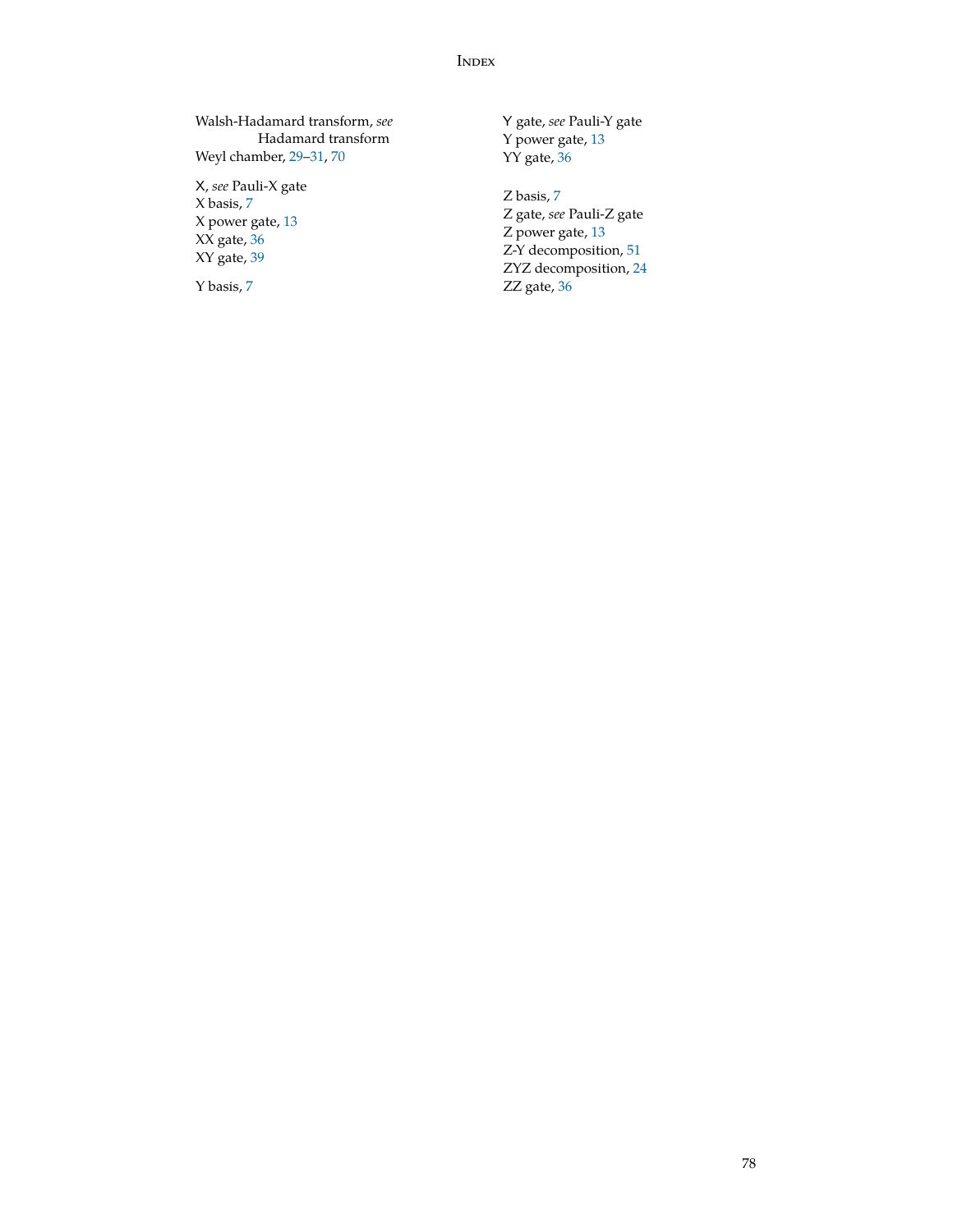### **INDEX**

<span id="page-77-0"></span>Walsh-Hadamard transform, *see* Hadamard transform Weyl chamber, [29](#page-28-0)[–31](#page-30-0), [70](#page-69-0)

X, *see* Pauli-X gate X basis, [7](#page-6-0) X power gate, [13](#page-12-0) XX gate, [36](#page-35-0) XY gate, [39](#page-38-0)

Y basis, [7](#page-6-0)

Y gate, *see* Pauli-Y gate Y power gate, [13](#page-12-0) YY gate, [36](#page-35-0)

Z basis, [7](#page-6-0) Z gate, *see* Pauli-Z gate Z power gate, [13](#page-12-0) Z-Y decomposition, [51](#page-50-0) ZYZ decomposition, [24](#page-23-0) ZZ gate, [36](#page-35-0)